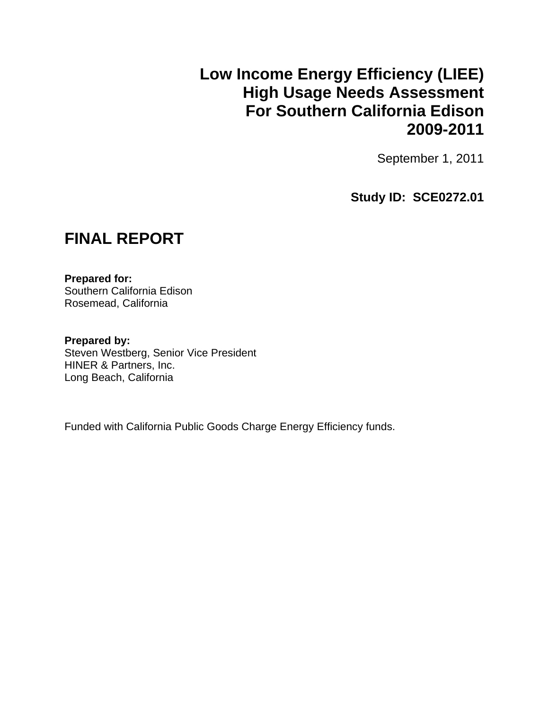## **Low Income Energy Efficiency (LIEE) High Usage Needs Assessment For Southern California Edison 2009-2011**

September 1, 2011

**Study ID: SCE0272.01** 

## **FINAL REPORT**

**Prepared for:**  Southern California Edison Rosemead, California

**Prepared by:**  Steven Westberg, Senior Vice President HINER & Partners, Inc. Long Beach, California

Funded with California Public Goods Charge Energy Efficiency funds.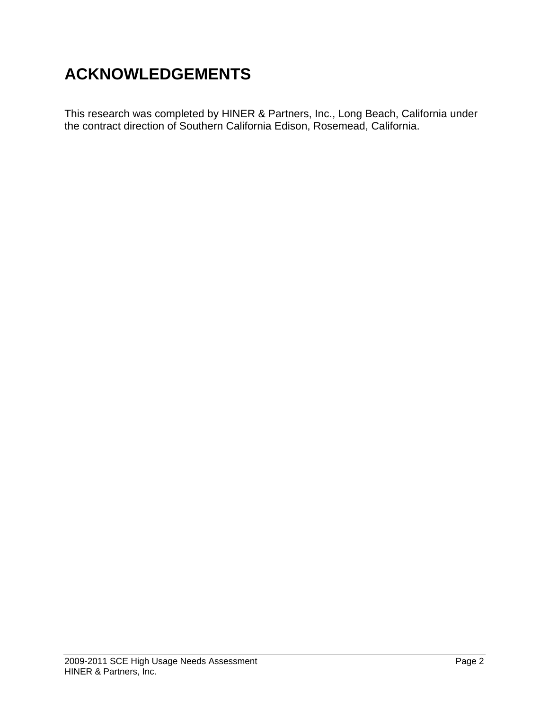# **ACKNOWLEDGEMENTS**

This research was completed by HINER & Partners, Inc., Long Beach, California under the contract direction of Southern California Edison, Rosemead, California.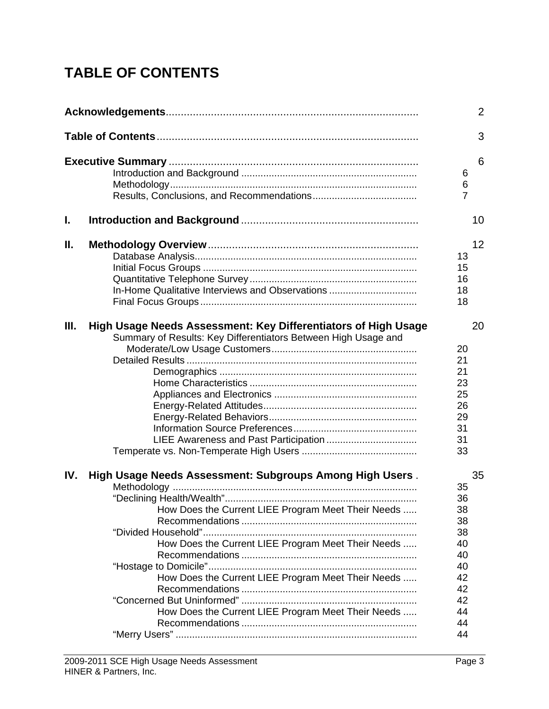# **TABLE OF CONTENTS**

|      |                                                                                                                                                                                                                                                                                  |                                                                                  | 2  |
|------|----------------------------------------------------------------------------------------------------------------------------------------------------------------------------------------------------------------------------------------------------------------------------------|----------------------------------------------------------------------------------|----|
|      |                                                                                                                                                                                                                                                                                  |                                                                                  | 3  |
|      |                                                                                                                                                                                                                                                                                  | 6<br>6<br>$\overline{7}$                                                         | 6  |
| L.   |                                                                                                                                                                                                                                                                                  |                                                                                  | 10 |
| Ⅱ.   | In-Home Qualitative Interviews and Observations                                                                                                                                                                                                                                  | 13<br>15<br>16<br>18<br>18                                                       | 12 |
| III. | High Usage Needs Assessment: Key Differentiators of High Usage<br>Summary of Results: Key Differentiators Between High Usage and                                                                                                                                                 | 20<br>21<br>21<br>23<br>25<br>26<br>29<br>31<br>31<br>33                         | 20 |
| IV.  | High Usage Needs Assessment: Subgroups Among High Users.<br>How Does the Current LIEE Program Meet Their Needs<br>How Does the Current LIEE Program Meet Their Needs<br>How Does the Current LIEE Program Meet Their Needs<br>How Does the Current LIEE Program Meet Their Needs | 35<br>36<br>38<br>38<br>38<br>40<br>40<br>40<br>42<br>42<br>42<br>44<br>44<br>44 | 35 |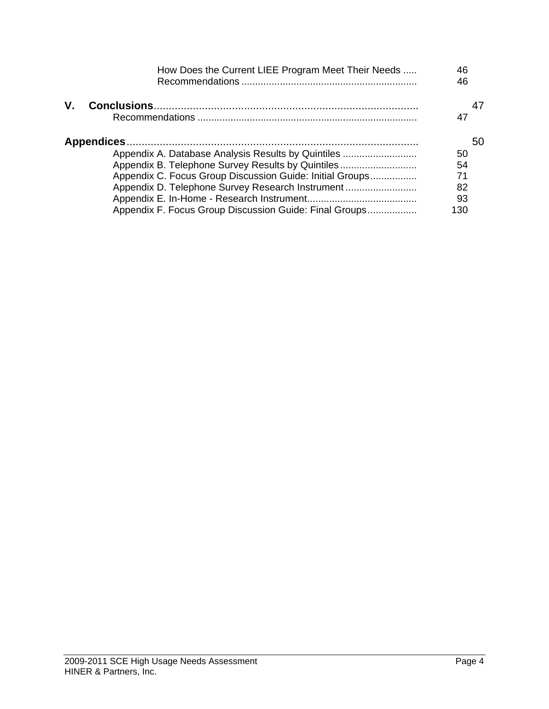|    | How Does the Current LIEE Program Meet Their Needs       | 46<br>46 |
|----|----------------------------------------------------------|----------|
| V. |                                                          | 47       |
|    |                                                          | 50       |
|    | Appendix A. Database Analysis Results by Quintiles       | 50       |
|    | Appendix B. Telephone Survey Results by Quintiles        | 54       |
|    | Appendix C. Focus Group Discussion Guide: Initial Groups | 71       |
|    | Appendix D. Telephone Survey Research Instrument         | 82       |
|    |                                                          | 93       |
|    | Appendix F. Focus Group Discussion Guide: Final Groups   | 130      |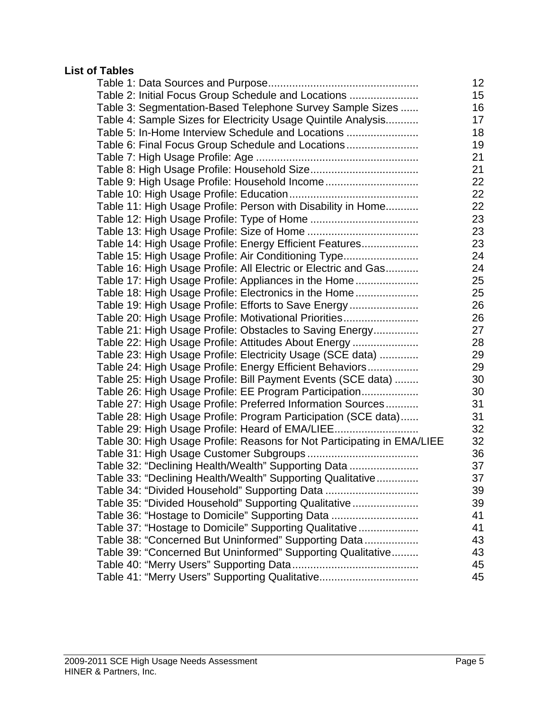## **List of Tables**

|                                                                         | 12 |
|-------------------------------------------------------------------------|----|
| Table 2: Initial Focus Group Schedule and Locations                     | 15 |
| Table 3: Segmentation-Based Telephone Survey Sample Sizes               | 16 |
| Table 4: Sample Sizes for Electricity Usage Quintile Analysis           | 17 |
| Table 5: In-Home Interview Schedule and Locations                       | 18 |
| Table 6: Final Focus Group Schedule and Locations                       | 19 |
|                                                                         | 21 |
|                                                                         | 21 |
| Table 9: High Usage Profile: Household Income                           | 22 |
|                                                                         | 22 |
| Table 11: High Usage Profile: Person with Disability in Home            | 22 |
|                                                                         | 23 |
|                                                                         | 23 |
| Table 14: High Usage Profile: Energy Efficient Features                 | 23 |
| Table 15: High Usage Profile: Air Conditioning Type                     | 24 |
| Table 16: High Usage Profile: All Electric or Electric and Gas          | 24 |
| Table 17: High Usage Profile: Appliances in the Home                    | 25 |
| Table 18: High Usage Profile: Electronics in the Home                   | 25 |
| Table 19: High Usage Profile: Efforts to Save Energy                    | 26 |
| Table 20: High Usage Profile: Motivational Priorities                   | 26 |
| Table 21: High Usage Profile: Obstacles to Saving Energy                | 27 |
| Table 22: High Usage Profile: Attitudes About Energy                    | 28 |
| Table 23: High Usage Profile: Electricity Usage (SCE data)              | 29 |
| Table 24: High Usage Profile: Energy Efficient Behaviors                | 29 |
| Table 25: High Usage Profile: Bill Payment Events (SCE data)            | 30 |
| Table 26: High Usage Profile: EE Program Participation                  | 30 |
| Table 27: High Usage Profile: Preferred Information Sources             | 31 |
| Table 28: High Usage Profile: Program Participation (SCE data)          | 31 |
| Table 29: High Usage Profile: Heard of EMA/LIEE                         | 32 |
| Table 30: High Usage Profile: Reasons for Not Participating in EMA/LIEE | 32 |
|                                                                         | 36 |
| Table 32: "Declining Health/Wealth" Supporting Data                     | 37 |
| Table 33: "Declining Health/Wealth" Supporting Qualitative              | 37 |
|                                                                         | 39 |
| Table 35: "Divided Household" Supporting Qualitative                    | 39 |
| Table 36: "Hostage to Domicile" Supporting Data                         | 41 |
| Table 37: "Hostage to Domicile" Supporting Qualitative                  | 41 |
| Table 38: "Concerned But Uninformed" Supporting Data                    | 43 |
| Table 39: "Concerned But Uninformed" Supporting Qualitative             | 43 |
|                                                                         | 45 |
| Table 41: "Merry Users" Supporting Qualitative                          | 45 |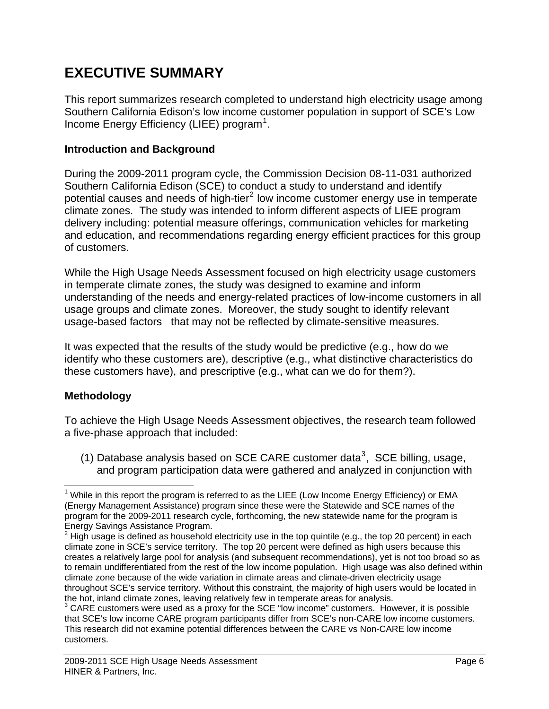## **EXECUTIVE SUMMARY**

This report summarizes research completed to understand high electricity usage among Southern California Edison's low income customer population in support of SCE's Low Income Energy Efficiency (LIEE) program<sup>[1](#page-5-0)</sup>.

## **Introduction and Background**

During the 2009-2011 program cycle, the Commission Decision 08-11-031 authorized Southern California Edison (SCE) to conduct a study to understand and identify potential causes and needs of high-tier<sup>[2](#page-5-1)</sup> low income customer energy use in temperate climate zones. The study was intended to inform different aspects of LIEE program delivery including: potential measure offerings, communication vehicles for marketing and education, and recommendations regarding energy efficient practices for this group of customers.

While the High Usage Needs Assessment focused on high electricity usage customers in temperate climate zones, the study was designed to examine and inform understanding of the needs and energy-related practices of low-income customers in all usage groups and climate zones. Moreover, the study sought to identify relevant usage-based factors that may not be reflected by climate-sensitive measures.

It was expected that the results of the study would be predictive (e.g., how do we identify who these customers are), descriptive (e.g., what distinctive characteristics do these customers have), and prescriptive (e.g., what can we do for them?).

## **Methodology**

To achieve the High Usage Needs Assessment objectives, the research team followed a five-phase approach that included:

(1) Database analysis based on SCE CARE customer data<sup>[3](#page-5-2)</sup>, SCE billing, usage, and program participation data were gathered and analyzed in conjunction with

<span id="page-5-0"></span> $\overline{a}$  $1$  While in this report the program is referred to as the LIEE (Low Income Energy Efficiency) or EMA (Energy Management Assistance) program since these were the Statewide and SCE names of the program for the 2009-2011 research cycle, forthcoming, the new statewide name for the program is Energy Savings Assistance Program.

<span id="page-5-1"></span> $2$  High usage is defined as household electricity use in the top quintile (e.g., the top 20 percent) in each climate zone in SCE's service territory. The top 20 percent were defined as high users because this creates a relatively large pool for analysis (and subsequent recommendations), yet is not too broad so as to remain undifferentiated from the rest of the low income population. High usage was also defined within climate zone because of the wide variation in climate areas and climate-driven electricity usage throughout SCE's service territory. Without this constraint, the majority of high users would be located in the hot, inland climate zones, leaving relatively few in temperate areas for analysis.

<span id="page-5-2"></span> $3$  CARE customers were used as a proxy for the SCE "low income" customers. However, it is possible that SCE's low income CARE program participants differ from SCE's non-CARE low income customers. This research did not examine potential differences between the CARE vs Non-CARE low income customers.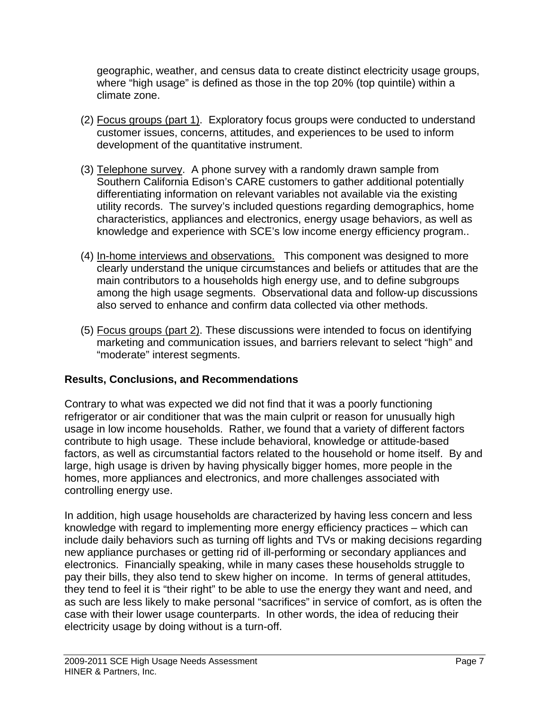geographic, weather, and census data to create distinct electricity usage groups, where "high usage" is defined as those in the top 20% (top quintile) within a climate zone.

- (2) Focus groups (part 1). Exploratory focus groups were conducted to understand customer issues, concerns, attitudes, and experiences to be used to inform development of the quantitative instrument.
- (3) Telephone survey. A phone survey with a randomly drawn sample from Southern California Edison's CARE customers to gather additional potentially differentiating information on relevant variables not available via the existing utility records. The survey's included questions regarding demographics, home characteristics, appliances and electronics, energy usage behaviors, as well as knowledge and experience with SCE's low income energy efficiency program..
- (4) In-home interviews and observations. This component was designed to more clearly understand the unique circumstances and beliefs or attitudes that are the main contributors to a households high energy use, and to define subgroups among the high usage segments. Observational data and follow-up discussions also served to enhance and confirm data collected via other methods.
- (5) Focus groups (part 2). These discussions were intended to focus on identifying marketing and communication issues, and barriers relevant to select "high" and "moderate" interest segments.

## **Results, Conclusions, and Recommendations**

Contrary to what was expected we did not find that it was a poorly functioning refrigerator or air conditioner that was the main culprit or reason for unusually high usage in low income households. Rather, we found that a variety of different factors contribute to high usage. These include behavioral, knowledge or attitude-based factors, as well as circumstantial factors related to the household or home itself. By and large, high usage is driven by having physically bigger homes, more people in the homes, more appliances and electronics, and more challenges associated with controlling energy use.

In addition, high usage households are characterized by having less concern and less knowledge with regard to implementing more energy efficiency practices – which can include daily behaviors such as turning off lights and TVs or making decisions regarding new appliance purchases or getting rid of ill-performing or secondary appliances and electronics. Financially speaking, while in many cases these households struggle to pay their bills, they also tend to skew higher on income. In terms of general attitudes, they tend to feel it is "their right" to be able to use the energy they want and need, and as such are less likely to make personal "sacrifices" in service of comfort, as is often the case with their lower usage counterparts. In other words, the idea of reducing their electricity usage by doing without is a turn-off.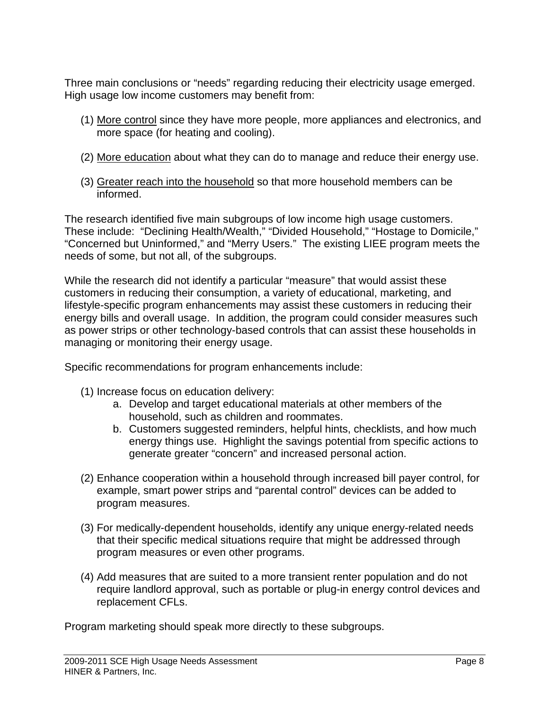Three main conclusions or "needs" regarding reducing their electricity usage emerged. High usage low income customers may benefit from:

- (1) More control since they have more people, more appliances and electronics, and more space (for heating and cooling).
- (2) More education about what they can do to manage and reduce their energy use.
- (3) Greater reach into the household so that more household members can be informed.

The research identified five main subgroups of low income high usage customers. These include: "Declining Health/Wealth," "Divided Household," "Hostage to Domicile," "Concerned but Uninformed," and "Merry Users." The existing LIEE program meets the needs of some, but not all, of the subgroups.

While the research did not identify a particular "measure" that would assist these customers in reducing their consumption, a variety of educational, marketing, and lifestyle-specific program enhancements may assist these customers in reducing their energy bills and overall usage. In addition, the program could consider measures such as power strips or other technology-based controls that can assist these households in managing or monitoring their energy usage.

Specific recommendations for program enhancements include:

- (1) Increase focus on education delivery:
	- a. Develop and target educational materials at other members of the household, such as children and roommates.
	- b. Customers suggested reminders, helpful hints, checklists, and how much energy things use. Highlight the savings potential from specific actions to generate greater "concern" and increased personal action.
- (2) Enhance cooperation within a household through increased bill payer control, for example, smart power strips and "parental control" devices can be added to program measures.
- (3) For medically-dependent households, identify any unique energy-related needs that their specific medical situations require that might be addressed through program measures or even other programs.
- (4) Add measures that are suited to a more transient renter population and do not require landlord approval, such as portable or plug-in energy control devices and replacement CFLs.

Program marketing should speak more directly to these subgroups.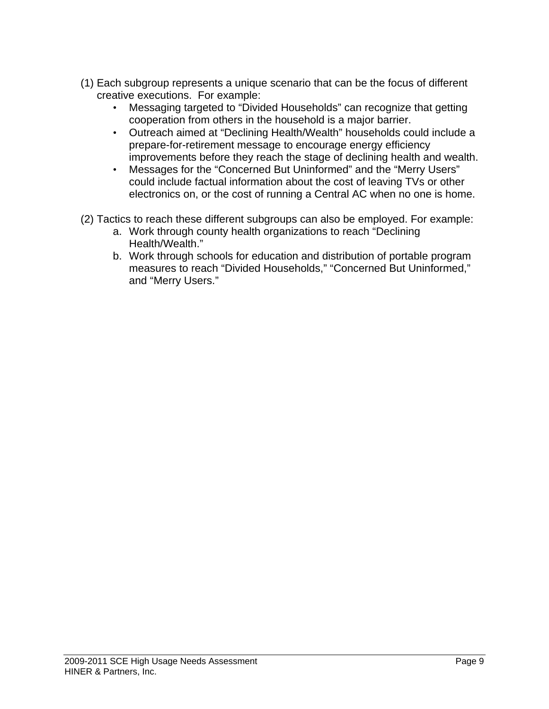- (1) Each subgroup represents a unique scenario that can be the focus of different creative executions. For example:
	- Messaging targeted to "Divided Households" can recognize that getting cooperation from others in the household is a major barrier.
	- Outreach aimed at "Declining Health/Wealth" households could include a prepare-for-retirement message to encourage energy efficiency improvements before they reach the stage of declining health and wealth.
	- Messages for the "Concerned But Uninformed" and the "Merry Users" could include factual information about the cost of leaving TVs or other electronics on, or the cost of running a Central AC when no one is home.
- (2) Tactics to reach these different subgroups can also be employed. For example:
	- a. Work through county health organizations to reach "Declining Health/Wealth."
	- b. Work through schools for education and distribution of portable program measures to reach "Divided Households," "Concerned But Uninformed," and "Merry Users."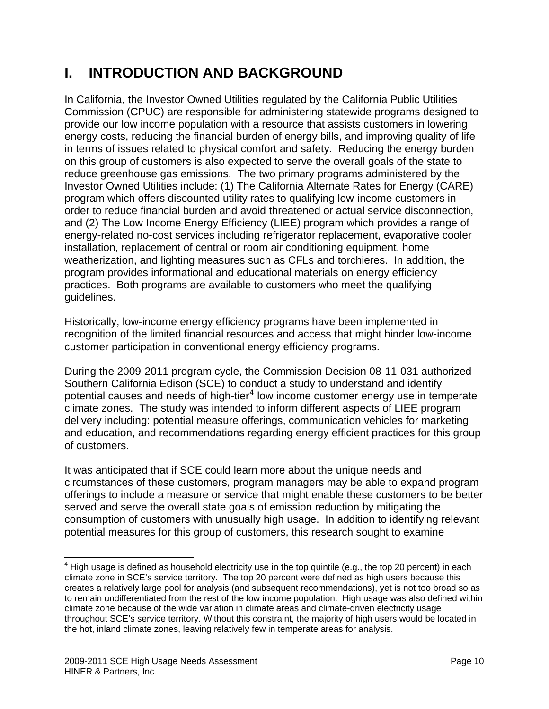## **I. INTRODUCTION AND BACKGROUND**

In California, the Investor Owned Utilities regulated by the California Public Utilities Commission (CPUC) are responsible for administering statewide programs designed to provide our low income population with a resource that assists customers in lowering energy costs, reducing the financial burden of energy bills, and improving quality of life in terms of issues related to physical comfort and safety. Reducing the energy burden on this group of customers is also expected to serve the overall goals of the state to reduce greenhouse gas emissions. The two primary programs administered by the Investor Owned Utilities include: (1) The California Alternate Rates for Energy (CARE) program which offers discounted utility rates to qualifying low-income customers in order to reduce financial burden and avoid threatened or actual service disconnection, and (2) The Low Income Energy Efficiency (LIEE) program which provides a range of energy-related no-cost services including refrigerator replacement, evaporative cooler installation, replacement of central or room air conditioning equipment, home weatherization, and lighting measures such as CFLs and torchieres. In addition, the program provides informational and educational materials on energy efficiency practices. Both programs are available to customers who meet the qualifying guidelines.

Historically, low-income energy efficiency programs have been implemented in recognition of the limited financial resources and access that might hinder low-income customer participation in conventional energy efficiency programs.

During the 2009-2011 program cycle, the Commission Decision 08-11-031 authorized Southern California Edison (SCE) to conduct a study to understand and identify potential causes and needs of high-tier<sup>[4](#page-9-0)</sup> low income customer energy use in temperate climate zones. The study was intended to inform different aspects of LIEE program delivery including: potential measure offerings, communication vehicles for marketing and education, and recommendations regarding energy efficient practices for this group of customers.

It was anticipated that if SCE could learn more about the unique needs and circumstances of these customers, program managers may be able to expand program offerings to include a measure or service that might enable these customers to be better served and serve the overall state goals of emission reduction by mitigating the consumption of customers with unusually high usage. In addition to identifying relevant potential measures for this group of customers, this research sought to examine

<span id="page-9-0"></span><sup>1</sup>  $4$  High usage is defined as household electricity use in the top quintile (e.g., the top 20 percent) in each climate zone in SCE's service territory. The top 20 percent were defined as high users because this creates a relatively large pool for analysis (and subsequent recommendations), yet is not too broad so as to remain undifferentiated from the rest of the low income population. High usage was also defined within climate zone because of the wide variation in climate areas and climate-driven electricity usage throughout SCE's service territory. Without this constraint, the majority of high users would be located in the hot, inland climate zones, leaving relatively few in temperate areas for analysis.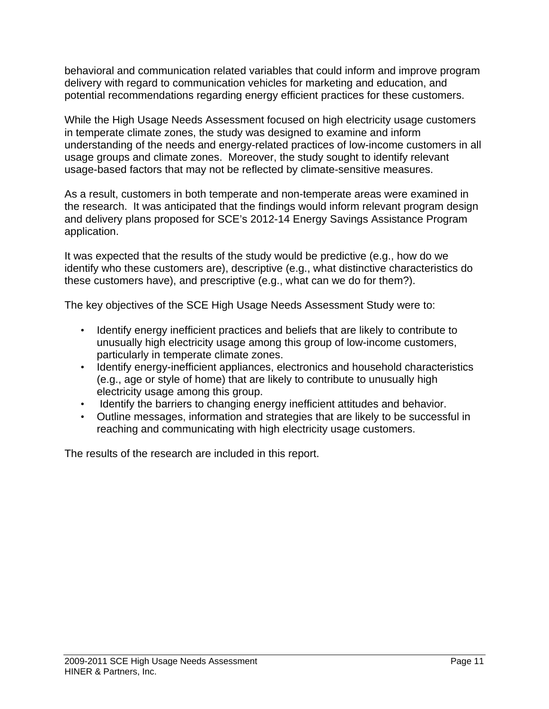behavioral and communication related variables that could inform and improve program delivery with regard to communication vehicles for marketing and education, and potential recommendations regarding energy efficient practices for these customers.

While the High Usage Needs Assessment focused on high electricity usage customers in temperate climate zones, the study was designed to examine and inform understanding of the needs and energy-related practices of low-income customers in all usage groups and climate zones. Moreover, the study sought to identify relevant usage-based factors that may not be reflected by climate-sensitive measures.

As a result, customers in both temperate and non-temperate areas were examined in the research. It was anticipated that the findings would inform relevant program design and delivery plans proposed for SCE's 2012-14 Energy Savings Assistance Program application.

It was expected that the results of the study would be predictive (e.g., how do we identify who these customers are), descriptive (e.g., what distinctive characteristics do these customers have), and prescriptive (e.g., what can we do for them?).

The key objectives of the SCE High Usage Needs Assessment Study were to:

- Identify energy inefficient practices and beliefs that are likely to contribute to unusually high electricity usage among this group of low-income customers, particularly in temperate climate zones.
- Identify energy-inefficient appliances, electronics and household characteristics (e.g., age or style of home) that are likely to contribute to unusually high electricity usage among this group.
- Identify the barriers to changing energy inefficient attitudes and behavior.
- Outline messages, information and strategies that are likely to be successful in reaching and communicating with high electricity usage customers.

The results of the research are included in this report.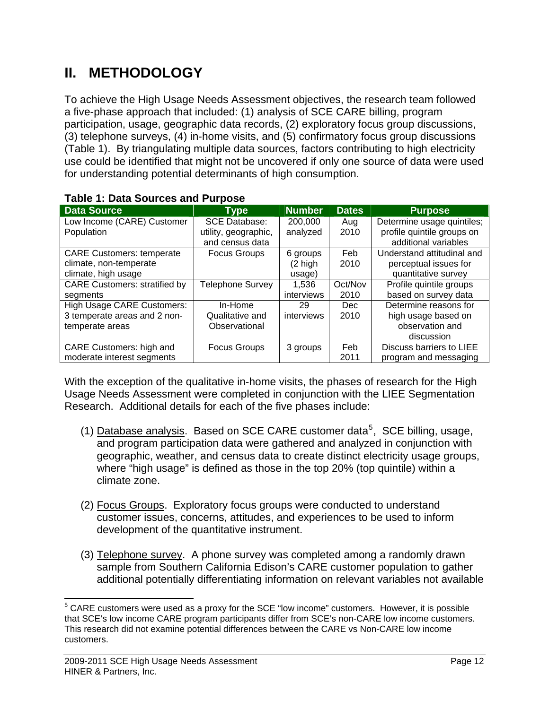## **II. METHODOLOGY**

To achieve the High Usage Needs Assessment objectives, the research team followed a five-phase approach that included: (1) analysis of SCE CARE billing, program participation, usage, geographic data records, (2) exploratory focus group discussions, (3) telephone surveys, (4) in-home visits, and (5) confirmatory focus group discussions (Table 1). By triangulating multiple data sources, factors contributing to high electricity use could be identified that might not be uncovered if only one source of data were used for understanding potential determinants of high consumption.

| <b>Data Source</b>                   | <b>Type</b>                             | <b>Number</b> | <b>Dates</b> | <b>Purpose</b>                                     |
|--------------------------------------|-----------------------------------------|---------------|--------------|----------------------------------------------------|
| Low Income (CARE) Customer           | <b>SCE Database:</b>                    | 200,000       | Aug          | Determine usage quintiles;                         |
| Population                           | utility, geographic,<br>and census data | analyzed      | 2010         | profile quintile groups on<br>additional variables |
| <b>CARE Customers: temperate</b>     | <b>Focus Groups</b>                     | 6 groups      | Feb          | Understand attitudinal and                         |
| climate, non-temperate               |                                         | (2 high       | 2010         | perceptual issues for                              |
| climate, high usage                  |                                         | usage)        |              | quantitative survey                                |
| <b>CARE Customers: stratified by</b> | <b>Telephone Survey</b>                 | 1,536         | Oct/Nov      | Profile quintile groups                            |
| segments                             |                                         | interviews    | 2010         | based on survey data                               |
| <b>High Usage CARE Customers:</b>    | In-Home                                 | 29            | Dec          | Determine reasons for                              |
| 3 temperate areas and 2 non-         | Qualitative and                         | interviews    | 2010         | high usage based on                                |
| temperate areas                      | Observational                           |               |              | observation and                                    |
|                                      |                                         |               |              | discussion                                         |
| CARE Customers: high and             | <b>Focus Groups</b>                     | 3 groups      | Feb          | Discuss barriers to LIEE                           |
| moderate interest segments           |                                         |               | 2011         | program and messaging                              |

## **Table 1: Data Sources and Purpose**

With the exception of the qualitative in-home visits, the phases of research for the High Usage Needs Assessment were completed in conjunction with the LIEE Segmentation Research. Additional details for each of the five phases include:

- (1) Database analysis. Based on SCE CARE customer data<sup>[5](#page-11-0)</sup>, SCE billing, usage, and program participation data were gathered and analyzed in conjunction with geographic, weather, and census data to create distinct electricity usage groups, where "high usage" is defined as those in the top 20% (top quintile) within a climate zone.
- (2) Focus Groups. Exploratory focus groups were conducted to understand customer issues, concerns, attitudes, and experiences to be used to inform development of the quantitative instrument.
- (3) Telephone survey. A phone survey was completed among a randomly drawn sample from Southern California Edison's CARE customer population to gather additional potentially differentiating information on relevant variables not available

<span id="page-11-0"></span><sup>1</sup>  $5$  CARE customers were used as a proxy for the SCE "low income" customers. However, it is possible that SCE's low income CARE program participants differ from SCE's non-CARE low income customers. This research did not examine potential differences between the CARE vs Non-CARE low income customers.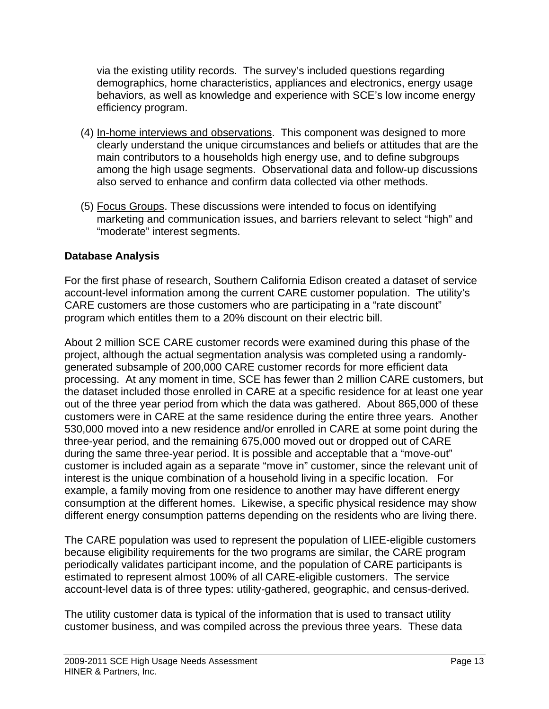via the existing utility records. The survey's included questions regarding demographics, home characteristics, appliances and electronics, energy usage behaviors, as well as knowledge and experience with SCE's low income energy efficiency program.

- (4) In-home interviews and observations. This component was designed to more clearly understand the unique circumstances and beliefs or attitudes that are the main contributors to a households high energy use, and to define subgroups among the high usage segments. Observational data and follow-up discussions also served to enhance and confirm data collected via other methods.
- (5) Focus Groups. These discussions were intended to focus on identifying marketing and communication issues, and barriers relevant to select "high" and "moderate" interest segments.

## **Database Analysis**

For the first phase of research, Southern California Edison created a dataset of service account-level information among the current CARE customer population. The utility's CARE customers are those customers who are participating in a "rate discount" program which entitles them to a 20% discount on their electric bill.

About 2 million SCE CARE customer records were examined during this phase of the project, although the actual segmentation analysis was completed using a randomlygenerated subsample of 200,000 CARE customer records for more efficient data processing. At any moment in time, SCE has fewer than 2 million CARE customers, but the dataset included those enrolled in CARE at a specific residence for at least one year out of the three year period from which the data was gathered. About 865,000 of these customers were in CARE at the same residence during the entire three years. Another 530,000 moved into a new residence and/or enrolled in CARE at some point during the three-year period, and the remaining 675,000 moved out or dropped out of CARE during the same three-year period. It is possible and acceptable that a "move-out" customer is included again as a separate "move in" customer, since the relevant unit of interest is the unique combination of a household living in a specific location. For example, a family moving from one residence to another may have different energy consumption at the different homes. Likewise, a specific physical residence may show different energy consumption patterns depending on the residents who are living there.

The CARE population was used to represent the population of LIEE-eligible customers because eligibility requirements for the two programs are similar, the CARE program periodically validates participant income, and the population of CARE participants is estimated to represent almost 100% of all CARE-eligible customers. The service account-level data is of three types: utility-gathered, geographic, and census-derived.

The utility customer data is typical of the information that is used to transact utility customer business, and was compiled across the previous three years. These data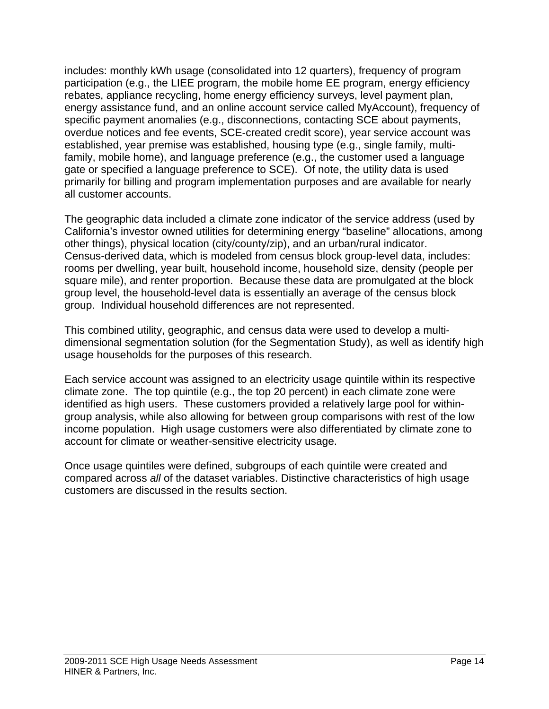includes: monthly kWh usage (consolidated into 12 quarters), frequency of program participation (e.g., the LIEE program, the mobile home EE program, energy efficiency rebates, appliance recycling, home energy efficiency surveys, level payment plan, energy assistance fund, and an online account service called MyAccount), frequency of specific payment anomalies (e.g., disconnections, contacting SCE about payments, overdue notices and fee events, SCE-created credit score), year service account was established, year premise was established, housing type (e.g., single family, multifamily, mobile home), and language preference (e.g., the customer used a language gate or specified a language preference to SCE). Of note, the utility data is used primarily for billing and program implementation purposes and are available for nearly all customer accounts.

The geographic data included a climate zone indicator of the service address (used by California's investor owned utilities for determining energy "baseline" allocations, among other things), physical location (city/county/zip), and an urban/rural indicator. Census-derived data, which is modeled from census block group-level data, includes: rooms per dwelling, year built, household income, household size, density (people per square mile), and renter proportion. Because these data are promulgated at the block group level, the household-level data is essentially an average of the census block group. Individual household differences are not represented.

This combined utility, geographic, and census data were used to develop a multidimensional segmentation solution (for the Segmentation Study), as well as identify high usage households for the purposes of this research.

Each service account was assigned to an electricity usage quintile within its respective climate zone. The top quintile (e.g., the top 20 percent) in each climate zone were identified as high users. These customers provided a relatively large pool for withingroup analysis, while also allowing for between group comparisons with rest of the low income population. High usage customers were also differentiated by climate zone to account for climate or weather-sensitive electricity usage.

Once usage quintiles were defined, subgroups of each quintile were created and compared across *all* of the dataset variables. Distinctive characteristics of high usage customers are discussed in the results section.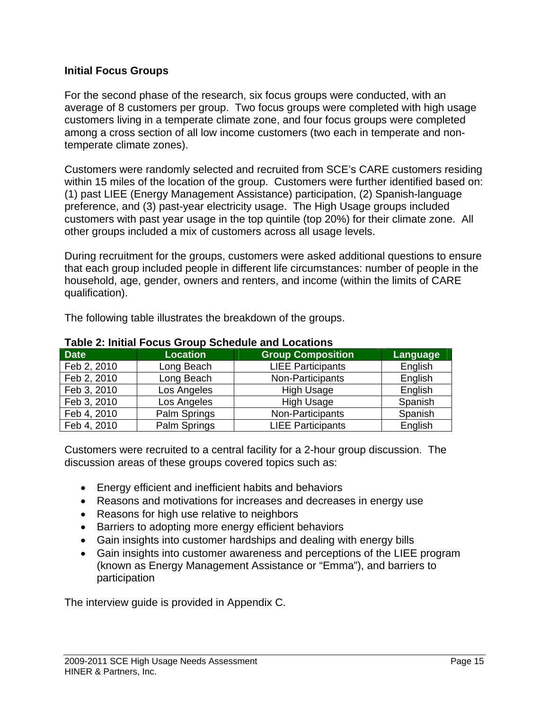## **Initial Focus Groups**

For the second phase of the research, six focus groups were conducted, with an average of 8 customers per group. Two focus groups were completed with high usage customers living in a temperate climate zone, and four focus groups were completed among a cross section of all low income customers (two each in temperate and nontemperate climate zones).

Customers were randomly selected and recruited from SCE's CARE customers residing within 15 miles of the location of the group. Customers were further identified based on: (1) past LIEE (Energy Management Assistance) participation, (2) Spanish-language preference, and (3) past-year electricity usage. The High Usage groups included customers with past year usage in the top quintile (top 20%) for their climate zone. All other groups included a mix of customers across all usage levels.

During recruitment for the groups, customers were asked additional questions to ensure that each group included people in different life circumstances: number of people in the household, age, gender, owners and renters, and income (within the limits of CARE qualification).

The following table illustrates the breakdown of the groups.

| <b>Date</b> | <b>Location</b> | <b>Group Composition</b> | <b>Language</b> |  |  |
|-------------|-----------------|--------------------------|-----------------|--|--|
| Feb 2, 2010 | Long Beach      | <b>LIEE Participants</b> | English         |  |  |
| Feb 2, 2010 | Long Beach      | Non-Participants         | English         |  |  |
| Feb 3, 2010 | Los Angeles     | <b>High Usage</b>        | English         |  |  |
| Feb 3, 2010 | Los Angeles     | <b>High Usage</b>        | Spanish         |  |  |
| Feb 4, 2010 | Palm Springs    | Non-Participants         | Spanish         |  |  |
| Feb 4, 2010 | Palm Springs    | <b>LIEE Participants</b> | English         |  |  |

#### **Table 2: Initial Focus Group Schedule and Locations**

Customers were recruited to a central facility for a 2-hour group discussion. The discussion areas of these groups covered topics such as:

- Energy efficient and inefficient habits and behaviors
- Reasons and motivations for increases and decreases in energy use
- Reasons for high use relative to neighbors
- Barriers to adopting more energy efficient behaviors
- Gain insights into customer hardships and dealing with energy bills
- Gain insights into customer awareness and perceptions of the LIEE program (known as Energy Management Assistance or "Emma"), and barriers to participation

The interview guide is provided in Appendix C.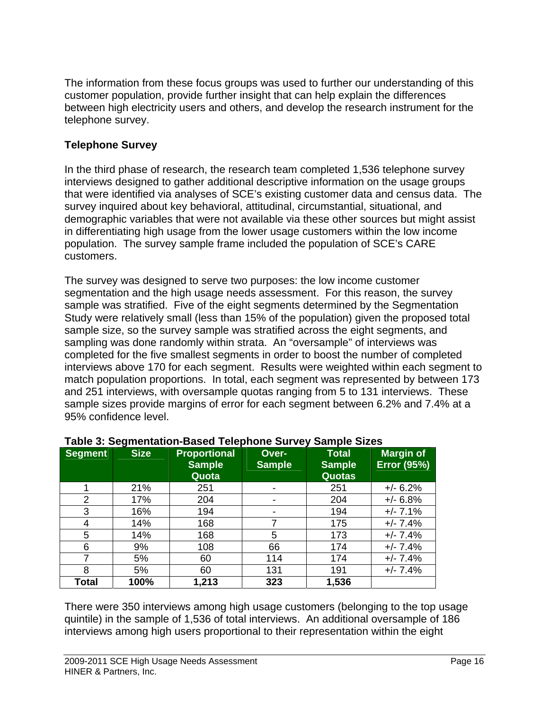The information from these focus groups was used to further our understanding of this customer population, provide further insight that can help explain the differences between high electricity users and others, and develop the research instrument for the telephone survey.

## **Telephone Survey**

In the third phase of research, the research team completed 1,536 telephone survey interviews designed to gather additional descriptive information on the usage groups that were identified via analyses of SCE's existing customer data and census data. The survey inquired about key behavioral, attitudinal, circumstantial, situational, and demographic variables that were not available via these other sources but might assist in differentiating high usage from the lower usage customers within the low income population. The survey sample frame included the population of SCE's CARE customers.

The survey was designed to serve two purposes: the low income customer segmentation and the high usage needs assessment. For this reason, the survey sample was stratified. Five of the eight segments determined by the Segmentation Study were relatively small (less than 15% of the population) given the proposed total sample size, so the survey sample was stratified across the eight segments, and sampling was done randomly within strata. An "oversample" of interviews was completed for the five smallest segments in order to boost the number of completed interviews above 170 for each segment. Results were weighted within each segment to match population proportions. In total, each segment was represented by between 173 and 251 interviews, with oversample quotas ranging from 5 to 131 interviews. These sample sizes provide margins of error for each segment between 6.2% and 7.4% at a 95% confidence level.

| <b>Segment</b> | <b>Size</b> | Proportional<br><b>Sample</b><br>Quota | Over-<br><b>Sample</b>   | <b>Total</b><br><b>Sample</b><br><b>Quotas</b> | <b>Margin of</b><br><b>Error (95%)</b> |
|----------------|-------------|----------------------------------------|--------------------------|------------------------------------------------|----------------------------------------|
|                | 21%         | 251                                    | $\overline{\phantom{a}}$ | 251                                            | $+/- 6.2%$                             |
| $\overline{2}$ | 17%         | 204                                    | $\overline{\phantom{a}}$ | 204                                            | $+/- 6.8%$                             |
| 3              | 16%         | 194                                    | $\overline{\phantom{a}}$ | 194                                            | $+/- 7.1%$                             |
| 4              | 14%         | 168                                    |                          | 175                                            | $+/- 7.4%$                             |
| 5              | 14%         | 168                                    | 5                        | 173                                            | $+/- 7.4%$                             |
| 6              | 9%          | 108                                    | 66                       | 174                                            | $+/- 7.4%$                             |
| 7              | 5%          | 60                                     | 114                      | 174                                            | $+/- 7.4%$                             |
| 8              | 5%          | 60                                     | 131                      | 191                                            | $+/- 7.4%$                             |
| Total          | 100%        | 1,213                                  | 323                      | 1,536                                          |                                        |

## **Table 3: Segmentation-Based Telephone Survey Sample Sizes**

There were 350 interviews among high usage customers (belonging to the top usage quintile) in the sample of 1,536 of total interviews. An additional oversample of 186 interviews among high users proportional to their representation within the eight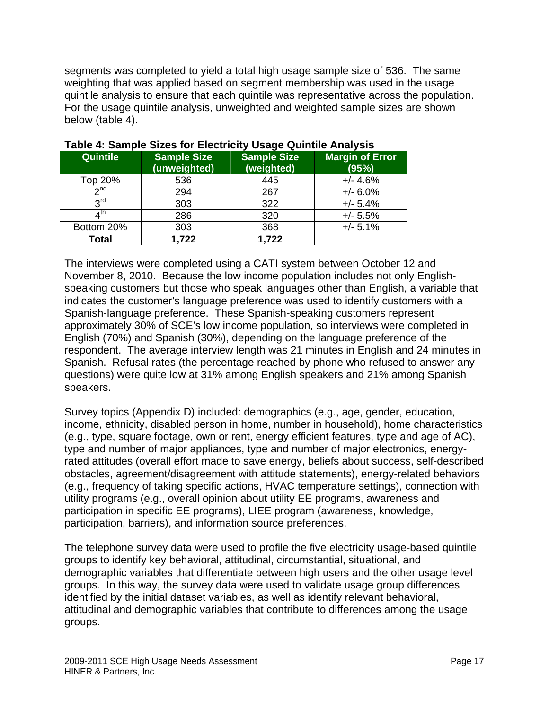segments was completed to yield a total high usage sample size of 536. The same weighting that was applied based on segment membership was used in the usage quintile analysis to ensure that each quintile was representative across the population. For the usage quintile analysis, unweighted and weighted sample sizes are shown below (table 4).

| Quintile        | <b>Sample Size</b><br>(unweighted) | Sample Size<br>(weighted) | <b>Margin of Error</b><br>(95%) |
|-----------------|------------------------------------|---------------------------|---------------------------------|
| Top 20%         | 536                                | 445                       | $+/- 4.6%$                      |
| 2 <sub>nd</sub> | 294                                | 267                       | $+/- 6.0%$                      |
| <b>2rd</b>      | 303                                | 322                       | $+/- 5.4%$                      |
| ⊿ <sup>th</sup> | 286                                | 320                       | $+/- 5.5%$                      |
| Bottom 20%      | 303                                | 368                       | $+/- 5.1%$                      |
| Total           | 1,722                              | 1,722                     |                                 |

## **Table 4: Sample Sizes for Electricity Usage Quintile Analysis**

The interviews were completed using a CATI system between October 12 and November 8, 2010. Because the low income population includes not only Englishspeaking customers but those who speak languages other than English, a variable that indicates the customer's language preference was used to identify customers with a Spanish-language preference. These Spanish-speaking customers represent approximately 30% of SCE's low income population, so interviews were completed in English (70%) and Spanish (30%), depending on the language preference of the respondent. The average interview length was 21 minutes in English and 24 minutes in Spanish. Refusal rates (the percentage reached by phone who refused to answer any questions) were quite low at 31% among English speakers and 21% among Spanish speakers.

Survey topics (Appendix D) included: demographics (e.g., age, gender, education, income, ethnicity, disabled person in home, number in household), home characteristics (e.g., type, square footage, own or rent, energy efficient features, type and age of AC), type and number of major appliances, type and number of major electronics, energyrated attitudes (overall effort made to save energy, beliefs about success, self-described obstacles, agreement/disagreement with attitude statements), energy-related behaviors (e.g., frequency of taking specific actions, HVAC temperature settings), connection with utility programs (e.g., overall opinion about utility EE programs, awareness and participation in specific EE programs), LIEE program (awareness, knowledge, participation, barriers), and information source preferences.

The telephone survey data were used to profile the five electricity usage-based quintile groups to identify key behavioral, attitudinal, circumstantial, situational, and demographic variables that differentiate between high users and the other usage level groups. In this way, the survey data were used to validate usage group differences identified by the initial dataset variables, as well as identify relevant behavioral, attitudinal and demographic variables that contribute to differences among the usage groups.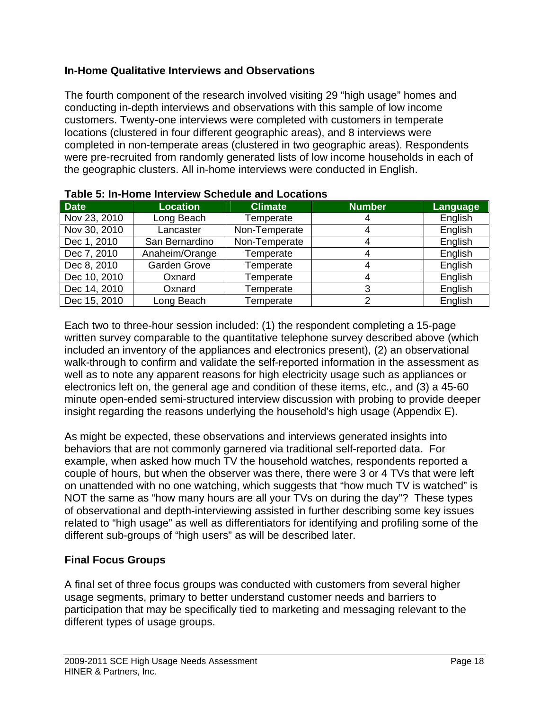## **In-Home Qualitative Interviews and Observations**

The fourth component of the research involved visiting 29 "high usage" homes and conducting in-depth interviews and observations with this sample of low income customers. Twenty-one interviews were completed with customers in temperate locations (clustered in four different geographic areas), and 8 interviews were completed in non-temperate areas (clustered in two geographic areas). Respondents were pre-recruited from randomly generated lists of low income households in each of the geographic clusters. All in-home interviews were conducted in English.

| <b>Date</b>  | <b>Location</b> | <b>Climate</b> | <b>Number</b> | Language |
|--------------|-----------------|----------------|---------------|----------|
| Nov 23, 2010 | Long Beach      | Temperate      |               | English  |
| Nov 30, 2010 | Lancaster       | Non-Temperate  |               | English  |
| Dec 1, 2010  | San Bernardino  | Non-Temperate  |               | English  |
| Dec 7, 2010  | Anaheim/Orange  | Temperate      |               | English  |
| Dec 8, 2010  | Garden Grove    | Temperate      |               | English  |
| Dec 10, 2010 | Oxnard          | Temperate      |               | English  |
| Dec 14, 2010 | Oxnard          | Temperate      | 3             | English  |
| Dec 15, 2010 | Long Beach      | Temperate      |               | English  |

| Table 5: In-Home Interview Schedule and Locations |
|---------------------------------------------------|
|---------------------------------------------------|

Each two to three-hour session included: (1) the respondent completing a 15-page written survey comparable to the quantitative telephone survey described above (which included an inventory of the appliances and electronics present), (2) an observational walk-through to confirm and validate the self-reported information in the assessment as well as to note any apparent reasons for high electricity usage such as appliances or electronics left on, the general age and condition of these items, etc., and (3) a 45-60 minute open-ended semi-structured interview discussion with probing to provide deeper insight regarding the reasons underlying the household's high usage (Appendix E).

As might be expected, these observations and interviews generated insights into behaviors that are not commonly garnered via traditional self-reported data. For example, when asked how much TV the household watches, respondents reported a couple of hours, but when the observer was there, there were 3 or 4 TVs that were left on unattended with no one watching, which suggests that "how much TV is watched" is NOT the same as "how many hours are all your TVs on during the day"? These types of observational and depth-interviewing assisted in further describing some key issues related to "high usage" as well as differentiators for identifying and profiling some of the different sub-groups of "high users" as will be described later.

## **Final Focus Groups**

A final set of three focus groups was conducted with customers from several higher usage segments, primary to better understand customer needs and barriers to participation that may be specifically tied to marketing and messaging relevant to the different types of usage groups.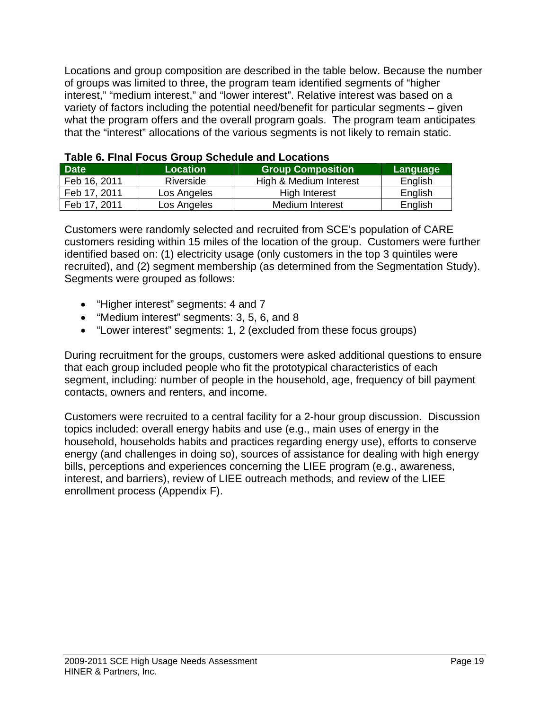Locations and group composition are described in the table below. Because the number of groups was limited to three, the program team identified segments of "higher interest," "medium interest," and "lower interest". Relative interest was based on a variety of factors including the potential need/benefit for particular segments – given what the program offers and the overall program goals. The program team anticipates that the "interest" allocations of the various segments is not likely to remain static.

| <b>Date</b>  | <b>Location</b> | <b>Group Composition</b> | Language |
|--------------|-----------------|--------------------------|----------|
| Feb 16, 2011 | Riverside       | High & Medium Interest   | English  |
| Feb 17, 2011 | Los Angeles     | High Interest            | English  |
| Feb 17, 2011 | Los Angeles     | Medium Interest          | English  |

|  | Table 6. Final Focus Group Schedule and Locations |
|--|---------------------------------------------------|
|--|---------------------------------------------------|

Customers were randomly selected and recruited from SCE's population of CARE customers residing within 15 miles of the location of the group. Customers were further identified based on: (1) electricity usage (only customers in the top 3 quintiles were recruited), and (2) segment membership (as determined from the Segmentation Study). Segments were grouped as follows:

- "Higher interest" segments: 4 and 7
- "Medium interest" segments: 3, 5, 6, and 8
- "Lower interest" segments: 1, 2 (excluded from these focus groups)

During recruitment for the groups, customers were asked additional questions to ensure that each group included people who fit the prototypical characteristics of each segment, including: number of people in the household, age, frequency of bill payment contacts, owners and renters, and income.

Customers were recruited to a central facility for a 2-hour group discussion. Discussion topics included: overall energy habits and use (e.g., main uses of energy in the household, households habits and practices regarding energy use), efforts to conserve energy (and challenges in doing so), sources of assistance for dealing with high energy bills, perceptions and experiences concerning the LIEE program (e.g., awareness, interest, and barriers), review of LIEE outreach methods, and review of the LIEE enrollment process (Appendix F).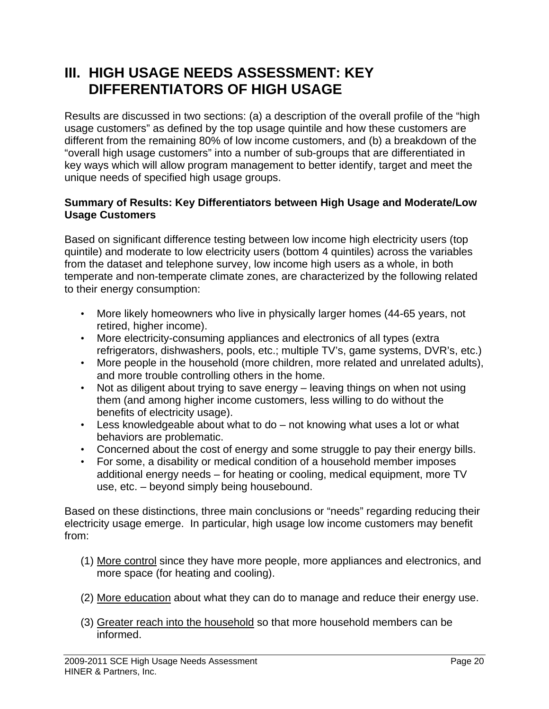## **III. HIGH USAGE NEEDS ASSESSMENT: KEY DIFFERENTIATORS OF HIGH USAGE**

Results are discussed in two sections: (a) a description of the overall profile of the "high usage customers" as defined by the top usage quintile and how these customers are different from the remaining 80% of low income customers, and (b) a breakdown of the "overall high usage customers" into a number of sub-groups that are differentiated in key ways which will allow program management to better identify, target and meet the unique needs of specified high usage groups.

## **Summary of Results: Key Differentiators between High Usage and Moderate/Low Usage Customers**

Based on significant difference testing between low income high electricity users (top quintile) and moderate to low electricity users (bottom 4 quintiles) across the variables from the dataset and telephone survey, low income high users as a whole, in both temperate and non-temperate climate zones, are characterized by the following related to their energy consumption:

- More likely homeowners who live in physically larger homes (44-65 years, not retired, higher income).
- More electricity-consuming appliances and electronics of all types (extra refrigerators, dishwashers, pools, etc.; multiple TV's, game systems, DVR's, etc.)
- More people in the household (more children, more related and unrelated adults), and more trouble controlling others in the home.
- Not as diligent about trying to save energy leaving things on when not using them (and among higher income customers, less willing to do without the benefits of electricity usage).
- Less knowledgeable about what to do not knowing what uses a lot or what behaviors are problematic.
- Concerned about the cost of energy and some struggle to pay their energy bills.
- For some, a disability or medical condition of a household member imposes additional energy needs – for heating or cooling, medical equipment, more TV use, etc. – beyond simply being housebound.

Based on these distinctions, three main conclusions or "needs" regarding reducing their electricity usage emerge. In particular, high usage low income customers may benefit from:

- (1) More control since they have more people, more appliances and electronics, and more space (for heating and cooling).
- (2) More education about what they can do to manage and reduce their energy use.
- (3) Greater reach into the household so that more household members can be informed.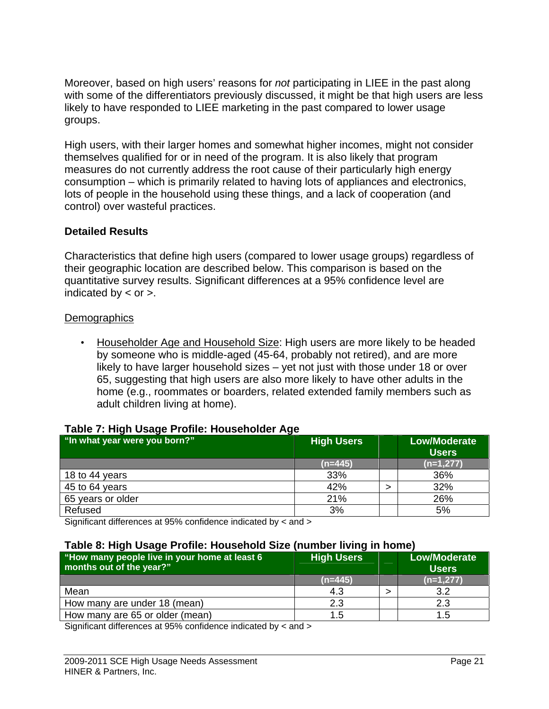Moreover, based on high users' reasons for *not* participating in LIEE in the past along with some of the differentiators previously discussed, it might be that high users are less likely to have responded to LIEE marketing in the past compared to lower usage groups.

High users, with their larger homes and somewhat higher incomes, might not consider themselves qualified for or in need of the program. It is also likely that program measures do not currently address the root cause of their particularly high energy consumption – which is primarily related to having lots of appliances and electronics, lots of people in the household using these things, and a lack of cooperation (and control) over wasteful practices.

## **Detailed Results**

Characteristics that define high users (compared to lower usage groups) regardless of their geographic location are described below. This comparison is based on the quantitative survey results. Significant differences at a 95% confidence level are indicated by  $\lt$  or  $\gt$ .

## **Demographics**

• Householder Age and Household Size: High users are more likely to be headed by someone who is middle-aged (45-64, probably not retired), and are more likely to have larger household sizes – yet not just with those under 18 or over 65, suggesting that high users are also more likely to have other adults in the home (e.g., roommates or boarders, related extended family members such as adult children living at home).

## **Table 7: High Usage Profile: Householder Age**

| -<br>"In what year were you born?" | <b>High Users</b> | <b>Low/Moderate</b><br><b>Users</b> |
|------------------------------------|-------------------|-------------------------------------|
|                                    | $(n=445)$         | $(n=1,277)$                         |
| 18 to 44 years                     | 33%               | 36%                                 |
| 45 to 64 years                     | 42%               | 32%                                 |
| 65 years or older                  | 21%               | 26%                                 |
| Refused                            | 3%                | 5%                                  |

Significant differences at 95% confidence indicated by < and >

#### **Table 8: High Usage Profile: Household Size (number living in home)**

| "How many people live in your home at least 6<br>months out of the year?" | <b>High Users</b> | <b>Low/Moderate</b><br><b>Users</b> |
|---------------------------------------------------------------------------|-------------------|-------------------------------------|
|                                                                           | $(n=445)$         | $(n=1,277)$                         |
| Mean                                                                      | 4.3               | 3.2                                 |
| How many are under 18 (mean)                                              | 2.3               | 2.3                                 |
| How many are 65 or older (mean)                                           | 1.5               |                                     |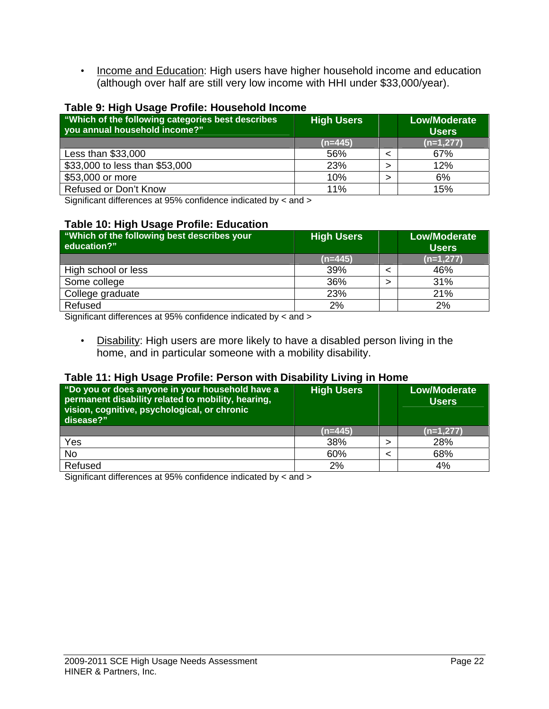• Income and Education: High users have higher household income and education (although over half are still very low income with HHI under \$33,000/year).

#### **Table 9: High Usage Profile: Household Income**

| "Which of the following categories best describes<br>you annual household income?" | <b>High Users</b> | <b>Low/Moderate</b><br><b>Users</b> |
|------------------------------------------------------------------------------------|-------------------|-------------------------------------|
|                                                                                    | $(n=445)$         | $(n=1,277)$                         |
| Less than \$33,000                                                                 | 56%               | 67%                                 |
| \$33,000 to less than \$53,000                                                     | 23%               | 12%                                 |
| \$53,000 or more                                                                   | 10%               | 6%                                  |
| <b>Refused or Don't Know</b>                                                       | 11%               | 15%                                 |

Significant differences at 95% confidence indicated by < and >

#### **Table 10: High Usage Profile: Education**

| "Which of the following best describes your<br>education?" | <b>High Users</b> | <b>Low/Moderate</b><br><b>Users</b> |
|------------------------------------------------------------|-------------------|-------------------------------------|
|                                                            | $(n=445)$         | $(n=1,277)$                         |
| High school or less                                        | 39%               | 46%                                 |
| Some college                                               | 36%               | 31%                                 |
| College graduate                                           | 23%               | 21%                                 |
| Refused                                                    | 2%                | 2%                                  |

Significant differences at 95% confidence indicated by < and >

• Disability: High users are more likely to have a disabled person living in the home, and in particular someone with a mobility disability.

#### **Table 11: High Usage Profile: Person with Disability Living in Home**

| "Do you or does anyone in your household have a<br>permanent disability related to mobility, hearing,<br>vision, cognitive, psychological, or chronic<br>disease?" | <b>High Users</b> | <b>Low/Moderate</b><br><b>Users</b> |
|--------------------------------------------------------------------------------------------------------------------------------------------------------------------|-------------------|-------------------------------------|
|                                                                                                                                                                    | $(n=445)$         | $(n=1,277)$                         |
| Yes                                                                                                                                                                | 38%               | 28%                                 |
| <b>No</b>                                                                                                                                                          | 60%               | 68%                                 |
| Refused                                                                                                                                                            | 2%                | 4%                                  |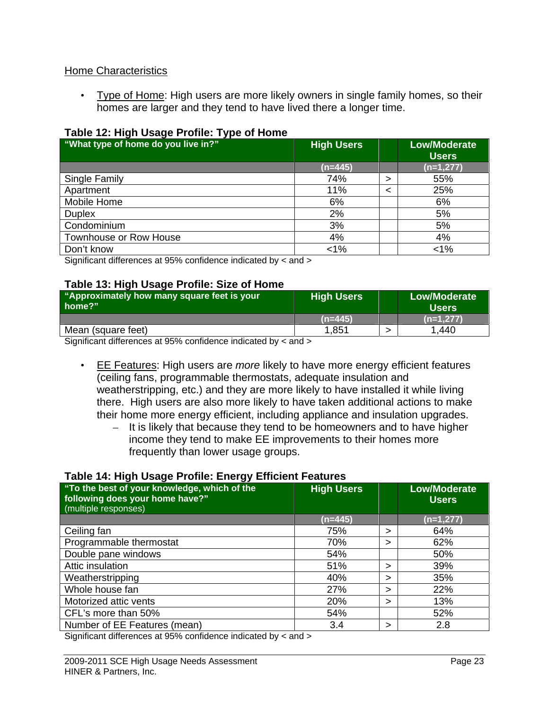### Home Characteristics

• Type of Home: High users are more likely owners in single family homes, so their homes are larger and they tend to have lived there a longer time.

### **Table 12: High Usage Profile: Type of Home**

| "What type of home do you live in?" | <b>High Users</b> |   | <b>Low/Moderate</b><br><b>Users</b> |
|-------------------------------------|-------------------|---|-------------------------------------|
|                                     | $(n=445)$         |   | $(n=1,277)$                         |
| Single Family                       | 74%               | > | 55%                                 |
| Apartment                           | 11%               |   | 25%                                 |
| Mobile Home                         | 6%                |   | 6%                                  |
| <b>Duplex</b>                       | 2%                |   | 5%                                  |
| Condominium                         | 3%                |   | 5%                                  |
| Townhouse or Row House              | 4%                |   | 4%                                  |
| Don't know                          | $< 1\%$           |   | $< 1\%$                             |

Significant differences at 95% confidence indicated by < and >

#### **Table 13: High Usage Profile: Size of Home**

| "Approximately how many square feet is your<br>home?" | <b>High Users</b> | Low/Moderate<br><b>Users</b> |
|-------------------------------------------------------|-------------------|------------------------------|
|                                                       | $(n=445)$         | $(n=1.277)$                  |
| Mean (square feet)                                    | 1,851             | 440. ا                       |

Significant differences at 95% confidence indicated by < and >

• EE Features: High users are *more* likely to have more energy efficient features (ceiling fans, programmable thermostats, adequate insulation and weatherstripping, etc.) and they are more likely to have installed it while living there. High users are also more likely to have taken additional actions to make their home more energy efficient, including appliance and insulation upgrades.

– It is likely that because they tend to be homeowners and to have higher income they tend to make EE improvements to their homes more frequently than lower usage groups.

#### **Table 14: High Usage Profile: Energy Efficient Features**

| "To the best of your knowledge, which of the<br>following does your home have?"<br>(multiple responses) | <b>High Users</b> |   | <b>Low/Moderate</b><br><b>Users</b> |
|---------------------------------------------------------------------------------------------------------|-------------------|---|-------------------------------------|
|                                                                                                         | $(n=445)$         |   | $(n=1,277)$                         |
| Ceiling fan                                                                                             | 75%               | > | 64%                                 |
| Programmable thermostat                                                                                 | 70%               | > | 62%                                 |
| Double pane windows                                                                                     | 54%               |   | 50%                                 |
| Attic insulation                                                                                        | 51%               | ↘ | 39%                                 |
| Weatherstripping                                                                                        | 40%               | > | 35%                                 |
| Whole house fan                                                                                         | 27%               | ↘ | 22%                                 |
| Motorized attic vents                                                                                   | 20%               | ↘ | 13%                                 |
| CFL's more than 50%                                                                                     | 54%               |   | 52%                                 |
| Number of EE Features (mean)                                                                            | 3.4               | > | 2.8                                 |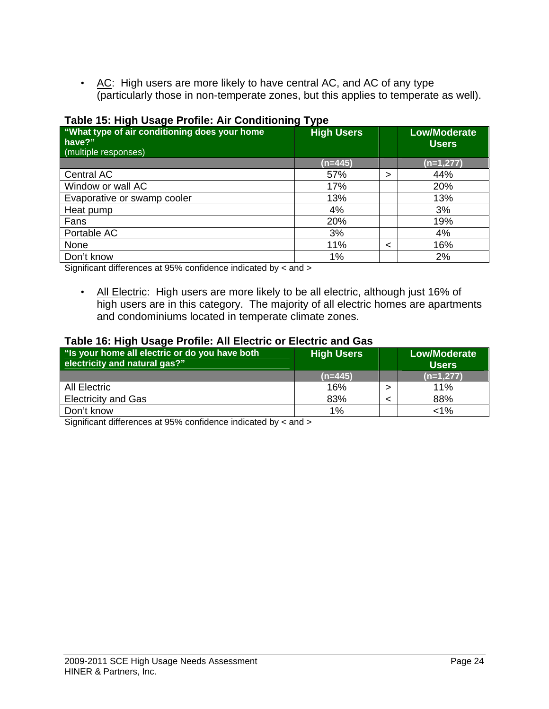• AC: High users are more likely to have central AC, and AC of any type (particularly those in non-temperate zones, but this applies to temperate as well).

| "What type of air conditioning does your home<br>have?"<br>(multiple responses) | $\overline{\phantom{a}}$<br>. .<br><b>High Users</b> |   | <b>Low/Moderate</b><br><b>Users</b> |
|---------------------------------------------------------------------------------|------------------------------------------------------|---|-------------------------------------|
|                                                                                 | $(n=445)$                                            |   | $(n=1,277)$                         |
| Central AC                                                                      | 57%                                                  | > | 44%                                 |
| Window or wall AC                                                               | 17%                                                  |   | 20%                                 |
| Evaporative or swamp cooler                                                     | 13%                                                  |   | 13%                                 |
| Heat pump                                                                       | 4%                                                   |   | 3%                                  |
| Fans                                                                            | 20%                                                  |   | 19%                                 |
| Portable AC                                                                     | 3%                                                   |   | 4%                                  |
| None                                                                            | 11%                                                  | < | 16%                                 |
| Don't know                                                                      | 1%                                                   |   | 2%                                  |

## **Table 15: High Usage Profile: Air Conditioning Type**

Significant differences at 95% confidence indicated by < and >

• All Electric: High users are more likely to be all electric, although just 16% of high users are in this category. The majority of all electric homes are apartments and condominiums located in temperate climate zones.

#### **Table 16: High Usage Profile: All Electric or Electric and Gas**

| "Is your home all electric or do you have both<br>electricity and natural gas?" | <b>High Users</b> | <b>Low/Moderate</b><br><b>Users</b> |
|---------------------------------------------------------------------------------|-------------------|-------------------------------------|
|                                                                                 | $(n=445)$         | $(n=1,277)$                         |
| All Electric                                                                    | 16%               | 11%                                 |
| <b>Electricity and Gas</b>                                                      | 83%               | 88%                                 |
| Don't know                                                                      | $1\%$             | 1%>                                 |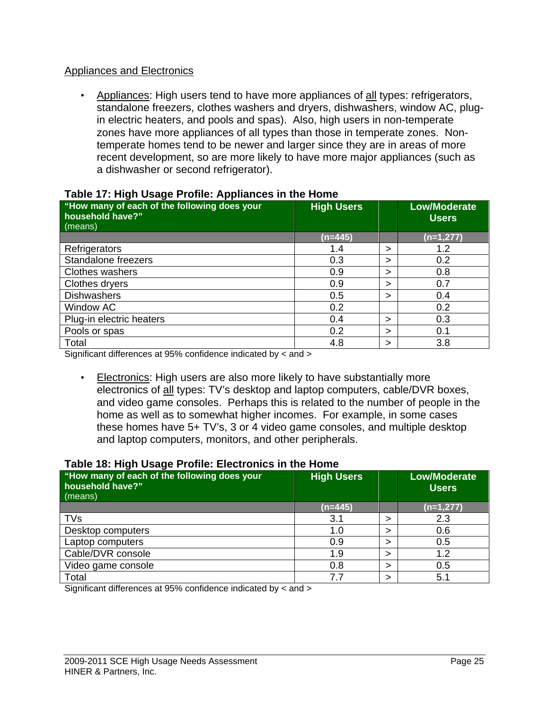## Appliances and Electronics

• Appliances: High users tend to have more appliances of all types: refrigerators, standalone freezers, clothes washers and dryers, dishwashers, window AC, plugin electric heaters, and pools and spas). Also, high users in non-temperate zones have more appliances of all types than those in temperate zones. Nontemperate homes tend to be newer and larger since they are in areas of more recent development, so are more likely to have more major appliances (such as a dishwasher or second refrigerator).

| "How many of each of the following does your<br>household have?"<br>(means) | <b>High Users</b> |   | <b>Low/Moderate</b><br><b>Users</b> |
|-----------------------------------------------------------------------------|-------------------|---|-------------------------------------|
|                                                                             | $(n=445)$         |   | (n=1,277)                           |
| Refrigerators                                                               | 1.4               | > | 1.2                                 |
| Standalone freezers                                                         | 0.3               | > | 0.2                                 |
| <b>Clothes washers</b>                                                      | 0.9               | > | 0.8                                 |
| Clothes dryers                                                              | 0.9               | > | 0.7                                 |
| <b>Dishwashers</b>                                                          | 0.5               | > | 0.4                                 |
| <b>Window AC</b>                                                            | 0.2               |   | 0.2                                 |
| Plug-in electric heaters                                                    | 0.4               | > | 0.3                                 |
| Pools or spas                                                               | 0.2               | > | 0.1                                 |
| Total                                                                       | 4.8               | > | 3.8                                 |

#### **Table 17: High Usage Profile: Appliances in the Home**

Significant differences at 95% confidence indicated by < and >

• Electronics: High users are also more likely to have substantially more electronics of all types: TV's desktop and laptop computers, cable/DVR boxes, and video game consoles. Perhaps this is related to the number of people in the home as well as to somewhat higher incomes. For example, in some cases these homes have 5+ TV's, 3 or 4 video game consoles, and multiple desktop and laptop computers, monitors, and other peripherals.

#### **Table 18: High Usage Profile: Electronics in the Home**

| "How many of each of the following does your<br>household have?"<br>(means) | <b>High Users</b> | <b>Low/Moderate</b><br><b>Users</b> |
|-----------------------------------------------------------------------------|-------------------|-------------------------------------|
|                                                                             | (n=445)           | $(n=1,277)$                         |
| <b>TVs</b>                                                                  | 3.1               | 2.3                                 |
| Desktop computers                                                           | 1.0               | 0.6                                 |
| Laptop computers                                                            | 0.9               | 0.5                                 |
| Cable/DVR console                                                           | 1.9               | 1.2                                 |
| Video game console                                                          | 0.8               | 0.5                                 |
| Total                                                                       | 7.7               | 5.1                                 |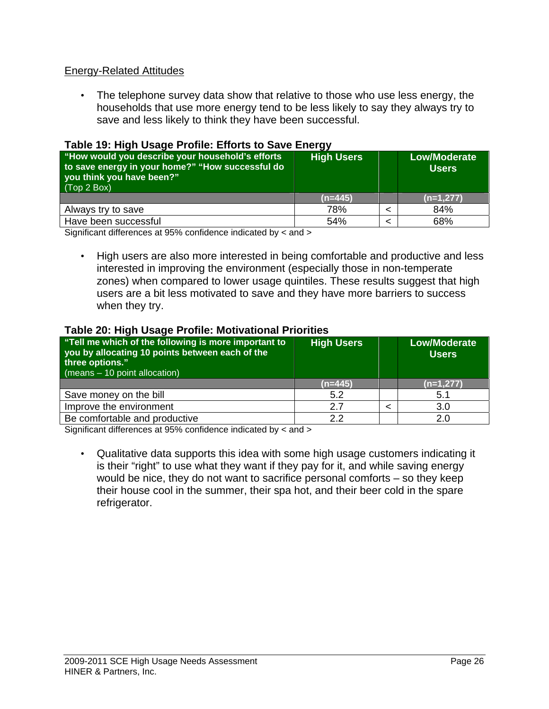## Energy-Related Attitudes

• The telephone survey data show that relative to those who use less energy, the households that use more energy tend to be less likely to say they always try to save and less likely to think they have been successful.

### **Table 19: High Usage Profile: Efforts to Save Energy**

| "How would you describe your household's efforts<br>to save energy in your home?" "How successful do<br>you think you have been?"<br>$\sqrt{(Top 2 Box)}$ | <b>High Users</b> | <b>Low/Moderate</b><br><b>Users</b> |
|-----------------------------------------------------------------------------------------------------------------------------------------------------------|-------------------|-------------------------------------|
|                                                                                                                                                           | $(n=445)$         | $(n=1,277)$                         |
| Always try to save                                                                                                                                        | 78%               | 84%                                 |
| Have been successful                                                                                                                                      | 54%               | 68%                                 |

Significant differences at 95% confidence indicated by < and >

• High users are also more interested in being comfortable and productive and less interested in improving the environment (especially those in non-temperate zones) when compared to lower usage quintiles. These results suggest that high users are a bit less motivated to save and they have more barriers to success when they try.

#### **Table 20: High Usage Profile: Motivational Priorities**

| "Tell me which of the following is more important to<br>you by allocating 10 points between each of the<br>three options."<br>$(means - 10 point allocation)$ | <b>High Users</b> | <b>Low/Moderate</b><br><b>Users</b> |
|---------------------------------------------------------------------------------------------------------------------------------------------------------------|-------------------|-------------------------------------|
|                                                                                                                                                               | $(n=445)$         | $(n=1,277)$                         |
| Save money on the bill                                                                                                                                        | 5.2               | 5.1                                 |
| Improve the environment                                                                                                                                       | 2.7               | 3.0                                 |
| Be comfortable and productive                                                                                                                                 | 2.2               | 2.0                                 |

Significant differences at 95% confidence indicated by < and >

• Qualitative data supports this idea with some high usage customers indicating it is their "right" to use what they want if they pay for it, and while saving energy would be nice, they do not want to sacrifice personal comforts – so they keep their house cool in the summer, their spa hot, and their beer cold in the spare refrigerator.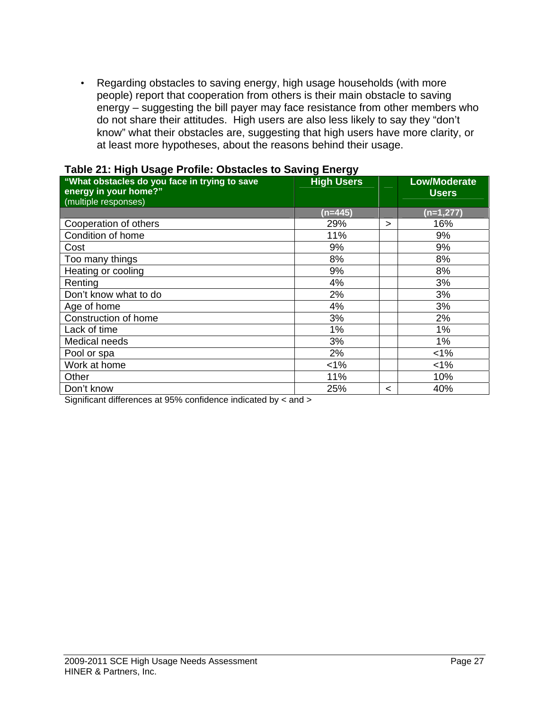• Regarding obstacles to saving energy, high usage households (with more people) report that cooperation from others is their main obstacle to saving energy – suggesting the bill payer may face resistance from other members who do not share their attitudes. High users are also less likely to say they "don't know" what their obstacles are, suggesting that high users have more clarity, or at least more hypotheses, about the reasons behind their usage.

| $\frac{1}{2}$ and $\frac{1}{2}$ . Then $\frac{1}{2}$ degree in the condet condeted to be ving Endry. |                   |   |                     |
|------------------------------------------------------------------------------------------------------|-------------------|---|---------------------|
| "What obstacles do you face in trying to save                                                        | <b>High Users</b> |   | <b>Low/Moderate</b> |
| energy in your home?"                                                                                |                   |   | <b>Users</b>        |
| (multiple responses)                                                                                 |                   |   |                     |
|                                                                                                      | $(n=445)$         |   | (n=1,277)           |
| Cooperation of others                                                                                | 29%               | ⋗ | 16%                 |
| Condition of home                                                                                    | 11%               |   | 9%                  |
| Cost                                                                                                 | 9%                |   | 9%                  |
| Too many things                                                                                      | 8%                |   | 8%                  |
| Heating or cooling                                                                                   | 9%                |   | 8%                  |
| Renting                                                                                              | 4%                |   | 3%                  |
| Don't know what to do                                                                                | 2%                |   | 3%                  |
| Age of home                                                                                          | 4%                |   | 3%                  |
| Construction of home                                                                                 | 3%                |   | 2%                  |
| Lack of time                                                                                         | 1%                |   | 1%                  |
| Medical needs                                                                                        | 3%                |   | $1\%$               |
| Pool or spa                                                                                          | 2%                |   | $< 1\%$             |
| Work at home                                                                                         | $< 1\%$           |   | $< 1\%$             |
| Other                                                                                                | 11%               |   | 10%                 |
| Don't know                                                                                           | 25%               | < | 40%                 |

#### **Table 21: High Usage Profile: Obstacles to Saving Energy**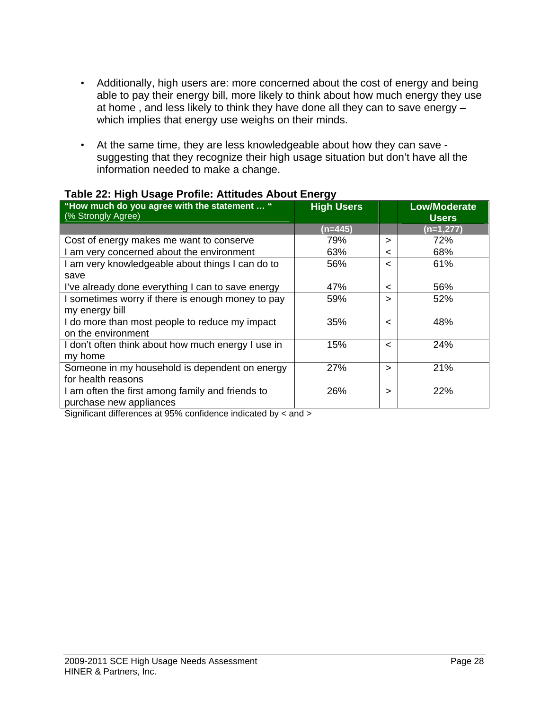- Additionally, high users are: more concerned about the cost of energy and being able to pay their energy bill, more likely to think about how much energy they use at home , and less likely to think they have done all they can to save energy – which implies that energy use weighs on their minds.
- At the same time, they are less knowledgeable about how they can save suggesting that they recognize their high usage situation but don't have all the information needed to make a change.

| --<br><b>High Users</b> |         | <b>Low/Moderate</b><br><b>Users</b> |
|-------------------------|---------|-------------------------------------|
| $(n=445)$               |         | (n=1,277)                           |
| 79%                     | ⋗       | 72%                                 |
| 63%                     | $\,<\,$ | 68%                                 |
| 56%                     | $\,<\,$ | 61%                                 |
|                         |         |                                     |
| 47%                     | $\,<\,$ | 56%                                 |
| 59%                     | >       | 52%                                 |
|                         |         |                                     |
| 35%                     | $\,<\,$ | 48%                                 |
|                         |         |                                     |
| 15%                     | $\,<\,$ | 24%                                 |
|                         |         |                                     |
| 27%                     | ⋗       | 21%                                 |
|                         |         |                                     |
| 26%                     | >       | 22%                                 |
|                         |         |                                     |
|                         |         |                                     |

#### **Table 22: High Usage Profile: Attitudes About Energy**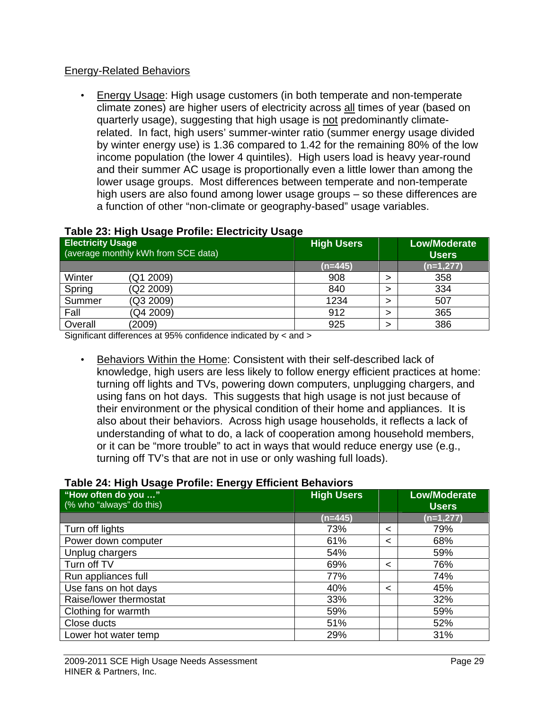## Energy-Related Behaviors

• Energy Usage: High usage customers (in both temperate and non-temperate climate zones) are higher users of electricity across all times of year (based on quarterly usage), suggesting that high usage is not predominantly climaterelated. In fact, high users' summer-winter ratio (summer energy usage divided by winter energy use) is 1.36 compared to 1.42 for the remaining 80% of the low income population (the lower 4 quintiles). High users load is heavy year-round and their summer AC usage is proportionally even a little lower than among the lower usage groups. Most differences between temperate and non-temperate high users are also found among lower usage groups – so these differences are a function of other "non-climate or geography-based" usage variables.

| <b>Electricity Usage</b> | (average monthly kWh from SCE data) | <b>High Users</b> | <b>Low/Moderate</b><br><b>Users</b> |
|--------------------------|-------------------------------------|-------------------|-------------------------------------|
|                          |                                     | $(n=445)$         | $(n=1,277)$                         |
| Winter                   | (Q1 2009)                           | 908               | 358                                 |
| Spring                   | (Q2 2009)                           | 840               | 334                                 |
| Summer                   | (Q3 2009)                           | 1234              | 507                                 |
| Fall                     | (Q4 2009)                           | 912               | 365                                 |
| Overall                  | (2009)                              | 925               | 386                                 |

## **Table 23: High Usage Profile: Electricity Usage**

Significant differences at 95% confidence indicated by < and >

• Behaviors Within the Home: Consistent with their self-described lack of knowledge, high users are less likely to follow energy efficient practices at home: turning off lights and TVs, powering down computers, unplugging chargers, and using fans on hot days. This suggests that high usage is not just because of their environment or the physical condition of their home and appliances. It is also about their behaviors. Across high usage households, it reflects a lack of understanding of what to do, a lack of cooperation among household members, or it can be "more trouble" to act in ways that would reduce energy use (e.g., turning off TV's that are not in use or only washing full loads).

#### **Table 24: High Usage Profile: Energy Efficient Behaviors**

| ັ<br>"How often do you "<br>(% who "always" do this) | <b>High Users</b> |   | <b>Low/Moderate</b><br><b>Users</b> |
|------------------------------------------------------|-------------------|---|-------------------------------------|
|                                                      | (n=445)           |   | $(n=1,277)$                         |
| Turn off lights                                      | 73%               | < | 79%                                 |
| Power down computer                                  | 61%               | < | 68%                                 |
| Unplug chargers                                      | 54%               |   | 59%                                 |
| Turn off TV                                          | 69%               | < | 76%                                 |
| Run appliances full                                  | 77%               |   | 74%                                 |
| Use fans on hot days                                 | 40%               | < | 45%                                 |
| Raise/lower thermostat                               | 33%               |   | 32%                                 |
| Clothing for warmth                                  | 59%               |   | 59%                                 |
| Close ducts                                          | 51%               |   | 52%                                 |
| Lower hot water temp                                 | 29%               |   | 31%                                 |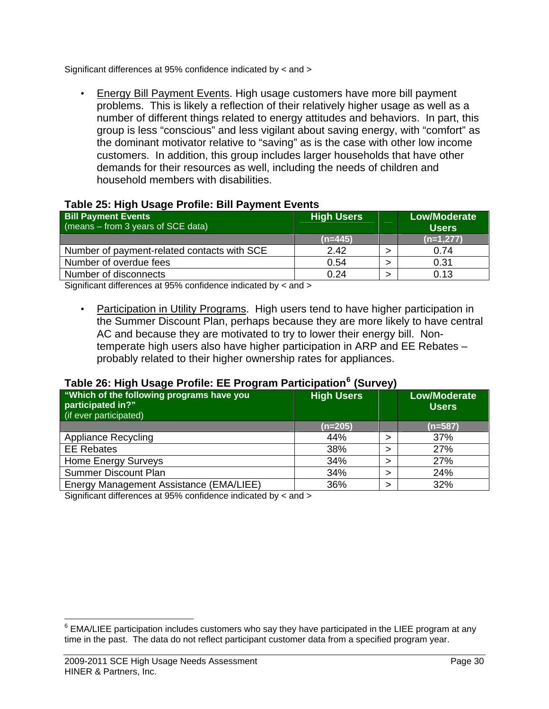Significant differences at 95% confidence indicated by < and >

• Energy Bill Payment Events. High usage customers have more bill payment problems. This is likely a reflection of their relatively higher usage as well as a number of different things related to energy attitudes and behaviors. In part, this group is less "conscious" and less vigilant about saving energy, with "comfort" as the dominant motivator relative to "saving" as is the case with other low income customers. In addition, this group includes larger households that have other demands for their resources as well, including the needs of children and household members with disabilities.

## **Table 25: High Usage Profile: Bill Payment Events**

| <b>Bill Payment Events</b><br>$(means - from 3 years of SCE data)$ | <b>High Users</b> | <b>Low/Moderate</b><br><b>Users</b> |
|--------------------------------------------------------------------|-------------------|-------------------------------------|
|                                                                    | $(n=445)$         | $(n=1,277)$                         |
| Number of payment-related contacts with SCE                        | 2.42              | 0.74                                |
| Number of overdue fees                                             | 0.54              | 0.31                                |
| Number of disconnects                                              | 0.24              | 0.13                                |

Significant differences at 95% confidence indicated by < and >

• Participation in Utility Programs. High users tend to have higher participation in the Summer Discount Plan, perhaps because they are more likely to have central AC and because they are motivated to try to lower their energy bill. Nontemperate high users also have higher participation in ARP and EE Rebates – probably related to their higher ownership rates for appliances.

## **Table 26: High Usage Profile: EE Program Participation[6](#page-29-0) (Survey)**

| . .<br>"Which of the following programs have you<br>participated in?"<br>(if ever participated) | <b>High Users</b> | . . | <b>Low/Moderate</b><br><b>Users</b> |
|-------------------------------------------------------------------------------------------------|-------------------|-----|-------------------------------------|
|                                                                                                 | $(n=205)$         |     | $(n=587)$                           |
| <b>Appliance Recycling</b>                                                                      | 44%               |     | 37%                                 |
| <b>EE Rebates</b>                                                                               | 38%               |     | 27%                                 |
| Home Energy Surveys                                                                             | 34%               |     | 27%                                 |
| <b>Summer Discount Plan</b>                                                                     | 34%               |     | 24%                                 |
| Energy Management Assistance (EMA/LIEE)                                                         | 36%               |     | 32%                                 |

Significant differences at 95% confidence indicated by < and >

 $\overline{a}$ 

<span id="page-29-0"></span> $6$  EMA/LIEE participation includes customers who say they have participated in the LIEE program at any time in the past. The data do not reflect participant customer data from a specified program year.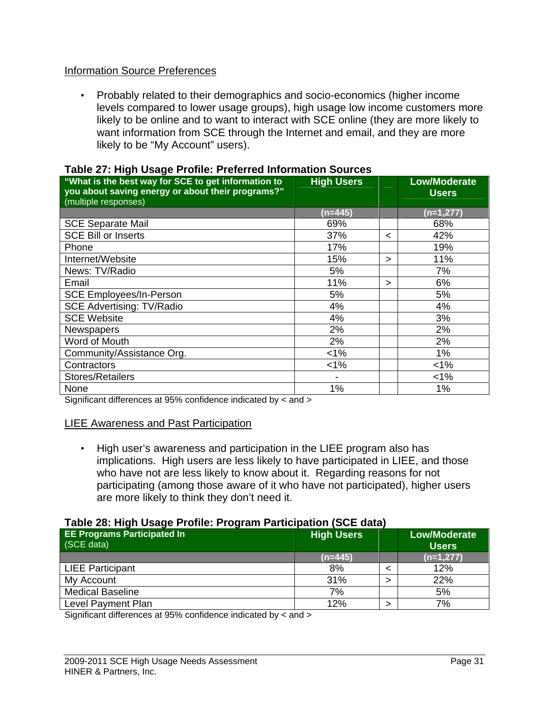## Information Source Preferences

• Probably related to their demographics and socio-economics (higher income levels compared to lower usage groups), high usage low income customers more likely to be online and to want to interact with SCE online (they are more likely to want information from SCE through the Internet and email, and they are more likely to be "My Account" users).

| . as is an imagin soagen remorrhoromed milemation se<br>"What is the best way for SCE to get information to<br>you about saving energy or about their programs?"<br>(multiple responses) | <b>High Users</b> |         | <b>Low/Moderate</b><br><b>Users</b> |
|------------------------------------------------------------------------------------------------------------------------------------------------------------------------------------------|-------------------|---------|-------------------------------------|
|                                                                                                                                                                                          | (n=445)           |         | (n=1,277)                           |
| <b>SCE Separate Mail</b>                                                                                                                                                                 | 69%               |         | 68%                                 |
| <b>SCE Bill or Inserts</b>                                                                                                                                                               | 37%               | $\,<\,$ | 42%                                 |
| Phone                                                                                                                                                                                    | 17%               |         | 19%                                 |
| Internet/Website                                                                                                                                                                         | 15%               | ⋗       | 11%                                 |
| News: TV/Radio                                                                                                                                                                           | 5%                |         | 7%                                  |
| Email                                                                                                                                                                                    | 11%               | ⋗       | 6%                                  |
| <b>SCE Employees/In-Person</b>                                                                                                                                                           | 5%                |         | 5%                                  |
| <b>SCE Advertising: TV/Radio</b>                                                                                                                                                         | 4%                |         | 4%                                  |
| <b>SCE Website</b>                                                                                                                                                                       | 4%                |         | 3%                                  |
| <b>Newspapers</b>                                                                                                                                                                        | 2%                |         | 2%                                  |
| Word of Mouth                                                                                                                                                                            | 2%                |         | 2%                                  |
| Community/Assistance Org.                                                                                                                                                                | $< 1\%$           |         | 1%                                  |
| Contractors                                                                                                                                                                              | $< 1\%$           |         | $< 1\%$                             |
| <b>Stores/Retailers</b>                                                                                                                                                                  |                   |         | $< 1\%$                             |
| None                                                                                                                                                                                     | 1%                |         | 1%                                  |

#### **Table 27: High Usage Profile: Preferred Information Sources**

Significant differences at 95% confidence indicated by < and >

#### LIEE Awareness and Past Participation

• High user's awareness and participation in the LIEE program also has implications. High users are less likely to have participated in LIEE, and those who have not are less likely to know about it. Regarding reasons for not participating (among those aware of it who have not participated), higher users are more likely to think they don't need it.

#### **Table 28: High Usage Profile: Program Participation (SCE data)**

| <b>EE Programs Participated In</b><br>(SCE data) | <b>High Users</b> | <b>Low/Moderate</b><br><b>Users</b> |
|--------------------------------------------------|-------------------|-------------------------------------|
|                                                  | $(n=445)$         | $(n=1,277)$                         |
| <b>LIEE Participant</b>                          | 8%                | 12%                                 |
| My Account                                       | 31%               | 22%                                 |
| <b>Medical Baseline</b>                          | 7%                | 5%                                  |
| Level Payment Plan                               | 12%               | 7%                                  |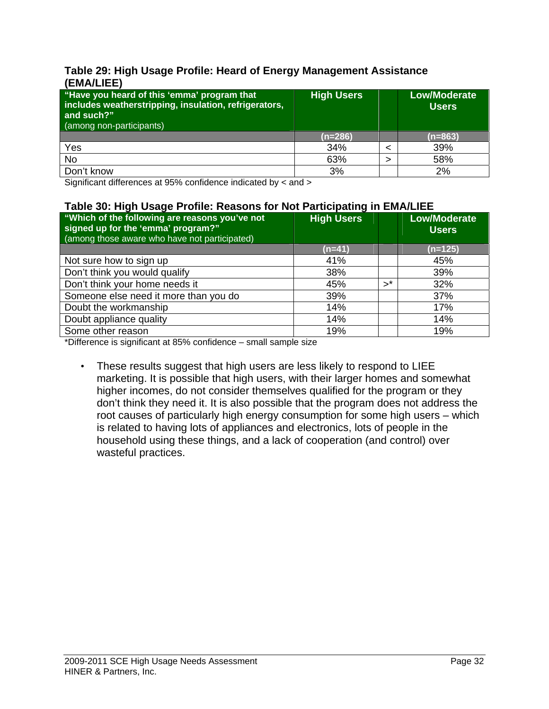### **Table 29: High Usage Profile: Heard of Energy Management Assistance (EMA/LIEE)**

| "Have you heard of this 'emma' program that<br>includes weatherstripping, insulation, refrigerators,<br>and such?"<br>(among non-participants) | <b>High Users</b> | <b>Low/Moderate</b><br><b>Users</b> |
|------------------------------------------------------------------------------------------------------------------------------------------------|-------------------|-------------------------------------|
|                                                                                                                                                | $(n=286)$         | $(n=863)$                           |
| Yes                                                                                                                                            | 34%               | 39%                                 |
| <b>No</b>                                                                                                                                      | 63%               | 58%                                 |
| Don't know                                                                                                                                     | 3%                | 2%                                  |

Significant differences at 95% confidence indicated by < and >

### **Table 30: High Usage Profile: Reasons for Not Participating in EMA/LIEE**

| "Which of the following are reasons you've not<br>signed up for the 'emma' program?"<br>(among those aware who have not participated) | <b>High Users</b> |                | <b>Low/Moderate</b><br><b>Users</b> |
|---------------------------------------------------------------------------------------------------------------------------------------|-------------------|----------------|-------------------------------------|
|                                                                                                                                       | $(n=41)$          |                | $(n=125)$                           |
| Not sure how to sign up                                                                                                               | 41%               |                | 45%                                 |
| Don't think you would qualify                                                                                                         | 38%               |                | 39%                                 |
| Don't think your home needs it                                                                                                        | 45%               | $\mathbf{v}^*$ | 32%                                 |
| Someone else need it more than you do                                                                                                 | 39%               |                | 37%                                 |
| Doubt the workmanship                                                                                                                 | 14%               |                | 17%                                 |
| Doubt appliance quality                                                                                                               | 14%               |                | 14%                                 |
| Some other reason                                                                                                                     | 19%               |                | 19%                                 |

\*Difference is significant at 85% confidence – small sample size

• These results suggest that high users are less likely to respond to LIEE marketing. It is possible that high users, with their larger homes and somewhat higher incomes, do not consider themselves qualified for the program or they don't think they need it. It is also possible that the program does not address the root causes of particularly high energy consumption for some high users – which is related to having lots of appliances and electronics, lots of people in the household using these things, and a lack of cooperation (and control) over wasteful practices.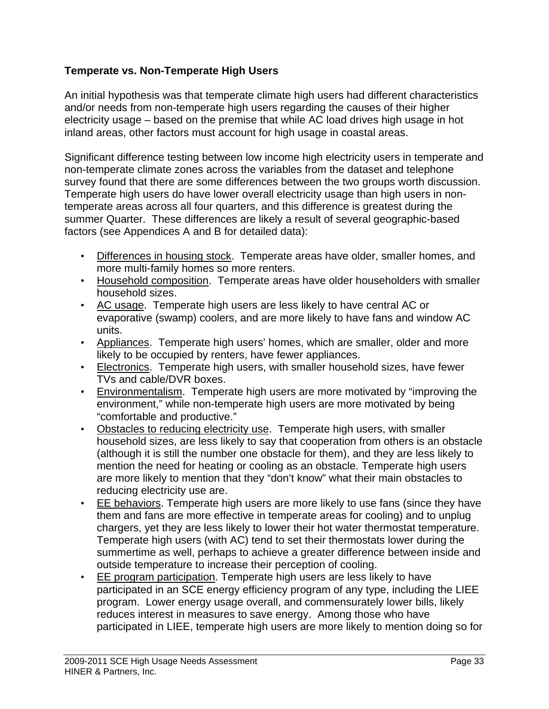## **Temperate vs. Non-Temperate High Users**

An initial hypothesis was that temperate climate high users had different characteristics and/or needs from non-temperate high users regarding the causes of their higher electricity usage – based on the premise that while AC load drives high usage in hot inland areas, other factors must account for high usage in coastal areas.

Significant difference testing between low income high electricity users in temperate and non-temperate climate zones across the variables from the dataset and telephone survey found that there are some differences between the two groups worth discussion. Temperate high users do have lower overall electricity usage than high users in nontemperate areas across all four quarters, and this difference is greatest during the summer Quarter. These differences are likely a result of several geographic-based factors (see Appendices A and B for detailed data):

- Differences in housing stock. Temperate areas have older, smaller homes, and more multi-family homes so more renters.
- Household composition. Temperate areas have older householders with smaller household sizes.
- AC usage. Temperate high users are less likely to have central AC or evaporative (swamp) coolers, and are more likely to have fans and window AC units.
- Appliances. Temperate high users' homes, which are smaller, older and more likely to be occupied by renters, have fewer appliances.
- Electronics. Temperate high users, with smaller household sizes, have fewer TVs and cable/DVR boxes.
- Environmentalism. Temperate high users are more motivated by "improving the environment," while non-temperate high users are more motivated by being "comfortable and productive."
- Obstacles to reducing electricity use. Temperate high users, with smaller household sizes, are less likely to say that cooperation from others is an obstacle (although it is still the number one obstacle for them), and they are less likely to mention the need for heating or cooling as an obstacle. Temperate high users are more likely to mention that they "don't know" what their main obstacles to reducing electricity use are.
- EE behaviors. Temperate high users are more likely to use fans (since they have them and fans are more effective in temperate areas for cooling) and to unplug chargers, yet they are less likely to lower their hot water thermostat temperature. Temperate high users (with AC) tend to set their thermostats lower during the summertime as well, perhaps to achieve a greater difference between inside and outside temperature to increase their perception of cooling.
- EE program participation. Temperate high users are less likely to have participated in an SCE energy efficiency program of any type, including the LIEE program. Lower energy usage overall, and commensurately lower bills, likely reduces interest in measures to save energy. Among those who have participated in LIEE, temperate high users are more likely to mention doing so for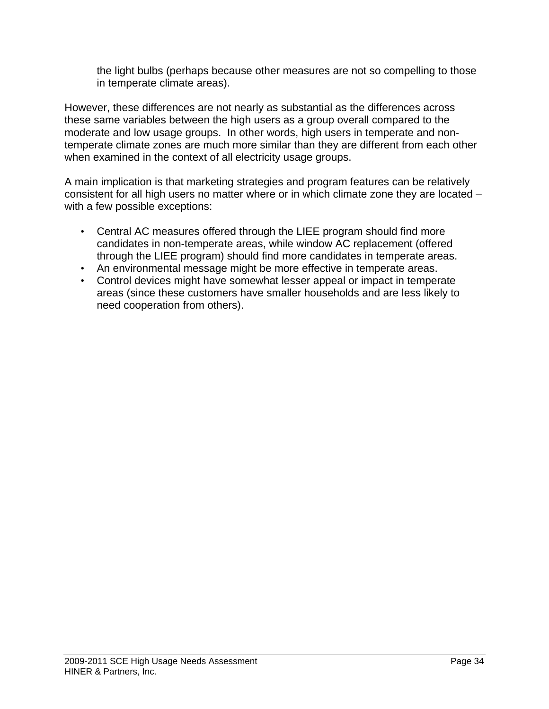the light bulbs (perhaps because other measures are not so compelling to those in temperate climate areas).

However, these differences are not nearly as substantial as the differences across these same variables between the high users as a group overall compared to the moderate and low usage groups. In other words, high users in temperate and nontemperate climate zones are much more similar than they are different from each other when examined in the context of all electricity usage groups.

A main implication is that marketing strategies and program features can be relatively consistent for all high users no matter where or in which climate zone they are located – with a few possible exceptions:

- Central AC measures offered through the LIEE program should find more candidates in non-temperate areas, while window AC replacement (offered through the LIEE program) should find more candidates in temperate areas.
- An environmental message might be more effective in temperate areas.
- Control devices might have somewhat lesser appeal or impact in temperate areas (since these customers have smaller households and are less likely to need cooperation from others).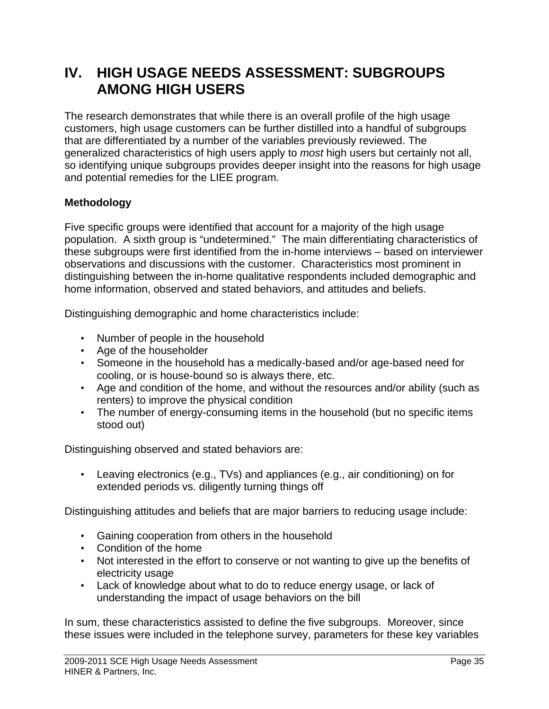## **IV. HIGH USAGE NEEDS ASSESSMENT: SUBGROUPS AMONG HIGH USERS**

The research demonstrates that while there is an overall profile of the high usage customers, high usage customers can be further distilled into a handful of subgroups that are differentiated by a number of the variables previously reviewed. The generalized characteristics of high users apply to *most* high users but certainly not all, so identifying unique subgroups provides deeper insight into the reasons for high usage and potential remedies for the LIEE program.

## **Methodology**

Five specific groups were identified that account for a majority of the high usage population. A sixth group is "undetermined." The main differentiating characteristics of these subgroups were first identified from the in-home interviews – based on interviewer observations and discussions with the customer. Characteristics most prominent in distinguishing between the in-home qualitative respondents included demographic and home information, observed and stated behaviors, and attitudes and beliefs.

Distinguishing demographic and home characteristics include:

- Number of people in the household
- Age of the householder
- Someone in the household has a medically-based and/or age-based need for cooling, or is house-bound so is always there, etc.
- Age and condition of the home, and without the resources and/or ability (such as renters) to improve the physical condition
- The number of energy-consuming items in the household (but no specific items stood out)

Distinguishing observed and stated behaviors are:

• Leaving electronics (e.g., TVs) and appliances (e.g., air conditioning) on for extended periods vs. diligently turning things off

Distinguishing attitudes and beliefs that are major barriers to reducing usage include:

- Gaining cooperation from others in the household
- Condition of the home
- Not interested in the effort to conserve or not wanting to give up the benefits of electricity usage
- Lack of knowledge about what to do to reduce energy usage, or lack of understanding the impact of usage behaviors on the bill

In sum, these characteristics assisted to define the five subgroups. Moreover, since these issues were included in the telephone survey, parameters for these key variables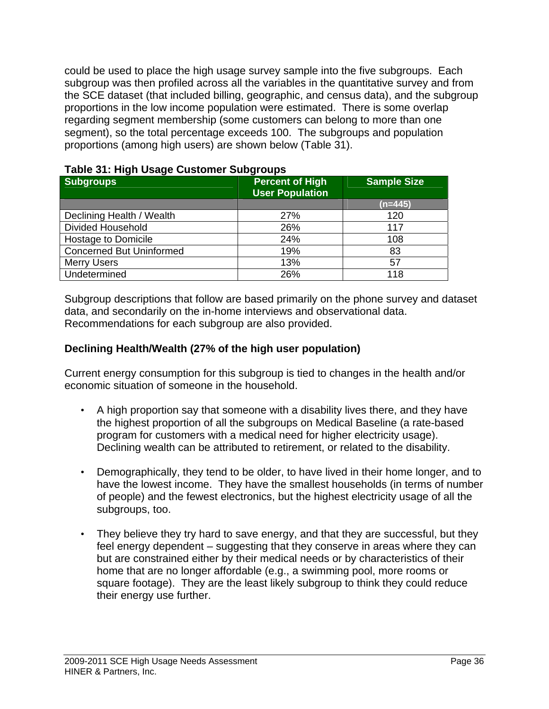could be used to place the high usage survey sample into the five subgroups. Each subgroup was then profiled across all the variables in the quantitative survey and from the SCE dataset (that included billing, geographic, and census data), and the subgroup proportions in the low income population were estimated. There is some overlap regarding segment membership (some customers can belong to more than one segment), so the total percentage exceeds 100. The subgroups and population proportions (among high users) are shown below (Table 31).

| <b>Subgroups</b>                | <b>Percent of High</b><br><b>User Population</b> | <b>Sample Size</b> |
|---------------------------------|--------------------------------------------------|--------------------|
|                                 |                                                  | $(n=445)$          |
| Declining Health / Wealth       | 27%                                              | 120                |
| <b>Divided Household</b>        | 26%                                              | 117                |
| Hostage to Domicile             | 24%                                              | 108                |
| <b>Concerned But Uninformed</b> | 19%                                              | 83                 |
| <b>Merry Users</b>              | 13%                                              | 57                 |
| Undetermined                    | 26%                                              | 118                |

### **Table 31: High Usage Customer Subgroups**

Subgroup descriptions that follow are based primarily on the phone survey and dataset data, and secondarily on the in-home interviews and observational data. Recommendations for each subgroup are also provided.

## **Declining Health/Wealth (27% of the high user population)**

Current energy consumption for this subgroup is tied to changes in the health and/or economic situation of someone in the household.

- A high proportion say that someone with a disability lives there, and they have the highest proportion of all the subgroups on Medical Baseline (a rate-based program for customers with a medical need for higher electricity usage). Declining wealth can be attributed to retirement, or related to the disability.
- Demographically, they tend to be older, to have lived in their home longer, and to have the lowest income. They have the smallest households (in terms of number of people) and the fewest electronics, but the highest electricity usage of all the subgroups, too.
- They believe they try hard to save energy, and that they are successful, but they feel energy dependent – suggesting that they conserve in areas where they can but are constrained either by their medical needs or by characteristics of their home that are no longer affordable (e.g., a swimming pool, more rooms or square footage). They are the least likely subgroup to think they could reduce their energy use further.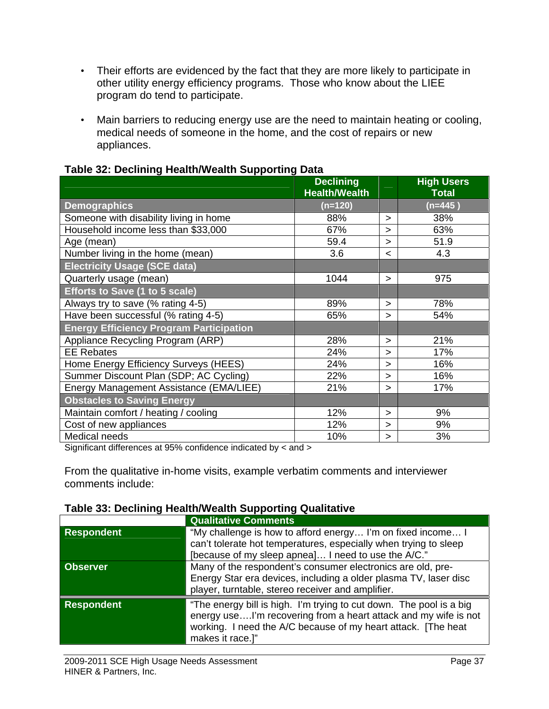- Their efforts are evidenced by the fact that they are more likely to participate in other utility energy efficiency programs. Those who know about the LIEE program do tend to participate.
- Main barriers to reducing energy use are the need to maintain heating or cooling, medical needs of someone in the home, and the cost of repairs or new appliances.

|                                                | <b>Declining</b><br><b>Health/Wealth</b> |         | <b>High Users</b><br><b>Total</b> |
|------------------------------------------------|------------------------------------------|---------|-----------------------------------|
| <b>Demographics</b>                            | $(n=120)$                                |         | (n=445)                           |
| Someone with disability living in home         | 88%                                      | $\geq$  | 38%                               |
| Household income less than \$33,000            | 67%                                      | $\geq$  | 63%                               |
| Age (mean)                                     | 59.4                                     | >       | 51.9                              |
| Number living in the home (mean)               | 3.6                                      | $\,<\,$ | 4.3                               |
| <b>Electricity Usage (SCE data)</b>            |                                          |         |                                   |
| Quarterly usage (mean)                         | 1044                                     | >       | 975                               |
| <b>Efforts to Save (1 to 5 scale)</b>          |                                          |         |                                   |
| Always try to save (% rating 4-5)              | 89%                                      | >       | 78%                               |
| Have been successful (% rating 4-5)            | 65%                                      | >       | 54%                               |
| <b>Energy Efficiency Program Participation</b> |                                          |         |                                   |
| Appliance Recycling Program (ARP)              | 28%                                      | $\geq$  | 21%                               |
| <b>EE Rebates</b>                              | 24%                                      | >       | 17%                               |
| Home Energy Efficiency Surveys (HEES)          | 24%                                      | >       | 16%                               |
| Summer Discount Plan (SDP; AC Cycling)         | 22%                                      | $\geq$  | 16%                               |
| Energy Management Assistance (EMA/LIEE)        | 21%                                      | >       | 17%                               |
| <b>Obstacles to Saving Energy</b>              |                                          |         |                                   |
| Maintain comfort / heating / cooling           | 12%                                      | $\geq$  | 9%                                |
| Cost of new appliances                         | 12%                                      | $\geq$  | 9%                                |
| Medical needs                                  | 10%                                      | >       | 3%                                |

## **Table 32: Declining Health/Wealth Supporting Data**

Significant differences at 95% confidence indicated by < and >

From the qualitative in-home visits, example verbatim comments and interviewer comments include:

# **Table 33: Declining Health/Wealth Supporting Qualitative**

|                   | <b>Qualitative Comments</b>                                                                                                                                                                                                 |
|-------------------|-----------------------------------------------------------------------------------------------------------------------------------------------------------------------------------------------------------------------------|
| <b>Respondent</b> | "My challenge is how to afford energy I'm on fixed income I<br>can't tolerate hot temperatures, especially when trying to sleep<br>[because of my sleep apnea] I need to use the A/C."                                      |
| <b>Observer</b>   | Many of the respondent's consumer electronics are old, pre-<br>Energy Star era devices, including a older plasma TV, laser disc<br>player, turntable, stereo receiver and amplifier.                                        |
| <b>Respondent</b> | "The energy bill is high. I'm trying to cut down. The pool is a big<br>energy useI'm recovering from a heart attack and my wife is not<br>working. I need the A/C because of my heart attack. [The heat<br>makes it race.]" |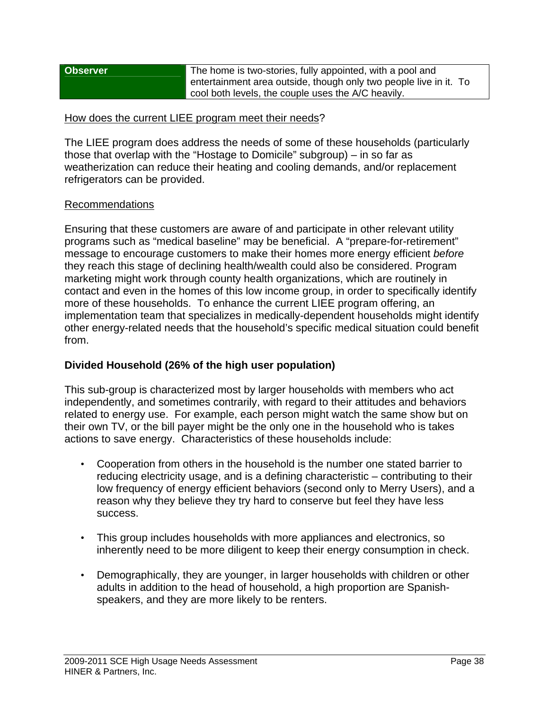| <b>Observer</b> | The home is two-stories, fully appointed, with a pool and         |
|-----------------|-------------------------------------------------------------------|
|                 | entertainment area outside, though only two people live in it. To |
|                 | cool both levels, the couple uses the A/C heavily.                |

### How does the current LIEE program meet their needs?

The LIEE program does address the needs of some of these households (particularly those that overlap with the "Hostage to Domicile" subgroup) – in so far as weatherization can reduce their heating and cooling demands, and/or replacement refrigerators can be provided.

## Recommendations

Ensuring that these customers are aware of and participate in other relevant utility programs such as "medical baseline" may be beneficial. A "prepare-for-retirement" message to encourage customers to make their homes more energy efficient *before* they reach this stage of declining health/wealth could also be considered. Program marketing might work through county health organizations, which are routinely in contact and even in the homes of this low income group, in order to specifically identify more of these households. To enhance the current LIEE program offering, an implementation team that specializes in medically-dependent households might identify other energy-related needs that the household's specific medical situation could benefit from.

# **Divided Household (26% of the high user population)**

This sub-group is characterized most by larger households with members who act independently, and sometimes contrarily, with regard to their attitudes and behaviors related to energy use. For example, each person might watch the same show but on their own TV, or the bill payer might be the only one in the household who is takes actions to save energy. Characteristics of these households include:

- Cooperation from others in the household is the number one stated barrier to reducing electricity usage, and is a defining characteristic – contributing to their low frequency of energy efficient behaviors (second only to Merry Users), and a reason why they believe they try hard to conserve but feel they have less success.
- This group includes households with more appliances and electronics, so inherently need to be more diligent to keep their energy consumption in check.
- Demographically, they are younger, in larger households with children or other adults in addition to the head of household, a high proportion are Spanishspeakers, and they are more likely to be renters.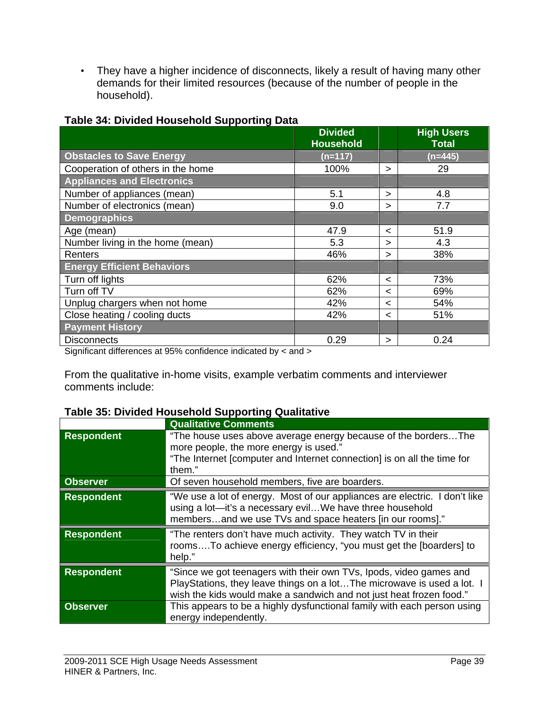• They have a higher incidence of disconnects, likely a result of having many other demands for their limited resources (because of the number of people in the household).

|                                   | <b>Divided</b><br><b>Household</b> |         | <b>High Users</b><br><b>Total</b> |
|-----------------------------------|------------------------------------|---------|-----------------------------------|
| <b>Obstacles to Save Energy</b>   | $(n=117)$                          |         | $(n=445)$                         |
| Cooperation of others in the home | 100%                               | >       | 29                                |
| <b>Appliances and Electronics</b> |                                    |         |                                   |
| Number of appliances (mean)       | 5.1                                | >       | 4.8                               |
| Number of electronics (mean)      | 9.0                                | >       | 7.7                               |
| <b>Demographics</b>               |                                    |         |                                   |
| Age (mean)                        | 47.9                               | $\,<\,$ | 51.9                              |
| Number living in the home (mean)  | 5.3                                | >       | 4.3                               |
| Renters                           | 46%                                | >       | 38%                               |
| <b>Energy Efficient Behaviors</b> |                                    |         |                                   |
| Turn off lights                   | 62%                                | $\,<\,$ | 73%                               |
| Turn off TV                       | 62%                                | $\,<\,$ | 69%                               |
| Unplug chargers when not home     | 42%                                | $\,<\,$ | 54%                               |
| Close heating / cooling ducts     | 42%                                | $\,<\,$ | 51%                               |
| <b>Payment History</b>            |                                    |         |                                   |
| <b>Disconnects</b>                | 0.29                               | >       | 0.24                              |

### **Table 34: Divided Household Supporting Data**

Significant differences at 95% confidence indicated by < and >

From the qualitative in-home visits, example verbatim comments and interviewer comments include:

# **Table 35: Divided Household Supporting Qualitative**

|                   | <b>Qualitative Comments</b>                                                                                                                                                                                          |
|-------------------|----------------------------------------------------------------------------------------------------------------------------------------------------------------------------------------------------------------------|
| <b>Respondent</b> | "The house uses above average energy because of the bordersThe<br>more people, the more energy is used."<br>"The Internet [computer and Internet connection] is on all the time for<br>them."                        |
| <b>Observer</b>   | Of seven household members, five are boarders.                                                                                                                                                                       |
| <b>Respondent</b> | "We use a lot of energy. Most of our appliances are electric. I don't like<br>using a lot-it's a necessary evilWe have three household<br>membersand we use TVs and space heaters [in our rooms]."                   |
| <b>Respondent</b> | "The renters don't have much activity. They watch TV in their<br>roomsTo achieve energy efficiency, "you must get the [boarders] to<br>help."                                                                        |
| <b>Respondent</b> | "Since we got teenagers with their own TVs, Ipods, video games and<br>PlayStations, they leave things on a lot The microwave is used a lot. I<br>wish the kids would make a sandwich and not just heat frozen food." |
| <b>Observer</b>   | This appears to be a highly dysfunctional family with each person using<br>energy independently.                                                                                                                     |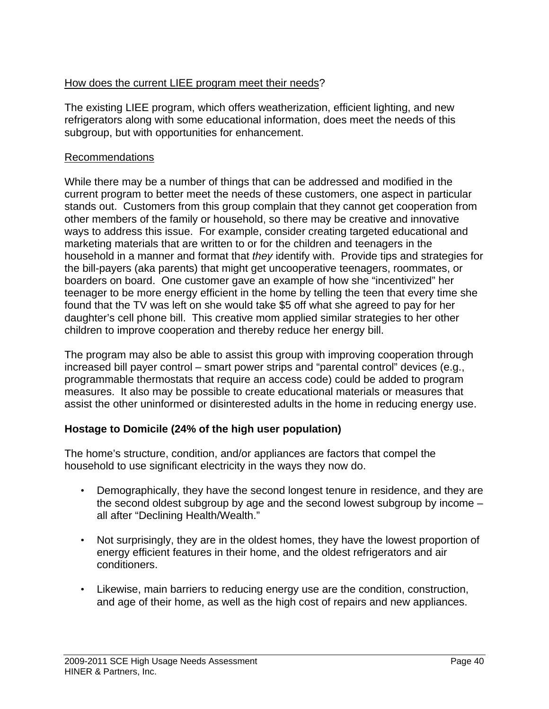# How does the current LIEE program meet their needs?

The existing LIEE program, which offers weatherization, efficient lighting, and new refrigerators along with some educational information, does meet the needs of this subgroup, but with opportunities for enhancement.

## Recommendations

While there may be a number of things that can be addressed and modified in the current program to better meet the needs of these customers, one aspect in particular stands out. Customers from this group complain that they cannot get cooperation from other members of the family or household, so there may be creative and innovative ways to address this issue. For example, consider creating targeted educational and marketing materials that are written to or for the children and teenagers in the household in a manner and format that *they* identify with. Provide tips and strategies for the bill-payers (aka parents) that might get uncooperative teenagers, roommates, or boarders on board. One customer gave an example of how she "incentivized" her teenager to be more energy efficient in the home by telling the teen that every time she found that the TV was left on she would take \$5 off what she agreed to pay for her daughter's cell phone bill. This creative mom applied similar strategies to her other children to improve cooperation and thereby reduce her energy bill.

The program may also be able to assist this group with improving cooperation through increased bill payer control – smart power strips and "parental control" devices (e.g., programmable thermostats that require an access code) could be added to program measures. It also may be possible to create educational materials or measures that assist the other uninformed or disinterested adults in the home in reducing energy use.

# **Hostage to Domicile (24% of the high user population)**

The home's structure, condition, and/or appliances are factors that compel the household to use significant electricity in the ways they now do.

- Demographically, they have the second longest tenure in residence, and they are the second oldest subgroup by age and the second lowest subgroup by income – all after "Declining Health/Wealth."
- Not surprisingly, they are in the oldest homes, they have the lowest proportion of energy efficient features in their home, and the oldest refrigerators and air conditioners.
- Likewise, main barriers to reducing energy use are the condition, construction, and age of their home, as well as the high cost of repairs and new appliances.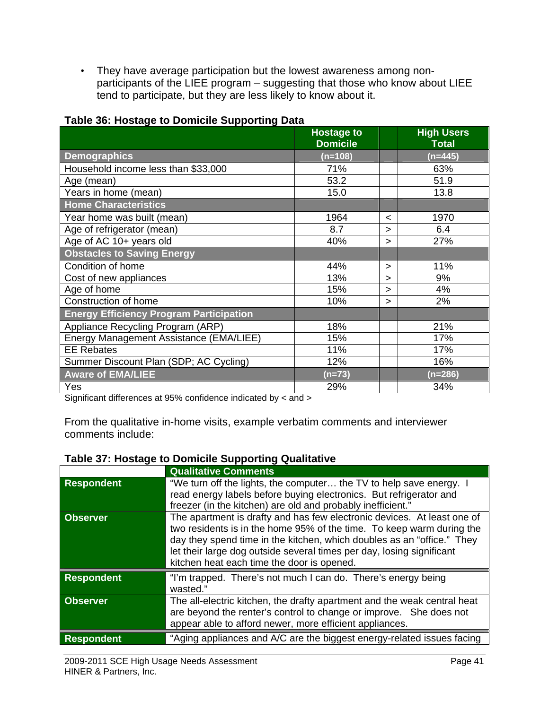• They have average participation but the lowest awareness among nonparticipants of the LIEE program – suggesting that those who know about LIEE tend to participate, but they are less likely to know about it.

|                                                | <b>Hostage to</b><br><b>Domicile</b> |         | <b>High Users</b><br><b>Total</b> |
|------------------------------------------------|--------------------------------------|---------|-----------------------------------|
| <b>Demographics</b>                            | $(n=108)$                            |         | $(n=445)$                         |
| Household income less than \$33,000            | 71%                                  |         | 63%                               |
| Age (mean)                                     | 53.2                                 |         | 51.9                              |
| Years in home (mean)                           | 15.0                                 |         | 13.8                              |
| <b>Home Characteristics</b>                    |                                      |         |                                   |
| Year home was built (mean)                     | 1964                                 | $\,<\,$ | 1970                              |
| Age of refrigerator (mean)                     | 8.7                                  | >       | 6.4                               |
| Age of AC 10+ years old                        | 40%                                  | >       | 27%                               |
| <b>Obstacles to Saving Energy</b>              |                                      |         |                                   |
| Condition of home                              | 44%                                  | ⋗       | 11%                               |
| Cost of new appliances                         | 13%                                  | >       | 9%                                |
| Age of home                                    | 15%                                  | ⋗       | 4%                                |
| Construction of home                           | 10%                                  | >       | 2%                                |
| <b>Energy Efficiency Program Participation</b> |                                      |         |                                   |
| Appliance Recycling Program (ARP)              | 18%                                  |         | 21%                               |
| Energy Management Assistance (EMA/LIEE)        | 15%                                  |         | 17%                               |
| <b>EE Rebates</b>                              | 11%                                  |         | 17%                               |
| Summer Discount Plan (SDP; AC Cycling)         | 12%                                  |         | 16%                               |
| <b>Aware of EMA/LIEE</b>                       | $(n=73)$                             |         | $(n=286)$                         |
| Yes                                            | 29%                                  |         | 34%                               |

# **Table 36: Hostage to Domicile Supporting Data**

Significant differences at 95% confidence indicated by < and >

From the qualitative in-home visits, example verbatim comments and interviewer comments include:

# **Table 37: Hostage to Domicile Supporting Qualitative**

|                   | <b>Qualitative Comments</b>                                                                                                                                                                                                                                                                                                                       |
|-------------------|---------------------------------------------------------------------------------------------------------------------------------------------------------------------------------------------------------------------------------------------------------------------------------------------------------------------------------------------------|
| <b>Respondent</b> | "We turn off the lights, the computer the TV to help save energy. I<br>read energy labels before buying electronics. But refrigerator and<br>freezer (in the kitchen) are old and probably inefficient."                                                                                                                                          |
| <b>Observer</b>   | The apartment is drafty and has few electronic devices. At least one of<br>two residents is in the home 95% of the time. To keep warm during the<br>day they spend time in the kitchen, which doubles as an "office." They<br>let their large dog outside several times per day, losing significant<br>kitchen heat each time the door is opened. |
| <b>Respondent</b> | "I'm trapped. There's not much I can do. There's energy being<br>wasted."                                                                                                                                                                                                                                                                         |
| <b>Observer</b>   | The all-electric kitchen, the drafty apartment and the weak central heat<br>are beyond the renter's control to change or improve. She does not<br>appear able to afford newer, more efficient appliances.                                                                                                                                         |
| <b>Respondent</b> | "Aging appliances and A/C are the biggest energy-related issues facing                                                                                                                                                                                                                                                                            |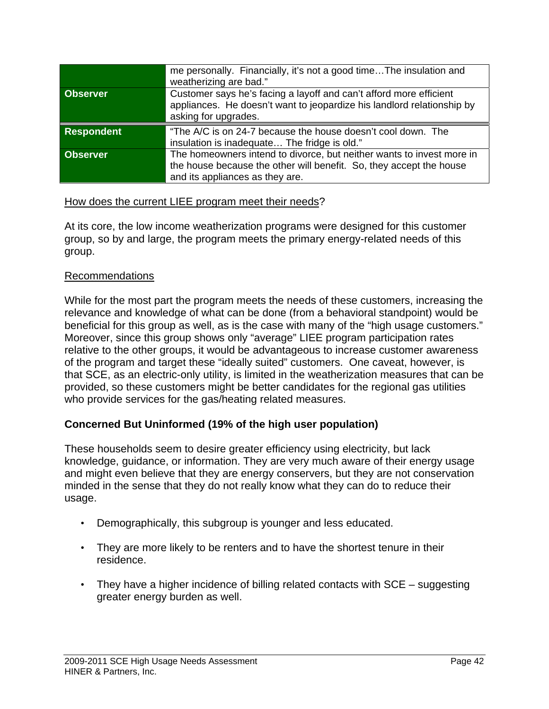|                   | me personally. Financially, it's not a good timeThe insulation and<br>weatherizing are bad."                                                                                    |
|-------------------|---------------------------------------------------------------------------------------------------------------------------------------------------------------------------------|
| <b>Observer</b>   | Customer says he's facing a layoff and can't afford more efficient<br>appliances. He doesn't want to jeopardize his landlord relationship by<br>asking for upgrades.            |
| <b>Respondent</b> | "The A/C is on 24-7 because the house doesn't cool down. The<br>insulation is inadequate The fridge is old."                                                                    |
| <b>Observer</b>   | The homeowners intend to divorce, but neither wants to invest more in<br>the house because the other will benefit. So, they accept the house<br>and its appliances as they are. |

## How does the current LIEE program meet their needs?

At its core, the low income weatherization programs were designed for this customer group, so by and large, the program meets the primary energy-related needs of this group.

#### Recommendations

While for the most part the program meets the needs of these customers, increasing the relevance and knowledge of what can be done (from a behavioral standpoint) would be beneficial for this group as well, as is the case with many of the "high usage customers." Moreover, since this group shows only "average" LIEE program participation rates relative to the other groups, it would be advantageous to increase customer awareness of the program and target these "ideally suited" customers. One caveat, however, is that SCE, as an electric-only utility, is limited in the weatherization measures that can be provided, so these customers might be better candidates for the regional gas utilities who provide services for the gas/heating related measures.

# **Concerned But Uninformed (19% of the high user population)**

These households seem to desire greater efficiency using electricity, but lack knowledge, guidance, or information. They are very much aware of their energy usage and might even believe that they are energy conservers, but they are not conservation minded in the sense that they do not really know what they can do to reduce their usage.

- Demographically, this subgroup is younger and less educated.
- They are more likely to be renters and to have the shortest tenure in their residence.
- They have a higher incidence of billing related contacts with SCE suggesting greater energy burden as well.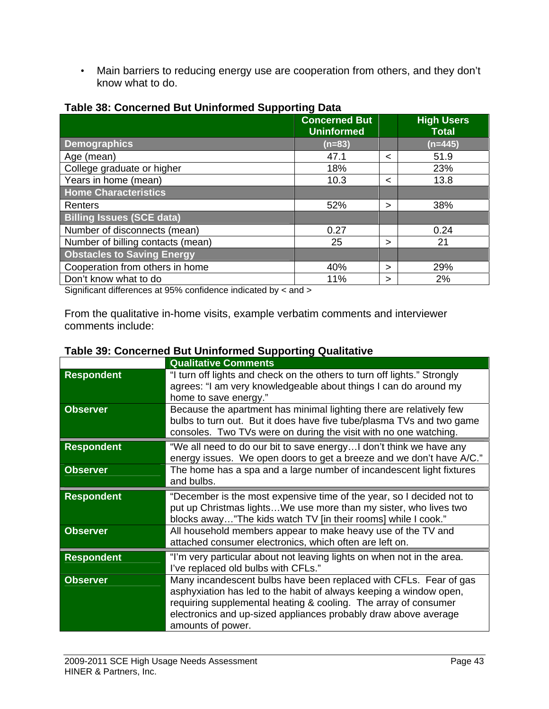• Main barriers to reducing energy use are cooperation from others, and they don't know what to do.

|                                   | <b>Concerned But</b><br><b>Uninformed</b> |   | <b>High Users</b><br><b>Total</b> |
|-----------------------------------|-------------------------------------------|---|-----------------------------------|
| <b>Demographics</b>               | $(n=83)$                                  |   | $(n=445)$                         |
| Age (mean)                        | 47.1                                      | < | 51.9                              |
| College graduate or higher        | 18%                                       |   | 23%                               |
| Years in home (mean)              | 10.3                                      | < | 13.8                              |
| <b>Home Characteristics</b>       |                                           |   |                                   |
| Renters                           | 52%                                       | > | 38%                               |
| <b>Billing Issues (SCE data)</b>  |                                           |   |                                   |
| Number of disconnects (mean)      | 0.27                                      |   | 0.24                              |
| Number of billing contacts (mean) | 25                                        | > | 21                                |
| <b>Obstacles to Saving Energy</b> |                                           |   |                                   |
| Cooperation from others in home   | 40%                                       | > | 29%                               |
| Don't know what to do             | 11%                                       | > | 2%                                |

#### **Table 38: Concerned But Uninformed Supporting Data**

Significant differences at 95% confidence indicated by < and >

From the qualitative in-home visits, example verbatim comments and interviewer comments include:

|                   | <b>Qualitative Comments</b>                                                                                                                                                                                                                                                                        |
|-------------------|----------------------------------------------------------------------------------------------------------------------------------------------------------------------------------------------------------------------------------------------------------------------------------------------------|
| <b>Respondent</b> | "I turn off lights and check on the others to turn off lights." Strongly<br>agrees: "I am very knowledgeable about things I can do around my<br>home to save energy."                                                                                                                              |
| <b>Observer</b>   | Because the apartment has minimal lighting there are relatively few<br>bulbs to turn out. But it does have five tube/plasma TVs and two game<br>consoles. Two TVs were on during the visit with no one watching.                                                                                   |
| <b>Respondent</b> | "We all need to do our bit to save energy I don't think we have any<br>energy issues. We open doors to get a breeze and we don't have A/C."                                                                                                                                                        |
| <b>Observer</b>   | The home has a spa and a large number of incandescent light fixtures<br>and bulbs.                                                                                                                                                                                                                 |
| <b>Respondent</b> | "December is the most expensive time of the year, so I decided not to<br>put up Christmas lightsWe use more than my sister, who lives two<br>blocks away"The kids watch TV [in their rooms] while I cook."                                                                                         |
| <b>Observer</b>   | All household members appear to make heavy use of the TV and<br>attached consumer electronics, which often are left on.                                                                                                                                                                            |
| <b>Respondent</b> | "I'm very particular about not leaving lights on when not in the area.<br>I've replaced old bulbs with CFLs."                                                                                                                                                                                      |
| <b>Observer</b>   | Many incandescent bulbs have been replaced with CFLs. Fear of gas<br>asphyxiation has led to the habit of always keeping a window open,<br>requiring supplemental heating & cooling. The array of consumer<br>electronics and up-sized appliances probably draw above average<br>amounts of power. |

## **Table 39: Concerned But Uninformed Supporting Qualitative**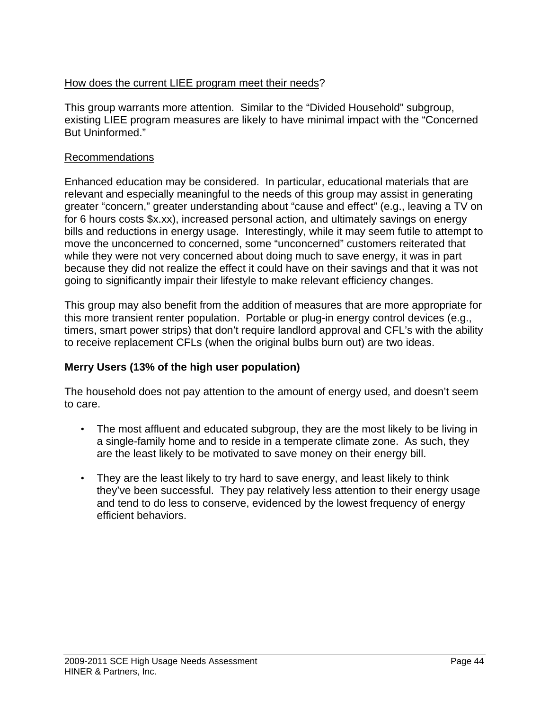# How does the current LIEE program meet their needs?

This group warrants more attention. Similar to the "Divided Household" subgroup, existing LIEE program measures are likely to have minimal impact with the "Concerned But Uninformed."

# Recommendations

Enhanced education may be considered. In particular, educational materials that are relevant and especially meaningful to the needs of this group may assist in generating greater "concern," greater understanding about "cause and effect" (e.g., leaving a TV on for 6 hours costs \$x.xx), increased personal action, and ultimately savings on energy bills and reductions in energy usage. Interestingly, while it may seem futile to attempt to move the unconcerned to concerned, some "unconcerned" customers reiterated that while they were not very concerned about doing much to save energy, it was in part because they did not realize the effect it could have on their savings and that it was not going to significantly impair their lifestyle to make relevant efficiency changes.

This group may also benefit from the addition of measures that are more appropriate for this more transient renter population. Portable or plug-in energy control devices (e.g., timers, smart power strips) that don't require landlord approval and CFL's with the ability to receive replacement CFLs (when the original bulbs burn out) are two ideas.

# **Merry Users (13% of the high user population)**

The household does not pay attention to the amount of energy used, and doesn't seem to care.

- The most affluent and educated subgroup, they are the most likely to be living in a single-family home and to reside in a temperate climate zone. As such, they are the least likely to be motivated to save money on their energy bill.
- They are the least likely to try hard to save energy, and least likely to think they've been successful. They pay relatively less attention to their energy usage and tend to do less to conserve, evidenced by the lowest frequency of energy efficient behaviors.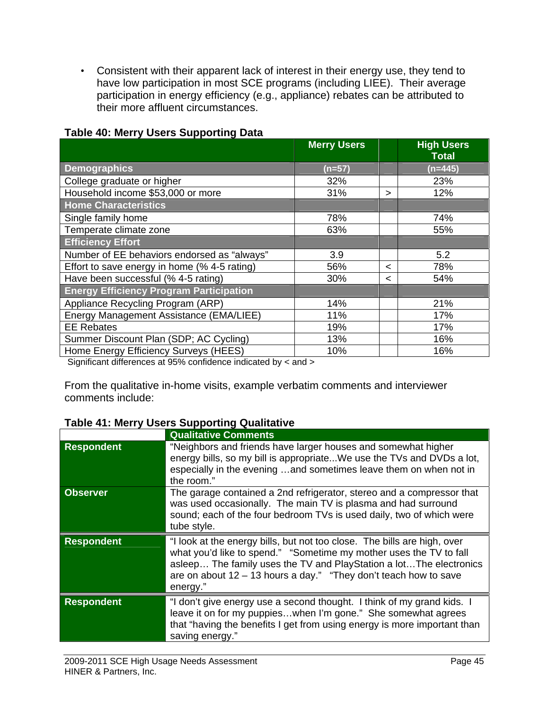• Consistent with their apparent lack of interest in their energy use, they tend to have low participation in most SCE programs (including LIEE). Their average participation in energy efficiency (e.g., appliance) rebates can be attributed to their more affluent circumstances.

|                                                | <b>Merry Users</b> |         | <b>High Users</b><br><b>Total</b> |
|------------------------------------------------|--------------------|---------|-----------------------------------|
| <b>Demographics</b>                            | $(n=57)$           |         | $(n=445)$                         |
| College graduate or higher                     | 32%                |         | 23%                               |
| Household income \$53,000 or more              | 31%                | >       | 12%                               |
| <b>Home Characteristics</b>                    |                    |         |                                   |
| Single family home                             | 78%                |         | 74%                               |
| Temperate climate zone                         | 63%                |         | 55%                               |
| <b>Efficiency Effort</b>                       |                    |         |                                   |
| Number of EE behaviors endorsed as "always"    | 3.9                |         | 5.2                               |
| Effort to save energy in home (% 4-5 rating)   | 56%                | $\,<\,$ | 78%                               |
| Have been successful (% 4-5 rating)            | 30%                | <       | 54%                               |
| <b>Energy Efficiency Program Participation</b> |                    |         |                                   |
| Appliance Recycling Program (ARP)              | 14%                |         | 21%                               |
| Energy Management Assistance (EMA/LIEE)        | 11%                |         | 17%                               |
| <b>EE Rebates</b>                              | 19%                |         | 17%                               |
| Summer Discount Plan (SDP; AC Cycling)         | 13%                |         | 16%                               |
| Home Energy Efficiency Surveys (HEES)          | 10%                |         | 16%                               |

## **Table 40: Merry Users Supporting Data**

Significant differences at 95% confidence indicated by < and >

From the qualitative in-home visits, example verbatim comments and interviewer comments include:

# **Table 41: Merry Users Supporting Qualitative**

|                   | <b>Qualitative Comments</b>                                                                                                                                                                                                                                                                             |
|-------------------|---------------------------------------------------------------------------------------------------------------------------------------------------------------------------------------------------------------------------------------------------------------------------------------------------------|
| <b>Respondent</b> | "Neighbors and friends have larger houses and somewhat higher<br>energy bills, so my bill is appropriateWe use the TVs and DVDs a lot,<br>especially in the evening and sometimes leave them on when not in<br>the room."                                                                               |
| <b>Observer</b>   | The garage contained a 2nd refrigerator, stereo and a compressor that<br>was used occasionally. The main TV is plasma and had surround<br>sound; each of the four bedroom TVs is used daily, two of which were<br>tube style.                                                                           |
| <b>Respondent</b> | "I look at the energy bills, but not too close. The bills are high, over<br>what you'd like to spend." "Sometime my mother uses the TV to fall<br>asleep The family uses the TV and PlayStation a lot The electronics<br>are on about $12 - 13$ hours a day." "They don't teach how to save<br>energy." |
| <b>Respondent</b> | "I don't give energy use a second thought. I think of my grand kids. I<br>leave it on for my puppieswhen I'm gone." She somewhat agrees<br>that "having the benefits I get from using energy is more important than                                                                                     |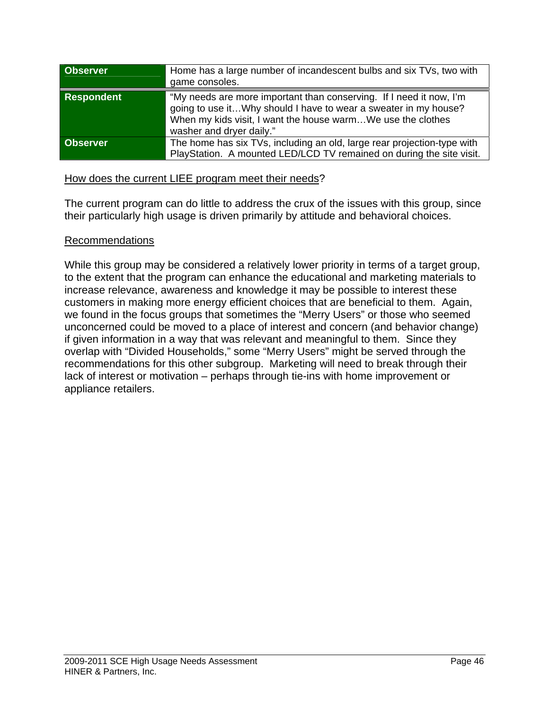| <b>Observer</b>   | Home has a large number of incandescent bulbs and six TVs, two with<br>game consoles.                                                                                                                                             |
|-------------------|-----------------------------------------------------------------------------------------------------------------------------------------------------------------------------------------------------------------------------------|
| <b>Respondent</b> | "My needs are more important than conserving. If I need it now, I'm<br>going to use itWhy should I have to wear a sweater in my house?<br>When my kids visit, I want the house warmWe use the clothes<br>washer and dryer daily." |
| <b>Observer</b>   | The home has six TVs, including an old, large rear projection-type with<br>PlayStation. A mounted LED/LCD TV remained on during the site visit.                                                                                   |

### How does the current LIEE program meet their needs?

The current program can do little to address the crux of the issues with this group, since their particularly high usage is driven primarily by attitude and behavioral choices.

## Recommendations

While this group may be considered a relatively lower priority in terms of a target group, to the extent that the program can enhance the educational and marketing materials to increase relevance, awareness and knowledge it may be possible to interest these customers in making more energy efficient choices that are beneficial to them. Again, we found in the focus groups that sometimes the "Merry Users" or those who seemed unconcerned could be moved to a place of interest and concern (and behavior change) if given information in a way that was relevant and meaningful to them. Since they overlap with "Divided Households," some "Merry Users" might be served through the recommendations for this other subgroup. Marketing will need to break through their lack of interest or motivation – perhaps through tie-ins with home improvement or appliance retailers.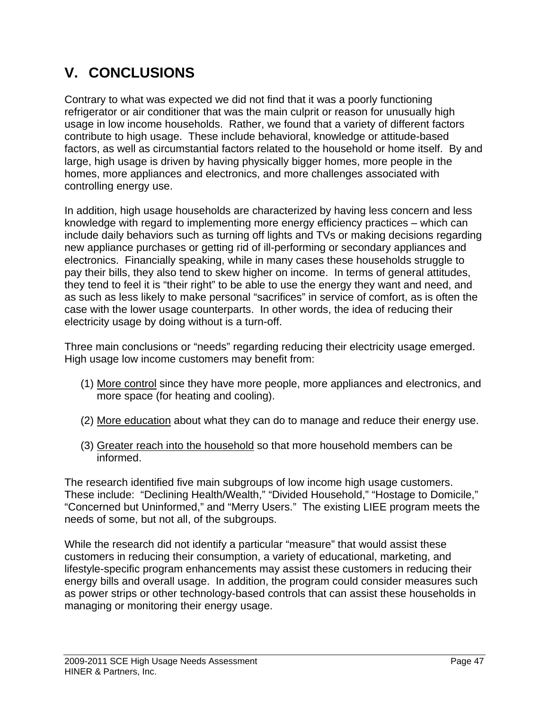# **V. CONCLUSIONS**

Contrary to what was expected we did not find that it was a poorly functioning refrigerator or air conditioner that was the main culprit or reason for unusually high usage in low income households. Rather, we found that a variety of different factors contribute to high usage. These include behavioral, knowledge or attitude-based factors, as well as circumstantial factors related to the household or home itself. By and large, high usage is driven by having physically bigger homes, more people in the homes, more appliances and electronics, and more challenges associated with controlling energy use.

In addition, high usage households are characterized by having less concern and less knowledge with regard to implementing more energy efficiency practices – which can include daily behaviors such as turning off lights and TVs or making decisions regarding new appliance purchases or getting rid of ill-performing or secondary appliances and electronics. Financially speaking, while in many cases these households struggle to pay their bills, they also tend to skew higher on income. In terms of general attitudes, they tend to feel it is "their right" to be able to use the energy they want and need, and as such as less likely to make personal "sacrifices" in service of comfort, as is often the case with the lower usage counterparts. In other words, the idea of reducing their electricity usage by doing without is a turn-off.

Three main conclusions or "needs" regarding reducing their electricity usage emerged. High usage low income customers may benefit from:

- (1) More control since they have more people, more appliances and electronics, and more space (for heating and cooling).
- (2) More education about what they can do to manage and reduce their energy use.
- (3) Greater reach into the household so that more household members can be informed.

The research identified five main subgroups of low income high usage customers. These include: "Declining Health/Wealth," "Divided Household," "Hostage to Domicile," "Concerned but Uninformed," and "Merry Users." The existing LIEE program meets the needs of some, but not all, of the subgroups.

While the research did not identify a particular "measure" that would assist these customers in reducing their consumption, a variety of educational, marketing, and lifestyle-specific program enhancements may assist these customers in reducing their energy bills and overall usage. In addition, the program could consider measures such as power strips or other technology-based controls that can assist these households in managing or monitoring their energy usage.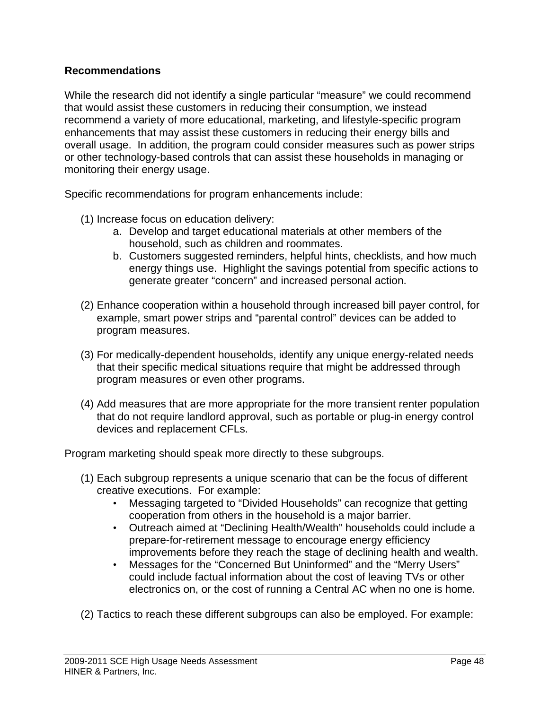## **Recommendations**

While the research did not identify a single particular "measure" we could recommend that would assist these customers in reducing their consumption, we instead recommend a variety of more educational, marketing, and lifestyle-specific program enhancements that may assist these customers in reducing their energy bills and overall usage. In addition, the program could consider measures such as power strips or other technology-based controls that can assist these households in managing or monitoring their energy usage.

Specific recommendations for program enhancements include:

- (1) Increase focus on education delivery:
	- a. Develop and target educational materials at other members of the household, such as children and roommates.
	- b. Customers suggested reminders, helpful hints, checklists, and how much energy things use. Highlight the savings potential from specific actions to generate greater "concern" and increased personal action.
- (2) Enhance cooperation within a household through increased bill payer control, for example, smart power strips and "parental control" devices can be added to program measures.
- (3) For medically-dependent households, identify any unique energy-related needs that their specific medical situations require that might be addressed through program measures or even other programs.
- (4) Add measures that are more appropriate for the more transient renter population that do not require landlord approval, such as portable or plug-in energy control devices and replacement CFLs.

Program marketing should speak more directly to these subgroups.

- (1) Each subgroup represents a unique scenario that can be the focus of different creative executions. For example:
	- Messaging targeted to "Divided Households" can recognize that getting cooperation from others in the household is a major barrier.
	- Outreach aimed at "Declining Health/Wealth" households could include a prepare-for-retirement message to encourage energy efficiency improvements before they reach the stage of declining health and wealth.
	- Messages for the "Concerned But Uninformed" and the "Merry Users" could include factual information about the cost of leaving TVs or other electronics on, or the cost of running a Central AC when no one is home.

(2) Tactics to reach these different subgroups can also be employed. For example: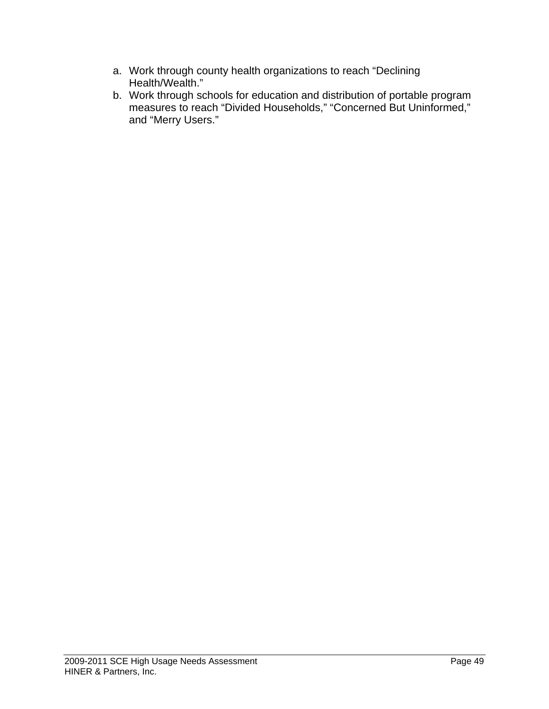- a. Work through county health organizations to reach "Declining Health/Wealth."
- b. Work through schools for education and distribution of portable program measures to reach "Divided Households," "Concerned But Uninformed," and "Merry Users."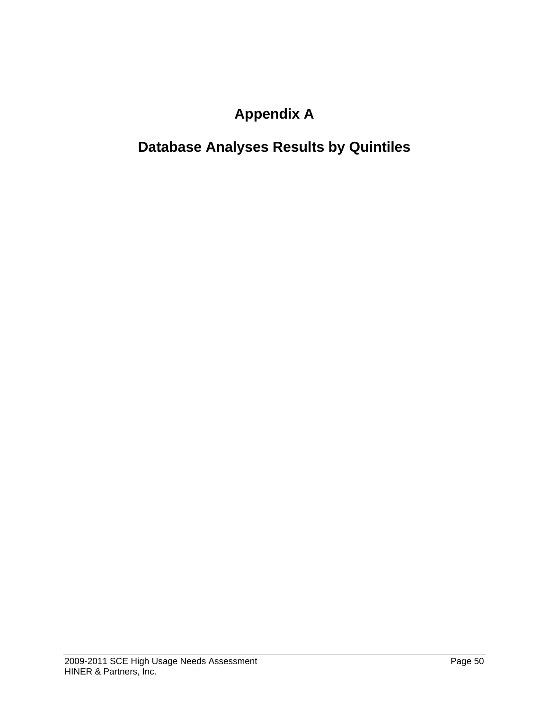# **Appendix A**

# **Database Analyses Results by Quintiles**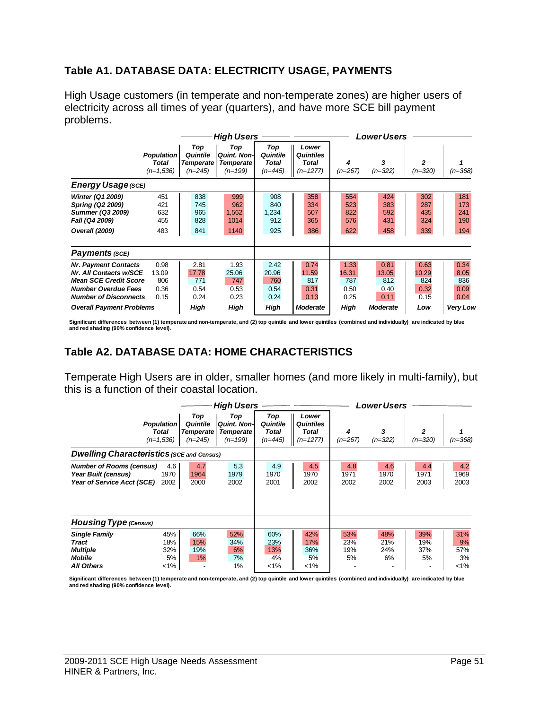# **Table A1. DATABASE DATA: ELECTRICITY USAGE, PAYMENTS**

High Usage customers (in temperate and non-temperate zones) are higher users of electricity across all times of year (quarters), and have more SCE bill payment problems.

|                                                                                                                                                     |                                           |                                                  | <b>High Users</b>                                           |                                              |                                                  | <b>Lower Users</b>                   |                                      |                                      |                                     |
|-----------------------------------------------------------------------------------------------------------------------------------------------------|-------------------------------------------|--------------------------------------------------|-------------------------------------------------------------|----------------------------------------------|--------------------------------------------------|--------------------------------------|--------------------------------------|--------------------------------------|-------------------------------------|
|                                                                                                                                                     | <b>Population</b><br>Total<br>$(n=1,536)$ | Top<br>Quintile<br><b>Temperate</b><br>$(n=245)$ | Top<br><b>Quint, Non-I</b><br><b>Temperate</b><br>$(n=199)$ | Top<br>Quintile<br><b>Total</b><br>$(n=445)$ | Lower<br><b>Quintiles</b><br>Total<br>$(n=1277)$ | 4<br>$(n=267)$                       | 3<br>$(n=322)$                       | $\overline{2}$<br>$(n=320)$          | (n=368)                             |
|                                                                                                                                                     | <b>Energy Usage (SCE)</b>                 |                                                  |                                                             |                                              |                                                  |                                      |                                      |                                      |                                     |
| Winter (Q1 2009)<br>Spring (Q2 2009)<br><b>Summer (Q3 2009)</b><br>Fall (Q4 2009)<br>Overall (2009)                                                 | 451<br>421<br>632<br>455<br>483           | 838<br>745<br>965<br>828<br>841                  | 999<br>962<br>1,562<br>1014<br>1140                         | 908<br>840<br>1,234<br>912<br>925            | 358<br>334<br>507<br>365<br>386                  | 554<br>523<br>822<br>576<br>622      | 424<br>383<br>592<br>431<br>458      | 302<br>287<br>435<br>324<br>339      | 181<br>173<br>241<br>190<br>194     |
| Payments (SCE)                                                                                                                                      |                                           |                                                  |                                                             |                                              |                                                  |                                      |                                      |                                      |                                     |
| <b>Nr. Payment Contacts</b><br>Nr. All Contacts w/SCE<br><b>Mean SCE Credit Score</b><br><b>Number Overdue Fees</b><br><b>Number of Disconnects</b> | 0.98<br>13.09<br>806<br>0.36<br>0.15      | 2.81<br>17.78<br>771<br>0.54<br>0.24             | 1.93<br>25.06<br>747<br>0.53<br>0.23                        | 2.42<br>20.96<br>760<br>0.54<br>0.24         | 0.74<br>11.59<br>817<br>0.31<br>0.13             | 1.33<br>16.31<br>787<br>0.50<br>0.25 | 0.81<br>13.05<br>812<br>0.40<br>0.11 | 0.63<br>10.29<br>824<br>0.32<br>0.15 | 0.34<br>8.05<br>836<br>0.09<br>0.04 |
| <b>Overall Payment Problems</b>                                                                                                                     |                                           | High                                             | High                                                        | High                                         | <b>Moderate</b>                                  | High                                 | <b>Moderate</b>                      | Low                                  | <b>Very Low</b>                     |

**Significant differences between (1) temperate and non-temperate, and (2) top quintile and lower quintiles (combined and individually) are indicated by blue and red shading (90% confidence level).** 

# **Table A2. DATABASE DATA: HOME CHARACTERISTICS**

Temperate High Users are in older, smaller homes (and more likely in multi-family), but this is a function of their coastal location.

|                                                                                      |                                                  |                                                  | <b>High Users</b>                                           |                                       |                                                         | Lower Users             |                         |                         |                                 |
|--------------------------------------------------------------------------------------|--------------------------------------------------|--------------------------------------------------|-------------------------------------------------------------|---------------------------------------|---------------------------------------------------------|-------------------------|-------------------------|-------------------------|---------------------------------|
|                                                                                      | <b>Population</b><br><b>Total</b><br>$(n=1,536)$ | Top<br>Quintile<br><b>Temperate</b><br>$(n=245)$ | Top<br><b>Quint, Non-I</b><br><b>Temperate</b><br>$(n=199)$ | Top<br>Quintile<br>Total<br>$(n=445)$ | Lower<br><b>Quintiles</b><br><b>Total</b><br>$(n=1277)$ | 4<br>$(n=267)$          | 3<br>$(n=322)$          | 2<br>$(n=320)$          | $(n=368)$                       |
| <b>Dwelling Characteristics (SCE and Census)</b>                                     |                                                  |                                                  |                                                             |                                       |                                                         |                         |                         |                         |                                 |
| <b>Number of Rooms (census)</b><br>Year Built (census)<br>Year of Service Acct (SCE) | 4.6<br>1970<br>2002                              | 4.7<br>1964<br>2000                              | 5.3<br>1979<br>2002                                         | 4.9<br>1970<br>2001                   | 4.5<br>1970<br>2002                                     | 4.8<br>1971<br>2002     | 4.6<br>1970<br>2002     | 4.4<br>1971<br>2003     | 4.2<br>1969<br>2003             |
| <b>Housing Type (Census)</b>                                                         |                                                  |                                                  |                                                             |                                       |                                                         |                         |                         |                         |                                 |
| <b>Single Family</b><br>Tract<br><b>Multiple</b><br>Mobile<br><b>All Others</b>      | 45%<br>18%<br>32%<br>5%<br>$<$ 1%                | 66%<br>15%<br>19%<br>1%                          | 52%<br>34%<br>6%<br>7%<br>1%                                | 60%<br>23%<br>13%<br>4%<br>$< 1\%$    | 42%<br>17%<br>36%<br>5%<br>$1\%$                        | 53%<br>23%<br>19%<br>5% | 48%<br>21%<br>24%<br>6% | 39%<br>19%<br>37%<br>5% | 31%<br>9%<br>57%<br>3%<br>$1\%$ |

Significant differences between (1) temperate and non-temperate, and (2) top quintile and lower quintiles (combined and individually) are indicated by blue<br>and red shading (90% confidence level).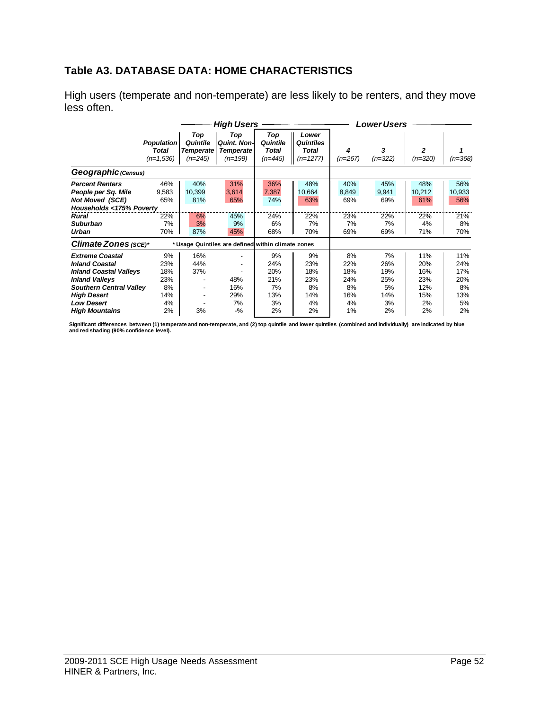# **Table A3. DATABASE DATA: HOME CHARACTERISTICS**

High users (temperate and non-temperate) are less likely to be renters, and they move less often.

|                                                                                                                                                                                        |                                                  |                                                  | <b>High Users</b>                                           |                                            |                                                         | <b>Lower Users</b>                         |                                            |                                              |                                             |  |
|----------------------------------------------------------------------------------------------------------------------------------------------------------------------------------------|--------------------------------------------------|--------------------------------------------------|-------------------------------------------------------------|--------------------------------------------|---------------------------------------------------------|--------------------------------------------|--------------------------------------------|----------------------------------------------|---------------------------------------------|--|
|                                                                                                                                                                                        | <b>Population</b><br><b>Total</b><br>$(n=1,536)$ | Top<br>Quintile<br><b>Temperate</b><br>$(n=245)$ | Top<br><b>Quint, Non-I</b><br><b>Temperate</b><br>$(n=199)$ | Top<br>Quintile<br>Total<br>$(n=445)$      | Lower<br><b>Quintiles</b><br><b>Total</b><br>$(n=1277)$ | 4<br>$(n=267)$                             | 3<br>$(n=322)$                             | $\overline{2}$<br>$(n=320)$                  | $(n=368)$                                   |  |
| Geographic (Census)                                                                                                                                                                    |                                                  |                                                  |                                                             |                                            |                                                         |                                            |                                            |                                              |                                             |  |
| <b>Percent Renters</b><br>People per Sq. Mile<br><b>Not Moved (SCE)</b><br>Households <175% Poverty<br>Rural<br><b>Suburban</b><br>Urban                                               | 46%<br>9,583<br>65%<br>22%<br>7%<br>70%          | 40%<br>10,399<br>81%<br>6%<br>3%<br>87%          | 31%<br>3,614<br>65%<br>45%<br>9%<br>45%                     | 36%<br>7,387<br>74%<br>24%<br>6%<br>68%    | 48%<br>10,664<br>63%<br>22%<br>7%<br>70%                | 40%<br>8,849<br>69%<br>23%<br>7%<br>69%    | 45%<br>9,941<br>69%<br>22%<br>7%<br>69%    | 48%<br>10,212<br>61%<br>22%<br>4%<br>71%     | 56%<br>10,933<br>56%<br>21%<br>8%<br>70%    |  |
| Climate Zones (SCE)*                                                                                                                                                                   |                                                  |                                                  | * Usage Quintiles are defined within climate zones          |                                            |                                                         |                                            |                                            |                                              |                                             |  |
| <b>Extreme Coastal</b><br><b>Inland Coastal</b><br><b>Inland Coastal Valleys</b><br><b>Inland Valleys</b><br><b>Southern Central Valley</b><br><b>High Desert</b><br><b>Low Desert</b> | 9%<br>23%<br>18%<br>23%<br>8%<br>14%<br>4%       | 16%<br>44%<br>37%                                | 48%<br>16%<br>29%<br>7%                                     | 9%<br>24%<br>20%<br>21%<br>7%<br>13%<br>3% | 9%<br>23%<br>18%<br>23%<br>8%<br>14%<br>4%              | 8%<br>22%<br>18%<br>24%<br>8%<br>16%<br>4% | 7%<br>26%<br>19%<br>25%<br>5%<br>14%<br>3% | 11%<br>20%<br>16%<br>23%<br>12%<br>15%<br>2% | 11%<br>24%<br>17%<br>20%<br>8%<br>13%<br>5% |  |
| <b>High Mountains</b>                                                                                                                                                                  | 2%                                               | 3%                                               | $-$ %                                                       | 2%                                         | 2%                                                      | 1%                                         | 2%                                         | 2%                                           | 2%                                          |  |

Significant differences between (1) temperate and non-temperate, and (2) top quintile and lower quintiles (combined and individually) are indicated by blue<br>and red shading (90% confidence level).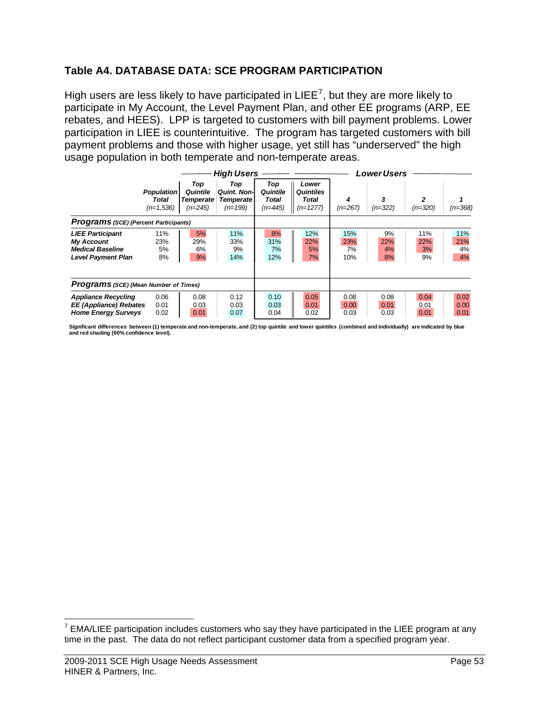# **Table A4. DATABASE DATA: SCE PROGRAM PARTICIPATION**

High users are less likely to have participated in LIEE<sup>[7](#page-52-0)</sup>, but they are more likely to participate in My Account, the Level Payment Plan, and other EE programs (ARP, EE rebates, and HEES). LPP is targeted to customers with bill payment problems. Lower participation in LIEE is counterintuitive. The program has targeted customers with bill payment problems and those with higher usage, yet still has "underserved" the high usage population in both temperate and non-temperate areas.

|                                                                                                      |                                           | <b>High Users</b>                                |                                                             |                                       |                                                  | Lower Users             |                       |                        |                        |
|------------------------------------------------------------------------------------------------------|-------------------------------------------|--------------------------------------------------|-------------------------------------------------------------|---------------------------------------|--------------------------------------------------|-------------------------|-----------------------|------------------------|------------------------|
|                                                                                                      | <b>Population</b><br>Total<br>$(n=1,536)$ | Top<br>Quintile<br><b>Temperate</b><br>$(n=245)$ | Top<br><b>Quint, Non-I</b><br><b>Temperate</b><br>$(n=199)$ | Top<br>Quintile<br>Total<br>$(n=445)$ | Lower<br><b>Quintiles</b><br>Total<br>$(n=1277)$ | $(n=267)$               | 3<br>$(n=322)$        | 2<br>$(n=320)$         | $(n=368)$              |
| <b>Programs</b> (SCE) (Percent Participants)                                                         |                                           |                                                  |                                                             |                                       |                                                  |                         |                       |                        |                        |
| <b>LIEE Participant</b><br><b>My Account</b><br><b>Medical Baseline</b><br><b>Level Payment Plan</b> | 11%<br>23%<br>5%<br>8%                    | 5%<br>29%<br>6%<br>9%                            | 11%<br>33%<br>9%<br>14%                                     | 8%<br>31%<br>7%<br>12%                | 12%<br>22%<br>5%<br>7%                           | 15%<br>23%<br>7%<br>10% | 9%<br>22%<br>4%<br>8% | 11%<br>22%<br>3%<br>9% | 11%<br>21%<br>4%<br>4% |
| <b>Programs</b> (SCE) (Mean Number of Times)                                                         |                                           |                                                  |                                                             |                                       |                                                  |                         |                       |                        |                        |
| <b>Appliance Recycling</b><br><b>EE</b> (Appliance) Rebates<br><b>Home Energy Surveys</b>            | 0.06<br>0.01<br>0.02                      | 0.08<br>0.03<br>0.01                             | 0.12<br>0.03<br>0.07                                        | 0.10<br>0.03<br>0.04                  | 0.05<br>0.01<br>0.02                             | 0.08<br>0.00<br>0.03    | 0.08<br>0.01<br>0.03  | 0.04<br>0.01<br>0.01   | 0.02<br>0.00<br>0.01   |

**Significant differences between (1) temperate and non-temperate, and (2) top quintile and lower quintiles (combined and individually) are indicated by blue and red shading (90% confidence level).** 

<span id="page-52-0"></span> 7 EMA/LIEE participation includes customers who say they have participated in the LIEE program at any time in the past. The data do not reflect participant customer data from a specified program year.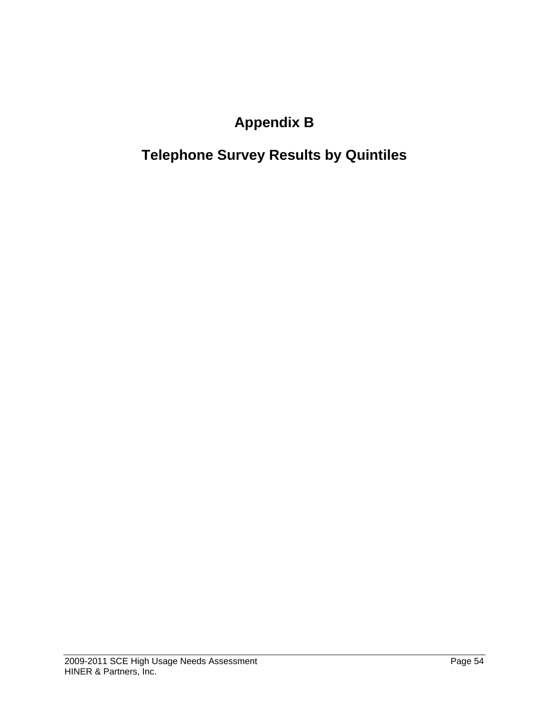# **Appendix B**

# **Telephone Survey Results by Quintiles**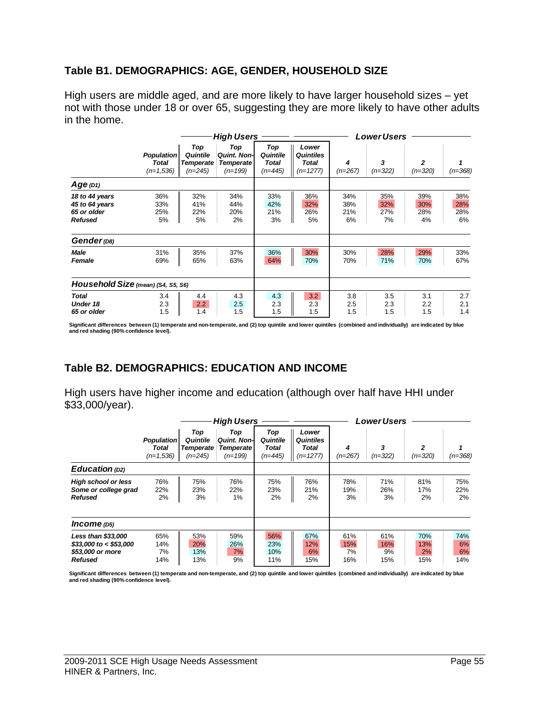### **Table B1. DEMOGRAPHICS: AGE, GENDER, HOUSEHOLD SIZE**

High users are middle aged, and are more likely to have larger household sizes – yet not with those under 18 or over 65, suggesting they are more likely to have other adults in the home.

|                                                                                                 |                                           |                                                  | <b>High Users</b>                                          |                                       | <b>Lower Users</b>                               |                                |                                |                                |                                |  |
|-------------------------------------------------------------------------------------------------|-------------------------------------------|--------------------------------------------------|------------------------------------------------------------|---------------------------------------|--------------------------------------------------|--------------------------------|--------------------------------|--------------------------------|--------------------------------|--|
|                                                                                                 | <b>Population</b><br>Total<br>$(n=1,536)$ | Top<br>Quintile<br><b>Temperate</b><br>$(n=245)$ | Top<br><b>Quint. Non-</b><br><b>Temperate</b><br>$(n=199)$ | Top<br>Quintile<br>Total<br>$(n=445)$ | Lower<br><b>Quintiles</b><br>Total<br>$(n=1277)$ | 4<br>$(n=267)$                 | 3<br>$(n=322)$                 | 2<br>$(n=320)$                 | $(n=368)$                      |  |
| $Age$ (D1)                                                                                      |                                           |                                                  |                                                            |                                       |                                                  |                                |                                |                                |                                |  |
| 18 to 44 years<br>45 to 64 years<br>65 or older<br><b>Refused</b><br>Gender (D8)<br><b>Male</b> | 36%<br>33%<br>25%<br>5%<br>31%            | 32%<br>41%<br>22%<br>5%<br>35%                   | 34%<br>44%<br>20%<br>2%<br>37%                             | 33%<br>42%<br>21%<br>3%<br>36%        | 36%<br>32%<br>26%<br>5%<br>30%                   | 34%<br>38%<br>21%<br>6%<br>30% | 35%<br>32%<br>27%<br>7%<br>28% | 39%<br>30%<br>28%<br>4%<br>29% | 38%<br>28%<br>28%<br>6%<br>33% |  |
| Female                                                                                          | 69%                                       | 65%                                              | 63%                                                        | 64%                                   | 70%                                              | 70%                            | 71%                            | 70%                            | 67%                            |  |
| Household Size (mean) (S4, S5, S6)                                                              |                                           |                                                  |                                                            |                                       |                                                  |                                |                                |                                |                                |  |
| <b>Total</b><br>Under 18<br>65 or older                                                         | 3.4<br>2.3<br>1.5                         | 4.4<br>2.2<br>1.4                                | 4.3<br>2.5<br>1.5                                          | 4.3<br>2.3<br>1.5                     | 3.2<br>2.3<br>1.5                                | 3.8<br>2.5<br>1.5              | 3.5<br>2.3<br>1.5              | 3.1<br>2.2<br>1.5              | 2.7<br>2.1<br>1.4              |  |

Significant differences between (1) temperate and non-temperate, and (2) top quintile and lower quintiles (combined and individually) are indicated by blue<br>and red shading (90% confidence level).

# **Table B2. DEMOGRAPHICS: EDUCATION AND INCOME**

High users have higher income and education (although over half have HHI under \$33,000/year).

|                                                                                     |                                           |                                                  | <b>High Users</b>                                           |                                       |                                           | Lower Users             |                         |                         |                        |  |
|-------------------------------------------------------------------------------------|-------------------------------------------|--------------------------------------------------|-------------------------------------------------------------|---------------------------------------|-------------------------------------------|-------------------------|-------------------------|-------------------------|------------------------|--|
|                                                                                     | <b>Population</b><br>Total<br>$(n=1.536)$ | Top<br>Quintile<br><b>Temperate</b><br>$(n=245)$ | Top<br><b>Quint, Non-I</b><br><b>Temperate</b><br>$(n=199)$ | Top<br>Quintile<br>Total<br>$(n=445)$ | Lower<br>Quintiles<br>Total<br>$(n=1277)$ | 4<br>$(n=267)$          | 3<br>$(n=322)$          | 2<br>$(n=320)$          | $(n=368)$              |  |
| Education (D2)                                                                      |                                           |                                                  |                                                             |                                       |                                           |                         |                         |                         |                        |  |
| <b>High school or less</b><br>Some or college grad<br><b>Refused</b>                | 76%<br>22%<br>2%                          | 75%<br>23%<br>3%                                 | 76%<br>22%<br>1%                                            | 75%<br>23%<br>2%                      | 76%<br>21%<br>2%                          | 78%<br>19%<br>3%        | 71%<br>26%<br>3%        | 81%<br>17%<br>2%        | 75%<br>22%<br>2%       |  |
| Income (D5)                                                                         |                                           |                                                  |                                                             |                                       |                                           |                         |                         |                         |                        |  |
| Less than \$33,000<br>$$33,000$ to < \$53,000<br>\$53,000 or more<br><b>Refused</b> | 65%<br>14%<br>7%<br>14%                   | 53%<br>20%<br>13%<br>13%                         | 59%<br>26%<br>7%<br>9%                                      | 56%<br>23%<br>10%<br>11%              | 67%<br>12%<br>6%<br>15%                   | 61%<br>15%<br>7%<br>16% | 61%<br>16%<br>9%<br>15% | 70%<br>13%<br>2%<br>15% | 74%<br>6%<br>6%<br>14% |  |

Significant differences between (1) temperate and non-temperate, and (2) top quintile and lower quintiles (combined and individually) are indicated by blue<br>and red shading (90% confidence level).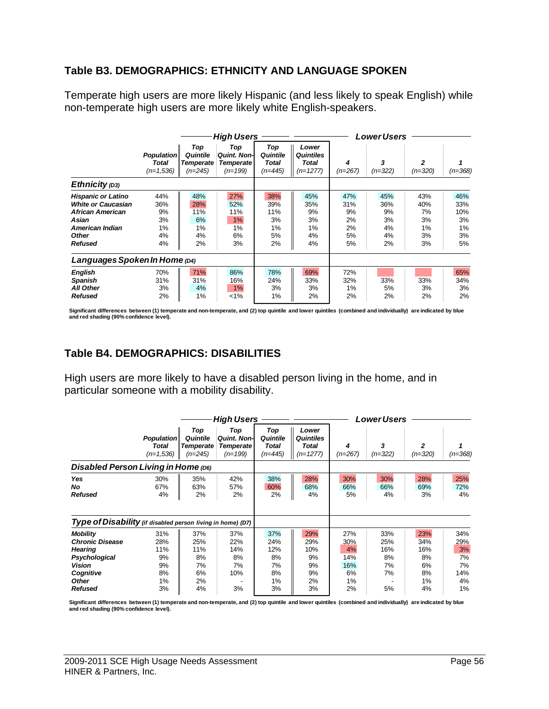## **Table B3. DEMOGRAPHICS: ETHNICITY AND LANGUAGE SPOKEN**

Temperate high users are more likely Hispanic (and less likely to speak English) while non-temperate high users are more likely white English-speakers.

|                                                                                                                                          |                                           | <b>High Users</b>                                |                                                            |                                           |                                                  |                                          | <b>Lower Users</b>                       |                                          |                                           |  |
|------------------------------------------------------------------------------------------------------------------------------------------|-------------------------------------------|--------------------------------------------------|------------------------------------------------------------|-------------------------------------------|--------------------------------------------------|------------------------------------------|------------------------------------------|------------------------------------------|-------------------------------------------|--|
|                                                                                                                                          | <b>Population</b><br>Total<br>$(n=1,536)$ | Top<br>Quintile<br><b>Temperate</b><br>$(n=245)$ | Top<br><b>Quint, Non-</b><br><b>Temperate</b><br>$(n=199)$ | Top<br>Quintile<br>Total<br>$(n=445)$     | Lower<br><b>Quintiles</b><br>Total<br>$(n=1277)$ | 4<br>$(n=267)$                           | 3<br>$(n=322)$                           | 2<br>$(n=320)$                           | $(n=368)$                                 |  |
| Ethnicity $(D3)$                                                                                                                         |                                           |                                                  |                                                            |                                           |                                                  |                                          |                                          |                                          |                                           |  |
| <b>Hispanic or Latino</b><br><b>White or Caucasian</b><br>African American<br>Asian<br>American Indian<br><b>Other</b><br><b>Refused</b> | 44%<br>36%<br>9%<br>3%<br>1%<br>4%<br>4%  | 48%<br>28%<br>11%<br>6%<br>1%<br>4%<br>2%        | 27%<br>52%<br>11%<br>1%<br>1%<br>6%<br>3%                  | 38%<br>39%<br>11%<br>3%<br>1%<br>5%<br>2% | 45%<br>35%<br>9%<br>3%<br>1%<br>4%<br>4%         | 47%<br>31%<br>9%<br>2%<br>2%<br>5%<br>5% | 45%<br>36%<br>9%<br>3%<br>4%<br>4%<br>2% | 43%<br>40%<br>7%<br>3%<br>1%<br>3%<br>3% | 46%<br>33%<br>10%<br>3%<br>1%<br>3%<br>5% |  |
| Languages Spoken In Home (D4)                                                                                                            |                                           |                                                  |                                                            |                                           |                                                  |                                          |                                          |                                          |                                           |  |
| <b>English</b><br><b>Spanish</b><br><b>All Other</b><br><b>Refused</b>                                                                   | 70%<br>31%<br>3%<br>2%                    | 71%<br>31%<br>4%<br>1%                           | 86%<br>16%<br>1%<br>$< 1\%$                                | 78%<br>24%<br>3%<br>1%                    | 69%<br>33%<br>3%<br>2%                           | 72%<br>32%<br>1%<br>2%                   | 33%<br>5%<br>2%                          | 33%<br>3%<br>2%                          | 65%<br>34%<br>3%<br>2%                    |  |

**Significant differences between (1) temperate and non-temperate, and (2) top quintile and lower quintiles (combined and individually) are indicated by blue and red shading (90% confidence level).** 

# **Table B4. DEMOGRAPHICS: DISABILITIES**

High users are more likely to have a disabled person living in the home, and in particular someone with a mobility disability.

|                                                                                                                                |                                                  |                                                  | <b>High Users</b>                                           |                                                 |                                                         | <b>Lower Users</b>                               |                                           |                                                 |                                                 |
|--------------------------------------------------------------------------------------------------------------------------------|--------------------------------------------------|--------------------------------------------------|-------------------------------------------------------------|-------------------------------------------------|---------------------------------------------------------|--------------------------------------------------|-------------------------------------------|-------------------------------------------------|-------------------------------------------------|
|                                                                                                                                | <b>Population</b><br><b>Total</b><br>$(n=1,536)$ | Top<br>Quintile<br><b>Temperate</b><br>$(n=245)$ | Top<br><b>Quint, Non-I</b><br><b>Temperate</b><br>$(n=199)$ | Top<br>Quintile<br><b>Total</b><br>$(n=445)$    | Lower<br><b>Quintiles</b><br><b>Total</b><br>$(n=1277)$ | 4<br>(n=267)                                     | 3<br>$(n=322)$                            | $\overline{2}$<br>$(n=320)$                     | $(n=368)$                                       |
| Disabled Person Living in Home (D6)                                                                                            |                                                  |                                                  |                                                             |                                                 |                                                         |                                                  |                                           |                                                 |                                                 |
| <b>Yes</b><br>No<br><b>Refused</b>                                                                                             | 30%<br>67%<br>4%                                 | 35%<br>63%<br>2%                                 | 42%<br>57%<br>2%                                            | 38%<br>60%<br>2%                                | 28%<br>68%<br>4%                                        | 30%<br>66%<br>5%                                 | 30%<br>66%<br>4%                          | 28%<br>69%<br>3%                                | 25%<br>72%<br>4%                                |
| Type of Disability (if disabled person living in home) (D7)                                                                    |                                                  |                                                  |                                                             |                                                 |                                                         |                                                  |                                           |                                                 |                                                 |
| <b>Mobility</b><br><b>Chronic Disease</b><br><b>Hearing</b><br>Psychological<br>Vision<br>Cognitive<br>Other<br><b>Refused</b> | 31%<br>28%<br>11%<br>9%<br>9%<br>8%<br>1%<br>3%  | 37%<br>25%<br>11%<br>8%<br>7%<br>6%<br>2%<br>4%  | 37%<br>22%<br>14%<br>8%<br>7%<br>10%<br>3%                  | 37%<br>24%<br>12%<br>8%<br>7%<br>8%<br>1%<br>3% | 29%<br>29%<br>10%<br>9%<br>9%<br>9%<br>2%<br>3%         | 27%<br>30%<br>4%<br>14%<br>16%<br>6%<br>1%<br>2% | 33%<br>25%<br>16%<br>8%<br>7%<br>7%<br>5% | 23%<br>34%<br>16%<br>8%<br>6%<br>8%<br>1%<br>4% | 34%<br>29%<br>3%<br>7%<br>7%<br>14%<br>4%<br>1% |

**Significant differences between (1) temperate and non-temperate, and (2) top quintile and lower quintiles (combined and individually) are indicated by blue and red shading (90% confidence level).**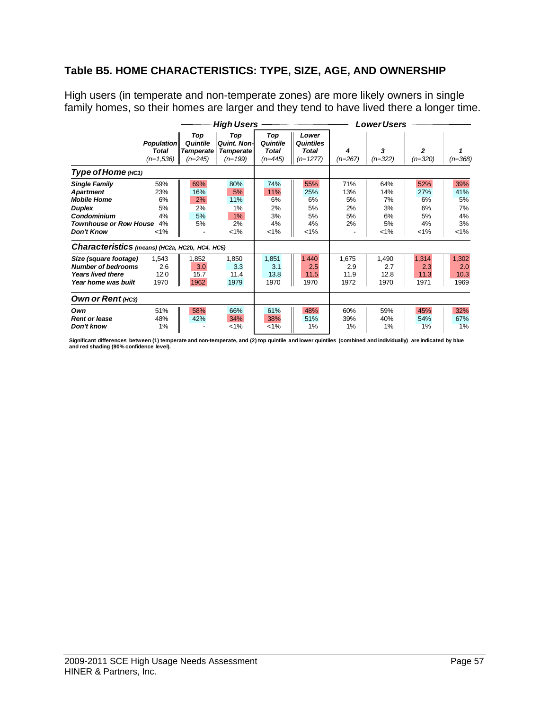## **Table B5. HOME CHARACTERISTICS: TYPE, SIZE, AGE, AND OWNERSHIP**

High users (in temperate and non-temperate zones) are more likely owners in single family homes, so their homes are larger and they tend to have lived there a longer time.

|                                                                                                                                               |                                                  |                                                  | <b>High Users</b>                                           |                                              |                                                  | <b>Lower Users</b>                 |                                               |                                               |                                               |  |
|-----------------------------------------------------------------------------------------------------------------------------------------------|--------------------------------------------------|--------------------------------------------------|-------------------------------------------------------------|----------------------------------------------|--------------------------------------------------|------------------------------------|-----------------------------------------------|-----------------------------------------------|-----------------------------------------------|--|
|                                                                                                                                               | <b>Population</b><br><b>Total</b><br>$(n=1,536)$ | Top<br>Quintile<br><b>Temperate</b><br>$(n=245)$ | Top<br><b>Quint, Non-I</b><br><b>Temperate</b><br>$(n=199)$ | Top<br>Quintile<br><b>Total</b><br>$(n=445)$ | Lower<br><b>Quintiles</b><br>Total<br>$(n=1277)$ | 4<br>$(n=267)$                     | 3<br>$(n=322)$                                | 2<br>$(n=320)$                                | $(n=368)$                                     |  |
| <b>Туре of Home</b> (нс1)                                                                                                                     |                                                  |                                                  |                                                             |                                              |                                                  |                                    |                                               |                                               |                                               |  |
| <b>Single Family</b><br><b>Apartment</b><br><b>Mobile Home</b><br><b>Duplex</b><br>Condominium<br>Townhouse or Row House<br><b>Don't Know</b> | 59%<br>23%<br>6%<br>5%<br>4%<br>4%<br>$< 1\%$    | 69%<br>16%<br>2%<br>2%<br>5%<br>5%               | 80%<br>5%<br>11%<br>1%<br>1%<br>2%<br>$1\%$                 | 74%<br>11%<br>6%<br>2%<br>3%<br>4%<br>$1\%$  | 55%<br>25%<br>6%<br>5%<br>5%<br>4%<br>$< 1\%$    | 71%<br>13%<br>5%<br>2%<br>5%<br>2% | 64%<br>14%<br>7%<br>3%<br>6%<br>5%<br>$< 1\%$ | 52%<br>27%<br>6%<br>6%<br>5%<br>4%<br>$< 1\%$ | 39%<br>41%<br>5%<br>7%<br>4%<br>3%<br>$< 1\%$ |  |
| Characteristics (means) (HC2a, HC2b, HC4, HC5)                                                                                                |                                                  |                                                  |                                                             |                                              |                                                  |                                    |                                               |                                               |                                               |  |
| Size (square footage)<br><b>Number of bedrooms</b><br><b>Years lived there</b><br>Year home was built                                         | 1,543<br>2.6<br>12.0<br>1970                     | 1,852<br>3.0<br>15.7<br>1962                     | 1,850<br>3.3<br>11.4<br>1979                                | 1,851<br>3.1<br>13.8<br>1970                 | 1,440<br>2.5<br>11.5<br>1970                     | 1,675<br>2.9<br>11.9<br>1972       | 1,490<br>2.7<br>12.8<br>1970                  | 1,314<br>2.3<br>11.3<br>1971                  | 1,302<br>2.0<br>10.3<br>1969                  |  |
| Own or Rent (HC3)                                                                                                                             |                                                  |                                                  |                                                             |                                              |                                                  |                                    |                                               |                                               |                                               |  |
| Own<br><b>Rent or lease</b><br>Don't know                                                                                                     | 51%<br>48%<br>1%                                 | 58%<br>42%                                       | 66%<br>34%<br>$1\%$                                         | 61%<br>38%<br>$1\%$                          | 48%<br>51%<br>1%                                 | 60%<br>39%<br>1%                   | 59%<br>40%<br>1%                              | 45%<br>54%<br>1%                              | 32%<br>67%<br>1%                              |  |

**Significant differences between (1) temperate and non-temperate, and (2) top quintile and lower quintiles (combined and individually) are indicated by blue and red shading (90% confidence level).**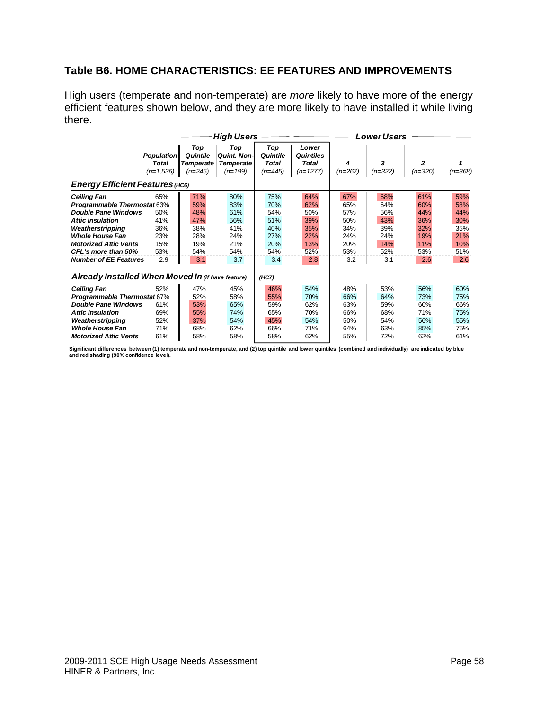# **Table B6. HOME CHARACTERISTICS: EE FEATURES AND IMPROVEMENTS**

High users (temperate and non-temperate) are *more* likely to have more of the energy efficient features shown below, and they are more likely to have installed it while living there.

|                                                                                                                                                                                                                                                        |                                                      |                                                             | <b>High Users</b>                                           |                                                             |                                                             | <b>Lower Users</b>                                          |                                                             |                                                             |                                                             |
|--------------------------------------------------------------------------------------------------------------------------------------------------------------------------------------------------------------------------------------------------------|------------------------------------------------------|-------------------------------------------------------------|-------------------------------------------------------------|-------------------------------------------------------------|-------------------------------------------------------------|-------------------------------------------------------------|-------------------------------------------------------------|-------------------------------------------------------------|-------------------------------------------------------------|
|                                                                                                                                                                                                                                                        | <b>Population</b><br>Total<br>$(n=1,536)$            | Top<br>Quintile<br>Temperate<br>$(n=245)$                   | Top<br><b>Quint. Non-</b><br><b>Temperate</b><br>$(n=199)$  | Top<br>Quintile<br>Total<br>$(n=445)$                       | Lower<br>Quintiles<br>Total<br>$(n=1277)$                   | 4<br>(n=267)                                                | 3<br>$(n=322)$                                              | 2<br>$(n=320)$                                              | (n=368)                                                     |
| <b>Energy Efficient Features (HC6)</b>                                                                                                                                                                                                                 |                                                      |                                                             |                                                             |                                                             |                                                             |                                                             |                                                             |                                                             |                                                             |
| <b>Ceiling Fan</b><br><b>Programmable Thermostat 63%</b><br><b>Double Pane Windows</b><br><b>Attic Insulation</b><br>Weatherstripping<br><b>Whole House Fan</b><br><b>Motorized Attic Vents</b><br>CFL's more than 50%<br><b>Number of EE Features</b> | 65%<br>50%<br>41%<br>36%<br>23%<br>15%<br>53%<br>2.9 | 71%<br>59%<br>48%<br>47%<br>38%<br>28%<br>19%<br>54%<br>3.1 | 80%<br>83%<br>61%<br>56%<br>41%<br>24%<br>21%<br>54%<br>3.7 | 75%<br>70%<br>54%<br>51%<br>40%<br>27%<br>20%<br>54%<br>3.4 | 64%<br>62%<br>50%<br>39%<br>35%<br>22%<br>13%<br>52%<br>2.8 | 67%<br>65%<br>57%<br>50%<br>34%<br>24%<br>20%<br>53%<br>3.2 | 68%<br>64%<br>56%<br>43%<br>39%<br>24%<br>14%<br>52%<br>3.1 | 61%<br>60%<br>44%<br>36%<br>32%<br>19%<br>11%<br>53%<br>2.6 | 59%<br>58%<br>44%<br>30%<br>35%<br>21%<br>10%<br>51%<br>2.6 |
| Already Installed When Moved In (if have feature)                                                                                                                                                                                                      |                                                      |                                                             |                                                             | (HC7)                                                       |                                                             |                                                             |                                                             |                                                             |                                                             |
| <b>Ceiling Fan</b><br><b>Programmable Thermostat 67%</b><br><b>Double Pane Windows</b><br><b>Attic Insulation</b><br>Weatherstripping<br><b>Whole House Fan</b><br><b>Motorized Attic Vents</b>                                                        | 52%<br>61%<br>69%<br>52%<br>71%<br>61%               | 47%<br>52%<br>53%<br>55%<br>37%<br>68%<br>58%               | 45%<br>58%<br>65%<br>74%<br>54%<br>62%<br>58%               | 46%<br>55%<br>59%<br>65%<br>45%<br>66%<br>58%               | 54%<br>70%<br>62%<br>70%<br>54%<br>71%<br>62%               | 48%<br>66%<br>63%<br>66%<br>50%<br>64%<br>55%               | 53%<br>64%<br>59%<br>68%<br>54%<br>63%<br>72%               | 56%<br>73%<br>60%<br>71%<br>56%<br>85%<br>62%               | 60%<br>75%<br>66%<br>75%<br>55%<br>75%<br>61%               |

Significant differences between (1) temperate and non-temperate, and (2) top quintile and lower quintiles (combined and individually) are indicated by blue<br>and red shading (90% confidence level).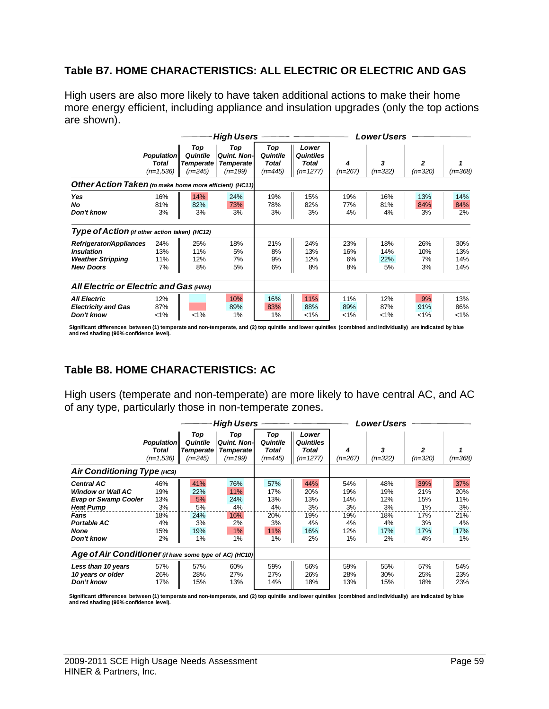## **Table B7. HOME CHARACTERISTICS: ALL ELECTRIC OR ELECTRIC AND GAS**

High users are also more likely to have taken additional actions to make their home more energy efficient, including appliance and insulation upgrades (only the top actions are shown).

|                                                                                              |                                                  |                                                  | <b>High Users</b>                                           |                                       |                                                         | <b>Lower Users</b>     |                         |                        |                          |
|----------------------------------------------------------------------------------------------|--------------------------------------------------|--------------------------------------------------|-------------------------------------------------------------|---------------------------------------|---------------------------------------------------------|------------------------|-------------------------|------------------------|--------------------------|
|                                                                                              | <b>Population</b><br><b>Total</b><br>$(n=1,536)$ | Top<br>Quintile<br><b>Temperate</b><br>$(n=245)$ | Top<br><b>Quint, Non-I</b><br><b>Temperate</b><br>$(n=199)$ | Top<br>Quintile<br>Total<br>$(n=445)$ | Lower<br><b>Quintiles</b><br><b>Total</b><br>$(n=1277)$ | 4<br>$(n=267)$         | 3<br>$(n=322)$          | 2<br>$(n=320)$         | $(n=368)$                |
| Other Action Taken (to make home more efficient) (HC11)                                      |                                                  |                                                  |                                                             |                                       |                                                         |                        |                         |                        |                          |
| Yes<br>No<br>Don't know                                                                      | 16%<br>81%<br>3%                                 | 14%<br>82%<br>3%                                 | 24%<br>73%<br>3%                                            | 19%<br>78%<br>3%                      | 15%<br>82%<br>3%                                        | 19%<br>77%<br>4%       | 16%<br>81%<br>4%        | 13%<br>84%<br>3%       | 14%<br>84%<br>2%         |
| Type of Action (if other action taken) (HC12)                                                |                                                  |                                                  |                                                             |                                       |                                                         |                        |                         |                        |                          |
| Refrigerator/Appliances<br><b>Insulation</b><br><b>Weather Stripping</b><br><b>New Doors</b> | 24%<br>13%<br>11%<br>7%                          | 25%<br>11%<br>12%<br>8%                          | 18%<br>5%<br>7%<br>5%                                       | 21%<br>8%<br>9%<br>6%                 | 24%<br>13%<br>12%<br>8%                                 | 23%<br>16%<br>6%<br>8% | 18%<br>14%<br>22%<br>5% | 26%<br>10%<br>7%<br>3% | 30%<br>13%<br>14%<br>14% |
| All Electric or Electric and Gas (HIN4)                                                      |                                                  |                                                  |                                                             |                                       |                                                         |                        |                         |                        |                          |
| <b>All Electric</b><br><b>Electricity and Gas</b><br>Don't know                              | 12%<br>87%<br>$< 1\%$                            | $1\%$                                            | 10%<br>89%<br>1%                                            | 16%<br>83%<br>$1\%$                   | 11%<br>88%<br>$< 1\%$                                   | 11%<br>89%<br>$1\%$    | 12%<br>87%<br>$1\%$     | 9%<br>91%<br>$1\%$     | 13%<br>86%<br>$1\%$      |

**Significant differences between (1) temperate and non-temperate, and (2) top quintile and lower quintiles (combined and individually) are indicated by blue and red shading (90% confidence level).** 

# **Table B8. HOME CHARACTERISTICS: AC**

High users (temperate and non-temperate) are more likely to have central AC, and AC of any type, particularly those in non-temperate zones.

|                                                                                                                                               |                                                   |                                                     | <b>High Users</b>                                           |                                                   | <b>Lower Users</b>                                      |                                                   |                                                   |                                                   |                                                      |  |
|-----------------------------------------------------------------------------------------------------------------------------------------------|---------------------------------------------------|-----------------------------------------------------|-------------------------------------------------------------|---------------------------------------------------|---------------------------------------------------------|---------------------------------------------------|---------------------------------------------------|---------------------------------------------------|------------------------------------------------------|--|
|                                                                                                                                               | <b>Population</b><br><b>Total</b><br>$(n=1,536)$  | Top<br>Quintile<br><b>Temperate</b><br>$(n=245)$    | Top<br><b>Quint, Non-I</b><br><b>Temperate</b><br>$(n=199)$ | Top<br>Quintile<br>Total<br>$(n=445)$             | Lower<br><b>Quintiles</b><br><b>Total</b><br>$(n=1277)$ | 4<br>$(n=267)$                                    | 3<br>$(n=322)$                                    | 2<br>$(n=320)$                                    | $(n=368)$                                            |  |
| Air Conditioning Type (HC9)                                                                                                                   |                                                   |                                                     |                                                             |                                                   |                                                         |                                                   |                                                   |                                                   |                                                      |  |
| <b>Central AC</b><br><b>Window or Wall AC</b><br><b>Evap or Swamp Cooler</b><br><b>Heat Pump</b><br>Fans<br>Portable AC<br>None<br>Don't know | 46%<br>19%<br>13%<br>3%<br>18%<br>4%<br>15%<br>2% | 41%<br>22%<br>5%<br>5%<br>24%<br>3%<br>19%<br>$1\%$ | 76%<br>11%<br>24%<br>4%<br>16%<br>2%<br>1%<br>1%            | 57%<br>17%<br>13%<br>4%<br>20%<br>3%<br>11%<br>1% | 44%<br>20%<br>13%<br>3%<br>19%<br>4%<br>16%<br>2%       | 54%<br>19%<br>14%<br>3%<br>19%<br>4%<br>12%<br>1% | 48%<br>19%<br>12%<br>3%<br>18%<br>4%<br>17%<br>2% | 39%<br>21%<br>15%<br>1%<br>17%<br>3%<br>17%<br>4% | 37%<br>20%<br>11%<br>3%<br>21%<br>4%<br>17%<br>$1\%$ |  |
| Age of Air Conditioner (if have some type of AC) (HC10)                                                                                       |                                                   |                                                     |                                                             |                                                   |                                                         |                                                   |                                                   |                                                   |                                                      |  |
| Less than 10 years<br>10 years or older<br>Don't know                                                                                         | 57%<br>26%<br>17%                                 | 57%<br>28%<br>15%                                   | 60%<br>27%<br>13%                                           | 59%<br>27%<br>14%                                 | 56%<br>26%<br>18%                                       | 59%<br>28%<br>13%                                 | 55%<br>30%<br>15%                                 | 57%<br>25%<br>18%                                 | 54%<br>23%<br>23%                                    |  |

Significant differences between (1) temperate and non-temperate, and (2) top quintile and lower quintiles (combined and individually) are indicated by blue **and red shading (90% confidence level).**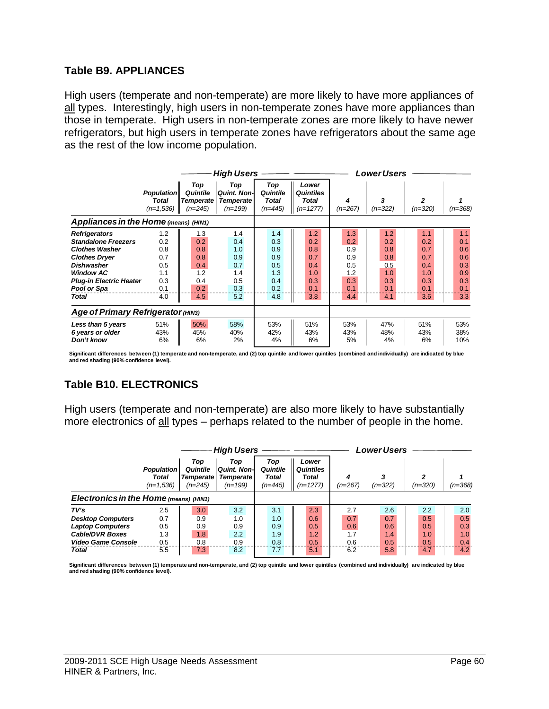### **Table B9. APPLIANCES**

High users (temperate and non-temperate) are more likely to have more appliances of all types. Interestingly, high users in non-temperate zones have more appliances than those in temperate. High users in non-temperate zones are more likely to have newer refrigerators, but high users in temperate zones have refrigerators about the same age as the rest of the low income population.

|                                                                                                                                                                                                               |                                                             |                                                             | <b>High Users</b>                                           |                                                             |                                                             | <b>Lower Users</b>                                          |                                                             |                                                             |                                                             |
|---------------------------------------------------------------------------------------------------------------------------------------------------------------------------------------------------------------|-------------------------------------------------------------|-------------------------------------------------------------|-------------------------------------------------------------|-------------------------------------------------------------|-------------------------------------------------------------|-------------------------------------------------------------|-------------------------------------------------------------|-------------------------------------------------------------|-------------------------------------------------------------|
|                                                                                                                                                                                                               | <b>Population</b><br><b>Total</b><br>$(n=1,536)$            | Top<br>Quintile<br><b>Temperate</b><br>$(n=245)$            | Top<br><b>Quint, Non-I</b><br><b>Temperate</b><br>$(n=199)$ | Top<br>Quintile<br>Total<br>$(n=445)$                       | Lower<br><b>Quintiles</b><br><b>Total</b><br>$(n=1277)$     | 4<br>$(n=267)$                                              | 3<br>$(n=322)$                                              | $\overline{2}$<br>$(n=320)$                                 | $(n=368)$                                                   |
| Appliances in the Home (means) (HIN1)                                                                                                                                                                         |                                                             |                                                             |                                                             |                                                             |                                                             |                                                             |                                                             |                                                             |                                                             |
| <b>Refrigerators</b><br><b>Standalone Freezers</b><br><b>Clothes Washer</b><br><b>Clothes Dryer</b><br><b>Dishwasher</b><br><b>Window AC</b><br><b>Plug-in Electric Heater</b><br>Pool or Spa<br><b>Total</b> | 1.2<br>0.2<br>0.8<br>0.7<br>0.5<br>1.1<br>0.3<br>0.1<br>4.0 | 1.3<br>0.2<br>0.8<br>0.8<br>0.4<br>1.2<br>0.4<br>0.2<br>4.5 | 1.4<br>0.4<br>1.0<br>0.9<br>0.7<br>1.4<br>0.5<br>0.3<br>5.2 | 1.4<br>0.3<br>0.9<br>0.9<br>0.5<br>1.3<br>0.4<br>0.2<br>4.8 | 1.2<br>0.2<br>0.8<br>0.7<br>0.4<br>1.0<br>0.3<br>0.1<br>3.8 | 1.3<br>0.2<br>0.9<br>0.9<br>0.5<br>1.2<br>0.3<br>0.1<br>4.4 | 1.2<br>0.2<br>0.8<br>0.8<br>0.5<br>1.0<br>0.3<br>0.1<br>4.1 | 1.1<br>0.2<br>0.7<br>0.7<br>0.4<br>1.0<br>0.3<br>0.1<br>3.6 | 1.1<br>0.1<br>0.6<br>0.6<br>0.3<br>0.9<br>0.3<br>0.1<br>3.3 |
| Age of Primary Refrigerator (HIN3)                                                                                                                                                                            |                                                             |                                                             |                                                             |                                                             |                                                             |                                                             |                                                             |                                                             |                                                             |
| Less than 5 years<br>6 years or older<br>Don't know                                                                                                                                                           | 51%<br>43%<br>6%                                            | 50%<br>45%<br>6%                                            | 58%<br>40%<br>2%                                            | 53%<br>42%<br>4%                                            | 51%<br>43%<br>6%                                            | 53%<br>43%<br>5%                                            | 47%<br>48%<br>4%                                            | 51%<br>43%<br>6%                                            | 53%<br>38%<br>10%                                           |

Significant differences between (1) temperate and non-temperate, and (2) top quintile and lower quintiles (combined and individually) are indicated by blue<br>and red shading (90% confidence level).

# **Table B10. ELECTRONICS**

High users (temperate and non-temperate) are also more likely to have substantially more electronics of all types – perhaps related to the number of people in the home.

|                                        |                                                  |                                                  | <b>High Users</b>                                           |                                       |                                                  | Lower Users |           |           |           |
|----------------------------------------|--------------------------------------------------|--------------------------------------------------|-------------------------------------------------------------|---------------------------------------|--------------------------------------------------|-------------|-----------|-----------|-----------|
|                                        | <b>Population</b><br><b>Total</b><br>$(n=1.536)$ | Top<br>Quintile<br><b>Temperate</b><br>$(n=245)$ | Top<br><b>Quint, Non-I</b><br><b>Temperate</b><br>$(n=199)$ | Top<br>Quintile<br>Total<br>$(n=445)$ | Lower<br><b>Quintiles</b><br>Total<br>$(n=1277)$ | $(n=267)$   | $(n=322)$ | $(n=320)$ | $(n=368)$ |
| Electronics in the Home (means) (HIN1) |                                                  |                                                  |                                                             |                                       |                                                  |             |           |           |           |
| TV's                                   | 2.5                                              | 3.0                                              | 3.2                                                         | 3.1                                   | 2.3                                              | 2.7         | 2.6       | 2.2       | 2.0       |
| <b>Desktop Computers</b>               | 0.7                                              | 0.9                                              | 1.0                                                         | 1.0                                   | 0.6                                              | 0.7         | 0.7       | 0.5       | 0.5       |
| <b>Laptop Computers</b>                | 0.5                                              | 0.9                                              | 0.9                                                         | 0.9                                   | 0.5                                              | 0.6         | 0.6       | 0.5       | 0.3       |
| <b>Cable/DVR Boxes</b>                 | 1.3                                              | 1.8                                              | 2.2                                                         | 1.9                                   | 1.2                                              | 1.7         | 1.4       | 1.0       | 1.0       |
| Video Game Console                     | 0.5                                              | 0.8                                              | 0.9                                                         | 0.8                                   | 0.5                                              | 0.6         | 0.5       | 0.5       | 0.4       |
| <b>Total</b>                           | 5.5                                              | 7.3                                              | 8.2                                                         | 7.7                                   | 5.1                                              | 6.2         | 5.8       | 4.7       | 4.2       |

**Significant differences between (1) temperate and non-temperate, and (2) top quintile and lower quintiles (combined and individually) are indicated by blue and red shading (90% confidence level).**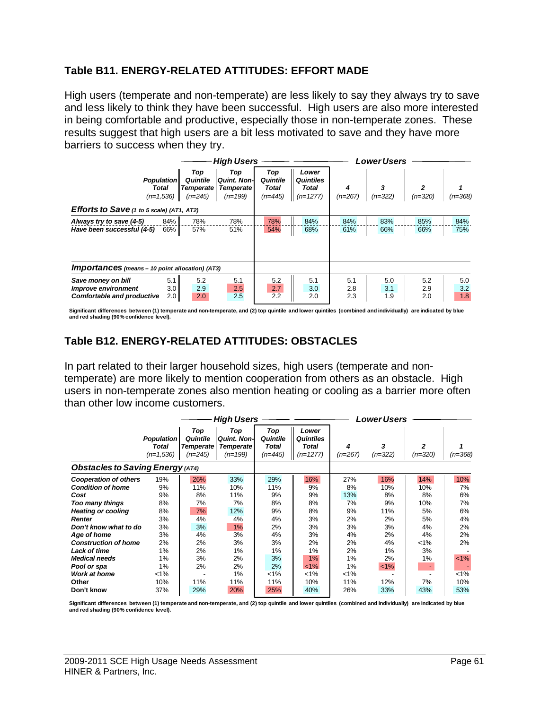## **Table B11. ENERGY-RELATED ATTITUDES: EFFORT MADE**

High users (temperate and non-temperate) are less likely to say they always try to save and less likely to think they have been successful. High users are also more interested in being comfortable and productive, especially those in non-temperate zones. These results suggest that high users are a bit less motivated to save and they have more barriers to success when they try.

|                                                                                |                                                  |                                           | <b>High Users</b>                                           |                                       |                                                  | <b>Lower Users</b> |                   |                   |                   |
|--------------------------------------------------------------------------------|--------------------------------------------------|-------------------------------------------|-------------------------------------------------------------|---------------------------------------|--------------------------------------------------|--------------------|-------------------|-------------------|-------------------|
|                                                                                | <b>Population</b><br><b>Total</b><br>$(n=1,536)$ | Top<br>Quintile<br>Temperate<br>$(n=245)$ | Top<br><b>Quint, Non-I</b><br><b>Temperate</b><br>$(n=199)$ | Top<br>Quintile<br>Total<br>$(n=445)$ | Lower<br><b>Quintiles</b><br>Total<br>$(n=1277)$ | 4<br>$(n=267)$     | 3<br>$(n=322)$    | 2<br>$(n=320)$    | $(n=368)$         |
| Efforts to Save (1 to 5 scale) (AT1, AT2)                                      |                                                  |                                           |                                                             |                                       |                                                  |                    |                   |                   |                   |
| Always try to save (4-5)<br>Have been successful (4-5)                         | 84%<br>66%                                       | 78%<br>57%                                | 78%<br>51%                                                  | 78%<br>54%                            | 84%<br>68%                                       | 84%<br>61%         | 83%<br>66%        | 85%<br>66%        | 84%<br>75%        |
| <b>Importances</b> (means - 10 point allocation) (AT3)                         |                                                  |                                           |                                                             |                                       |                                                  |                    |                   |                   |                   |
| Save money on bill<br>Improve environment<br><b>Comfortable and productive</b> | 5.1<br>3.0<br>2.0                                | 5.2<br>2.9<br>2.0                         | 5.1<br>2.5<br>2.5                                           | 5.2<br>2.7<br>2.2                     | 5.1<br>3.0<br>2.0                                | 5.1<br>2.8<br>2.3  | 5.0<br>3.1<br>1.9 | 5.2<br>2.9<br>2.0 | 5.0<br>3.2<br>1.8 |

Significant differences between (1) temperate and non-temperate, and (2) top quintile and lower quintiles (combined and individually) are indicated by blue<br>and red shading (90% confidence level).

# **Table B12. ENERGY-RELATED ATTITUDES: OBSTACLES**

In part related to their larger household sizes, high users (temperate and nontemperate) are more likely to mention cooperation from others as an obstacle. High users in non-temperate zones also mention heating or cooling as a barrier more often than other low income customers.

|                                                                                                                                                                                                                                                                                                               |                                                                                              | <b>High Users</b>                                                                    |                                                                                              |                                                                                                 |                                                                                                |                                                                                               | <b>Lower Users</b>                                                                         |                                                                                     |                                                                                         |  |
|---------------------------------------------------------------------------------------------------------------------------------------------------------------------------------------------------------------------------------------------------------------------------------------------------------------|----------------------------------------------------------------------------------------------|--------------------------------------------------------------------------------------|----------------------------------------------------------------------------------------------|-------------------------------------------------------------------------------------------------|------------------------------------------------------------------------------------------------|-----------------------------------------------------------------------------------------------|--------------------------------------------------------------------------------------------|-------------------------------------------------------------------------------------|-----------------------------------------------------------------------------------------|--|
|                                                                                                                                                                                                                                                                                                               | <b>Population</b><br><b>Total</b><br>$(n=1,536)$                                             | Top<br>Quintile<br><b>Temperate</b><br>$(n=245)$                                     | Top<br><b>Quint, Non-I</b><br><b>Temperate</b><br>$(n=199)$                                  | Top<br>Quintile<br>Total<br>(n=445)                                                             | Lower<br><b>Quintiles</b><br><b>Total</b><br>$(n=1277)$                                        | 4<br>$(n=267)$                                                                                | 3<br>$(n=322)$                                                                             | $\overline{2}$<br>$(n=320)$                                                         | $(n=368)$                                                                               |  |
| <b>Obstacles to Saving Energy (AT4)</b>                                                                                                                                                                                                                                                                       |                                                                                              |                                                                                      |                                                                                              |                                                                                                 |                                                                                                |                                                                                               |                                                                                            |                                                                                     |                                                                                         |  |
| <b>Cooperation of others</b><br><b>Condition of home</b><br>Cost<br>Too many things<br><b>Heating or cooling</b><br><b>Renter</b><br>Don't know what to do<br>Age of home<br><b>Construction of home</b><br>Lack of time<br><b>Medical needs</b><br>Pool or spa<br><b>Work at home</b><br>Other<br>Don't know | 19%<br>9%<br>9%<br>8%<br>8%<br>3%<br>3%<br>3%<br>2%<br>1%<br>1%<br>1%<br>$1\%$<br>10%<br>37% | 26%<br>11%<br>8%<br>7%<br>7%<br>4%<br>3%<br>4%<br>2%<br>2%<br>3%<br>2%<br>11%<br>29% | 33%<br>10%<br>11%<br>7%<br>12%<br>4%<br>1%<br>3%<br>3%<br>1%<br>2%<br>2%<br>1%<br>11%<br>20% | 29%<br>11%<br>9%<br>8%<br>9%<br>4%<br>2%<br>4%<br>3%<br>1%<br>3%<br>2%<br>$< 1\%$<br>11%<br>25% | 16%<br>9%<br>9%<br>8%<br>8%<br>3%<br>3%<br>3%<br>2%<br>1%<br>1%<br>$< 1\%$<br>1%<br>10%<br>40% | 27%<br>8%<br>13%<br>7%<br>9%<br>2%<br>3%<br>4%<br>2%<br>2%<br>1%<br>1%<br>$1\%$<br>11%<br>26% | 16%<br>10%<br>8%<br>9%<br>11%<br>2%<br>3%<br>2%<br>4%<br>1%<br>2%<br>$< 1\%$<br>12%<br>33% | 14%<br>10%<br>8%<br>10%<br>5%<br>5%<br>4%<br>4%<br>$< 1\%$<br>3%<br>1%<br>7%<br>43% | 10%<br>7%<br>6%<br>7%<br>6%<br>4%<br>2%<br>2%<br>2%<br>$< 1\%$<br>$< 1\%$<br>10%<br>53% |  |

**Significant differences between (1) temperate and non-temperate, and (2) top quintile and lower quintiles (combined and individually) are indicated by blue and red shading (90% confidence level).**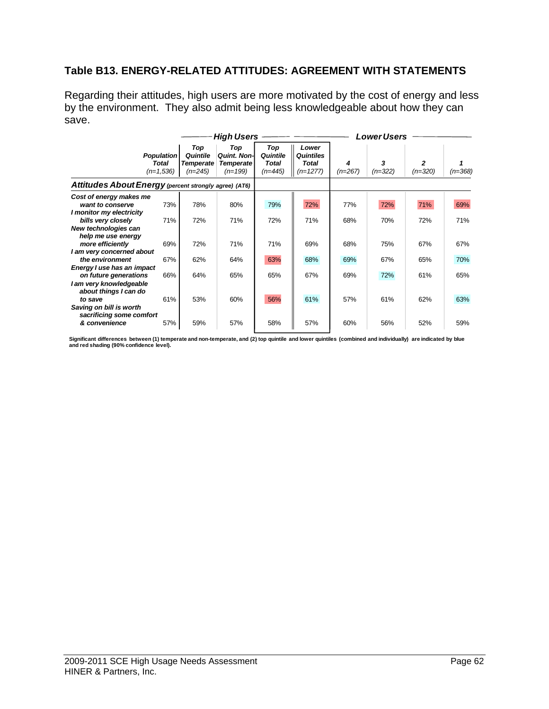# **Table B13. ENERGY-RELATED ATTITUDES: AGREEMENT WITH STATEMENTS**

Regarding their attitudes, high users are more motivated by the cost of energy and less by the environment. They also admit being less knowledgeable about how they can save.

|                                                                                                                                                                                                                                                                                                                                                                  |                                           |                                                  | <b>High Users</b>                                           |                                              |                                                         | <b>Lower Users</b>                     |                                        |                                        |                                        |
|------------------------------------------------------------------------------------------------------------------------------------------------------------------------------------------------------------------------------------------------------------------------------------------------------------------------------------------------------------------|-------------------------------------------|--------------------------------------------------|-------------------------------------------------------------|----------------------------------------------|---------------------------------------------------------|----------------------------------------|----------------------------------------|----------------------------------------|----------------------------------------|
|                                                                                                                                                                                                                                                                                                                                                                  | <b>Population</b><br>Total<br>$(n=1,536)$ | Top<br>Quintile<br><b>Temperate</b><br>$(n=245)$ | Top<br><b>Quint, Non-I</b><br><b>Temperate</b><br>$(n=199)$ | Top<br>Quintile<br><b>Total</b><br>$(n=445)$ | Lower<br><b>Quintiles</b><br><b>Total</b><br>$(n=1277)$ | 4<br>$(n=267)$                         | 3<br>$(n=322)$                         | 2<br>$(n=320)$                         | $(n=368)$                              |
| Attitudes About Energy (percent strongly agree) (AT6)                                                                                                                                                                                                                                                                                                            |                                           |                                                  |                                                             |                                              |                                                         |                                        |                                        |                                        |                                        |
| Cost of energy makes me<br>want to conserve<br>I monitor my electricity<br>bills very closely<br>New technologies can<br>help me use energy<br>more efficiently<br>I am very concerned about<br>the environment<br>Energy I use has an impact<br>on future generations<br>I am very knowledgeable<br>about things I can do<br>to save<br>Saving on bill is worth | 73%<br>71%<br>69%<br>67%<br>66%<br>61%    | 78%<br>72%<br>72%<br>62%<br>64%<br>53%           | 80%<br>71%<br>71%<br>64%<br>65%<br>60%                      | 79%<br>72%<br>71%<br>63%<br>65%<br>56%       | 72%<br>71%<br>69%<br>68%<br>67%<br>61%                  | 77%<br>68%<br>68%<br>69%<br>69%<br>57% | 72%<br>70%<br>75%<br>67%<br>72%<br>61% | 71%<br>72%<br>67%<br>65%<br>61%<br>62% | 69%<br>71%<br>67%<br>70%<br>65%<br>63% |
| sacrificing some comfort<br>& convenience                                                                                                                                                                                                                                                                                                                        | 57%                                       | 59%                                              | 57%                                                         | 58%                                          | 57%                                                     | 60%                                    | 56%                                    | 52%                                    | 59%                                    |

Significant differences between (1) temperate and non-temperate, and (2) top quintile and lower quintiles (combined and individually) are indicated by blue<br>and red shading (90% confidence level).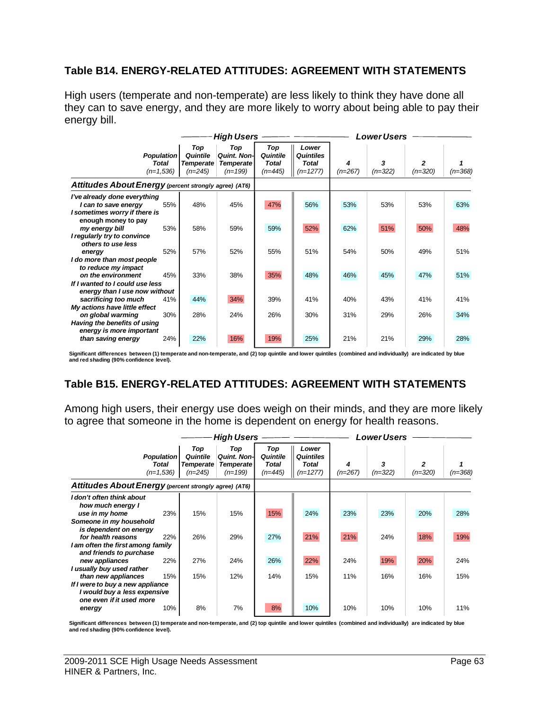### **Table B14. ENERGY-RELATED ATTITUDES: AGREEMENT WITH STATEMENTS**

High users (temperate and non-temperate) are less likely to think they have done all they can to save energy, and they are more likely to worry about being able to pay their energy bill.

|                                                                                        |                                                  |                                                  | High Users                                                 |                                              |                                                         | <b>Lower Users</b> |                |                |         |
|----------------------------------------------------------------------------------------|--------------------------------------------------|--------------------------------------------------|------------------------------------------------------------|----------------------------------------------|---------------------------------------------------------|--------------------|----------------|----------------|---------|
|                                                                                        | <b>Population</b><br><b>Total</b><br>$(n=1,536)$ | Top<br>Quintile<br><b>Temperate</b><br>$(n=245)$ | Top<br><b>Quint. Non-</b><br><b>Temperate</b><br>$(n=199)$ | Top<br>Quintile<br><b>Total</b><br>$(n=445)$ | Lower<br><b>Quintiles</b><br><b>Total</b><br>$(n=1277)$ | 4<br>$(n=267)$     | 3<br>$(n=322)$ | 2<br>$(n=320)$ | (n=368) |
| Attitudes About Energy (percent strongly agree) (AT6)                                  |                                                  |                                                  |                                                            |                                              |                                                         |                    |                |                |         |
| I've already done everything<br>I can to save energy<br>I sometimes worry if there is  | 55%                                              | 48%                                              | 45%                                                        | 47%                                          | 56%                                                     | 53%                | 53%            | 53%            | 63%     |
| enough money to pay<br>my energy bill<br>I regularly try to convince                   | 53%                                              | 58%                                              | 59%                                                        | 59%                                          | 52%                                                     | 62%                | 51%            | 50%            | 48%     |
| others to use less<br>energy<br>I do more than most people                             | 52%                                              | 57%                                              | 52%                                                        | 55%                                          | 51%                                                     | 54%                | 50%            | 49%            | 51%     |
| to reduce my impact<br>on the environment<br>If I wanted to I could use less           | 45%                                              | 33%                                              | 38%                                                        | 35%                                          | 48%                                                     | 46%                | 45%            | 47%            | 51%     |
| energy than I use now without<br>sacrificing too much<br>My actions have little effect | 41%                                              | 44%                                              | 34%                                                        | 39%                                          | 41%                                                     | 40%                | 43%            | 41%            | 41%     |
| on global warming<br>Having the benefits of using<br>energy is more important          | 30%                                              | 28%                                              | 24%                                                        | 26%                                          | 30%                                                     | 31%                | 29%            | 26%            | 34%     |
| than saving energy                                                                     | 24%                                              | 22%                                              | 16%                                                        | 19%                                          | 25%                                                     | 21%                | 21%            | 29%            | 28%     |

Significant differences between (1) temperate and non-temperate, and (2) top quintile and lower quintiles (combined and individually) are indicated by blue<br>and red shading (90% confidence level).

# **Table B15. ENERGY-RELATED ATTITUDES: AGREEMENT WITH STATEMENTS**

Among high users, their energy use does weigh on their minds, and they are more likely to agree that someone in the home is dependent on energy for health reasons.

|                                                                                                                                                                                  |                                                  |                                                  | <b>High Users</b>                                           |                                       |                                                         | <b>Lower Users</b> |                |            |            |
|----------------------------------------------------------------------------------------------------------------------------------------------------------------------------------|--------------------------------------------------|--------------------------------------------------|-------------------------------------------------------------|---------------------------------------|---------------------------------------------------------|--------------------|----------------|------------|------------|
|                                                                                                                                                                                  | <b>Population</b><br><b>Total</b><br>$(n=1,536)$ | Top<br>Quintile<br><b>Temperate</b><br>$(n=245)$ | Top<br><b>Quint, Non-I</b><br><b>Temperate</b><br>$(n=199)$ | Top<br>Quintile<br>Total<br>$(n=445)$ | Lower<br><b>Quintiles</b><br><b>Total</b><br>$(n=1277)$ | 4<br>$(n=267)$     | 3<br>$(n=322)$ | $(n=320)$  | (n=368)    |
| Attitudes About Energy (percent strongly agree) (AT6)                                                                                                                            |                                                  |                                                  |                                                             |                                       |                                                         |                    |                |            |            |
| I don't often think about<br>how much energy I<br>use in my home<br>Someone in my household<br>is dependent on energy<br>for health reasons<br>I am often the first among family | 23%<br>22%                                       | 15%<br>26%                                       | 15%<br>29%                                                  | 15%<br>27%                            | 24%<br>21%                                              | 23%<br>21%         | 23%<br>24%     | 20%<br>18% | 28%<br>19% |
| and friends to purchase<br>new appliances<br>I usually buy used rather<br>than new appliances                                                                                    | 22%<br>15%                                       | 27%<br>15%                                       | 24%<br>12%                                                  | 26%<br>14%                            | 22%<br>15%                                              | 24%<br>11%         | 19%<br>16%     | 20%<br>16% | 24%<br>15% |
| If I were to buy a new appliance<br>I would buy a less expensive<br>one even if it used more<br>energy                                                                           | 10%                                              | 8%                                               | 7%                                                          | 8%                                    | 10%                                                     | 10%                | 10%            | 10%        | 11%        |

**Significant differences between (1) temperate and non-temperate, and (2) top quintile and lower quintiles (combined and individually) are indicated by blue and red shading (90% confidence level).**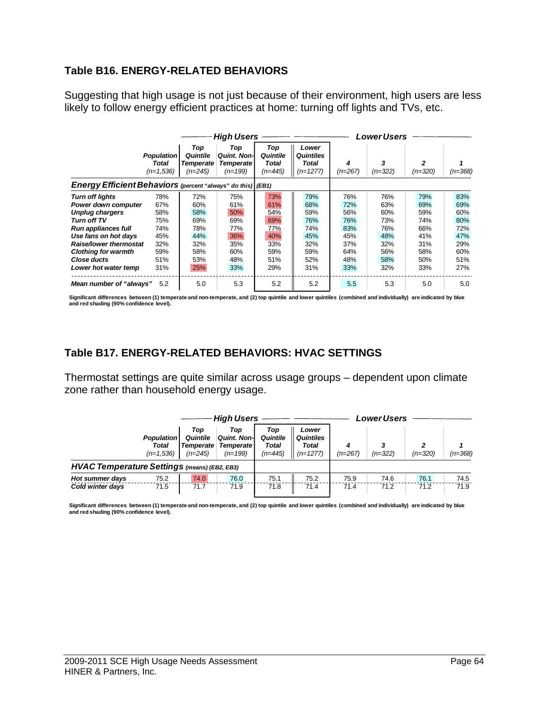## **Table B16. ENERGY-RELATED BEHAVIORS**

Suggesting that high usage is not just because of their environment, high users are less likely to follow energy efficient practices at home: turning off lights and TVs, etc.

|                                                                                                                                                                                                                                             |                                                                    |                                                                    | <b>High Users</b>                                                  |                                                                    |                                                                    | Lower Users                                                        |                                                                    |                                                                    |                                                                    |
|---------------------------------------------------------------------------------------------------------------------------------------------------------------------------------------------------------------------------------------------|--------------------------------------------------------------------|--------------------------------------------------------------------|--------------------------------------------------------------------|--------------------------------------------------------------------|--------------------------------------------------------------------|--------------------------------------------------------------------|--------------------------------------------------------------------|--------------------------------------------------------------------|--------------------------------------------------------------------|
|                                                                                                                                                                                                                                             | <b>Population</b><br>Total<br>$(n=1.536)$                          | Top<br>Quintile<br>Temperate<br>$(n=245)$                          | Top<br><b>Quint, Non-I</b><br><b>Temperate</b><br>$(n=199)$        | Top<br>Quintile<br>Total<br>$(n=445)$                              | Lower<br><b>Quintiles</b><br>Total<br>$(n=1277)$                   | $(n=267)$                                                          | 3<br>$(n=322)$                                                     | 2<br>$(n=320)$                                                     | $(n=368)$                                                          |
| Energy Efficient Behaviors (percent "always" do this) (EB1)                                                                                                                                                                                 |                                                                    |                                                                    |                                                                    |                                                                    |                                                                    |                                                                    |                                                                    |                                                                    |                                                                    |
| <b>Turn off lights</b><br>Power down computer<br><b>Unplug chargers</b><br>Turn off TV<br>Run appliances full<br>Use fans on hot days<br><b>Raise/lower thermostat</b><br><b>Clothing for warmth</b><br>Close ducts<br>Lower hot water temp | 78%<br>67%<br>58%<br>75%<br>74%<br>45%<br>32%<br>59%<br>51%<br>31% | 72%<br>60%<br>58%<br>69%<br>78%<br>44%<br>32%<br>58%<br>53%<br>25% | 75%<br>61%<br>50%<br>69%<br>77%<br>36%<br>35%<br>60%<br>48%<br>33% | 73%<br>61%<br>54%<br>69%<br>77%<br>40%<br>33%<br>59%<br>51%<br>29% | 79%<br>68%<br>59%<br>76%<br>74%<br>45%<br>32%<br>59%<br>52%<br>31% | 76%<br>72%<br>56%<br>76%<br>83%<br>45%<br>37%<br>64%<br>48%<br>33% | 76%<br>63%<br>60%<br>73%<br>76%<br>48%<br>32%<br>56%<br>58%<br>32% | 79%<br>69%<br>59%<br>74%<br>66%<br>41%<br>31%<br>58%<br>50%<br>33% | 83%<br>69%<br>60%<br>80%<br>72%<br>47%<br>29%<br>60%<br>51%<br>27% |
| Mean number of "always"                                                                                                                                                                                                                     | 5.2                                                                | 5.0                                                                | 5.3                                                                | 5.2                                                                | 5.2                                                                | 5.5                                                                | 5.3                                                                | 5.0                                                                | 5.0                                                                |

Significant differences between (1) temperate and non-temperate, and (2) top quintile and lower quintiles (combined and individually) are indicated by blue<br>and red shading (90% confidence level).

### **Table B17. ENERGY-RELATED BEHAVIORS: HVAC SETTINGS**

Thermostat settings are quite similar across usage groups – dependent upon climate zone rather than household energy usage.

|                                                     |                                                  |                                                  | <b>High Users</b>                                           |                                     |                                           | Lower Users  |              |              |              |
|-----------------------------------------------------|--------------------------------------------------|--------------------------------------------------|-------------------------------------------------------------|-------------------------------------|-------------------------------------------|--------------|--------------|--------------|--------------|
|                                                     | <b>Population</b><br><b>Total</b><br>$(n=1.536)$ | Top<br>Quintile<br><b>Temperate</b><br>$(n=245)$ | Top<br><b>Quint, Non-I</b><br><b>Temperate</b><br>$(n=199)$ | Top<br>Quintile<br>Total<br>(n=445) | Lower<br>Quintiles<br>Total<br>$(n=1277)$ | $(n=267)$    | (n=322)      | $(n=320)$    | $(n=368)$    |
| <b>HVAC Temperature Settings (means) (EB2, EB3)</b> |                                                  |                                                  |                                                             |                                     |                                           |              |              |              |              |
| Hot summer days<br>Cold winter days                 | 75.2<br>71.5                                     | 74.0<br>71.7                                     | 76.0<br>71.9                                                | 75.1<br>71.8                        | 75.2<br>71.4                              | 75.9<br>71.4 | 74.6<br>71.2 | 76.1<br>71.2 | 74.5<br>71.9 |
|                                                     |                                                  |                                                  |                                                             |                                     |                                           |              |              |              |              |

Significant differences between (1) temperate and non-temperate, and (2) top quintile and lower quintiles (combined and individually) are indicated by blue<br>and red shading (90% confidence level).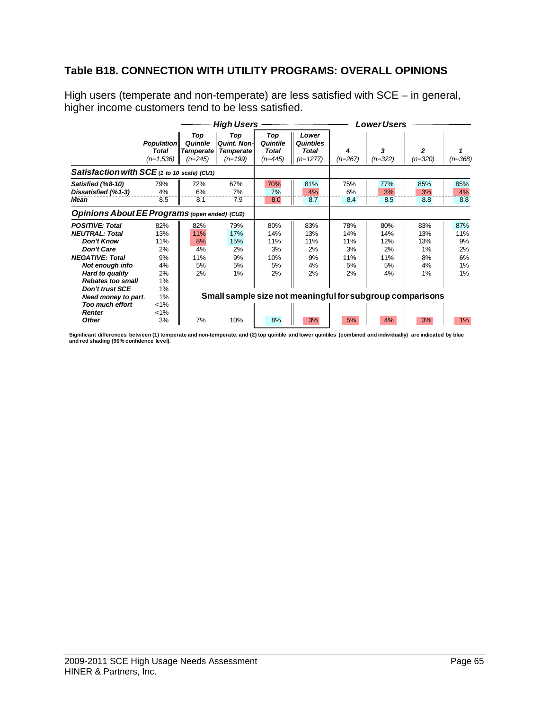# **Table B18. CONNECTION WITH UTILITY PROGRAMS: OVERALL OPINIONS**

High users (temperate and non-temperate) are less satisfied with SCE – in general, higher income customers tend to be less satisfied.

|                                                                                                                                                                                                                                                                                   |                                                                               |                                                  | <b>High Users</b>                                                                                      |                                              |                                                  | <b>Lower Users</b>                         |                                            |                                           |                                          |
|-----------------------------------------------------------------------------------------------------------------------------------------------------------------------------------------------------------------------------------------------------------------------------------|-------------------------------------------------------------------------------|--------------------------------------------------|--------------------------------------------------------------------------------------------------------|----------------------------------------------|--------------------------------------------------|--------------------------------------------|--------------------------------------------|-------------------------------------------|------------------------------------------|
|                                                                                                                                                                                                                                                                                   | <b>Population</b><br><b>Total</b><br>$(n=1,536)$                              | Top<br>Quintile<br><b>Temperate</b><br>$(n=245)$ | Top<br><b>Quint, Non-</b><br><b>Temperate</b><br>$(n=199)$                                             | Top<br>Quintile<br><b>Total</b><br>$(n=445)$ | Lower<br><b>Quintiles</b><br>Total<br>$(n=1277)$ | 4<br>$(n=267)$                             | 3<br>$(n=322)$                             | 2<br>$(n=320)$                            | $(n=368)$                                |
| Satisfaction with SCE (1 to 10 scale) (CU1)                                                                                                                                                                                                                                       |                                                                               |                                                  |                                                                                                        |                                              |                                                  |                                            |                                            |                                           |                                          |
| Satisfied (%8-10)<br>Dissatisfied (%1-3)<br>Mean                                                                                                                                                                                                                                  | 79%<br>4%<br>8.5                                                              | 72%<br>6%<br>8.1                                 | 67%<br>7%<br>7.9                                                                                       | 70%<br>7%<br>8.0                             | 81%<br>4%<br>8.7                                 | 75%<br>6%<br>8.4                           | 77%<br>3%<br>8.5                           | 85%<br>3%<br>8.8                          | 85%<br>4%<br>8.8                         |
| Opinions About EE Programs (open ended) (CU2)                                                                                                                                                                                                                                     |                                                                               |                                                  |                                                                                                        |                                              |                                                  |                                            |                                            |                                           |                                          |
| <b>POSITIVE: Total</b><br><b>NEUTRAL: Total</b><br><b>Don't Know</b><br><b>Don't Care</b><br><b>NEGATIVE: Total</b><br>Not enough info<br>Hard to qualify<br><b>Rebates too small</b><br><b>Don't trust SCE</b><br>Need money to part.<br><b>Too much effort</b><br><b>Renter</b> | 82%<br>13%<br>11%<br>2%<br>9%<br>4%<br>2%<br>1%<br>1%<br>1%<br>$1\%$<br>$1\%$ | 82%<br>11%<br>8%<br>4%<br>11%<br>5%<br>2%        | 79%<br>17%<br>15%<br>2%<br>9%<br>5%<br>1%<br>Small sample size not meaningful for subgroup comparisons | 80%<br>14%<br>11%<br>3%<br>10%<br>5%<br>2%   | 83%<br>13%<br>11%<br>2%<br>9%<br>4%<br>2%        | 78%<br>14%<br>11%<br>3%<br>11%<br>5%<br>2% | 80%<br>14%<br>12%<br>2%<br>11%<br>5%<br>4% | 83%<br>13%<br>13%<br>1%<br>8%<br>4%<br>1% | 87%<br>11%<br>9%<br>2%<br>6%<br>1%<br>1% |
| <b>Other</b>                                                                                                                                                                                                                                                                      | 3%                                                                            | 7%                                               | 10%                                                                                                    | 8%                                           | 3%                                               | 5%                                         | 4%                                         | 3%                                        | $1\%$                                    |

Significant differences between (1) temperate and non-temperate, and (2) top quintile and lower quintiles (combined and individually) are indicated by blue<br>and red shading (90% confidence level).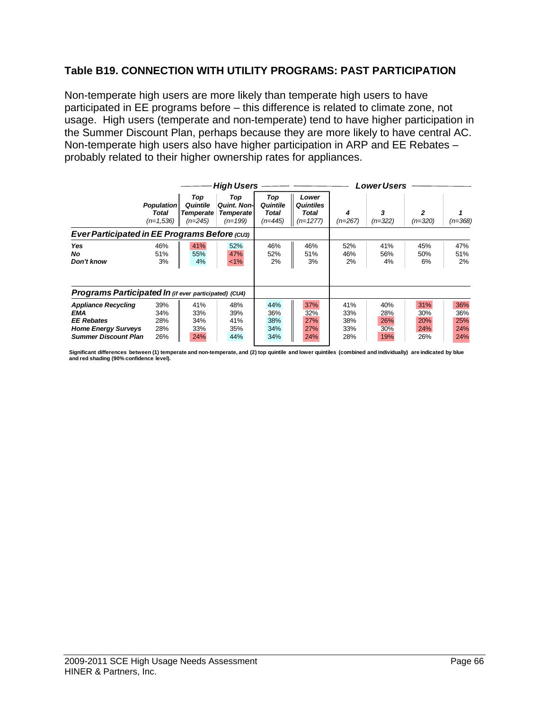## **Table B19. CONNECTION WITH UTILITY PROGRAMS: PAST PARTICIPATION**

Non-temperate high users are more likely than temperate high users to have participated in EE programs before – this difference is related to climate zone, not usage. High users (temperate and non-temperate) tend to have higher participation in the Summer Discount Plan, perhaps because they are more likely to have central AC. Non-temperate high users also have higher participation in ARP and EE Rebates – probably related to their higher ownership rates for appliances.

|                                                                                                                     |                                           |                                           | <b>High Users</b>                                           |                                       |                                                  | <b>Lower Users</b>              |                                 |                                 |                                 |
|---------------------------------------------------------------------------------------------------------------------|-------------------------------------------|-------------------------------------------|-------------------------------------------------------------|---------------------------------------|--------------------------------------------------|---------------------------------|---------------------------------|---------------------------------|---------------------------------|
|                                                                                                                     | <b>Population</b><br>Total<br>$(n=1.536)$ | Top<br>Quintile<br>Temperate<br>$(n=245)$ | Top<br><b>Quint, Non-I</b><br><b>Temperate</b><br>$(n=199)$ | Top<br>Quintile<br>Total<br>$(n=445)$ | Lower<br><b>Quintiles</b><br>Total<br>$(n=1277)$ | 4<br>(n=267)                    | 3<br>$(n=322)$                  | 2<br>$(n=320)$                  | (n=368)                         |
| Ever Participated in EE Programs Before (cus)                                                                       |                                           |                                           |                                                             |                                       |                                                  |                                 |                                 |                                 |                                 |
| Yes<br>No.<br>Don't know                                                                                            | 46%<br>51%<br>3%                          | 41%<br>55%<br>4%                          | 52%<br>47%<br>$<1\%$                                        | 46%<br>52%<br>2%                      | 46%<br>51%<br>3%                                 | 52%<br>46%<br>2%                | 41%<br>56%<br>4%                | 45%<br>50%<br>6%                | 47%<br>51%<br>2%                |
| Programs Participated In (if ever participated) (CU4)                                                               |                                           |                                           |                                                             |                                       |                                                  |                                 |                                 |                                 |                                 |
| <b>Appliance Recycling</b><br>EMA<br><b>EE Rebates</b><br><b>Home Energy Surveys</b><br><b>Summer Discount Plan</b> | 39%<br>34%<br>28%<br>28%<br>26%           | 41%<br>33%<br>34%<br>33%<br>24%           | 48%<br>39%<br>41%<br>35%<br>44%                             | 44%<br>36%<br>38%<br>34%<br>34%       | 37%<br>32%<br>27%<br>27%<br>24%                  | 41%<br>33%<br>38%<br>33%<br>28% | 40%<br>28%<br>26%<br>30%<br>19% | 31%<br>30%<br>20%<br>24%<br>26% | 36%<br>36%<br>25%<br>24%<br>24% |

Significant differences between (1) temperate and non-temperate, and (2) top quintile and lower quintiles (combined and individually) are indicated by blue<br>and red shading (90% confidence level).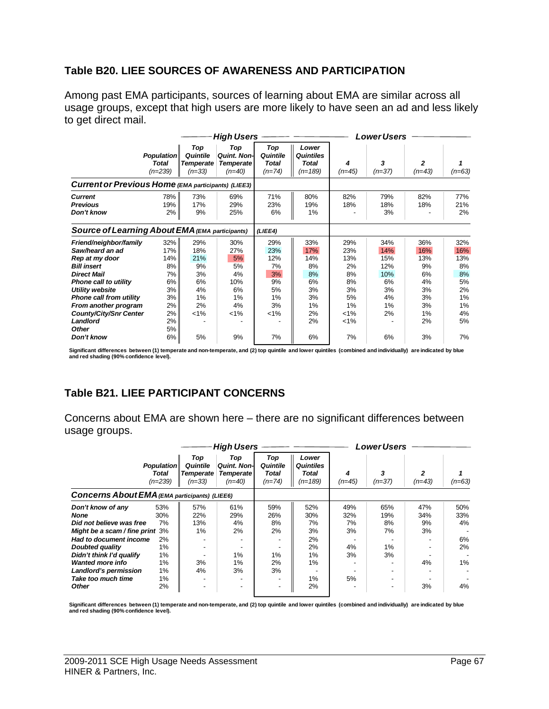#### **Table B20. LIEE SOURCES OF AWARENESS AND PARTICIPATION**

Among past EMA participants, sources of learning about EMA are similar across all usage groups, except that high users are more likely to have seen an ad and less likely to get direct mail.

|                                                                                                                                                                                                                                                                     | <b>High Users</b>                                                       |                                                                  |                                                                  |                                                                  |                                                                   |                                                                             | <b>Lower Users</b>                                            |                                                                   |                                                                   |  |  |
|---------------------------------------------------------------------------------------------------------------------------------------------------------------------------------------------------------------------------------------------------------------------|-------------------------------------------------------------------------|------------------------------------------------------------------|------------------------------------------------------------------|------------------------------------------------------------------|-------------------------------------------------------------------|-----------------------------------------------------------------------------|---------------------------------------------------------------|-------------------------------------------------------------------|-------------------------------------------------------------------|--|--|
|                                                                                                                                                                                                                                                                     | <b>Population</b><br><b>Total</b><br>$(n=239)$                          | Top<br>Quintile<br>Temperate<br>$(n=33)$                         | Top<br><b>Quint, Non-</b><br><b>Temperate</b><br>$(n=40)$        | Top<br>Quintile<br><b>Total</b><br>$(n=74)$                      | Lower<br><b>Quintiles</b><br>Total<br>$(n=189)$                   | 4<br>$(n=45)$                                                               | 3<br>$(n=37)$                                                 | 2<br>$(n=43)$                                                     | $(n=63)$                                                          |  |  |
| Current or Previous Home (EMA participants) (LIEE3)                                                                                                                                                                                                                 |                                                                         |                                                                  |                                                                  |                                                                  |                                                                   |                                                                             |                                                               |                                                                   |                                                                   |  |  |
| <b>Current</b><br><b>Previous</b><br>Don't know                                                                                                                                                                                                                     | 78%<br>19%<br>2%                                                        | 73%<br>17%<br>9%                                                 | 69%<br>29%<br>25%                                                | 71%<br>23%<br>6%                                                 | 80%<br>19%<br>1%                                                  | 82%<br>18%                                                                  | 79%<br>18%<br>3%                                              | 82%<br>18%                                                        | 77%<br>21%<br>2%                                                  |  |  |
| <b>Source of Learning About EMA (EMA participants)</b>                                                                                                                                                                                                              |                                                                         |                                                                  |                                                                  | (LIEE4)                                                          |                                                                   |                                                                             |                                                               |                                                                   |                                                                   |  |  |
| Friend/neighbor/family<br>Saw/heard an ad<br>Rep at my door<br><b>Bill insert</b><br><b>Direct Mail</b><br><b>Phone call to utility</b><br>Utility website<br>Phone call from utility<br>From another program<br><b>County/City/Snr Center</b><br>Landlord<br>Other | 32%<br>17%<br>14%<br>8%<br>7%<br>6%<br>3%<br>3%<br>2%<br>2%<br>2%<br>5% | 29%<br>18%<br>21%<br>9%<br>3%<br>6%<br>4%<br>1%<br>2%<br>$< 1\%$ | 30%<br>27%<br>5%<br>5%<br>4%<br>10%<br>6%<br>1%<br>4%<br>$< 1\%$ | 29%<br>23%<br>12%<br>7%<br>3%<br>9%<br>5%<br>1%<br>3%<br>$< 1\%$ | 33%<br>17%<br>14%<br>8%<br>8%<br>6%<br>3%<br>3%<br>1%<br>2%<br>2% | 29%<br>23%<br>13%<br>2%<br>8%<br>8%<br>3%<br>5%<br>1%<br>$< 1\%$<br>$< 1\%$ | 34%<br>14%<br>15%<br>12%<br>10%<br>6%<br>3%<br>4%<br>1%<br>2% | 36%<br>16%<br>13%<br>9%<br>6%<br>4%<br>3%<br>3%<br>3%<br>1%<br>2% | 32%<br>16%<br>13%<br>8%<br>8%<br>5%<br>2%<br>1%<br>1%<br>4%<br>5% |  |  |
| Don't know                                                                                                                                                                                                                                                          | 6%                                                                      | 5%                                                               | 9%                                                               | 7%                                                               | 6%                                                                | 7%                                                                          | 6%                                                            | 3%                                                                | 7%                                                                |  |  |

Significant differences between (1) temperate and non-temperate, and (2) top quintile and lower quintiles (combined and individually) are indicated by blue<br>and red shading (90% confidence level).

# **Table B21. LIEE PARTICIPANT CONCERNS**

Concerns about EMA are shown here – there are no significant differences between usage groups.

|                                                                                                                                                                                                                                                          |                                                                        |                                          | <b>High Users</b>                                          |                                          | <b>Lower Users</b>                                            |                                          |                                    |                                    |                                             |
|----------------------------------------------------------------------------------------------------------------------------------------------------------------------------------------------------------------------------------------------------------|------------------------------------------------------------------------|------------------------------------------|------------------------------------------------------------|------------------------------------------|---------------------------------------------------------------|------------------------------------------|------------------------------------|------------------------------------|---------------------------------------------|
|                                                                                                                                                                                                                                                          | <b>Population</b><br>Total<br>$(n=239)$                                | Top<br>Quintile<br>Temperate<br>$(n=33)$ | Top<br><b>Quint, Non-I</b><br><b>Temperate</b><br>$(n=40)$ | Top<br>Quintile<br>Total<br>$(n=74)$     | Lower<br><b>Quintiles</b><br>Total<br>$(n=189)$               | 4<br>$(n=45)$                            | 3<br>$(n=37)$                      | $(n=43)$                           | $(n=63)$                                    |
| <b>Concerns About EMA (EMA participants) (LIEE6)</b>                                                                                                                                                                                                     |                                                                        |                                          |                                                            |                                          |                                                               |                                          |                                    |                                    |                                             |
| Don't know of any<br><b>None</b><br>Did not believe was free<br>Might be a scam / fine print<br>Had to document income<br>Doubted quality<br>Didn't think I'd qualify<br><b>Wanted more info</b><br>Landlord's permission<br>Take too much time<br>Other | 53%<br>30%<br>7%<br>3%<br>2%<br>$1\%$<br>1%<br>1%<br>1%<br>$1\%$<br>2% | 57%<br>22%<br>13%<br>1%<br>3%<br>4%      | 61%<br>29%<br>4%<br>2%<br>1%<br>1%<br>3%                   | 59%<br>26%<br>8%<br>2%<br>1%<br>2%<br>3% | 52%<br>30%<br>7%<br>3%<br>2%<br>2%<br>1%<br>$1\%$<br>1%<br>2% | 49%<br>32%<br>7%<br>3%<br>4%<br>3%<br>5% | 65%<br>19%<br>8%<br>7%<br>1%<br>3% | 47%<br>34%<br>9%<br>3%<br>4%<br>3% | 50%<br>33%<br>4%<br>6%<br>2%<br>$1\%$<br>4% |

Significant differences between (1) temperate and non-temperate, and (2) top quintile and lower quintiles (combined and individually) are indicated by blue **and red shading (90% confidence level).**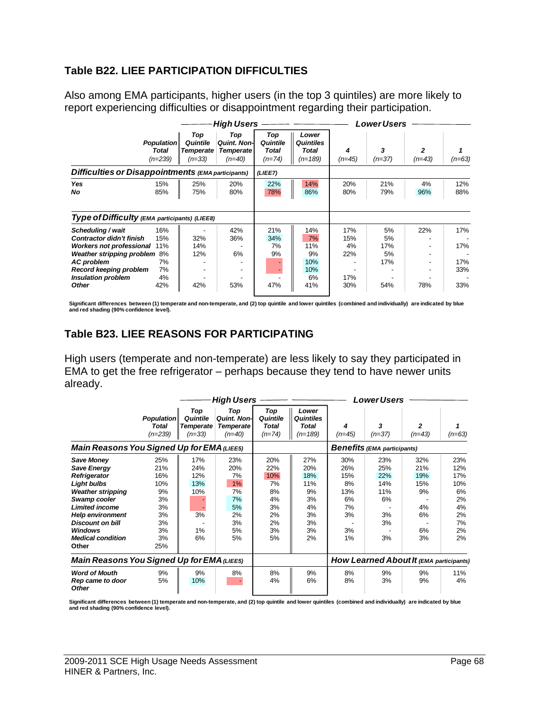# **Table B22. LIEE PARTICIPATION DIFFICULTIES**

Also among EMA participants, higher users (in the top 3 quintiles) are more likely to report experiencing difficulties or disappointment regarding their participation.

|                                                                                                                                                                                                                  |                                                  |                                          | <b>High Users</b>                                          |                                      | <b>Lower Users</b>                                |                                       |                                     |                      |                                 |
|------------------------------------------------------------------------------------------------------------------------------------------------------------------------------------------------------------------|--------------------------------------------------|------------------------------------------|------------------------------------------------------------|--------------------------------------|---------------------------------------------------|---------------------------------------|-------------------------------------|----------------------|---------------------------------|
|                                                                                                                                                                                                                  | <b>Population</b><br><b>Total</b><br>$(n=239)$   | Top<br>Quintile<br>Temperate<br>$(n=33)$ | Top<br><b>Quint, Non-I</b><br><b>Temperate</b><br>$(n=40)$ | Top<br>Quintile<br>Total<br>$(n=74)$ | Lower<br><b>Quintiles</b><br>Total<br>$(n=189)$   | 4<br>$(n=45)$                         | 3<br>$(n=37)$                       | 2<br>$(n=43)$        | $(n=63)$                        |
| Difficulties or Disappointments (EMA participants)                                                                                                                                                               |                                                  |                                          |                                                            | (LIEE7)                              |                                                   |                                       |                                     |                      |                                 |
| <b>Yes</b><br>No                                                                                                                                                                                                 | 15%<br>85%                                       | 25%<br>75%                               | 20%<br>80%                                                 | 22%<br>78%                           | 14%<br>86%                                        | 20%<br>80%                            | 21%<br>79%                          | 4%<br>96%            | 12%<br>88%                      |
| Type of Difficulty (EMA participants) (LIEE8)                                                                                                                                                                    |                                                  |                                          |                                                            |                                      |                                                   |                                       |                                     |                      |                                 |
| Scheduling / wait<br><b>Contractor didn't finish</b><br><b>Workers not professional</b><br>Weather stripping problem<br><b>AC</b> problem<br>Record keeping problem<br><b>Insulation problem</b><br><b>Other</b> | 16%<br>15%<br>11%<br>8%<br>7%<br>7%<br>4%<br>42% | 32%<br>14%<br>12%<br>42%                 | 42%<br>36%<br>6%<br>$\overline{\phantom{a}}$<br>53%        | 21%<br>34%<br>7%<br>9%<br>47%        | 14%<br>7%<br>11%<br>9%<br>10%<br>10%<br>6%<br>41% | 17%<br>15%<br>4%<br>22%<br>17%<br>30% | 5%<br>5%<br>17%<br>5%<br>17%<br>54% | 22%<br>-<br>-<br>78% | 17%<br>17%<br>17%<br>33%<br>33% |

**Significant differences between (1) temperate and non-temperate, and (2) top quintile and lower quintiles (combined and individually) are indicated by blue and red shading (90% confidence level).** 

# **Table B23. LIEE REASONS FOR PARTICIPATING**

High users (temperate and non-temperate) are less likely to say they participated in EMA to get the free refrigerator – perhaps because they tend to have newer units already.

|                                                                                                                                                                                                                                                                 |                                                                           |                                                   | <b>High Users</b>                                                   |                                                                   |                                                                    | <b>Lower Users</b>                                           |                                                         |                                                        |                                                                    |
|-----------------------------------------------------------------------------------------------------------------------------------------------------------------------------------------------------------------------------------------------------------------|---------------------------------------------------------------------------|---------------------------------------------------|---------------------------------------------------------------------|-------------------------------------------------------------------|--------------------------------------------------------------------|--------------------------------------------------------------|---------------------------------------------------------|--------------------------------------------------------|--------------------------------------------------------------------|
|                                                                                                                                                                                                                                                                 | <b>Population</b><br><b>Total</b><br>$(n=239)$                            | Top<br>Quintile<br><b>Temperate</b><br>$(n=33)$   | Top<br><b>Quint. Non-</b><br><b>Temperate</b><br>$(n=40)$           | Top<br>Quintile<br><b>Total</b><br>$(n=74)$                       | Lower<br><b>Quintiles</b><br><b>Total</b><br>$(n=189)$             | 4<br>$(n=45)$                                                | 3<br>$(n=37)$                                           | 2<br>$(n=43)$                                          | $(n=63)$                                                           |
| Main Reasons You Signed Up for EMA (LIEE5)                                                                                                                                                                                                                      |                                                                           |                                                   |                                                                     | <b>Benefits</b> (EMA participants)                                |                                                                    |                                                              |                                                         |                                                        |                                                                    |
| <b>Save Money</b><br>Save Energy<br><b>Refrigerator</b><br><b>Light bulbs</b><br><b>Weather stripping</b><br>Swamp cooler<br><b>Limited income</b><br><b>Help environment</b><br><b>Discount on bill</b><br><b>Windows</b><br><b>Medical condition</b><br>Other | 25%<br>21%<br>16%<br>10%<br>9%<br>3%<br>3%<br>3%<br>3%<br>3%<br>3%<br>25% | 17%<br>24%<br>12%<br>13%<br>10%<br>3%<br>1%<br>6% | 23%<br>20%<br>7%<br>$1\%$<br>7%<br>7%<br>5%<br>2%<br>3%<br>5%<br>5% | 20%<br>22%<br>10%<br>7%<br>8%<br>4%<br>3%<br>2%<br>2%<br>3%<br>5% | 27%<br>20%<br>18%<br>11%<br>9%<br>3%<br>4%<br>3%<br>3%<br>3%<br>2% | 30%<br>26%<br>15%<br>8%<br>13%<br>6%<br>7%<br>3%<br>3%<br>1% | 23%<br>25%<br>22%<br>14%<br>11%<br>6%<br>3%<br>3%<br>3% | 32%<br>21%<br>19%<br>15%<br>9%<br>4%<br>6%<br>6%<br>3% | 23%<br>12%<br>17%<br>10%<br>6%<br>2%<br>4%<br>2%<br>7%<br>2%<br>2% |
| Main Reasons You Signed Up for EMA (LIEE5)                                                                                                                                                                                                                      |                                                                           |                                                   |                                                                     |                                                                   | How Learned About It (EMA participants)                            |                                                              |                                                         |                                                        |                                                                    |
| <b>Word of Mouth</b><br>Rep came to door<br>Other                                                                                                                                                                                                               | 9%<br>5%                                                                  | 9%<br>10%                                         | 8%                                                                  | 8%<br>4%                                                          | 9%<br>6%                                                           | 8%<br>8%                                                     | 9%<br>3%                                                | 9%<br>9%                                               | 11%<br>4%                                                          |

Significant differences between (1) temperateand non-temperate, and (2) top quintile and lower quintiles (combined and individually) are indicated by blue<br>and red shading (90% confidence level).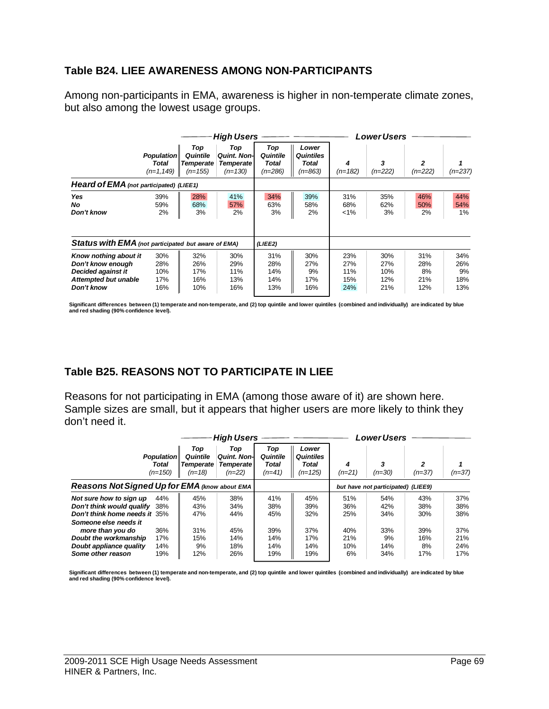#### **Table B24. LIEE AWARENESS AMONG NON-PARTICIPANTS**

Among non-participants in EMA, awareness is higher in non-temperate climate zones, but also among the lowest usage groups.

|                                                                                                        |                                            | <b>High Users</b>                                |                                                             |                                       |                                                 |                                 | Lower Users                     |                                |                                |  |
|--------------------------------------------------------------------------------------------------------|--------------------------------------------|--------------------------------------------------|-------------------------------------------------------------|---------------------------------------|-------------------------------------------------|---------------------------------|---------------------------------|--------------------------------|--------------------------------|--|
|                                                                                                        | <b>Population</b><br>Total<br>$(n=1, 149)$ | Top<br>Quintile<br><b>Temperate</b><br>$(n=155)$ | Top<br><b>Quint, Non-I</b><br><b>Temperate</b><br>$(n=130)$ | Top<br>Quintile<br>Total<br>$(n=286)$ | Lower<br><b>Quintiles</b><br>Total<br>$(n=863)$ | 4<br>$(n=182)$                  | 3<br>$(n=222)$                  | 2<br>$(n=222)$                 | $(n=237)$                      |  |
| Heard of EMA (not participated) (LIEE1)                                                                |                                            |                                                  |                                                             |                                       |                                                 |                                 |                                 |                                |                                |  |
| Yes<br>No.<br>Don't know                                                                               | 39%<br>59%<br>2%                           | 28%<br>68%<br>3%                                 | 41%<br>57%<br>2%                                            | 34%<br>63%<br>3%                      | 39%<br>58%<br>2%                                | 31%<br>68%<br>$< 1\%$           | 35%<br>62%<br>3%                | 46%<br>50%<br>2%               | 44%<br>54%<br>1%               |  |
| Status with EMA (not participated but aware of EMA)                                                    |                                            |                                                  |                                                             | (LIEE2)                               |                                                 |                                 |                                 |                                |                                |  |
| Know nothing about it<br>Don't know enouah<br>Decided against it<br>Attempted but unable<br>Don't know | 30%<br>28%<br>10%<br>17%<br>16%            | 32%<br>26%<br>17%<br>16%<br>10%                  | 30%<br>29%<br>11%<br>13%<br>16%                             | 31%<br>28%<br>14%<br>14%<br>13%       | 30%<br>27%<br>9%<br>17%<br>16%                  | 23%<br>27%<br>11%<br>15%<br>24% | 30%<br>27%<br>10%<br>12%<br>21% | 31%<br>28%<br>8%<br>21%<br>12% | 34%<br>26%<br>9%<br>18%<br>13% |  |

**Significant differences between (1) temperate and non-temperate, and (2) top quintile and lower quintiles (combined and individually) are indicated by blue and red shading (90% confidence level).** 

# **Table B25. REASONS NOT TO PARTICIPATE IN LIEE**

Reasons for not participating in EMA (among those aware of it) are shown here. Sample sizes are small, but it appears that higher users are more likely to think they don't need it.

|                                                                                                                                                         |  |                                          | <b>High Users</b>                                          |                                      | Lower Users                                     |                          |                          |                          |                          |
|---------------------------------------------------------------------------------------------------------------------------------------------------------|--|------------------------------------------|------------------------------------------------------------|--------------------------------------|-------------------------------------------------|--------------------------|--------------------------|--------------------------|--------------------------|
| <b>Population</b><br>Total<br>$(n=150)$                                                                                                                 |  | Top<br>Quintile<br>Temperate<br>$(n=18)$ | Top<br><b>Quint. Non-I</b><br><b>Temperate</b><br>$(n=22)$ | Top<br>Quintile<br>Total<br>$(n=41)$ | Lower<br><b>Quintiles</b><br>Total<br>$(n=125)$ | 4<br>$(n=21)$            | 3<br>$(n=30)$            | 2<br>$(n=37)$            | $(n=37)$                 |
| Reasons Not Signed Up for EMA (know about EMA                                                                                                           |  |                                          |                                                            | but have not participated) (LIEE9)   |                                                 |                          |                          |                          |                          |
| 44%<br>Not sure how to sign up<br>Don't think would qualify<br>38%<br>Don't think home needs it 35%<br>Someone else needs it<br>36%<br>more than you do |  | 45%<br>43%<br>47%<br>31%                 | 38%<br>34%<br>44%<br>45%                                   | 41%<br>38%<br>45%<br>39%             | 45%<br>39%<br>32%<br>37%                        | 51%<br>36%<br>25%<br>40% | 54%<br>42%<br>34%<br>33% | 43%<br>38%<br>30%<br>39% | 37%<br>38%<br>38%<br>37% |
| Doubt the workmanship<br>17%<br>Doubt appliance quality<br>14%<br>Some other reason<br>19%                                                              |  | 15%<br>9%<br>12%                         | 14%<br>18%<br>26%                                          | 14%<br>14%<br>19%                    | 17%<br>14%<br>19%                               | 21%<br>10%<br>6%         | 9%<br>14%<br>34%         | 16%<br>8%<br>17%         | 21%<br>24%<br>17%        |

Significant differences between (1) temperate and non-temperate, and (2) top quintile and lower quintiles (combined and individually) are indicated by blue<br>and red shading (90% confidence level).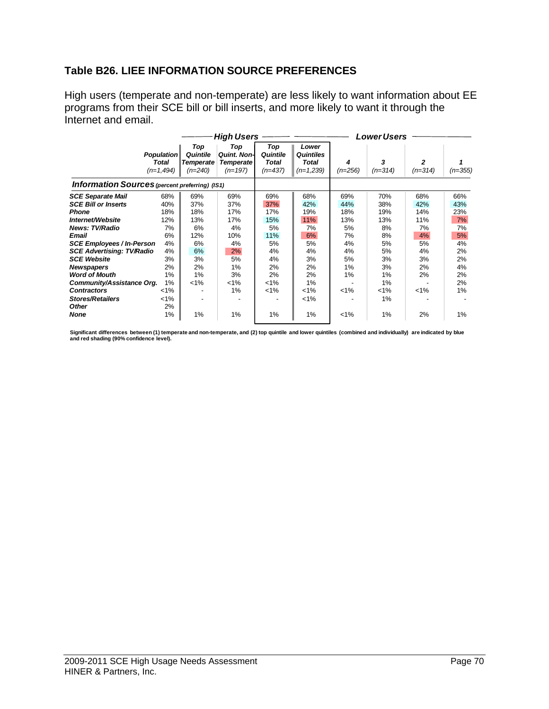# **Table B26. LIEE INFORMATION SOURCE PREFERENCES**

High users (temperate and non-temperate) are less likely to want information about EE programs from their SCE bill or bill inserts, and more likely to want it through the Internet and email.

|                                                                                                                                                                                                                                                                                                                                                                |                                                                                                      |                                                                              | <b>High Users</b>                                                                  |                                                                                       | <b>Lower Users</b>                                                                         |                                                                             |                                                                                         |                                                                             |                                                                               |
|----------------------------------------------------------------------------------------------------------------------------------------------------------------------------------------------------------------------------------------------------------------------------------------------------------------------------------------------------------------|------------------------------------------------------------------------------------------------------|------------------------------------------------------------------------------|------------------------------------------------------------------------------------|---------------------------------------------------------------------------------------|--------------------------------------------------------------------------------------------|-----------------------------------------------------------------------------|-----------------------------------------------------------------------------------------|-----------------------------------------------------------------------------|-------------------------------------------------------------------------------|
|                                                                                                                                                                                                                                                                                                                                                                | <b>Population</b><br><b>Total</b><br>$(n=1,494)$                                                     | Top<br>Quintile<br><b>Temperate</b><br>$(n=240)$                             | Top<br><b>Quint. Non-</b><br><b>Temperate</b><br>$(n=197)$                         | Top<br>Quintile<br><b>Total</b><br>$(n=437)$                                          | Lower<br><b>Quintiles</b><br>Total<br>$(n=1,239)$                                          | 4<br>$(n=256)$                                                              | 3<br>$(n=314)$                                                                          | 2<br>$(n=314)$                                                              | $(n=355)$                                                                     |
| <b>Information Sources</b> (percent preferring) (IS1)                                                                                                                                                                                                                                                                                                          |                                                                                                      |                                                                              |                                                                                    |                                                                                       |                                                                                            |                                                                             |                                                                                         |                                                                             |                                                                               |
| <b>SCE Separate Mail</b><br><b>SCE Bill or Inserts</b><br><b>Phone</b><br>Internet/Website<br><b>News: TV/Radio</b><br>Email<br><b>SCE Employees / In-Person</b><br><b>SCE Advertising: TV/Radio</b><br><b>SCE Website</b><br><b>Newspapers</b><br><b>Word of Mouth</b><br>Community/Assistance Org.<br><b>Contractors</b><br><b>Stores/Retailers</b><br>Other | 68%<br>40%<br>18%<br>12%<br>7%<br>6%<br>4%<br>4%<br>3%<br>2%<br>1%<br>1%<br>$< 1\%$<br>$< 1\%$<br>2% | 69%<br>37%<br>18%<br>13%<br>6%<br>12%<br>6%<br>6%<br>3%<br>2%<br>1%<br>$1\%$ | 69%<br>37%<br>17%<br>17%<br>4%<br>10%<br>4%<br>2%<br>5%<br>1%<br>3%<br>$1\%$<br>1% | 69%<br>37%<br>17%<br>15%<br>5%<br>11%<br>5%<br>4%<br>4%<br>2%<br>2%<br>$1\%$<br>$1\%$ | 68%<br>42%<br>19%<br>11%<br>7%<br>6%<br>5%<br>4%<br>3%<br>2%<br>2%<br>1%<br>$1\%$<br>$1\%$ | 69%<br>44%<br>18%<br>13%<br>5%<br>7%<br>4%<br>4%<br>5%<br>1%<br>1%<br>$1\%$ | 70%<br>38%<br>19%<br>13%<br>8%<br>8%<br>5%<br>5%<br>3%<br>3%<br>1%<br>1%<br>$1\%$<br>1% | 68%<br>42%<br>14%<br>11%<br>7%<br>4%<br>5%<br>4%<br>3%<br>2%<br>2%<br>$1\%$ | 66%<br>43%<br>23%<br>7%<br>7%<br>5%<br>4%<br>2%<br>2%<br>4%<br>2%<br>2%<br>1% |
| None                                                                                                                                                                                                                                                                                                                                                           | 1%                                                                                                   | 1%                                                                           | 1%                                                                                 | 1%                                                                                    | 1%                                                                                         | $1\%$                                                                       | 1%                                                                                      | 2%                                                                          | 1%                                                                            |

Significant differences between (1) temperate and non-temperate, and (2) top quintile and lower quintiles (combined and individually) are indicated by blue<br>and red shading (90% confidence level).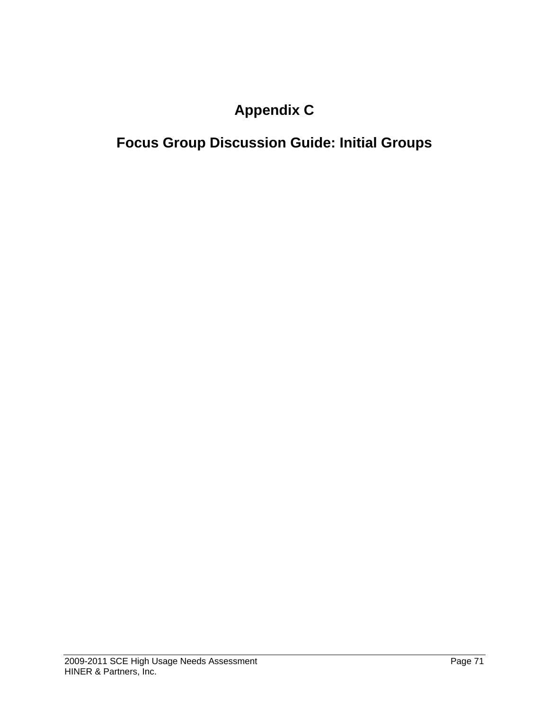# **Appendix C**

# **Focus Group Discussion Guide: Initial Groups**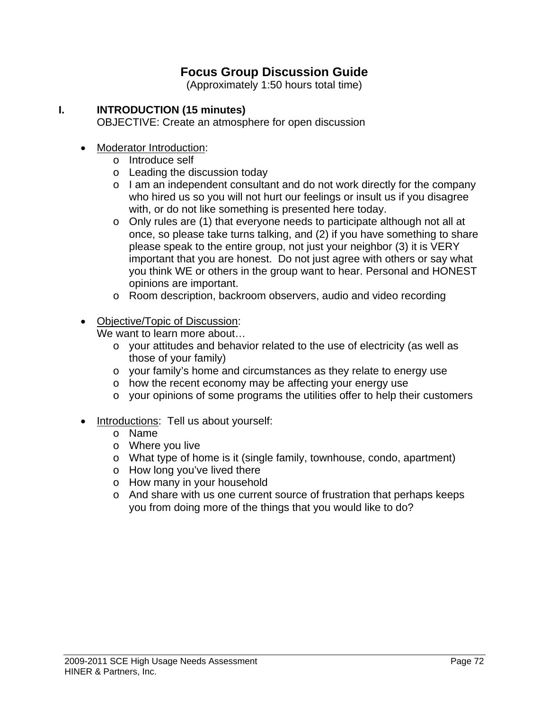# **Focus Group Discussion Guide**

(Approximately 1:50 hours total time)

# **I. INTRODUCTION (15 minutes)**

OBJECTIVE: Create an atmosphere for open discussion

- Moderator Introduction:
	- o Introduce self
	- o Leading the discussion today
	- o I am an independent consultant and do not work directly for the company who hired us so you will not hurt our feelings or insult us if you disagree with, or do not like something is presented here today.
	- o Only rules are (1) that everyone needs to participate although not all at once, so please take turns talking, and (2) if you have something to share please speak to the entire group, not just your neighbor (3) it is VERY important that you are honest. Do not just agree with others or say what you think WE or others in the group want to hear. Personal and HONEST opinions are important.
	- o Room description, backroom observers, audio and video recording
- Objective/Topic of Discussion:

We want to learn more about…

- o your attitudes and behavior related to the use of electricity (as well as those of your family)
- o your family's home and circumstances as they relate to energy use
- o how the recent economy may be affecting your energy use
- o your opinions of some programs the utilities offer to help their customers
- Introductions: Tell us about yourself:
	- o Name
	- o Where you live
	- o What type of home is it (single family, townhouse, condo, apartment)
	- o How long you've lived there
	- o How many in your household
	- o And share with us one current source of frustration that perhaps keeps you from doing more of the things that you would like to do?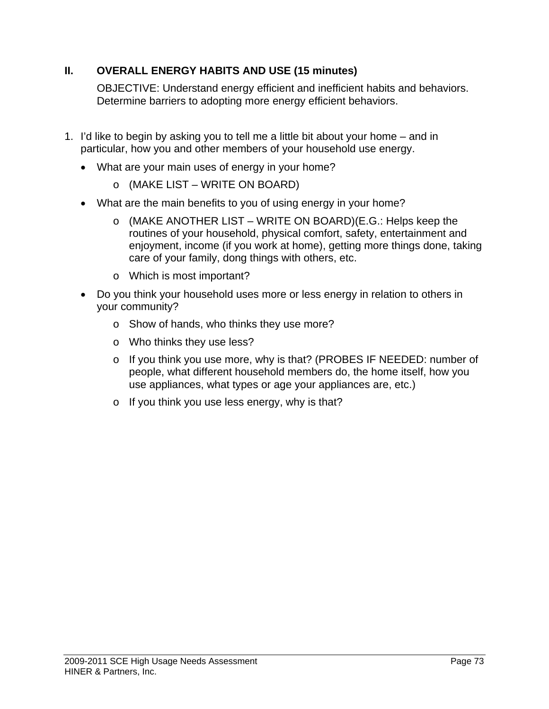# **II. OVERALL ENERGY HABITS AND USE (15 minutes)**

OBJECTIVE: Understand energy efficient and inefficient habits and behaviors. Determine barriers to adopting more energy efficient behaviors.

- 1. I'd like to begin by asking you to tell me a little bit about your home and in particular, how you and other members of your household use energy.
	- What are your main uses of energy in your home?
		- o (MAKE LIST WRITE ON BOARD)
	- What are the main benefits to you of using energy in your home?
		- o (MAKE ANOTHER LIST WRITE ON BOARD)(E.G.: Helps keep the routines of your household, physical comfort, safety, entertainment and enjoyment, income (if you work at home), getting more things done, taking care of your family, dong things with others, etc.
		- o Which is most important?
	- Do you think your household uses more or less energy in relation to others in your community?
		- o Show of hands, who thinks they use more?
		- o Who thinks they use less?
		- o If you think you use more, why is that? (PROBES IF NEEDED: number of people, what different household members do, the home itself, how you use appliances, what types or age your appliances are, etc.)
		- o If you think you use less energy, why is that?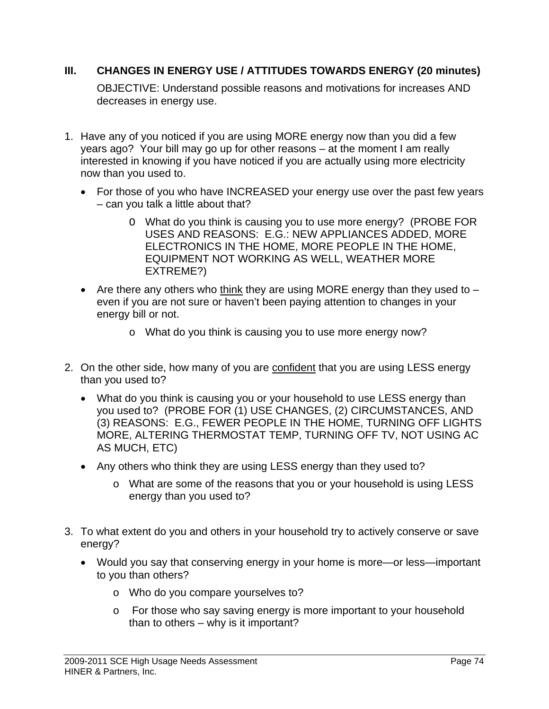# **III. CHANGES IN ENERGY USE / ATTITUDES TOWARDS ENERGY (20 minutes)**

OBJECTIVE: Understand possible reasons and motivations for increases AND decreases in energy use.

- 1. Have any of you noticed if you are using MORE energy now than you did a few years ago? Your bill may go up for other reasons – at the moment I am really interested in knowing if you have noticed if you are actually using more electricity now than you used to.
	- For those of you who have INCREASED your energy use over the past few years – can you talk a little about that?
		- O What do you think is causing you to use more energy? (PROBE FOR USES AND REASONS: E.G.: NEW APPLIANCES ADDED, MORE ELECTRONICS IN THE HOME, MORE PEOPLE IN THE HOME, EQUIPMENT NOT WORKING AS WELL, WEATHER MORE EXTREME?)
	- Are there any others who think they are using MORE energy than they used to  $$ even if you are not sure or haven't been paying attention to changes in your energy bill or not.
		- o What do you think is causing you to use more energy now?
- 2. On the other side, how many of you are confident that you are using LESS energy than you used to?
	- What do you think is causing you or your household to use LESS energy than you used to? (PROBE FOR (1) USE CHANGES, (2) CIRCUMSTANCES, AND (3) REASONS: E.G., FEWER PEOPLE IN THE HOME, TURNING OFF LIGHTS MORE, ALTERING THERMOSTAT TEMP, TURNING OFF TV, NOT USING AC AS MUCH, ETC)
	- Any others who think they are using LESS energy than they used to?
		- o What are some of the reasons that you or your household is using LESS energy than you used to?
- 3. To what extent do you and others in your household try to actively conserve or save energy?
	- Would you say that conserving energy in your home is more—or less—important to you than others?
		- o Who do you compare yourselves to?
		- o For those who say saving energy is more important to your household than to others – why is it important?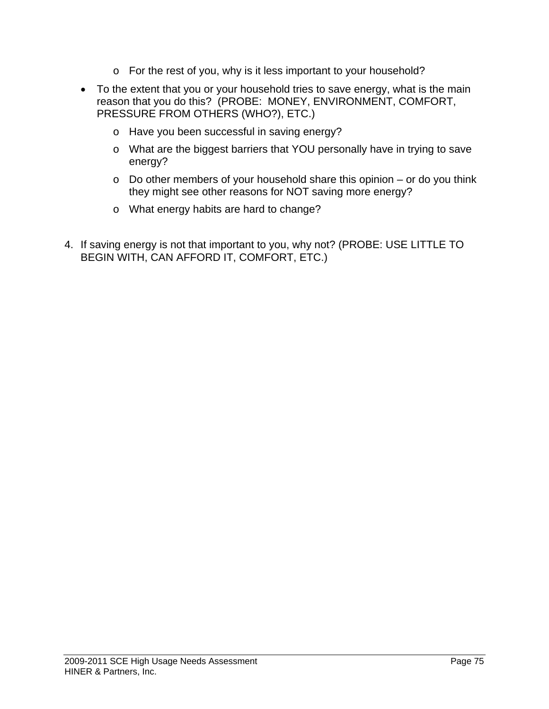- o For the rest of you, why is it less important to your household?
- To the extent that you or your household tries to save energy, what is the main reason that you do this? (PROBE: MONEY, ENVIRONMENT, COMFORT, PRESSURE FROM OTHERS (WHO?), ETC.)
	- o Have you been successful in saving energy?
	- o What are the biggest barriers that YOU personally have in trying to save energy?
	- o Do other members of your household share this opinion or do you think they might see other reasons for NOT saving more energy?
	- o What energy habits are hard to change?
- 4. If saving energy is not that important to you, why not? (PROBE: USE LITTLE TO BEGIN WITH, CAN AFFORD IT, COMFORT, ETC.)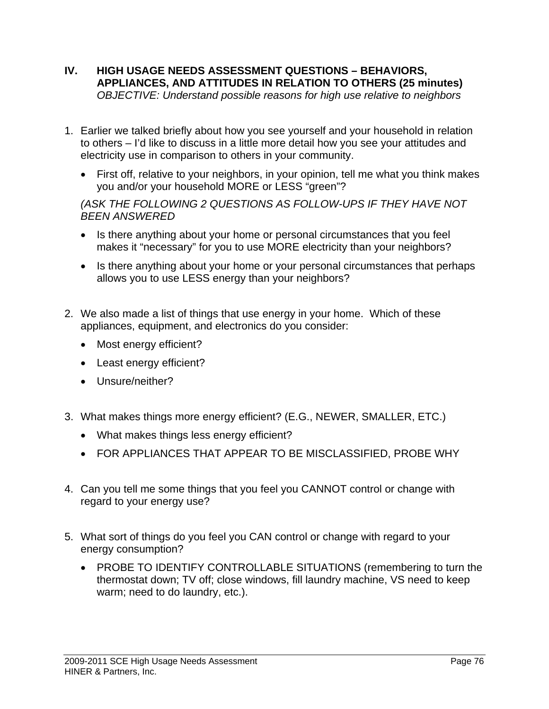- **IV. HIGH USAGE NEEDS ASSESSMENT QUESTIONS BEHAVIORS, APPLIANCES, AND ATTITUDES IN RELATION TO OTHERS (25 minutes)**  *OBJECTIVE: Understand possible reasons for high use relative to neighbors*
- 1. Earlier we talked briefly about how you see yourself and your household in relation to others – I'd like to discuss in a little more detail how you see your attitudes and electricity use in comparison to others in your community.
	- First off, relative to your neighbors, in your opinion, tell me what you think makes you and/or your household MORE or LESS "green"?

*(ASK THE FOLLOWING 2 QUESTIONS AS FOLLOW-UPS IF THEY HAVE NOT BEEN ANSWERED* 

- Is there anything about your home or personal circumstances that you feel makes it "necessary" for you to use MORE electricity than your neighbors?
- Is there anything about your home or your personal circumstances that perhaps allows you to use LESS energy than your neighbors?
- 2. We also made a list of things that use energy in your home. Which of these appliances, equipment, and electronics do you consider:
	- Most energy efficient?
	- Least energy efficient?
	- Unsure/neither?
- 3. What makes things more energy efficient? (E.G., NEWER, SMALLER, ETC.)
	- What makes things less energy efficient?
	- FOR APPLIANCES THAT APPEAR TO BE MISCLASSIFIED, PROBE WHY
- 4. Can you tell me some things that you feel you CANNOT control or change with regard to your energy use?
- 5. What sort of things do you feel you CAN control or change with regard to your energy consumption?
	- PROBE TO IDENTIFY CONTROLLABLE SITUATIONS (remembering to turn the thermostat down; TV off; close windows, fill laundry machine, VS need to keep warm; need to do laundry, etc.).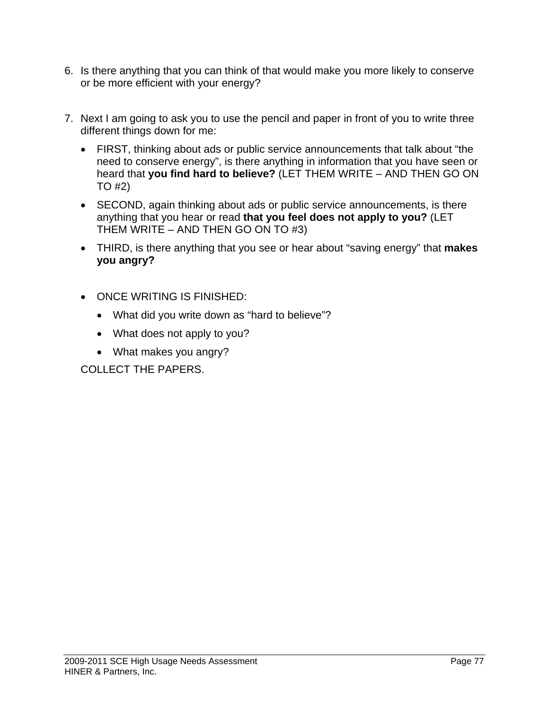- 6. Is there anything that you can think of that would make you more likely to conserve or be more efficient with your energy?
- 7. Next I am going to ask you to use the pencil and paper in front of you to write three different things down for me:
	- FIRST, thinking about ads or public service announcements that talk about "the need to conserve energy", is there anything in information that you have seen or heard that **you find hard to believe?** (LET THEM WRITE – AND THEN GO ON TO #2)
	- SECOND, again thinking about ads or public service announcements, is there anything that you hear or read **that you feel does not apply to you?** (LET THEM WRITE – AND THEN GO ON TO #3)
	- THIRD, is there anything that you see or hear about "saving energy" that **makes you angry?**
	- ONCE WRITING IS FINISHED:
		- What did you write down as "hard to believe"?
		- What does not apply to you?
		- What makes you angry?

COLLECT THE PAPERS.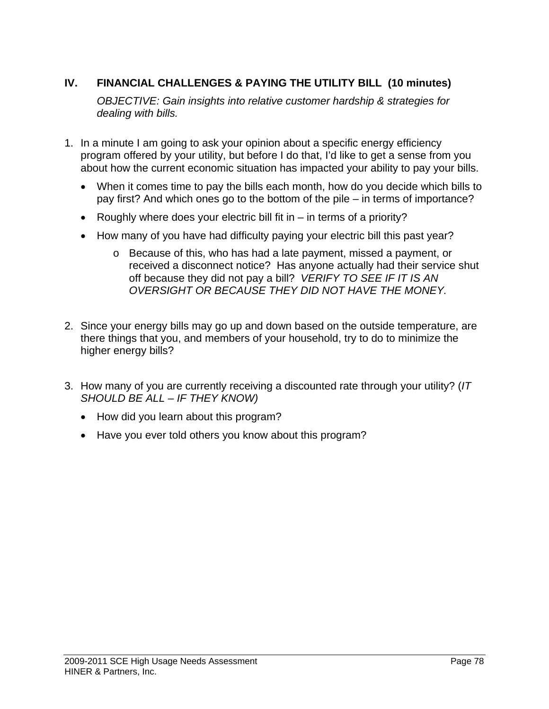# **IV. FINANCIAL CHALLENGES & PAYING THE UTILITY BILL (10 minutes)**

*OBJECTIVE: Gain insights into relative customer hardship & strategies for dealing with bills.* 

- 1. In a minute I am going to ask your opinion about a specific energy efficiency program offered by your utility, but before I do that, I'd like to get a sense from you about how the current economic situation has impacted your ability to pay your bills.
	- When it comes time to pay the bills each month, how do you decide which bills to pay first? And which ones go to the bottom of the pile – in terms of importance?
	- Roughly where does your electric bill fit in  $-$  in terms of a priority?
	- How many of you have had difficulty paying your electric bill this past year?
		- o Because of this, who has had a late payment, missed a payment, or received a disconnect notice? Has anyone actually had their service shut off because they did not pay a bill? *VERIFY TO SEE IF IT IS AN OVERSIGHT OR BECAUSE THEY DID NOT HAVE THE MONEY.*
- 2. Since your energy bills may go up and down based on the outside temperature, are there things that you, and members of your household, try to do to minimize the higher energy bills?
- 3. How many of you are currently receiving a discounted rate through your utility? (*IT SHOULD BE ALL – IF THEY KNOW)*
	- How did you learn about this program?
	- Have you ever told others you know about this program?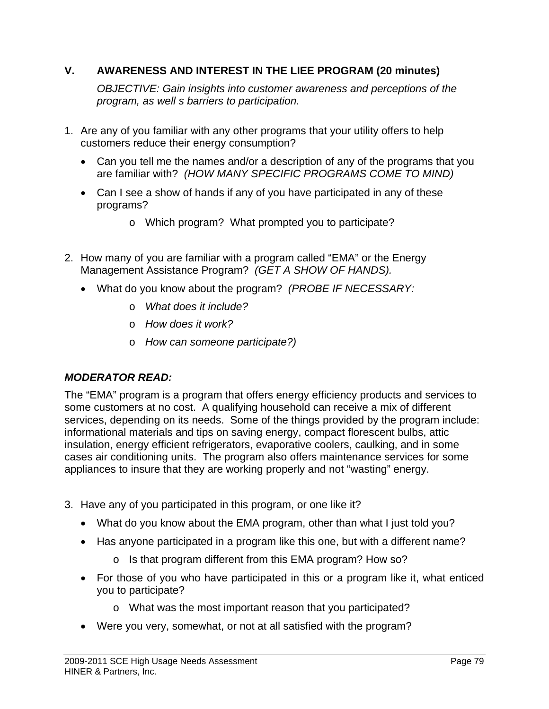# **V. AWARENESS AND INTEREST IN THE LIEE PROGRAM (20 minutes)**

 *OBJECTIVE: Gain insights into customer awareness and perceptions of the program, as well s barriers to participation.* 

- 1. Are any of you familiar with any other programs that your utility offers to help customers reduce their energy consumption?
	- Can you tell me the names and/or a description of any of the programs that you are familiar with? *(HOW MANY SPECIFIC PROGRAMS COME TO MIND)*
	- Can I see a show of hands if any of you have participated in any of these programs?
		- o Which program? What prompted you to participate?
- 2. How many of you are familiar with a program called "EMA" or the Energy Management Assistance Program? *(GET A SHOW OF HANDS).*
	- What do you know about the program? *(PROBE IF NECESSARY:* 
		- o *What does it include?*
		- o *How does it work?*
		- o *How can someone participate?)*

## *MODERATOR READ:*

The "EMA" program is a program that offers energy efficiency products and services to some customers at no cost. A qualifying household can receive a mix of different services, depending on its needs. Some of the things provided by the program include: informational materials and tips on saving energy, compact florescent bulbs, attic insulation, energy efficient refrigerators, evaporative coolers, caulking, and in some cases air conditioning units. The program also offers maintenance services for some appliances to insure that they are working properly and not "wasting" energy.

- 3. Have any of you participated in this program, or one like it?
	- What do you know about the EMA program, other than what I just told you?
	- Has anyone participated in a program like this one, but with a different name?
		- o Is that program different from this EMA program? How so?
	- For those of you who have participated in this or a program like it, what enticed you to participate?
		- o What was the most important reason that you participated?
	- Were you very, somewhat, or not at all satisfied with the program?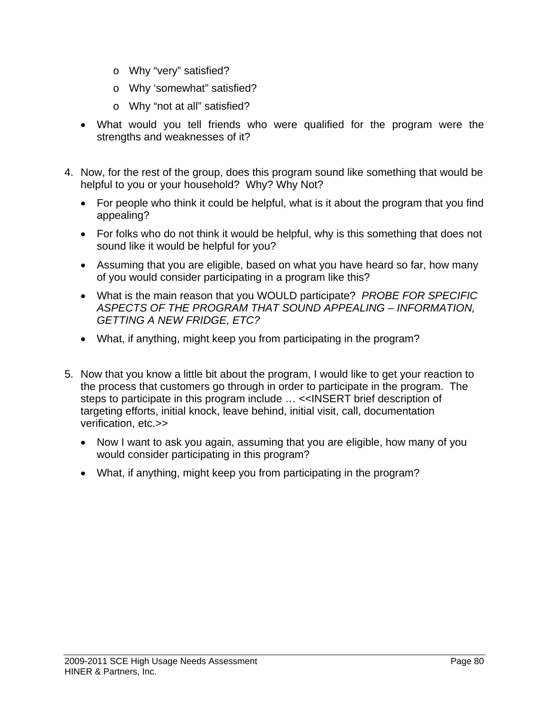- o Why "very" satisfied?
- o Why 'somewhat" satisfied?
- o Why "not at all" satisfied?
- What would you tell friends who were qualified for the program were the strengths and weaknesses of it?
- 4. Now, for the rest of the group, does this program sound like something that would be helpful to you or your household? Why? Why Not?
	- For people who think it could be helpful, what is it about the program that you find appealing?
	- For folks who do not think it would be helpful, why is this something that does not sound like it would be helpful for you?
	- Assuming that you are eligible, based on what you have heard so far, how many of you would consider participating in a program like this?
	- What is the main reason that you WOULD participate? *PROBE FOR SPECIFIC ASPECTS OF THE PROGRAM THAT SOUND APPEALING – INFORMATION, GETTING A NEW FRIDGE, ETC?*
	- What, if anything, might keep you from participating in the program?
- 5. Now that you know a little bit about the program, I would like to get your reaction to the process that customers go through in order to participate in the program. The steps to participate in this program include … <<INSERT brief description of targeting efforts, initial knock, leave behind, initial visit, call, documentation verification, etc.>>
	- Now I want to ask you again, assuming that you are eligible, how many of you would consider participating in this program?
	- What, if anything, might keep you from participating in the program?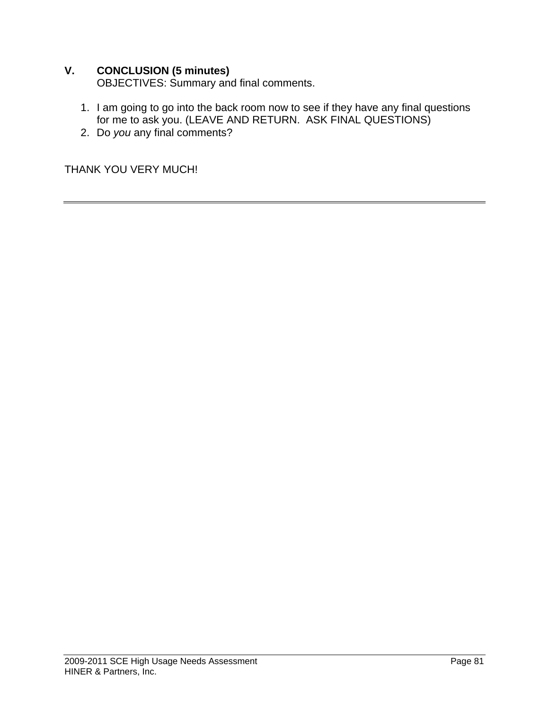# **V. CONCLUSION (5 minutes)**

OBJECTIVES: Summary and final comments.

- 1. I am going to go into the back room now to see if they have any final questions for me to ask you. (LEAVE AND RETURN. ASK FINAL QUESTIONS)
- 2. Do *you* any final comments?

THANK YOU VERY MUCH!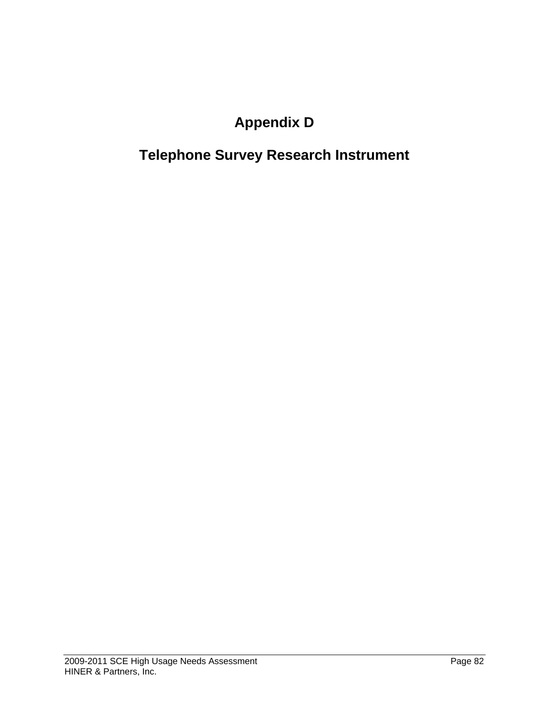# **Appendix D**

# **Telephone Survey Research Instrument**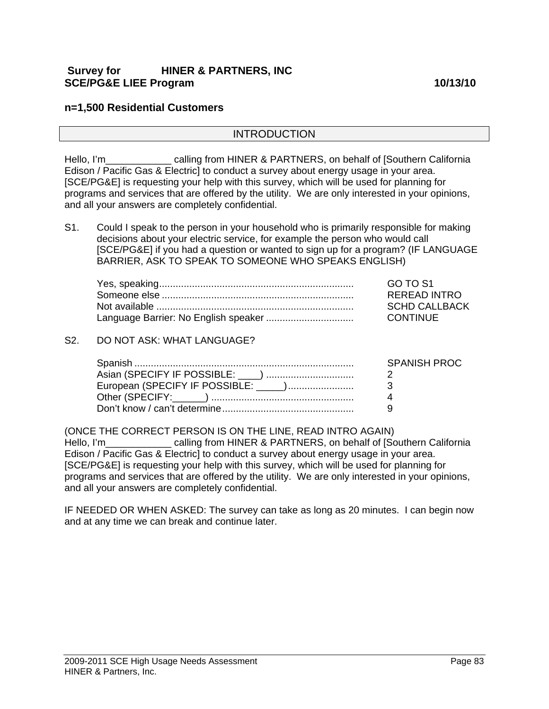#### **Survey for HINER & PARTNERS, INC SCE/PG&E LIEE Program 10/13/10**

#### **n=1,500 Residential Customers**

#### INTRODUCTION

Hello, I'm calling from HINER & PARTNERS, on behalf of [Southern California Edison / Pacific Gas & Electric] to conduct a survey about energy usage in your area. [SCE/PG&E] is requesting your help with this survey, which will be used for planning for programs and services that are offered by the utility. We are only interested in your opinions, and all your answers are completely confidential.

S1. Could I speak to the person in your household who is primarily responsible for making decisions about your electric service, for example the person who would call [SCE/PG&E] if you had a question or wanted to sign up for a program? (IF LANGUAGE BARRIER, ASK TO SPEAK TO SOMEONE WHO SPEAKS ENGLISH)

| GO TO S1             |
|----------------------|
| REREAD INTRO         |
| <b>SCHD CALLBACK</b> |
| CONTINUE             |

#### S2. DO NOT ASK: WHAT LANGUAGE?

| Snani                             | SPANISH PR |
|-----------------------------------|------------|
| Asian (SPECIFY IF POSSIBLE: ____) |            |
|                                   |            |
| Other (SPECIFY:                   |            |
|                                   |            |

(ONCE THE CORRECT PERSON IS ON THE LINE, READ INTRO AGAIN) Hello, I'm\_\_\_\_\_\_\_\_\_\_\_\_\_\_\_ calling from HINER & PARTNERS, on behalf of [Southern California Edison / Pacific Gas & Electric] to conduct a survey about energy usage in your area. [SCE/PG&E] is requesting your help with this survey, which will be used for planning for programs and services that are offered by the utility. We are only interested in your opinions, and all your answers are completely confidential.

IF NEEDED OR WHEN ASKED: The survey can take as long as 20 minutes. I can begin now and at any time we can break and continue later.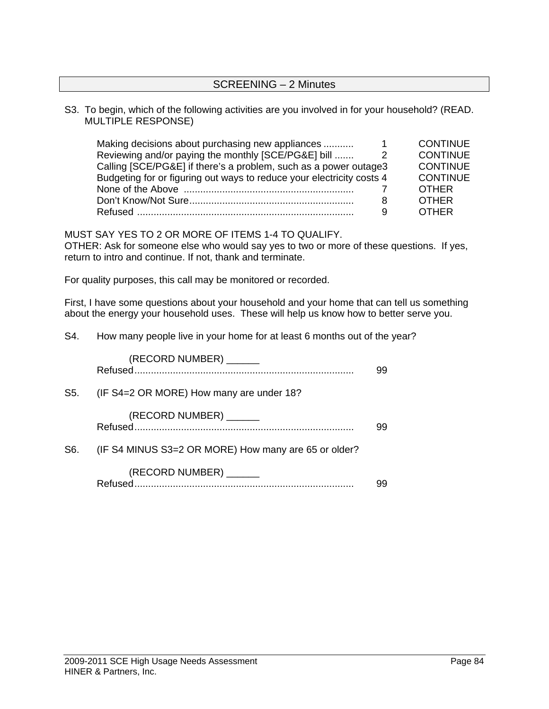#### SCREENING – 2 Minutes

#### S3. To begin, which of the following activities are you involved in for your household? (READ. MULTIPLE RESPONSE)

| <b>CONTINUE</b> |
|-----------------|
| <b>CONTINUE</b> |
| <b>CONTINUE</b> |
| <b>CONTINUE</b> |
| <b>OTHER</b>    |
| <b>OTHER</b>    |
| <b>OTHER</b>    |
|                 |

MUST SAY YES TO 2 OR MORE OF ITEMS 1-4 TO QUALIFY.

OTHER: Ask for someone else who would say yes to two or more of these questions. If yes, return to intro and continue. If not, thank and terminate.

For quality purposes, this call may be monitored or recorded.

First, I have some questions about your household and your home that can tell us something about the energy your household uses. These will help us know how to better serve you.

S4. How many people live in your home for at least 6 months out of the year?

|     | (RECORD NUMBER) ______                               | 99 |
|-----|------------------------------------------------------|----|
| S5. | (IF S4=2 OR MORE) How many are under 18?             |    |
|     | (RECORD NUMBER) ______                               | 99 |
| S6. | (IF S4 MINUS S3=2 OR MORE) How many are 65 or older? |    |
|     | (RECORD NUMBER) _______                              |    |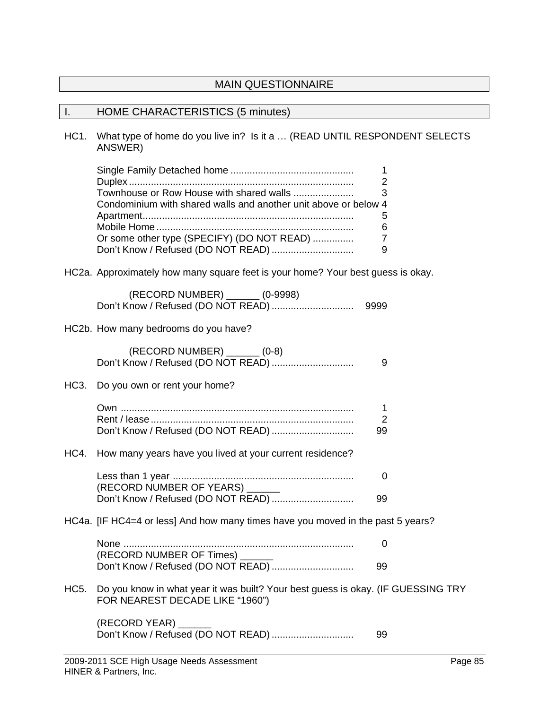# MAIN QUESTIONNAIRE

# I. HOME CHARACTERISTICS (5 minutes)

HC1. What type of home do you live in? Is it a … (READ UNTIL RESPONDENT SELECTS ANSWER)

|      | Townhouse or Row House with shared walls<br>Condominium with shared walls and another unit above or below 4<br>Or some other type (SPECIFY) (DO NOT READ) | 1<br>2<br>3<br>5<br>6<br>$\overline{7}$<br>9 |  |
|------|-----------------------------------------------------------------------------------------------------------------------------------------------------------|----------------------------------------------|--|
|      | HC2a. Approximately how many square feet is your home? Your best guess is okay.                                                                           |                                              |  |
|      | (RECORD NUMBER) _______ (0-9998)<br>Don't Know / Refused (DO NOT READ)                                                                                    | 9999                                         |  |
|      | HC2b. How many bedrooms do you have?                                                                                                                      |                                              |  |
|      | (RECORD NUMBER) ______ (0-8)<br>Don't Know / Refused (DO NOT READ)                                                                                        | 9                                            |  |
| HC3. | Do you own or rent your home?                                                                                                                             |                                              |  |
|      |                                                                                                                                                           | 1<br>$\overline{2}$<br>99                    |  |
|      | HC4. How many years have you lived at your current residence?                                                                                             |                                              |  |
|      |                                                                                                                                                           | 0                                            |  |
|      |                                                                                                                                                           | 99                                           |  |
|      | HC4a. [IF HC4=4 or less] And how many times have you moved in the past 5 years?                                                                           |                                              |  |
|      | (RECORD NUMBER OF Times) ______                                                                                                                           | 0                                            |  |
|      | Don't Know / Refused (DO NOT READ)                                                                                                                        | 99                                           |  |
| HC5. | Do you know in what year it was built? Your best guess is okay. (IF GUESSING TRY<br>FOR NEAREST DECADE LIKE "1960")                                       |                                              |  |
|      | (RECORD YEAR)                                                                                                                                             | 99                                           |  |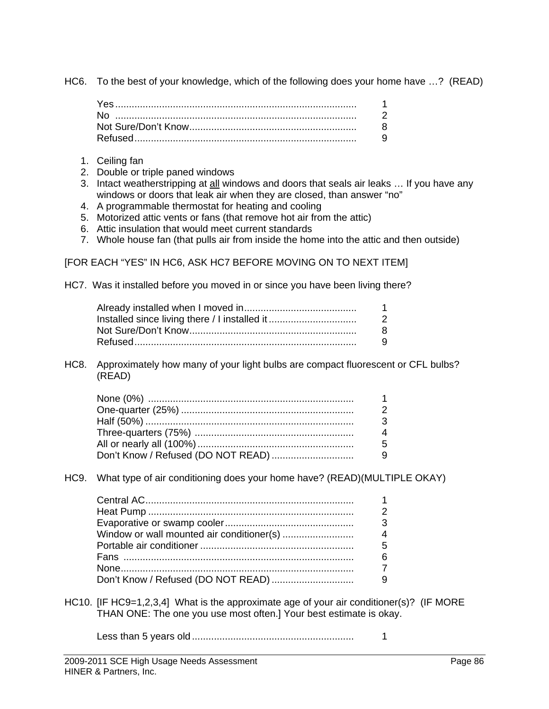HC6. To the best of your knowledge, which of the following does your home have …? (READ)

- 1. Ceiling fan
- 2. Double or triple paned windows
- 3. Intact weatherstripping at all windows and doors that seals air leaks … If you have any windows or doors that leak air when they are closed, than answer "no"
- 4. A programmable thermostat for heating and cooling
- 5. Motorized attic vents or fans (that remove hot air from the attic)
- 6. Attic insulation that would meet current standards
- 7. Whole house fan (that pulls air from inside the home into the attic and then outside)

[FOR EACH "YES" IN HC6, ASK HC7 BEFORE MOVING ON TO NEXT ITEM]

HC7. Was it installed before you moved in or since you have been living there?

| 1. |
|----|
| 2  |
| 8  |
| Q. |
|    |

HC8. Approximately how many of your light bulbs are compact fluorescent or CFL bulbs? (READ)

HC9. What type of air conditioning does your home have? (READ)(MULTIPLE OKAY)

| ิค |
|----|
|    |
|    |
|    |

- HC10. [IF HC9=1,2,3,4] What is the approximate age of your air conditioner(s)? (IF MORE THAN ONE: The one you use most often.] Your best estimate is okay.
	- Less than 5 years old ........................................................... 1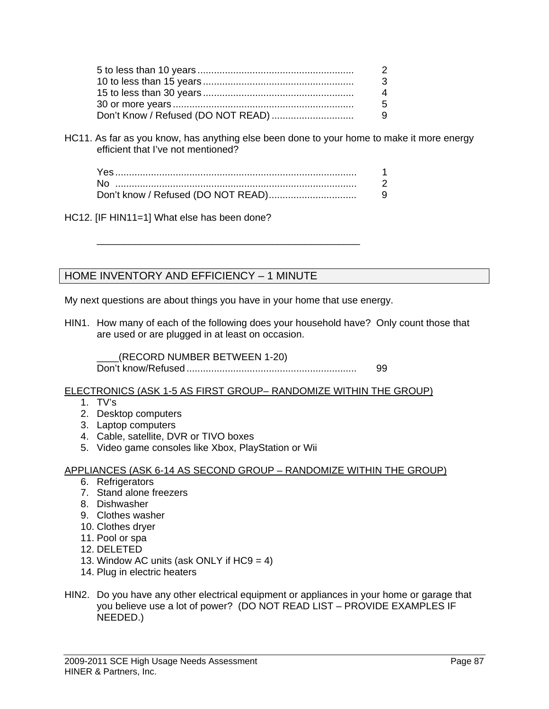| 3 |
|---|
| 4 |
| 5 |
|   |

HC11. As far as you know, has anything else been done to your home to make it more energy efficient that I've not mentioned?

HC12. [IF HIN11=1] What else has been done?

# HOME INVENTORY AND EFFICIENCY – 1 MINUTE

My next questions are about things you have in your home that use energy.

 $\overline{\phantom{a}}$  ,  $\overline{\phantom{a}}$  ,  $\overline{\phantom{a}}$  ,  $\overline{\phantom{a}}$  ,  $\overline{\phantom{a}}$  ,  $\overline{\phantom{a}}$  ,  $\overline{\phantom{a}}$  ,  $\overline{\phantom{a}}$  ,  $\overline{\phantom{a}}$  ,  $\overline{\phantom{a}}$  ,  $\overline{\phantom{a}}$  ,  $\overline{\phantom{a}}$  ,  $\overline{\phantom{a}}$  ,  $\overline{\phantom{a}}$  ,  $\overline{\phantom{a}}$  ,  $\overline{\phantom{a}}$ 

HIN1. How many of each of the following does your household have? Only count those that are used or are plugged in at least on occasion.

 \_\_\_\_(RECORD NUMBER BETWEEN 1-20) Don't know/Refused .............................................................. 99

ELECTRONICS (ASK 1-5 AS FIRST GROUP– RANDOMIZE WITHIN THE GROUP)

- 1. TV's
- 2. Desktop computers
- 3. Laptop computers
- 4. Cable, satellite, DVR or TIVO boxes
- 5. Video game consoles like Xbox, PlayStation or Wii

#### APPLIANCES (ASK 6-14 AS SECOND GROUP – RANDOMIZE WITHIN THE GROUP)

- 6. Refrigerators
- 7. Stand alone freezers
- 8. Dishwasher
- 9. Clothes washer
- 10. Clothes dryer
- 11. Pool or spa
- 12. DELETED
- 13. Window AC units (ask ONLY if  $HC9 = 4$ )
- 14. Plug in electric heaters
- HIN2. Do you have any other electrical equipment or appliances in your home or garage that you believe use a lot of power? (DO NOT READ LIST – PROVIDE EXAMPLES IF NEEDED.)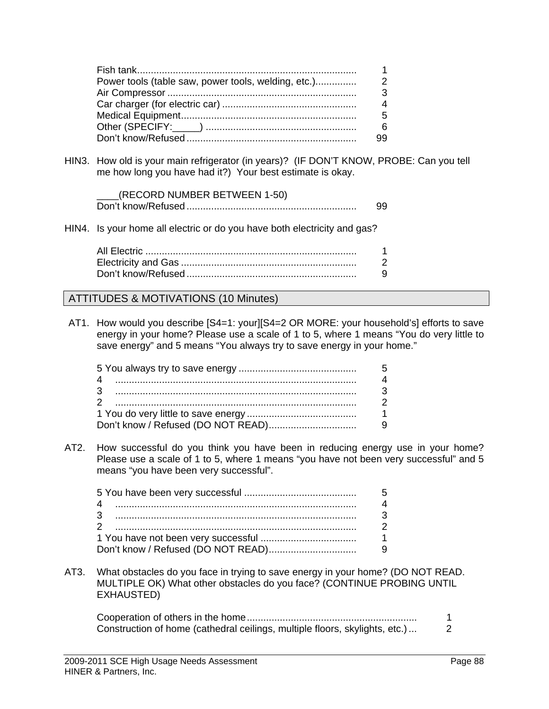| Power tools (table saw, power tools, welding, etc.) |  |
|-----------------------------------------------------|--|
|                                                     |  |
|                                                     |  |
|                                                     |  |
|                                                     |  |
|                                                     |  |

HIN3. How old is your main refrigerator (in years)? (IF DON'T KNOW, PROBE: Can you tell me how long you have had it?) Your best estimate is okay.

| (RECORD NUMBER BETWEEN 1-50) |  |
|------------------------------|--|
|                              |  |

HIN4. Is your home all electric or do you have both electricity and gas?

#### ATTITUDES & MOTIVATIONS (10 Minutes)

AT1. How would you describe [S4=1: your][S4=2 OR MORE: your household's] efforts to save energy in your home? Please use a scale of 1 to 5, where 1 means "You do very little to save energy" and 5 means "You always try to save energy in your home."

AT2. How successful do you think you have been in reducing energy use in your home? Please use a scale of 1 to 5, where 1 means "you have not been very successful" and 5 means "you have been very successful".

AT3. What obstacles do you face in trying to save energy in your home? (DO NOT READ. MULTIPLE OK) What other obstacles do you face? (CONTINUE PROBING UNTIL EXHAUSTED)

| Construction of home (cathedral ceilings, multiple floors, skylights, etc.) |  |
|-----------------------------------------------------------------------------|--|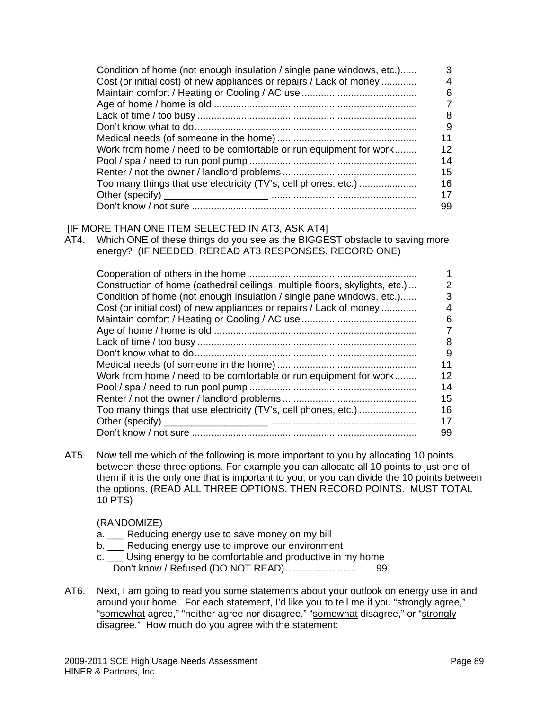| Condition of home (not enough insulation / single pane windows, etc.) | 3  |
|-----------------------------------------------------------------------|----|
| Cost (or initial cost) of new appliances or repairs / Lack of money   | 4  |
|                                                                       | 6  |
|                                                                       |    |
|                                                                       | 8  |
|                                                                       | 9  |
|                                                                       | 11 |
| Work from home / need to be comfortable or run equipment for work     | 12 |
|                                                                       | 14 |
|                                                                       | 15 |
| Too many things that use electricity (TV's, cell phones, etc.)        | 16 |
|                                                                       | 17 |
|                                                                       | 99 |

#### [IF MORE THAN ONE ITEM SELECTED IN AT3, ASK AT4]

AT4. Which ONE of these things do you see as the BIGGEST obstacle to saving more energy? (IF NEEDED, REREAD AT3 RESPONSES. RECORD ONE)

| Construction of home (cathedral ceilings, multiple floors, skylights, etc.) | 2  |
|-----------------------------------------------------------------------------|----|
| Condition of home (not enough insulation / single pane windows, etc.)       | 3  |
| Cost (or initial cost) of new appliances or repairs / Lack of money         | 4  |
|                                                                             | 6  |
|                                                                             |    |
|                                                                             | 8  |
|                                                                             | 9  |
|                                                                             | 11 |
| Work from home / need to be comfortable or run equipment for work           | 12 |
|                                                                             | 14 |
|                                                                             | 15 |
|                                                                             | 16 |
|                                                                             | 17 |
|                                                                             | 99 |

AT5. Now tell me which of the following is more important to you by allocating 10 points between these three options. For example you can allocate all 10 points to just one of them if it is the only one that is important to you, or you can divide the 10 points between the options. (READ ALL THREE OPTIONS, THEN RECORD POINTS. MUST TOTAL 10 PTS)

#### (RANDOMIZE)

- a. \_\_\_ Reducing energy use to save money on my bill
- b. \_\_\_ Reducing energy use to improve our environment
- c. \_\_\_ Using energy to be comfortable and productive in my home Don't know / Refused (DO NOT READ).......................... 99
- AT6. Next, I am going to read you some statements about your outlook on energy use in and around your home. For each statement, I'd like you to tell me if you "strongly agree," "somewhat agree," "neither agree nor disagree," "somewhat disagree," or "strongly disagree." How much do you agree with the statement: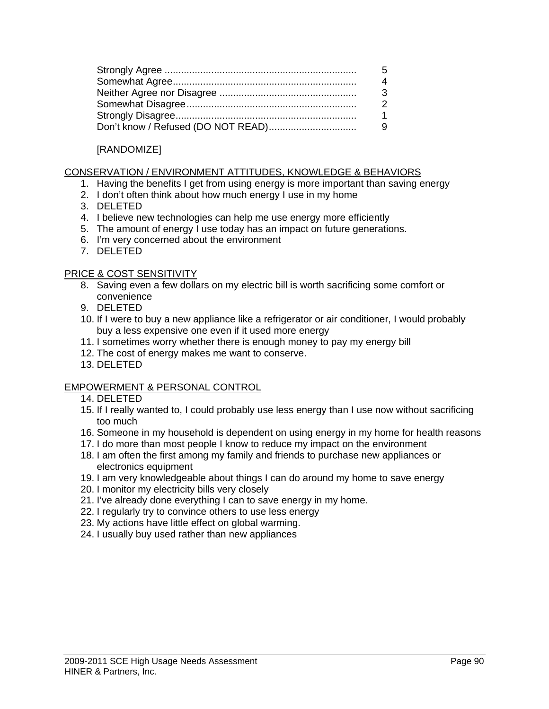#### [RANDOMIZE]

#### CONSERVATION / ENVIRONMENT ATTITUDES, KNOWLEDGE & BEHAVIORS

- 1. Having the benefits I get from using energy is more important than saving energy
- 2. I don't often think about how much energy I use in my home
- 3. DELETED
- 4. I believe new technologies can help me use energy more efficiently
- 5. The amount of energy I use today has an impact on future generations.
- 6. I'm very concerned about the environment
- 7. DELETED

#### PRICE & COST SENSITIVITY

- 8. Saving even a few dollars on my electric bill is worth sacrificing some comfort or convenience
- 9. DELETED
- 10. If I were to buy a new appliance like a refrigerator or air conditioner, I would probably buy a less expensive one even if it used more energy
- 11. I sometimes worry whether there is enough money to pay my energy bill
- 12. The cost of energy makes me want to conserve.
- 13. DELETED

#### EMPOWERMENT & PERSONAL CONTROL

- 14. DELETED
- 15. If I really wanted to, I could probably use less energy than I use now without sacrificing too much
- 16. Someone in my household is dependent on using energy in my home for health reasons
- 17. I do more than most people I know to reduce my impact on the environment
- 18. I am often the first among my family and friends to purchase new appliances or electronics equipment
- 19. I am very knowledgeable about things I can do around my home to save energy
- 20. I monitor my electricity bills very closely
- 21. I've already done everything I can to save energy in my home.
- 22. I regularly try to convince others to use less energy
- 23. My actions have little effect on global warming.
- 24. I usually buy used rather than new appliances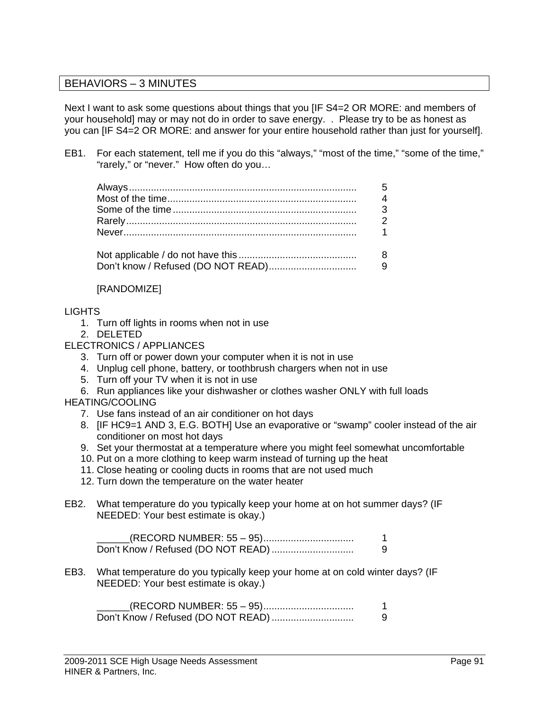### BEHAVIORS – 3 MINUTES

Next I want to ask some questions about things that you [IF S4=2 OR MORE: and members of your household] may or may not do in order to save energy. . Please try to be as honest as you can [IF S4=2 OR MORE: and answer for your entire household rather than just for yourself].

EB1. For each statement, tell me if you do this "always," "most of the time," "some of the time," "rarely," or "never." How often do you…

#### [RANDOMIZE]

#### **LIGHTS**

- 1. Turn off lights in rooms when not in use
- 2. DELETED

#### ELECTRONICS / APPLIANCES

- 3. Turn off or power down your computer when it is not in use
- 4. Unplug cell phone, battery, or toothbrush chargers when not in use
- 5. Turn off your TV when it is not in use
- 6. Run appliances like your dishwasher or clothes washer ONLY with full loads

#### HEATING/COOLING

- 7. Use fans instead of an air conditioner on hot days
- 8. [IF HC9=1 AND 3, E.G. BOTH] Use an evaporative or "swamp" cooler instead of the air conditioner on most hot days
- 9. Set your thermostat at a temperature where you might feel somewhat uncomfortable
- 10. Put on a more clothing to keep warm instead of turning up the heat
- 11. Close heating or cooling ducts in rooms that are not used much
- 12. Turn down the temperature on the water heater
- EB2. What temperature do you typically keep your home at on hot summer days? (IF NEEDED: Your best estimate is okay.)

 \_\_\_\_\_\_(RECORD NUMBER: 55 – 95)................................. 1 Don't Know / Refused (DO NOT READ) .............................. 9

EB3. What temperature do you typically keep your home at on cold winter days? (IF NEEDED: Your best estimate is okay.)

| (RECORD NUMBER: 55 – 95) |  |
|--------------------------|--|
|                          |  |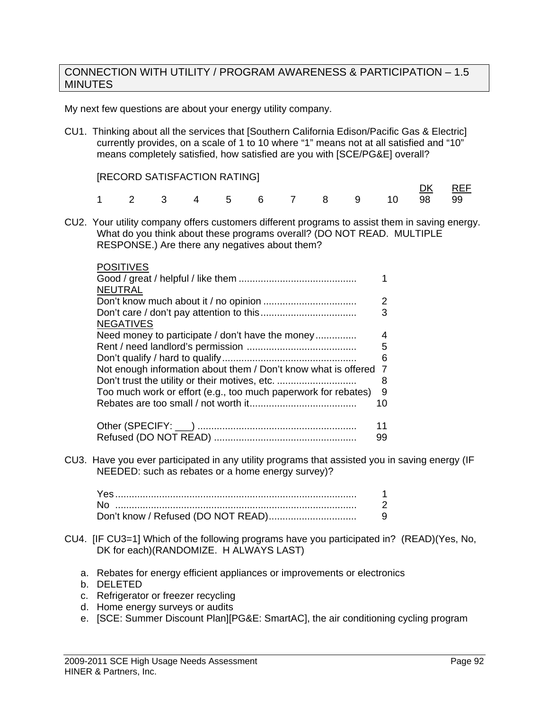#### CONNECTION WITH UTILITY / PROGRAM AWARENESS & PARTICIPATION – 1.5 **MINUTES**

My next few questions are about your energy utility company.

CU1. Thinking about all the services that [Southern California Edison/Pacific Gas & Electric] currently provides, on a scale of 1 to 10 where "1" means not at all satisfied and "10" means completely satisfied, how satisfied are you with [SCE/PG&E] overall?

[RECORD SATISFACTION RATING]

|                            |  |  |  |  |  | <u>DK</u> REF |
|----------------------------|--|--|--|--|--|---------------|
| 1 2 3 4 5 6 7 8 9 10 98 99 |  |  |  |  |  |               |

CU2. Your utility company offers customers different programs to assist them in saving energy. What do you think about these programs overall? (DO NOT READ. MULTIPLE RESPONSE.) Are there any negatives about them?

| <b>POSITIVES</b>                                               |                |
|----------------------------------------------------------------|----------------|
|                                                                |                |
| <b>NEUTRAL</b>                                                 |                |
|                                                                | $\overline{2}$ |
|                                                                | 3              |
| <b>NEGATIVES</b>                                               |                |
| Need money to participate / don't have the money               | 4              |
|                                                                | 5              |
|                                                                | 6              |
| Not enough information about them / Don't know what is offered | 7              |
| Don't trust the utility or their motives, etc.                 | 8              |
| Too much work or effort (e.g., too much paperwork for rebates) | 9              |
|                                                                | 10             |
|                                                                | 11             |
|                                                                | 99             |

CU3. Have you ever participated in any utility programs that assisted you in saving energy (IF NEEDED: such as rebates or a home energy survey)?

| .                                  |  |
|------------------------------------|--|
| .                                  |  |
| know / $Refused$ (DO NOT READ)<br> |  |

- CU4. [IF CU3=1] Which of the following programs have you participated in? (READ)(Yes, No, DK for each)(RANDOMIZE. H ALWAYS LAST)
	- a. Rebates for energy efficient appliances or improvements or electronics
	- b. DELETED
	- c. Refrigerator or freezer recycling
	- d. Home energy surveys or audits
	- e. [SCE: Summer Discount Plan][PG&E: SmartAC], the air conditioning cycling program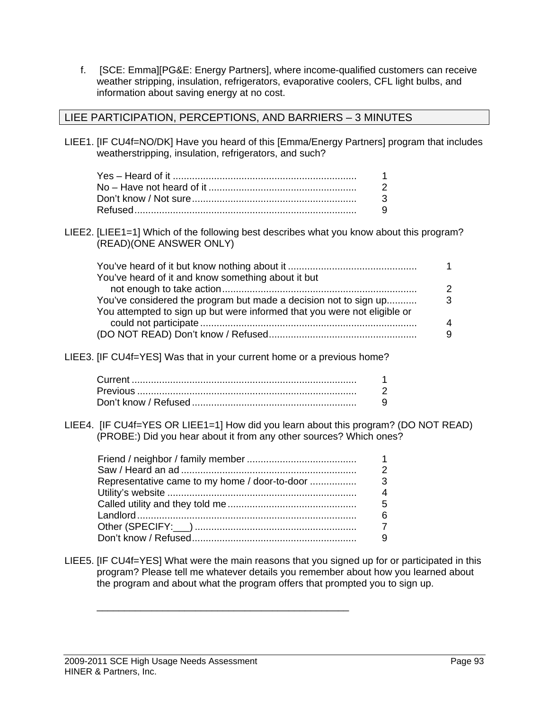f. [SCE: Emma][PG&E: Energy Partners], where income-qualified customers can receive weather stripping, insulation, refrigerators, evaporative coolers, CFL light bulbs, and information about saving energy at no cost.

#### LIEE PARTICIPATION, PERCEPTIONS, AND BARRIERS – 3 MINUTES

LIEE1. [IF CU4f=NO/DK] Have you heard of this [Emma/Energy Partners] program that includes weatherstripping, insulation, refrigerators, and such?

LIEE2. [LIEE1=1] Which of the following best describes what you know about this program? (READ)(ONE ANSWER ONLY)

| You've heard of it and know something about it but                       |   |
|--------------------------------------------------------------------------|---|
|                                                                          |   |
| You've considered the program but made a decision not to sign up         | 3 |
| You attempted to sign up but were informed that you were not eligible or |   |
|                                                                          |   |
|                                                                          |   |

LIEE3. [IF CU4f=YES] Was that in your current home or a previous home?

LIEE4. [IF CU4f=YES OR LIEE1=1] How did you learn about this program? (DO NOT READ) (PROBE:) Did you hear about it from any other sources? Which ones?

|  | 3 |
|--|---|
|  |   |
|  | 5 |
|  |   |
|  |   |
|  |   |
|  |   |

 $\overline{\phantom{a}}$  , and the contract of the contract of the contract of the contract of the contract of the contract of the contract of the contract of the contract of the contract of the contract of the contract of the contrac

LIEE5. [IF CU4f=YES] What were the main reasons that you signed up for or participated in this program? Please tell me whatever details you remember about how you learned about the program and about what the program offers that prompted you to sign up.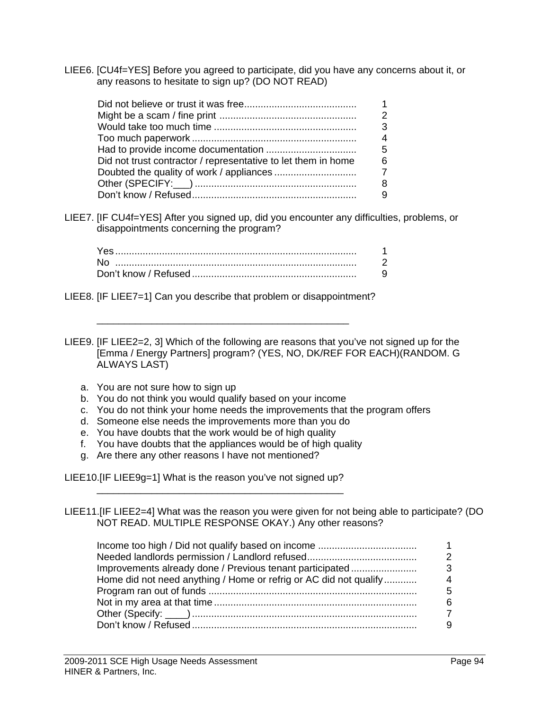LIEE6. [CU4f=YES] Before you agreed to participate, did you have any concerns about it, or any reasons to hesitate to sign up? (DO NOT READ)

|                                                               | 5 |
|---------------------------------------------------------------|---|
| Did not trust contractor / representative to let them in home |   |
|                                                               |   |
|                                                               |   |
|                                                               |   |

LIEE7. [IF CU4f=YES] After you signed up, did you encounter any difficulties, problems, or disappointments concerning the program?

| know / Refused |  |
|----------------|--|

LIEE8. [IF LIEE7=1] Can you describe that problem or disappointment?

 $\overline{\phantom{a}}$  , and the contract of the contract of the contract of the contract of the contract of the contract of the contract of the contract of the contract of the contract of the contract of the contract of the contrac

LIEE9. [IF LIEE2=2, 3] Which of the following are reasons that you've not signed up for the [Emma / Energy Partners] program? (YES, NO, DK/REF FOR EACH)(RANDOM. G ALWAYS LAST)

- a. You are not sure how to sign up
- b. You do not think you would qualify based on your income
- c. You do not think your home needs the improvements that the program offers
- d. Someone else needs the improvements more than you do
- e. You have doubts that the work would be of high quality
- f. You have doubts that the appliances would be of high quality
- g. Are there any other reasons I have not mentioned?

LIEE10.[IF LIEE9g=1] What is the reason you've not signed up? \_\_\_\_\_\_\_\_\_\_\_\_\_\_\_\_\_\_\_\_\_\_\_\_\_\_\_\_\_\_\_\_\_\_\_\_\_\_\_\_\_\_\_\_\_

LIEE11.[IF LIEE2=4] What was the reason you were given for not being able to participate? (DO NOT READ. MULTIPLE RESPONSE OKAY.) Any other reasons?

| Improvements already done / Previous tenant participated          |  |
|-------------------------------------------------------------------|--|
| Home did not need anything / Home or refrig or AC did not qualify |  |
|                                                                   |  |
|                                                                   |  |
|                                                                   |  |
|                                                                   |  |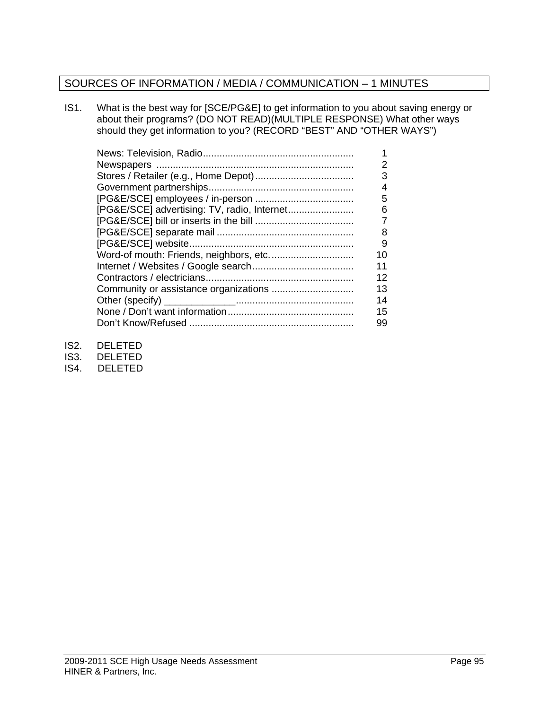# SOURCES OF INFORMATION / MEDIA / COMMUNICATION – 1 MINUTES

IS1. What is the best way for [SCE/PG&E] to get information to you about saving energy or about their programs? (DO NOT READ)(MULTIPLE RESPONSE) What other ways should they get information to you? (RECORD "BEST" AND "OTHER WAYS")

|                                             | 2  |
|---------------------------------------------|----|
|                                             | 3  |
|                                             | 4  |
|                                             | 5  |
| [PG&E/SCE] advertising: TV, radio, Internet | 6  |
|                                             | 7  |
|                                             | 8  |
|                                             | 9  |
| Word-of mouth: Friends, neighbors, etc      | 10 |
|                                             | 11 |
|                                             | 12 |
|                                             | 13 |
|                                             | 14 |
|                                             | 15 |
|                                             | 99 |
|                                             |    |

- IS2. DELETED
- IS3. DELETED
- IS4. DELETED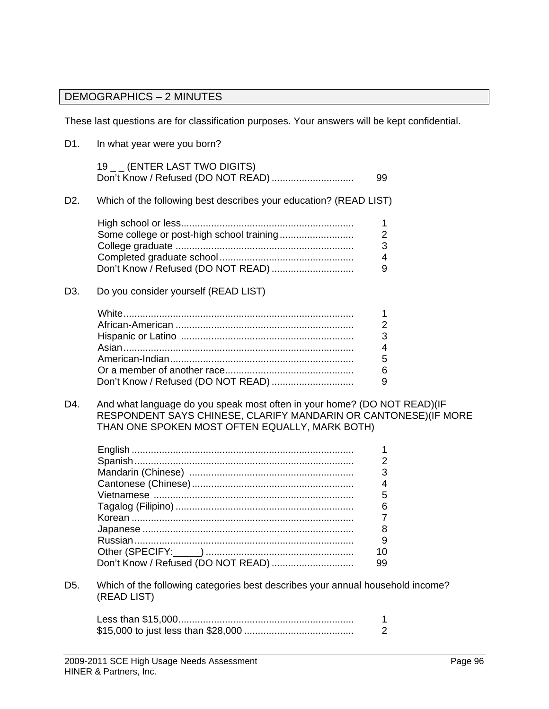# DEMOGRAPHICS – 2 MINUTES

These last questions are for classification purposes. Your answers will be kept confidential.

| D1.              | In what year were you born?                                                                                                                  |                                         |
|------------------|----------------------------------------------------------------------------------------------------------------------------------------------|-----------------------------------------|
|                  | 19 _ _ (ENTER LAST TWO DIGITS)<br>Don't Know / Refused (DO NOT READ)                                                                         | 99                                      |
| D <sub>2</sub> . | Which of the following best describes your education? (READ LIST)                                                                            |                                         |
|                  |                                                                                                                                              | 1<br>$\mathbf 2$                        |
|                  | Don't Know / Refused (DO NOT READ)                                                                                                           | 3<br>$\overline{4}$<br>9                |
| D <sub>3</sub> . | Do you consider yourself (READ LIST)                                                                                                         |                                         |
|                  |                                                                                                                                              | 1<br>$\overline{2}$<br>3<br>4<br>5<br>6 |
| D4.              | And what language do you speak most often in your home? (DO NOT READ) (IF<br>RESPONDENT SAYS CHINESE, CLARIFY MANDARIN OR CANTONESE)(IF MORE | 9                                       |
|                  | THAN ONE SPOKEN MOST OFTEN EQUALLY, MARK BOTH)                                                                                               |                                         |
|                  |                                                                                                                                              | 1<br>$\overline{2}$<br>3<br>4           |
|                  |                                                                                                                                              | 5<br>6<br>7                             |
|                  | Russian<br>Don't Know / Refused (DO NOT READ)                                                                                                | 8<br>9<br>10<br>99                      |
| D5.              | Which of the following categories best describes your annual household income?<br>(READ LIST)                                                |                                         |
|                  |                                                                                                                                              | 1<br>$\overline{2}$                     |
|                  |                                                                                                                                              |                                         |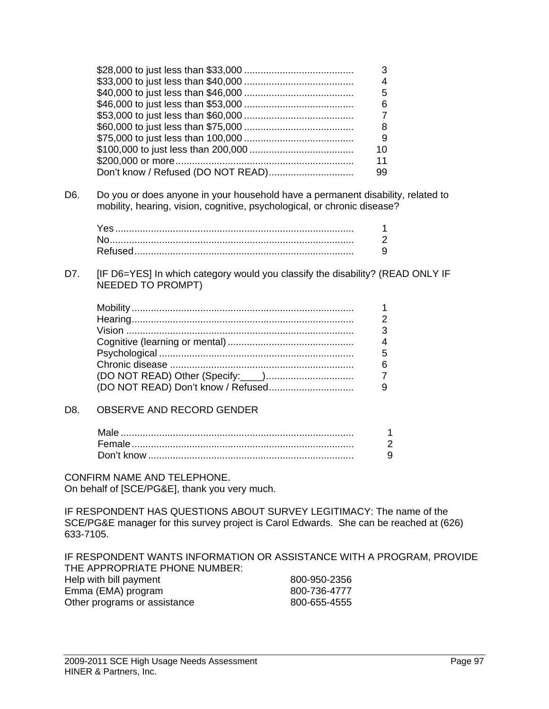|  | 6  |
|--|----|
|  |    |
|  |    |
|  | 9  |
|  | 10 |
|  |    |
|  |    |
|  |    |

D6. Do you or does anyone in your household have a permanent disability, related to mobility, hearing, vision, cognitive, psychological, or chronic disease?

D7. [IF D6=YES] In which category would you classify the disability? (READ ONLY IF NEEDED TO PROMPT)

#### D8. OBSERVE AND RECORD GENDER

CONFIRM NAME AND TELEPHONE. On behalf of [SCE/PG&E], thank you very much.

IF RESPONDENT HAS QUESTIONS ABOUT SURVEY LEGITIMACY: The name of the SCE/PG&E manager for this survey project is Carol Edwards. She can be reached at (626) 633-7105.

IF RESPONDENT WANTS INFORMATION OR ASSISTANCE WITH A PROGRAM, PROVIDE THE APPROPRIATE PHONE NUMBER: Help with bill payment 800-950-2356 Emma (EMA) program 800-736-4777 Other programs or assistance 800-655-4555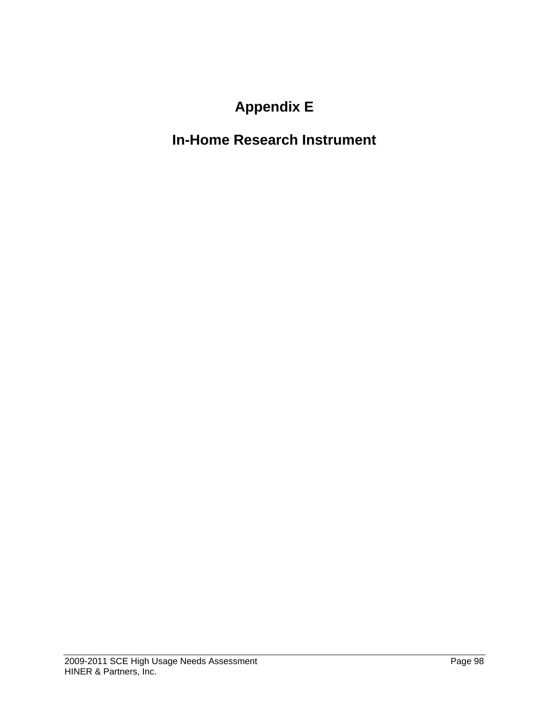# **Appendix E**

# **In-Home Research Instrument**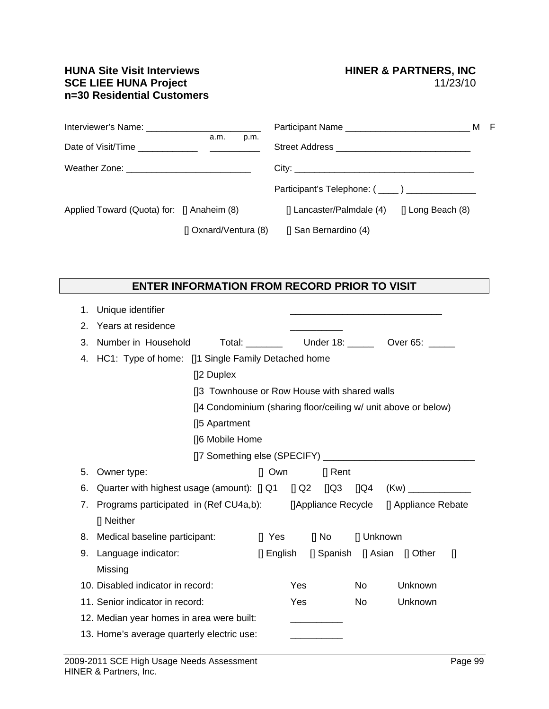#### **HUNA Site Visit Interviews FRAGE CONVINING METAL SCE LIEE HUNA Project** Material SCE LIEE HUNA Project **SCE LIEE HUNA Project n=30 Residential Customers**

|                                                  |                       |                                                | м | - F |
|--------------------------------------------------|-----------------------|------------------------------------------------|---|-----|
|                                                  | a.m.<br>p.m.          |                                                |   |     |
| Weather Zone: __________________________________ |                       |                                                |   |     |
|                                                  |                       | Participant's Telephone: (____) ______________ |   |     |
| Applied Toward (Quota) for: [] Anaheim (8)       |                       | [] Long Beach (8)<br>[] Lancaster/Palmdale (4) |   |     |
|                                                  | [] Oxnard/Ventura (8) | [] San Bernardino (4)                          |   |     |

### **ENTER INFORMATION FROM RECORD PRIOR TO VISIT**

| 1. | Unique identifier                                                               |        |            |              |            |                                                                |  |
|----|---------------------------------------------------------------------------------|--------|------------|--------------|------------|----------------------------------------------------------------|--|
| 2. | Years at residence                                                              |        |            |              |            |                                                                |  |
| 3. | Number in Household                                                             |        |            |              |            |                                                                |  |
|    | 4. HC1: Type of home: [1] Single Family Detached home                           |        |            |              |            |                                                                |  |
|    | []2 Duplex                                                                      |        |            |              |            |                                                                |  |
|    | [13 Townhouse or Row House with shared walls                                    |        |            |              |            |                                                                |  |
|    |                                                                                 |        |            |              |            | []4 Condominium (sharing floor/ceiling w/ unit above or below) |  |
|    | [15 Apartment                                                                   |        |            |              |            |                                                                |  |
|    | []6 Mobile Home                                                                 |        |            |              |            |                                                                |  |
|    |                                                                                 |        |            |              |            |                                                                |  |
| 5. | Owner type:                                                                     |        | $\Box$ Own | $\prod$ Rent |            |                                                                |  |
| 6. | Quarter with highest usage (amount): [] Q1 [] Q2 [] Q3 [] Q4 (Kw) _____________ |        |            |              |            |                                                                |  |
| 7. | Programs participated in (Ref CU4a,b): []Appliance Recycle [] Appliance Rebate  |        |            |              |            |                                                                |  |
|    | [] Neither                                                                      |        |            |              |            |                                                                |  |
|    | 8. Medical baseline participant:                                                | [] Yes |            | [] No        | [] Unknown |                                                                |  |
| 9. | Language indicator:                                                             |        |            |              |            | [] English [] Spanish [] Asian [] Other<br>$\mathbb{I}$        |  |
|    | Missing                                                                         |        |            |              |            |                                                                |  |
|    | 10. Disabled indicator in record:                                               |        | <b>Yes</b> |              | No         | Unknown                                                        |  |
|    | 11. Senior indicator in record:                                                 |        | Yes        |              | No         | Unknown                                                        |  |
|    | 12. Median year homes in area were built:                                       |        |            |              |            |                                                                |  |
|    | 13. Home's average quarterly electric use:                                      |        |            |              |            |                                                                |  |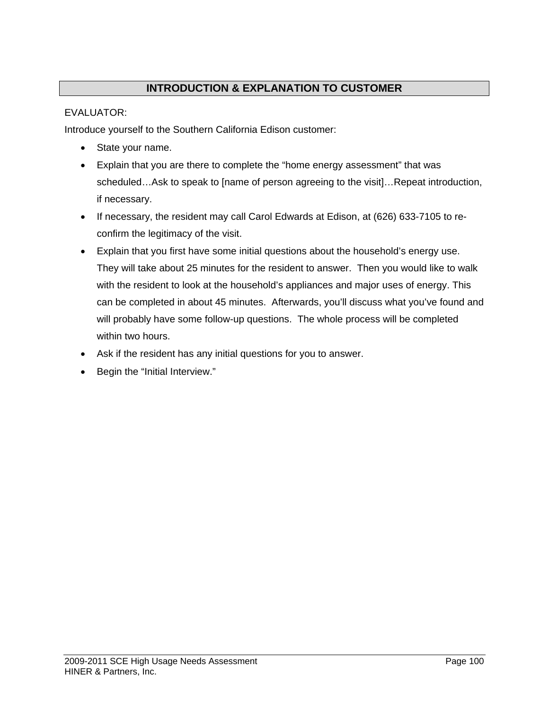# **INTRODUCTION & EXPLANATION TO CUSTOMER**

#### EVALUATOR:

Introduce yourself to the Southern California Edison customer:

- State your name.
- Explain that you are there to complete the "home energy assessment" that was scheduled…Ask to speak to [name of person agreeing to the visit]…Repeat introduction, if necessary.
- If necessary, the resident may call Carol Edwards at Edison, at (626) 633-7105 to reconfirm the legitimacy of the visit.
- Explain that you first have some initial questions about the household's energy use. They will take about 25 minutes for the resident to answer. Then you would like to walk with the resident to look at the household's appliances and major uses of energy. This can be completed in about 45 minutes. Afterwards, you'll discuss what you've found and will probably have some follow-up questions. The whole process will be completed within two hours.
- Ask if the resident has any initial questions for you to answer.
- Begin the "Initial Interview."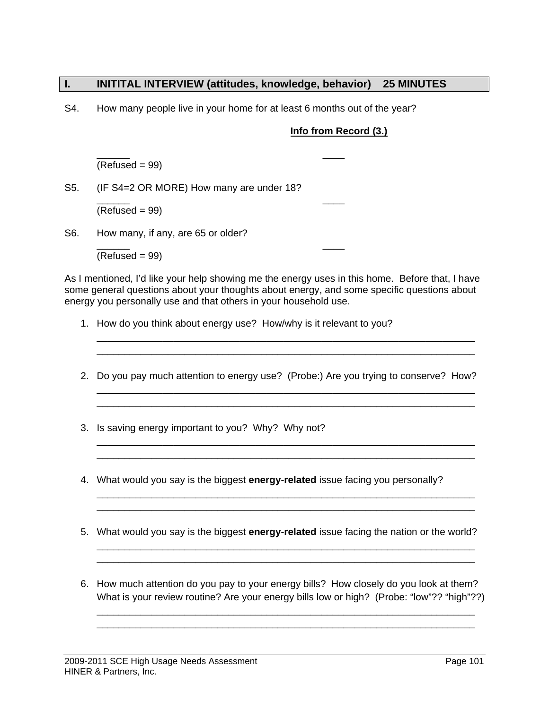#### **I. INITITAL INTERVIEW (attitudes, knowledge, behavior) 25 MINUTES**

S4. How many people live in your home for at least 6 months out of the year?

#### **Info from Record (3.)**

 $\frac{1}{2}$  ,  $\frac{1}{2}$  ,  $\frac{1}{2}$  ,  $\frac{1}{2}$  ,  $\frac{1}{2}$  ,  $\frac{1}{2}$  ,  $\frac{1}{2}$  ,  $\frac{1}{2}$  ,  $\frac{1}{2}$  ,  $\frac{1}{2}$  ,  $\frac{1}{2}$  ,  $\frac{1}{2}$  ,  $\frac{1}{2}$  ,  $\frac{1}{2}$  ,  $\frac{1}{2}$  ,  $\frac{1}{2}$  ,  $\frac{1}{2}$  ,  $\frac{1}{2}$  ,  $\frac{1$  $(Refused = 99)$ 

S5. (IF S4=2 OR MORE) How many are under 18?

 $\frac{1}{2}$  ,  $\frac{1}{2}$  ,  $\frac{1}{2}$  ,  $\frac{1}{2}$  ,  $\frac{1}{2}$  ,  $\frac{1}{2}$  ,  $\frac{1}{2}$  ,  $\frac{1}{2}$  ,  $\frac{1}{2}$  ,  $\frac{1}{2}$  ,  $\frac{1}{2}$  ,  $\frac{1}{2}$  ,  $\frac{1}{2}$  ,  $\frac{1}{2}$  ,  $\frac{1}{2}$  ,  $\frac{1}{2}$  ,  $\frac{1}{2}$  ,  $\frac{1}{2}$  ,  $\frac{1$  $(Refused = 99)$ 

S6. How many, if any, are 65 or older?

 $\frac{1}{2}$  ,  $\frac{1}{2}$  ,  $\frac{1}{2}$  ,  $\frac{1}{2}$  ,  $\frac{1}{2}$  ,  $\frac{1}{2}$  ,  $\frac{1}{2}$  ,  $\frac{1}{2}$  ,  $\frac{1}{2}$  ,  $\frac{1}{2}$  ,  $\frac{1}{2}$  ,  $\frac{1}{2}$  ,  $\frac{1}{2}$  ,  $\frac{1}{2}$  ,  $\frac{1}{2}$  ,  $\frac{1}{2}$  ,  $\frac{1}{2}$  ,  $\frac{1}{2}$  ,  $\frac{1$  $(Refused = 99)$ 

As I mentioned, I'd like your help showing me the energy uses in this home. Before that, I have some general questions about your thoughts about energy, and some specific questions about energy you personally use and that others in your household use.

1. How do you think about energy use? How/why is it relevant to you?

2. Do you pay much attention to energy use? (Probe:) Are you trying to conserve? How?

\_\_\_\_\_\_\_\_\_\_\_\_\_\_\_\_\_\_\_\_\_\_\_\_\_\_\_\_\_\_\_\_\_\_\_\_\_\_\_\_\_\_\_\_\_\_\_\_\_\_\_\_\_\_\_\_\_\_\_\_\_\_\_\_\_\_\_\_\_ \_\_\_\_\_\_\_\_\_\_\_\_\_\_\_\_\_\_\_\_\_\_\_\_\_\_\_\_\_\_\_\_\_\_\_\_\_\_\_\_\_\_\_\_\_\_\_\_\_\_\_\_\_\_\_\_\_\_\_\_\_\_\_\_\_\_\_\_\_

\_\_\_\_\_\_\_\_\_\_\_\_\_\_\_\_\_\_\_\_\_\_\_\_\_\_\_\_\_\_\_\_\_\_\_\_\_\_\_\_\_\_\_\_\_\_\_\_\_\_\_\_\_\_\_\_\_\_\_\_\_\_\_\_\_\_\_\_\_ \_\_\_\_\_\_\_\_\_\_\_\_\_\_\_\_\_\_\_\_\_\_\_\_\_\_\_\_\_\_\_\_\_\_\_\_\_\_\_\_\_\_\_\_\_\_\_\_\_\_\_\_\_\_\_\_\_\_\_\_\_\_\_\_\_\_\_\_\_

\_\_\_\_\_\_\_\_\_\_\_\_\_\_\_\_\_\_\_\_\_\_\_\_\_\_\_\_\_\_\_\_\_\_\_\_\_\_\_\_\_\_\_\_\_\_\_\_\_\_\_\_\_\_\_\_\_\_\_\_\_\_\_\_\_\_\_\_\_ \_\_\_\_\_\_\_\_\_\_\_\_\_\_\_\_\_\_\_\_\_\_\_\_\_\_\_\_\_\_\_\_\_\_\_\_\_\_\_\_\_\_\_\_\_\_\_\_\_\_\_\_\_\_\_\_\_\_\_\_\_\_\_\_\_\_\_\_\_

\_\_\_\_\_\_\_\_\_\_\_\_\_\_\_\_\_\_\_\_\_\_\_\_\_\_\_\_\_\_\_\_\_\_\_\_\_\_\_\_\_\_\_\_\_\_\_\_\_\_\_\_\_\_\_\_\_\_\_\_\_\_\_\_\_\_\_\_\_ \_\_\_\_\_\_\_\_\_\_\_\_\_\_\_\_\_\_\_\_\_\_\_\_\_\_\_\_\_\_\_\_\_\_\_\_\_\_\_\_\_\_\_\_\_\_\_\_\_\_\_\_\_\_\_\_\_\_\_\_\_\_\_\_\_\_\_\_\_

\_\_\_\_\_\_\_\_\_\_\_\_\_\_\_\_\_\_\_\_\_\_\_\_\_\_\_\_\_\_\_\_\_\_\_\_\_\_\_\_\_\_\_\_\_\_\_\_\_\_\_\_\_\_\_\_\_\_\_\_\_\_\_\_\_\_\_\_\_ \_\_\_\_\_\_\_\_\_\_\_\_\_\_\_\_\_\_\_\_\_\_\_\_\_\_\_\_\_\_\_\_\_\_\_\_\_\_\_\_\_\_\_\_\_\_\_\_\_\_\_\_\_\_\_\_\_\_\_\_\_\_\_\_\_\_\_\_\_

- 3. Is saving energy important to you? Why? Why not?
- 4. What would you say is the biggest **energy-related** issue facing you personally?
- 5. What would you say is the biggest **energy-related** issue facing the nation or the world?
- 6. How much attention do you pay to your energy bills? How closely do you look at them? What is your review routine? Are your energy bills low or high? (Probe: "low"?? "high"??)

\_\_\_\_\_\_\_\_\_\_\_\_\_\_\_\_\_\_\_\_\_\_\_\_\_\_\_\_\_\_\_\_\_\_\_\_\_\_\_\_\_\_\_\_\_\_\_\_\_\_\_\_\_\_\_\_\_\_\_\_\_\_\_\_\_\_\_\_\_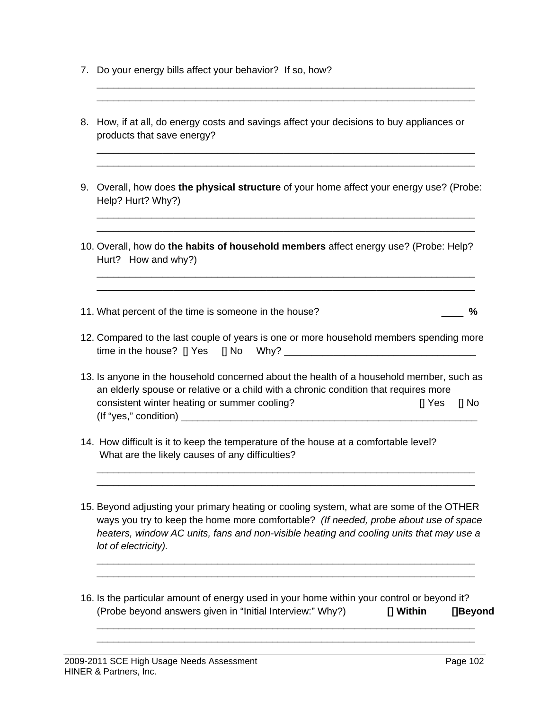- 7. Do your energy bills affect your behavior? If so, how?
- 8. How, if at all, do energy costs and savings affect your decisions to buy appliances or products that save energy?

\_\_\_\_\_\_\_\_\_\_\_\_\_\_\_\_\_\_\_\_\_\_\_\_\_\_\_\_\_\_\_\_\_\_\_\_\_\_\_\_\_\_\_\_\_\_\_\_\_\_\_\_\_\_\_\_\_\_\_\_\_\_\_\_\_\_\_\_\_ \_\_\_\_\_\_\_\_\_\_\_\_\_\_\_\_\_\_\_\_\_\_\_\_\_\_\_\_\_\_\_\_\_\_\_\_\_\_\_\_\_\_\_\_\_\_\_\_\_\_\_\_\_\_\_\_\_\_\_\_\_\_\_\_\_\_\_\_\_

\_\_\_\_\_\_\_\_\_\_\_\_\_\_\_\_\_\_\_\_\_\_\_\_\_\_\_\_\_\_\_\_\_\_\_\_\_\_\_\_\_\_\_\_\_\_\_\_\_\_\_\_\_\_\_\_\_\_\_\_\_\_\_\_\_\_\_\_\_ \_\_\_\_\_\_\_\_\_\_\_\_\_\_\_\_\_\_\_\_\_\_\_\_\_\_\_\_\_\_\_\_\_\_\_\_\_\_\_\_\_\_\_\_\_\_\_\_\_\_\_\_\_\_\_\_\_\_\_\_\_\_\_\_\_\_\_\_\_

9. Overall, how does **the physical structure** of your home affect your energy use? (Probe: Help? Hurt? Why?)

\_\_\_\_\_\_\_\_\_\_\_\_\_\_\_\_\_\_\_\_\_\_\_\_\_\_\_\_\_\_\_\_\_\_\_\_\_\_\_\_\_\_\_\_\_\_\_\_\_\_\_\_\_\_\_\_\_\_\_\_\_\_\_\_\_\_\_\_\_ \_\_\_\_\_\_\_\_\_\_\_\_\_\_\_\_\_\_\_\_\_\_\_\_\_\_\_\_\_\_\_\_\_\_\_\_\_\_\_\_\_\_\_\_\_\_\_\_\_\_\_\_\_\_\_\_\_\_\_\_\_\_\_\_\_\_\_\_\_

\_\_\_\_\_\_\_\_\_\_\_\_\_\_\_\_\_\_\_\_\_\_\_\_\_\_\_\_\_\_\_\_\_\_\_\_\_\_\_\_\_\_\_\_\_\_\_\_\_\_\_\_\_\_\_\_\_\_\_\_\_\_\_\_\_\_\_\_\_ \_\_\_\_\_\_\_\_\_\_\_\_\_\_\_\_\_\_\_\_\_\_\_\_\_\_\_\_\_\_\_\_\_\_\_\_\_\_\_\_\_\_\_\_\_\_\_\_\_\_\_\_\_\_\_\_\_\_\_\_\_\_\_\_\_\_\_\_\_

- 10. Overall, how do **the habits of household members** affect energy use? (Probe: Help? Hurt? How and why?)
- 11. What percent of the time is someone in the house? \_\_\_\_ **%**
- 12. Compared to the last couple of years is one or more household members spending more time in the house?  $\Box$  Yes  $\Box$  No Why?
- 13. Is anyone in the household concerned about the health of a household member, such as an elderly spouse or relative or a child with a chronic condition that requires more consistent winter heating or summer cooling? [] Yes [] No (If "yes," condition) \_\_\_\_\_\_\_\_\_\_\_\_\_\_\_\_\_\_\_\_\_\_\_\_\_\_\_\_\_\_\_\_\_\_\_\_\_\_\_\_\_\_\_\_\_\_\_\_\_\_\_\_\_\_
- 14. How difficult is it to keep the temperature of the house at a comfortable level? What are the likely causes of any difficulties?
- 15. Beyond adjusting your primary heating or cooling system, what are some of the OTHER ways you try to keep the home more comfortable? *(If needed, probe about use of space heaters, window AC units, fans and non-visible heating and cooling units that may use a lot of electricity).*

\_\_\_\_\_\_\_\_\_\_\_\_\_\_\_\_\_\_\_\_\_\_\_\_\_\_\_\_\_\_\_\_\_\_\_\_\_\_\_\_\_\_\_\_\_\_\_\_\_\_\_\_\_\_\_\_\_\_\_\_\_\_\_\_\_\_\_\_\_ \_\_\_\_\_\_\_\_\_\_\_\_\_\_\_\_\_\_\_\_\_\_\_\_\_\_\_\_\_\_\_\_\_\_\_\_\_\_\_\_\_\_\_\_\_\_\_\_\_\_\_\_\_\_\_\_\_\_\_\_\_\_\_\_\_\_\_\_\_

16. Is the particular amount of energy used in your home within your control or beyond it? (Probe beyond answers given in "Initial Interview:" Why?) **[] Within []Beyond**

\_\_\_\_\_\_\_\_\_\_\_\_\_\_\_\_\_\_\_\_\_\_\_\_\_\_\_\_\_\_\_\_\_\_\_\_\_\_\_\_\_\_\_\_\_\_\_\_\_\_\_\_\_\_\_\_\_\_\_\_\_\_\_\_\_\_\_\_\_ \_\_\_\_\_\_\_\_\_\_\_\_\_\_\_\_\_\_\_\_\_\_\_\_\_\_\_\_\_\_\_\_\_\_\_\_\_\_\_\_\_\_\_\_\_\_\_\_\_\_\_\_\_\_\_\_\_\_\_\_\_\_\_\_\_\_\_\_\_

\_\_\_\_\_\_\_\_\_\_\_\_\_\_\_\_\_\_\_\_\_\_\_\_\_\_\_\_\_\_\_\_\_\_\_\_\_\_\_\_\_\_\_\_\_\_\_\_\_\_\_\_\_\_\_\_\_\_\_\_\_\_\_\_\_\_\_\_\_ \_\_\_\_\_\_\_\_\_\_\_\_\_\_\_\_\_\_\_\_\_\_\_\_\_\_\_\_\_\_\_\_\_\_\_\_\_\_\_\_\_\_\_\_\_\_\_\_\_\_\_\_\_\_\_\_\_\_\_\_\_\_\_\_\_\_\_\_\_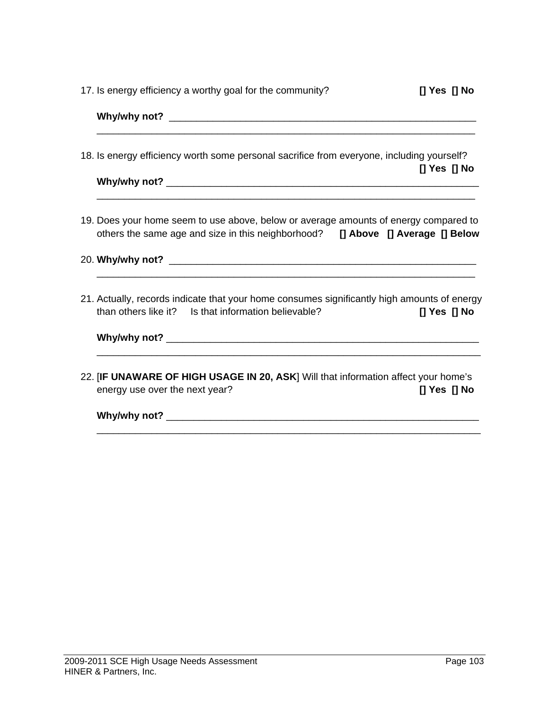17. Is energy efficiency a worthy goal for the community? **[] Yes [] No**

| Why/why not? $\sqrt{2\pi}$                                                                                                                                              |
|-------------------------------------------------------------------------------------------------------------------------------------------------------------------------|
| 18. Is energy efficiency worth some personal sacrifice from everyone, including yourself?<br>$[]$ Yes $[]$ No                                                           |
|                                                                                                                                                                         |
| 19. Does your home seem to use above, below or average amounts of energy compared to<br>others the same age and size in this neighborhood? [] Above [] Average [] Below |
| <u> 1980 - Jan James James James James James James James James James James James James James James James James J</u>                                                    |
| 21. Actually, records indicate that your home consumes significantly high amounts of energy<br>than others like it? Is that information believable?<br>$[]$ Yes $[]$ No |
|                                                                                                                                                                         |
|                                                                                                                                                                         |

22. [**IF UNAWARE OF HIGH USAGE IN 20, ASK**] Will that information affect your home's energy use over the next year? **[] Yes [] No** 

**Why/why not?** \_\_\_\_\_\_\_\_\_\_\_\_\_\_\_\_\_\_\_\_\_\_\_\_\_\_\_\_\_\_\_\_\_\_\_\_\_\_\_\_\_\_\_\_\_\_\_\_\_\_\_\_\_\_\_\_\_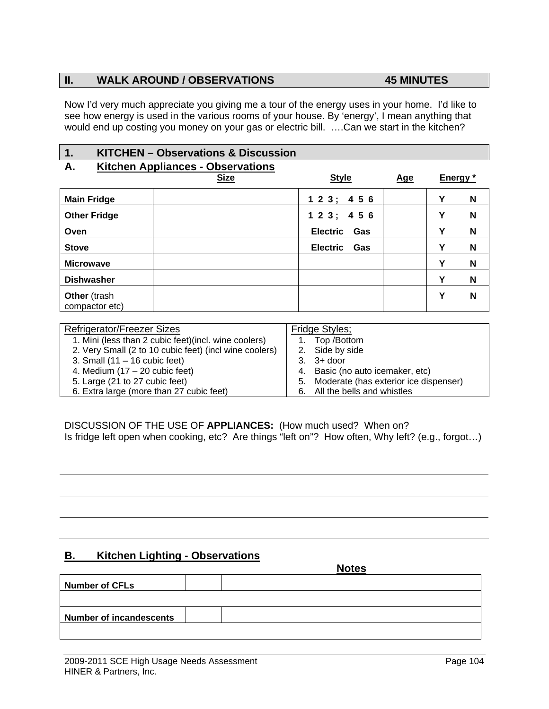#### **II. WALK AROUND / OBSERVATIONS 45 MINUTES**

Now I'd very much appreciate you giving me a tour of the energy uses in your home. I'd like to see how energy is used in the various rooms of your house. By 'energy', I mean anything that would end up costing you money on your gas or electric bill. ….Can we start in the kitchen?

#### **1. KITCHEN – Observations & Discussion**

#### **A. Kitchen Appliances - Observations**

|                                | <b>Size</b> | <b>Style</b>           | Age |   | Energy * |
|--------------------------------|-------------|------------------------|-----|---|----------|
| <b>Main Fridge</b>             |             | 123; 456               |     | Y | N        |
| <b>Other Fridge</b>            |             | 123; 456               |     | Y | N        |
| Oven                           |             | <b>Electric</b><br>Gas |     | Υ | N        |
| <b>Stove</b>                   |             | <b>Electric</b><br>Gas |     | Υ | N        |
| <b>Microwave</b>               |             |                        |     | Υ | N        |
| <b>Dishwasher</b>              |             |                        |     | Υ | N        |
| Other (trash<br>compactor etc) |             |                        |     | Υ | N        |

| Fridge Styles;                           |
|------------------------------------------|
| Top /Bottom                              |
| 2. Side by side                          |
| $3.$ $3+$ door                           |
| 4. Basic (no auto icemaker, etc)         |
| 5. Moderate (has exterior ice dispenser) |
| 6. All the bells and whistles            |
|                                          |

DISCUSSION OF THE USE OF **APPLIANCES:** (How much used? When on? Is fridge left open when cooking, etc? Are things "left on"? How often, Why left? (e.g., forgot…)

#### **B. Kitchen Lighting - Observations**

|                                | <b>Notes</b> |
|--------------------------------|--------------|
| <b>Number of CFLs</b>          |              |
|                                |              |
| <b>Number of incandescents</b> |              |
|                                |              |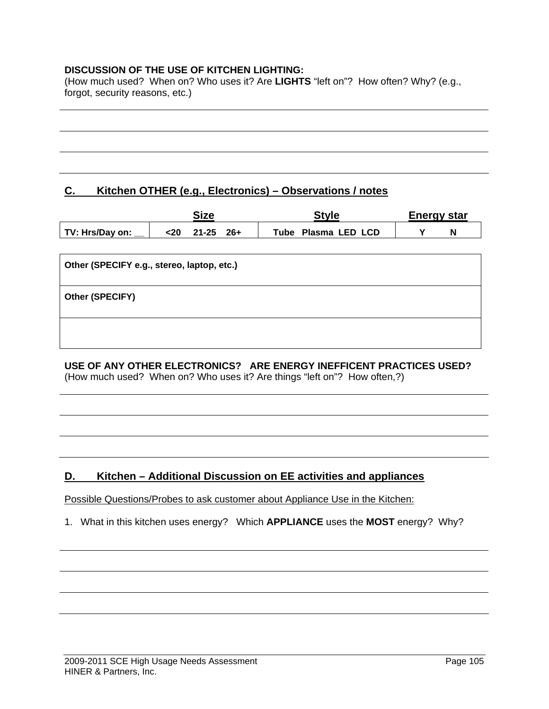#### **DISCUSSION OF THE USE OF KITCHEN LIGHTING:**

(How much used? When on? Who uses it? Are **LIGHTS** "left on"? How often? Why? (e.g., forgot, security reasons, etc.)

## **C. Kitchen OTHER (e.g., Electronics) – Observations / notes**

|                 | Size                      | Style               | Energy star |  |
|-----------------|---------------------------|---------------------|-------------|--|
| TV: Hrs/Day on: | $21 - 25$<br><20<br>- 26+ | Tube Plasma LED LCD |             |  |

| Other (SPECIFY e.g., stereo, laptop, etc.) |
|--------------------------------------------|
| Other (SPECIFY)                            |
|                                            |

# **USE OF ANY OTHER ELECTRONICS? ARE ENERGY INEFFICENT PRACTICES USED?**

(How much used? When on? Who uses it? Are things "left on"? How often,?)

# **D. Kitchen – Additional Discussion on EE activities and appliances**

Possible Questions/Probes to ask customer about Appliance Use in the Kitchen:

1. What in this kitchen uses energy? Which **APPLIANCE** uses the **MOST** energy? Why?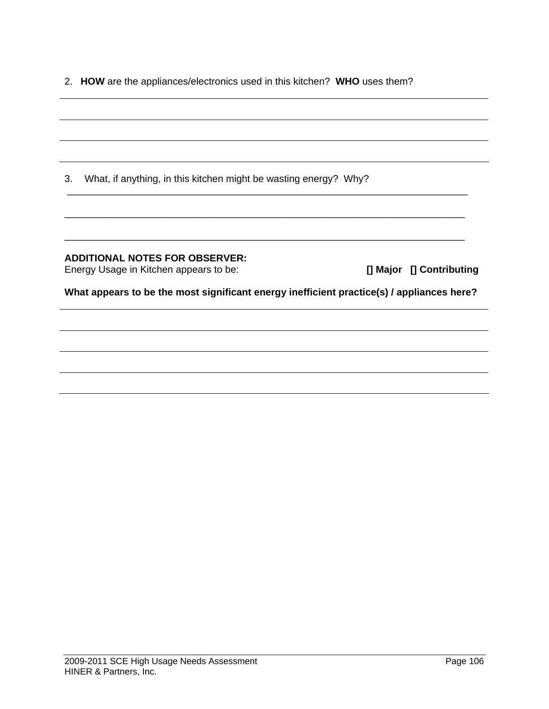2. **HOW** are the appliances/electronics used in this kitchen? **WHO** uses them?

| 3. | What, if anything, in this kitchen might be wasting energy? Why?                          |                          |
|----|-------------------------------------------------------------------------------------------|--------------------------|
|    |                                                                                           |                          |
|    | <b>ADDITIONAL NOTES FOR OBSERVER:</b><br>Energy Usage in Kitchen appears to be:           | [] Major [] Contributing |
|    | What appears to be the most significant energy inefficient practice(s) / appliances here? |                          |
|    |                                                                                           |                          |
|    |                                                                                           |                          |
|    |                                                                                           |                          |
|    |                                                                                           |                          |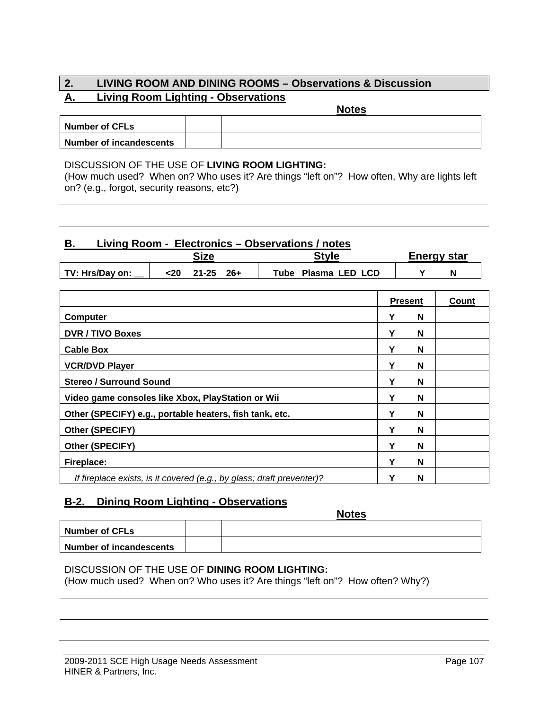#### **2. LIVING ROOM AND DINING ROOMS – Observations & Discussion A. Living Room Lighting - Observations Notes**

| <b>Number of CFLs</b>          |  |  |
|--------------------------------|--|--|
| <b>Number of incandescents</b> |  |  |

#### DISCUSSION OF THE USE OF **LIVING ROOM LIGHTING:**

(How much used? When on? Who uses it? Are things "left on"? How often, Why are lights left on? (e.g., forgot, security reasons, etc?)

## **B. Living Room - Electronics – Observations / notes**

|                 | Size |           |       | °tyle |                | Energy star |  |  |
|-----------------|------|-----------|-------|-------|----------------|-------------|--|--|
| TV: Hrs/Day on: | <20  | $21 - 25$ | $26+$ | Tube  | Plasma LED LCD |             |  |  |

|                                                                       | <b>Present</b> |   | Count |
|-----------------------------------------------------------------------|----------------|---|-------|
| <b>Computer</b>                                                       |                | N |       |
| <b>DVR / TIVO Boxes</b>                                               | Υ              | N |       |
| <b>Cable Box</b>                                                      | Υ              | N |       |
| <b>VCR/DVD Player</b>                                                 | Υ              | N |       |
| <b>Stereo / Surround Sound</b>                                        | Υ              | N |       |
| Video game consoles like Xbox, PlayStation or Wii                     | ν              | N |       |
| Other (SPECIFY) e.g., portable heaters, fish tank, etc.               | Υ              | N |       |
| Other (SPECIFY)                                                       |                | N |       |
| Other (SPECIFY)                                                       | Y              | N |       |
| Fireplace:                                                            |                | N |       |
| If fireplace exists, is it covered (e.g., by glass; draft preventer)? | Y              | N |       |

#### **B-2. Dining Room Lighting - Observations**

|                                | <b>Notes</b> |
|--------------------------------|--------------|
| <b>Number of CFLs</b>          |              |
| <b>Number of incandescents</b> |              |

#### DISCUSSION OF THE USE OF **DINING ROOM LIGHTING:**

(How much used? When on? Who uses it? Are things "left on"? How often? Why?)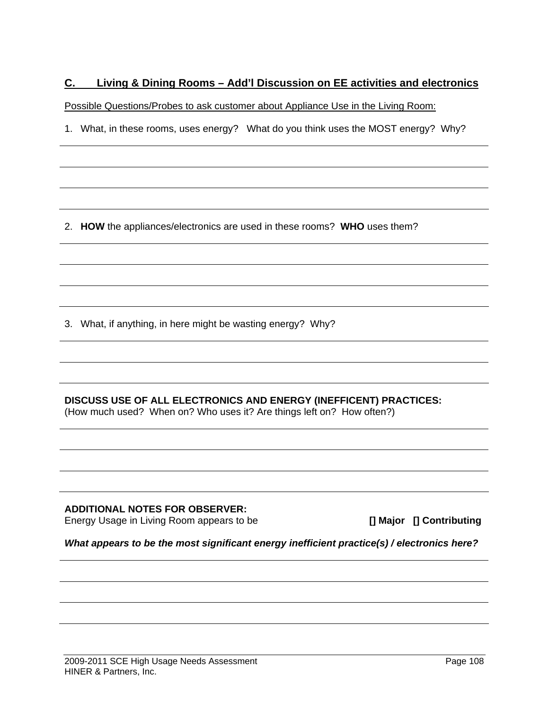# **C. Living & Dining Rooms – Add'l Discussion on EE activities and electronics**

Possible Questions/Probes to ask customer about Appliance Use in the Living Room:

1. What, in these rooms, uses energy? What do you think uses the MOST energy? Why?

2. **HOW** the appliances/electronics are used in these rooms? **WHO** uses them?

3. What, if anything, in here might be wasting energy? Why?

**DISCUSS USE OF ALL ELECTRONICS AND ENERGY (INEFFICENT) PRACTICES:**  (How much used? When on? Who uses it? Are things left on? How often?)

**ADDITIONAL NOTES FOR OBSERVER:** 

Energy Usage in Living Room appears to be **[] Major [] Contributing** 

*What appears to be the most significant energy inefficient practice(s) / electronics here?*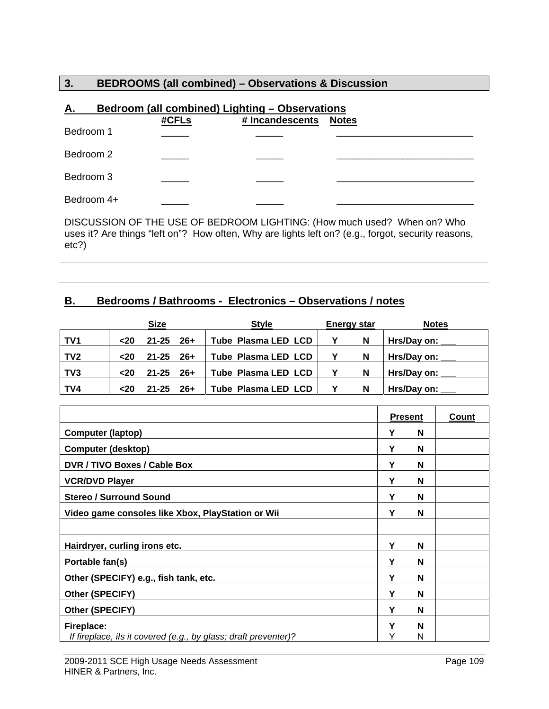#### **3. BEDROOMS (all combined) – Observations & Discussion**

| <u>A.</u>  |       | Bedroom (all combined) Lighting - Observations |              |
|------------|-------|------------------------------------------------|--------------|
|            | #CFLs | # Incandescents                                | <b>Notes</b> |
| Bedroom 1  |       |                                                |              |
| Bedroom 2  |       |                                                |              |
| Bedroom 3  |       |                                                |              |
| Bedroom 4+ |       |                                                |              |

DISCUSSION OF THE USE OF BEDROOM LIGHTING: (How much used? When on? Who uses it? Are things "left on"? How often, Why are lights left on? (e.g., forgot, security reasons, etc?)

#### **B. Bedrooms / Bathrooms - Electronics – Observations / notes**

|                 |               | <b>Size</b>   | <b>Style</b>               | <b>Energy star</b> | <b>Notes</b>       |
|-----------------|---------------|---------------|----------------------------|--------------------|--------------------|
| TV1             | <b>&lt;20</b> | 21-25 26+     | Tube Plasma LED LCD        | - N                | Hrs/Day on: $\_\_$ |
| TV <sub>2</sub> | $20$          | $21 - 25$ 26+ | <b>Tube Plasma LED LCD</b> | N                  | Hrs/Day on: ___    |
| TV3             | $20$          | 21-25 26+     | <b>Tube Plasma LED LCD</b> | N                  | Hrs/Day on:        |
| TV4             | $20$          | $21 - 25$ 26+ | Tube Plasma LED LCD        | N                  | Hrs/Day on:        |

|                                                                               | <b>Present</b> |        | Count |
|-------------------------------------------------------------------------------|----------------|--------|-------|
| <b>Computer (laptop)</b>                                                      | Υ              | N      |       |
| <b>Computer (desktop)</b>                                                     | Υ              | N      |       |
| DVR / TIVO Boxes / Cable Box                                                  | Υ              | N      |       |
| <b>VCR/DVD Player</b>                                                         | Y              | N      |       |
| <b>Stereo / Surround Sound</b>                                                | Υ              | N      |       |
| Video game consoles like Xbox, PlayStation or Wii                             | Y              | N      |       |
|                                                                               |                |        |       |
| Hairdryer, curling irons etc.                                                 | Y              | N      |       |
| Portable fan(s)                                                               | Υ              | N      |       |
| Other (SPECIFY) e.g., fish tank, etc.                                         | Υ              | N      |       |
| Other (SPECIFY)                                                               | Υ              | N      |       |
| Other (SPECIFY)                                                               | Υ              | N      |       |
| Fireplace:<br>If fireplace, ils it covered (e.g., by glass; draft preventer)? | Y              | N<br>N |       |
|                                                                               |                |        |       |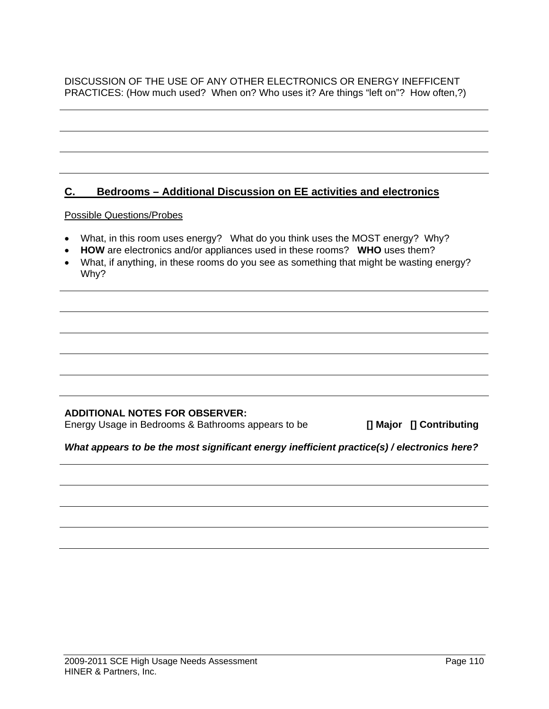#### DISCUSSION OF THE USE OF ANY OTHER ELECTRONICS OR ENERGY INEFFICENT PRACTICES: (How much used? When on? Who uses it? Are things "left on"? How often,?)

# **C. Bedrooms – Additional Discussion on EE activities and electronics** Possible Questions/Probes • What, in this room uses energy? What do you think uses the MOST energy? Why? • **HOW** are electronics and/or appliances used in these rooms? **WHO** uses them? • What, if anything, in these rooms do you see as something that might be wasting energy? Why?

#### **ADDITIONAL NOTES FOR OBSERVER:**

Energy Usage in Bedrooms & Bathrooms appears to be **[] Major [] Contributing** 

#### *What appears to be the most significant energy inefficient practice(s) / electronics here?*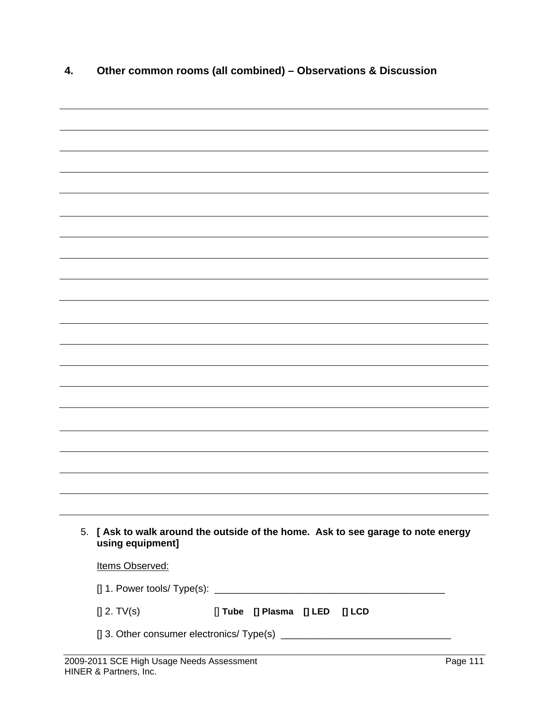| 4. | Other common rooms (all combined) - Observations & Discussion                                     |          |
|----|---------------------------------------------------------------------------------------------------|----------|
|    |                                                                                                   |          |
|    |                                                                                                   |          |
|    |                                                                                                   |          |
|    |                                                                                                   |          |
|    |                                                                                                   |          |
|    |                                                                                                   |          |
|    |                                                                                                   |          |
|    |                                                                                                   |          |
|    |                                                                                                   |          |
|    |                                                                                                   |          |
|    |                                                                                                   |          |
|    |                                                                                                   |          |
|    |                                                                                                   |          |
|    |                                                                                                   |          |
|    |                                                                                                   |          |
|    |                                                                                                   |          |
|    |                                                                                                   |          |
|    |                                                                                                   |          |
|    |                                                                                                   |          |
| 5. | [Ask to walk around the outside of the home. Ask to see garage to note energy<br>using equipment] |          |
|    | Items Observed:                                                                                   |          |
|    |                                                                                                   |          |
|    | $[]$ 2. TV(s)<br>[] Tube [] Plasma [] LED [] LCD                                                  |          |
|    |                                                                                                   |          |
|    | 2009-2011 SCE High Usage Needs Assessment                                                         | Page 111 |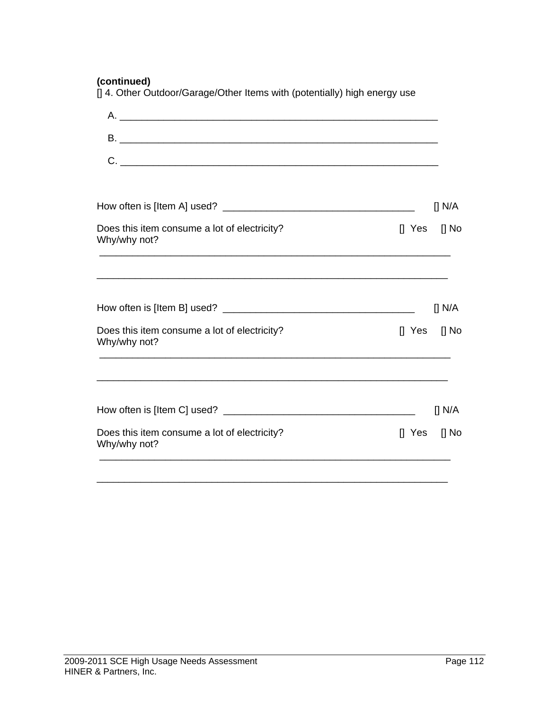**(continued)**

|  |  | [] 4. Other Outdoor/Garage/Other Items with (potentially) high energy use |
|--|--|---------------------------------------------------------------------------|
|  |  |                                                                           |

| $C.$ $\qquad \qquad$                                         |                                                                 |             |
|--------------------------------------------------------------|-----------------------------------------------------------------|-------------|
|                                                              |                                                                 | [] N/A      |
| Does this item consume a lot of electricity?<br>Why/why not? | $\begin{bmatrix} 1 & \text{Yes} \\ \end{bmatrix}$ No            |             |
|                                                              |                                                                 | $\prod N/A$ |
| Does this item consume a lot of electricity?<br>Why/why not? | $\begin{bmatrix} 1 & \text{Yes} \\ 1 & \text{No} \end{bmatrix}$ |             |
|                                                              |                                                                 | [] N/A      |
| Does this item consume a lot of electricity?<br>Why/why not? | $\begin{bmatrix} 1 & \text{Yes} \\ 1 & \text{No} \end{bmatrix}$ |             |
|                                                              |                                                                 |             |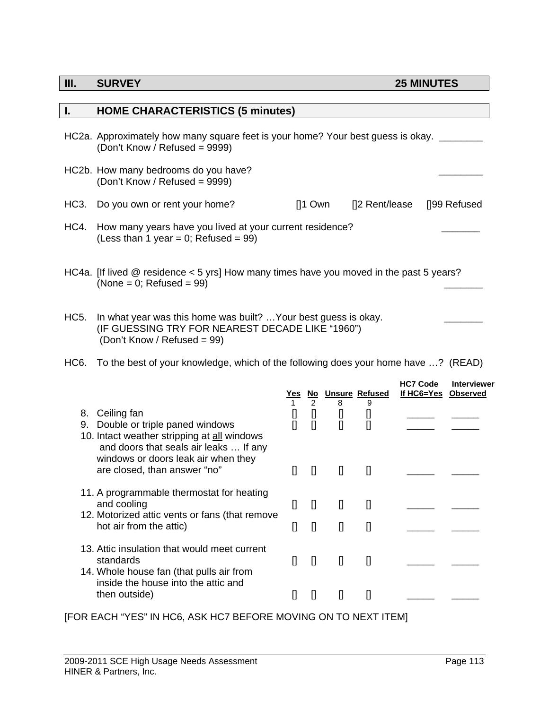#### **III.** SURVEY 25 MINUTES

| I.          | <b>HOME CHARACTERISTICS (5 minutes)</b>                                                                                                            |                                                                                                                                                                                                                                                                                                                                                                                                |                                                                                                                                                                                                                                                                                                                                                                                                                                                                                                                                                                                                                                                                                                                                                                                                                                                                                                     |                    |                                                                                                                                                                                                                                                                                                                                                                      |                                        |                    |
|-------------|----------------------------------------------------------------------------------------------------------------------------------------------------|------------------------------------------------------------------------------------------------------------------------------------------------------------------------------------------------------------------------------------------------------------------------------------------------------------------------------------------------------------------------------------------------|-----------------------------------------------------------------------------------------------------------------------------------------------------------------------------------------------------------------------------------------------------------------------------------------------------------------------------------------------------------------------------------------------------------------------------------------------------------------------------------------------------------------------------------------------------------------------------------------------------------------------------------------------------------------------------------------------------------------------------------------------------------------------------------------------------------------------------------------------------------------------------------------------------|--------------------|----------------------------------------------------------------------------------------------------------------------------------------------------------------------------------------------------------------------------------------------------------------------------------------------------------------------------------------------------------------------|----------------------------------------|--------------------|
|             | HC2a. Approximately how many square feet is your home? Your best guess is okay. _<br>(Don't Know / Refused = 9999)                                 |                                                                                                                                                                                                                                                                                                                                                                                                |                                                                                                                                                                                                                                                                                                                                                                                                                                                                                                                                                                                                                                                                                                                                                                                                                                                                                                     |                    |                                                                                                                                                                                                                                                                                                                                                                      |                                        |                    |
|             | HC2b. How many bedrooms do you have?<br>(Don't Know / Refused = 9999)                                                                              |                                                                                                                                                                                                                                                                                                                                                                                                |                                                                                                                                                                                                                                                                                                                                                                                                                                                                                                                                                                                                                                                                                                                                                                                                                                                                                                     |                    |                                                                                                                                                                                                                                                                                                                                                                      |                                        |                    |
| HC3.        | Do you own or rent your home?                                                                                                                      |                                                                                                                                                                                                                                                                                                                                                                                                | $[]1$ Own                                                                                                                                                                                                                                                                                                                                                                                                                                                                                                                                                                                                                                                                                                                                                                                                                                                                                           |                    | []2 Rent/lease                                                                                                                                                                                                                                                                                                                                                       |                                        | []99 Refused       |
| HC4.        | How many years have you lived at your current residence?<br>(Less than 1 year = 0; Refused = 99)                                                   |                                                                                                                                                                                                                                                                                                                                                                                                |                                                                                                                                                                                                                                                                                                                                                                                                                                                                                                                                                                                                                                                                                                                                                                                                                                                                                                     |                    |                                                                                                                                                                                                                                                                                                                                                                      |                                        |                    |
|             | HC4a. [If lived @ residence < 5 yrs] How many times have you moved in the past 5 years?<br>(None = 0; Refused = $99$ )                             |                                                                                                                                                                                                                                                                                                                                                                                                |                                                                                                                                                                                                                                                                                                                                                                                                                                                                                                                                                                                                                                                                                                                                                                                                                                                                                                     |                    |                                                                                                                                                                                                                                                                                                                                                                      |                                        |                    |
| <b>HC5.</b> | In what year was this home was built?  Your best guess is okay.<br>(IF GUESSING TRY FOR NEAREST DECADE LIKE "1960")<br>(Don't Know / Refused = 99) |                                                                                                                                                                                                                                                                                                                                                                                                |                                                                                                                                                                                                                                                                                                                                                                                                                                                                                                                                                                                                                                                                                                                                                                                                                                                                                                     |                    |                                                                                                                                                                                                                                                                                                                                                                      |                                        |                    |
| HC6.        | To the best of your knowledge, which of the following does your home have ? (READ)                                                                 |                                                                                                                                                                                                                                                                                                                                                                                                |                                                                                                                                                                                                                                                                                                                                                                                                                                                                                                                                                                                                                                                                                                                                                                                                                                                                                                     |                    |                                                                                                                                                                                                                                                                                                                                                                      |                                        |                    |
|             |                                                                                                                                                    |                                                                                                                                                                                                                                                                                                                                                                                                | $\overline{2}$                                                                                                                                                                                                                                                                                                                                                                                                                                                                                                                                                                                                                                                                                                                                                                                                                                                                                      | 8                  | Yes No Unsure Refused<br>9                                                                                                                                                                                                                                                                                                                                           | <b>HC7 Code</b><br>If HC6=Yes Observed | <b>Interviewer</b> |
| 9.          | 8. Ceiling fan<br>Double or triple paned windows<br>10. Intact weather stripping at all windows<br>and doors that seals air leaks  If any          | $[]$<br>$\mathbf{I}$                                                                                                                                                                                                                                                                                                                                                                           | $\mathbf{I}$                                                                                                                                                                                                                                                                                                                                                                                                                                                                                                                                                                                                                                                                                                                                                                                                                                                                                        | IJ<br>$\mathbf{I}$ | $[]$<br>$\mathbf{I}$                                                                                                                                                                                                                                                                                                                                                 |                                        |                    |
|             | windows or doors leak air when they<br>are closed, than answer "no"                                                                                | $\mathbf{I}$                                                                                                                                                                                                                                                                                                                                                                                   |                                                                                                                                                                                                                                                                                                                                                                                                                                                                                                                                                                                                                                                                                                                                                                                                                                                                                                     | $\mathbf{u}$       | $\mathbf{I}$                                                                                                                                                                                                                                                                                                                                                         |                                        |                    |
|             | 11. A programmable thermostat for heating<br>and cooling<br>12. Motorized attic vents or fans (that remove                                         |                                                                                                                                                                                                                                                                                                                                                                                                | $[] \centering \includegraphics[width=0.47\textwidth]{images/TrDiM-Architecture.png} \caption{The first two different values of $S$ and $S$ are shown in the left, and the second two different values of $S$ and $S$ are shown in the right, and the third two different values of $S$ are shown in the right, and the third two different values of $S$ are shown in the right, and the third two different values of $S$ are shown in the right, and the third two different values of $S$ are shown in the right, and the third two different values of $S$ are shown in the right, and the third two different values of $S$ are shown in the right, and the third two different values of $S$ are shown in the right, and the third two different values of $S$ are shown in the right, and the third two different values of $S$ are shown in the right, and the third two different values$ | IJ                 | IJ                                                                                                                                                                                                                                                                                                                                                                   |                                        |                    |
|             | hot air from the attic)                                                                                                                            | $[] \centering \includegraphics[width=0.47\textwidth]{images/TrDiM1.png} \caption{The first two different values of $M=1000$ and $M=1000$ and $M=1000$ and $M=1000$ and $M=1000$ and $M=1000$ and $M=1000$ and $M=1000$ and $M=1000$ and $M=1000$ and $M=1000$ and $M=1000$ and $M=1000$ and $M=1000$ and $M=1000$ and $M=1000$ and $M=1000$ and $M=1000$ and $M=1000$ and $M=1000$ and $M=10$ | $[] \centering \includegraphics[width=0.47\textwidth]{images/TransY_1.png} \caption{The first two different values of $100$ K, $100$ K, $100$ K, $100$ K, $100$ K, $100$ K, $100$ K, $100$ K, $100$ K, $100$ K, $100$ K, $100$ K, $100$ K, $100$ K, $100$ K, $100$ K, $100$ K, $100$ K, $100$ K, $100$ K, $100$ K, $100$ K, $100$ K, $100$ K, $100$ K, $100$ K, $10$                                                                                                                                                                                                                                                                                                                                                                                                                                                                                                                                | $\mathbf{I}$       | $[] \centering \includegraphics[width=0.47\textwidth]{images/TransY_1.png} \caption{The first two different values of $100$ K, $100$ K, $100$ K, $100$ K, $100$ K, $100$ K, $100$ K, $100$ K, $100$ K, $100$ K, $100$ K, $100$ K, $100$ K, $100$ K, $100$ K, $100$ K, $100$ K, $100$ K, $100$ K, $100$ K, $100$ K, $100$ K, $100$ K, $100$ K, $100$ K, $100$ K, $10$ |                                        |                    |
|             | 13. Attic insulation that would meet current<br>standards<br>14. Whole house fan (that pulls air from                                              |                                                                                                                                                                                                                                                                                                                                                                                                | $[] \centering \includegraphics[width=0.47\textwidth]{images/TransY_1.png} \caption{The first two different values of $100$ K, $100$ K, $100$ K, $100$ K, $100$ K, $100$ K, $100$ K, $100$ K, $100$ K, $100$ K, $100$ K, $100$ K, $100$ K, $100$ K, $100$ K, $100$ K, $100$ K, $100$ K, $100$ K, $100$ K, $100$ K, $100$ K, $100$ K, $100$ K, $100$ K, $100$ K, $10$                                                                                                                                                                                                                                                                                                                                                                                                                                                                                                                                | $\mathbf{I}$       | $[]$                                                                                                                                                                                                                                                                                                                                                                 |                                        |                    |
|             | inside the house into the attic and<br>then outside)                                                                                               |                                                                                                                                                                                                                                                                                                                                                                                                | IJ                                                                                                                                                                                                                                                                                                                                                                                                                                                                                                                                                                                                                                                                                                                                                                                                                                                                                                  | $\Box$             | $[] \centering \includegraphics[width=0.47\textwidth]{images/TransY_1.png} \caption{The first two different values of $100$ K, $100$ K, $100$ K, $100$ K, $100$ K, $100$ K, $100$ K, $100$ K, $100$ K, $100$ K, $100$ K, $100$ K, $100$ K, $100$ K, $100$ K, $100$ K, $100$ K, $100$ K, $100$ K, $100$ K, $100$ K, $100$ K, $100$ K, $100$ K, $100$ K, $100$ K, $10$ |                                        |                    |

[FOR EACH "YES" IN HC6, ASK HC7 BEFORE MOVING ON TO NEXT ITEM]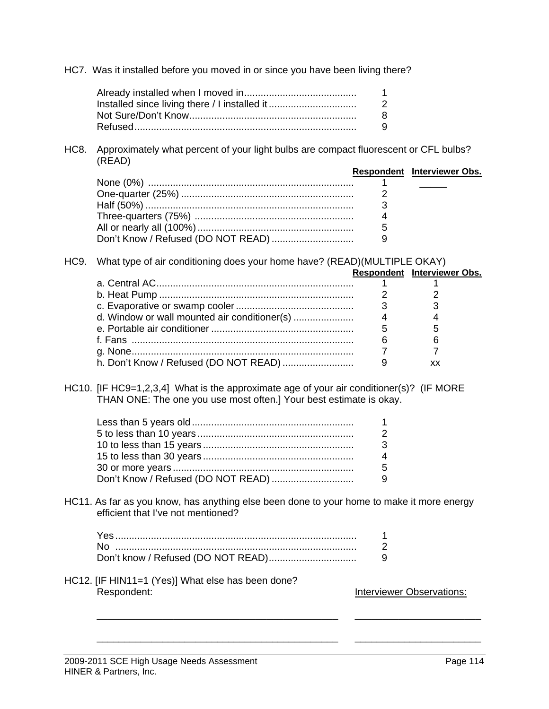HC7. Was it installed before you moved in or since you have been living there?

| 1.            |
|---------------|
| $\mathcal{P}$ |
| 8.            |
| 9.            |

HC8. Approximately what percent of your light bulbs are compact fluorescent or CFL bulbs? (READ)

|  | Respondent Interviewer Obs. |
|--|-----------------------------|
|  |                             |
|  |                             |
|  |                             |
|  |                             |
|  |                             |
|  |                             |

HC9. What type of air conditioning does your home have? (READ)(MULTIPLE OKAY)

|  |   | Respondent Interviewer Obs. |  |  |  |
|--|---|-----------------------------|--|--|--|
|  |   |                             |  |  |  |
|  |   |                             |  |  |  |
|  |   |                             |  |  |  |
|  | 4 |                             |  |  |  |
|  | 5 |                             |  |  |  |
|  |   |                             |  |  |  |
|  |   |                             |  |  |  |
|  |   | xх                          |  |  |  |
|  |   |                             |  |  |  |

HC10. [IF HC9=1,2,3,4] What is the approximate age of your air conditioner(s)? (IF MORE THAN ONE: The one you use most often.] Your best estimate is okay.

HC11. As far as you know, has anything else been done to your home to make it more energy efficient that I've not mentioned?

 $\overline{\phantom{a}}$  , and the contribution of the contribution of the contribution of the contribution of the contribution of the contribution of the contribution of the contribution of the contribution of the contribution of the

 $\overline{\phantom{a}}$  , and the contribution of the contribution of the contribution of the contribution of the contribution of the contribution of the contribution of the contribution of the contribution of the contribution of the

| .                                  |  |
|------------------------------------|--|
| .                                  |  |
| know / $Refused$ (DO NOT READ)<br> |  |

HC12. [IF HIN11=1 (Yes)] What else has been done? Respondent: **Interviewer Observations:**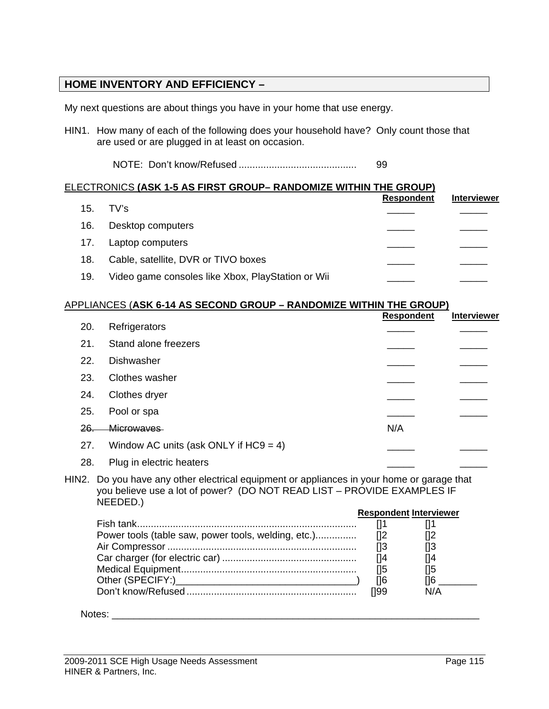#### **HOME INVENTORY AND EFFICIENCY –**

My next questions are about things you have in your home that use energy.

HIN1. How many of each of the following does your household have? Only count those that are used or are plugged in at least on occasion.

NOTE: Don't know/Refused ........................................... 99

#### ELECTRONICS **(ASK 1-5 AS FIRST GROUP– RANDOMIZE WITHIN THE GROUP)**

|     |                                                   | <b>Respondent</b> | <b>Interviewer</b> |
|-----|---------------------------------------------------|-------------------|--------------------|
| 15. | TV's                                              |                   |                    |
| 16. | Desktop computers                                 |                   |                    |
| 17. | Laptop computers                                  |                   |                    |
| 18. | Cable, satellite, DVR or TIVO boxes               |                   |                    |
| 19. | Video game consoles like Xbox, PlayStation or Wii |                   |                    |

#### APPLIANCES (**ASK 6-14 AS SECOND GROUP – RANDOMIZE WITHIN THE GROUP)**

|                |                                                                                                                                                                             | <b>Respondent</b>             | <b>Interviewer</b>                                         |
|----------------|-----------------------------------------------------------------------------------------------------------------------------------------------------------------------------|-------------------------------|------------------------------------------------------------|
| 20.            | Refrigerators                                                                                                                                                               |                               |                                                            |
| 21.            | Stand alone freezers                                                                                                                                                        |                               |                                                            |
| 22.            | Dishwasher                                                                                                                                                                  |                               |                                                            |
| 23.            | Clothes washer                                                                                                                                                              |                               |                                                            |
| 24.            | Clothes dryer                                                                                                                                                               |                               |                                                            |
| 25.            | Pool or spa                                                                                                                                                                 |                               |                                                            |
| <del>26.</del> | Microwaves                                                                                                                                                                  | N/A                           |                                                            |
| 27.            | Window AC units (ask ONLY if $H C9 = 4$ )                                                                                                                                   |                               |                                                            |
| 28.            | Plug in electric heaters                                                                                                                                                    |                               |                                                            |
| HIN2.          | Do you have any other electrical equipment or appliances in your home or garage that<br>you believe use a lot of power? (DO NOT READ LIST - PROVIDE EXAMPLES IF<br>NEEDED.) |                               |                                                            |
|                |                                                                                                                                                                             | <b>Respondent Interviewer</b> |                                                            |
|                |                                                                                                                                                                             | []1                           | []1                                                        |
|                | Power tools (table saw, power tools, welding, etc.)                                                                                                                         | []2                           | []2                                                        |
|                |                                                                                                                                                                             | []3                           | []3                                                        |
|                |                                                                                                                                                                             | []4                           | []4                                                        |
|                |                                                                                                                                                                             | []5                           | []5                                                        |
|                |                                                                                                                                                                             | []6                           | $\left[\begin{smallmatrix} 1 & 6 \end{smallmatrix}\right]$ |
|                |                                                                                                                                                                             | $\mathsf{I}$ 199              | N/A                                                        |
| Notes:         |                                                                                                                                                                             |                               |                                                            |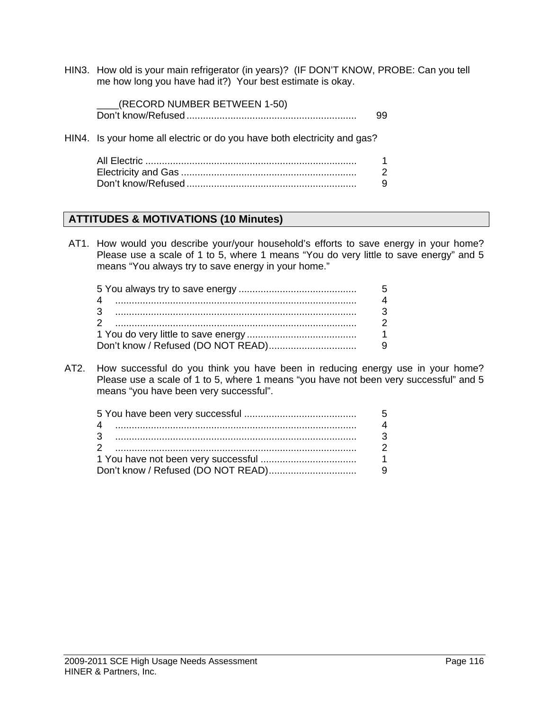HIN3. How old is your main refrigerator (in years)? (IF DON'T KNOW, PROBE: Can you tell me how long you have had it?) Your best estimate is okay.

| (RECORD NUMBER BETWEEN 1-50) |  |
|------------------------------|--|
|                              |  |

HIN4. Is your home all electric or do you have both electricity and gas?

#### **ATTITUDES & MOTIVATIONS (10 Minutes)**

AT1. How would you describe your/your household's efforts to save energy in your home? Please use a scale of 1 to 5, where 1 means "You do very little to save energy" and 5 means "You always try to save energy in your home."

AT2. How successful do you think you have been in reducing energy use in your home? Please use a scale of 1 to 5, where 1 means "you have not been very successful" and 5 means "you have been very successful".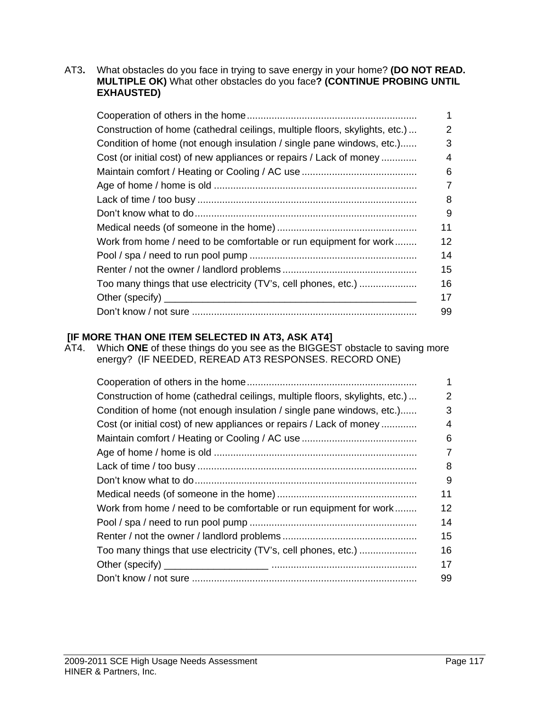AT3**.** What obstacles do you face in trying to save energy in your home? **(DO NOT READ. MULTIPLE OK)** What other obstacles do you face**? (CONTINUE PROBING UNTIL EXHAUSTED)** 

|                                                                             | 1  |
|-----------------------------------------------------------------------------|----|
| Construction of home (cathedral ceilings, multiple floors, skylights, etc.) | 2  |
| Condition of home (not enough insulation / single pane windows, etc.)       | 3  |
| Cost (or initial cost) of new appliances or repairs / Lack of money         | 4  |
|                                                                             | 6  |
|                                                                             | 7  |
|                                                                             | 8  |
|                                                                             | 9  |
|                                                                             | 11 |
| Work from home / need to be comfortable or run equipment for work           | 12 |
|                                                                             | 14 |
|                                                                             | 15 |
| Too many things that use electricity (TV's, cell phones, etc.)              | 16 |
|                                                                             | 17 |
|                                                                             | 99 |

#### **[IF MORE THAN ONE ITEM SELECTED IN AT3, ASK AT4]**

AT4. Which **ONE** of these things do you see as the BIGGEST obstacle to saving more energy? (IF NEEDED, REREAD AT3 RESPONSES. RECORD ONE)

|                                                                             | 1  |
|-----------------------------------------------------------------------------|----|
| Construction of home (cathedral ceilings, multiple floors, skylights, etc.) | 2  |
| Condition of home (not enough insulation / single pane windows, etc.)       | 3  |
| Cost (or initial cost) of new appliances or repairs / Lack of money         | 4  |
|                                                                             | 6  |
|                                                                             | 7  |
|                                                                             | 8  |
|                                                                             | 9  |
|                                                                             | 11 |
| Work from home / need to be comfortable or run equipment for work           | 12 |
|                                                                             | 14 |
|                                                                             | 15 |
| Too many things that use electricity (TV's, cell phones, etc.)              | 16 |
|                                                                             | 17 |
|                                                                             | 99 |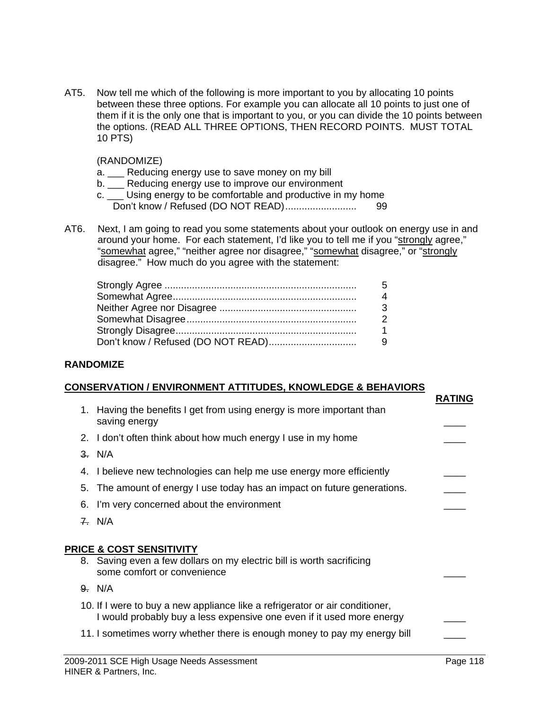AT5. Now tell me which of the following is more important to you by allocating 10 points between these three options. For example you can allocate all 10 points to just one of them if it is the only one that is important to you, or you can divide the 10 points between the options. (READ ALL THREE OPTIONS, THEN RECORD POINTS. MUST TOTAL 10 PTS)

(RANDOMIZE)

- a. \_\_\_ Reducing energy use to save money on my bill
- b. \_\_\_ Reducing energy use to improve our environment
- c. \_\_\_ Using energy to be comfortable and productive in my home Don't know / Refused (DO NOT READ).......................... 99
- AT6. Next, I am going to read you some statements about your outlook on energy use in and around your home. For each statement, I'd like you to tell me if you "strongly agree," "somewhat agree," "neither agree nor disagree," "somewhat disagree," or "strongly disagree." How much do you agree with the statement:

#### **RANDOMIZE**

#### **CONSERVATION / ENVIRONMENT ATTITUDES, KNOWLEDGE & BEHAVIORS**

|    |                                                                                                                                                       | <b>RATING</b> |
|----|-------------------------------------------------------------------------------------------------------------------------------------------------------|---------------|
|    | 1. Having the benefits I get from using energy is more important than<br>saving energy                                                                |               |
|    | 2. I don't often think about how much energy I use in my home                                                                                         |               |
|    | 3. N/A                                                                                                                                                |               |
| 4. | I believe new technologies can help me use energy more efficiently                                                                                    |               |
|    | 5. The amount of energy I use today has an impact on future generations.                                                                              |               |
|    | 6. I'm very concerned about the environment                                                                                                           |               |
|    | 7. N/A                                                                                                                                                |               |
|    |                                                                                                                                                       |               |
|    | <b>PRICE &amp; COST SENSITIVITY</b>                                                                                                                   |               |
|    | 8. Saving even a few dollars on my electric bill is worth sacrificing<br>some comfort or convenience                                                  |               |
|    | 9. N/A                                                                                                                                                |               |
|    | 10. If I were to buy a new appliance like a refrigerator or air conditioner,<br>I would probably buy a less expensive one even if it used more energy |               |
|    | 11. I sometimes worry whether there is enough money to pay my energy bill                                                                             |               |
|    |                                                                                                                                                       |               |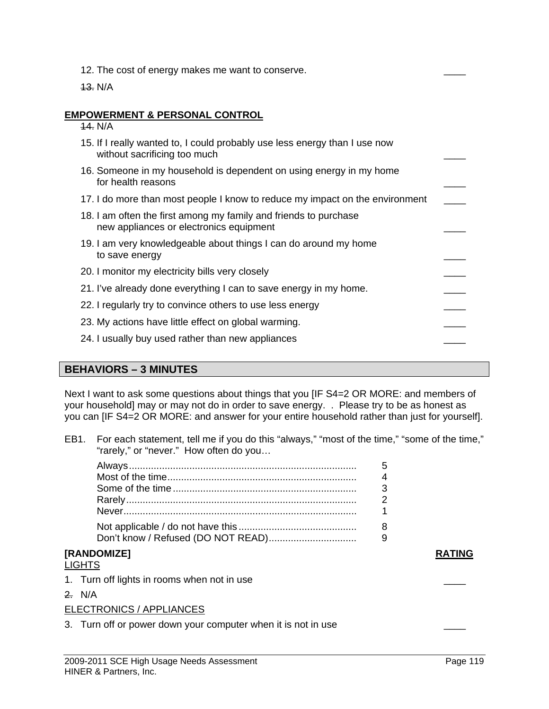- 12. The cost of energy makes me want to conserve.
- 13. N/A

#### **EMPOWERMENT & PERSONAL CONTROL**

14. N/A

| 15. If I really wanted to, I could probably use less energy than I use now<br>without sacrificing too much  |  |
|-------------------------------------------------------------------------------------------------------------|--|
| 16. Someone in my household is dependent on using energy in my home<br>for health reasons                   |  |
| 17. I do more than most people I know to reduce my impact on the environment                                |  |
| 18. I am often the first among my family and friends to purchase<br>new appliances or electronics equipment |  |
| 19. I am very knowledgeable about things I can do around my home<br>to save energy                          |  |
| 20. I monitor my electricity bills very closely                                                             |  |
| 21. I've already done everything I can to save energy in my home.                                           |  |
| 22. I regularly try to convince others to use less energy                                                   |  |
| 23. My actions have little effect on global warming.                                                        |  |
| 24. I usually buy used rather than new appliances                                                           |  |

#### **BEHAVIORS – 3 MINUTES**

Next I want to ask some questions about things that you [IF S4=2 OR MORE: and members of your household] may or may not do in order to save energy. . Please try to be as honest as you can [IF S4=2 OR MORE: and answer for your entire household rather than just for yourself].

EB1. For each statement, tell me if you do this "always," "most of the time," "some of the time," "rarely," or "never." How often do you…

| <b>IRANDOMIZEI</b> |  |
|--------------------|--|

#### LIGHTS

- 1. Turn off lights in rooms when not in use
- 2. N/A

#### ELECTRONICS / APPLIANCES

3. Turn off or power down your computer when it is not in use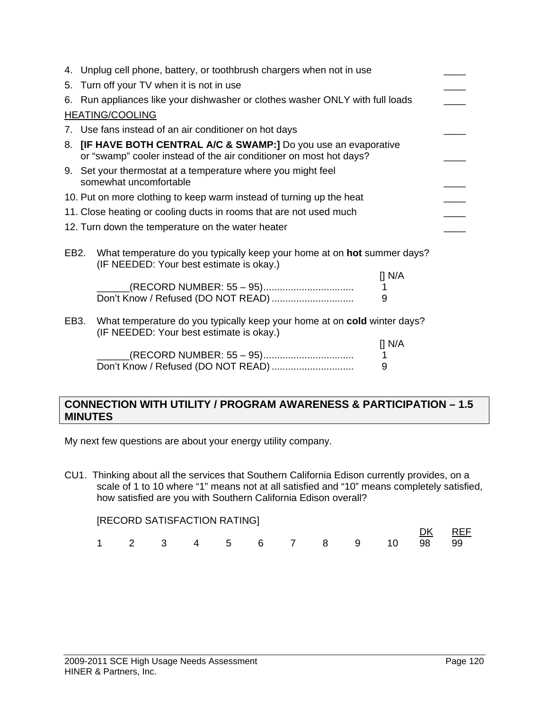|                   | 4. Unplug cell phone, battery, or toothbrush chargers when not in use                                                                          |                    |
|-------------------|------------------------------------------------------------------------------------------------------------------------------------------------|--------------------|
| 5.                | Turn off your TV when it is not in use                                                                                                         |                    |
|                   | 6. Run appliances like your dishwasher or clothes washer ONLY with full loads                                                                  |                    |
|                   | <b>HEATING/COOLING</b>                                                                                                                         |                    |
|                   | 7. Use fans instead of an air conditioner on hot days                                                                                          |                    |
| 8.                | <b>[IF HAVE BOTH CENTRAL A/C &amp; SWAMP:]</b> Do you use an evaporative<br>or "swamp" cooler instead of the air conditioner on most hot days? |                    |
|                   | 9. Set your thermostat at a temperature where you might feel<br>somewhat uncomfortable                                                         |                    |
|                   | 10. Put on more clothing to keep warm instead of turning up the heat                                                                           |                    |
|                   | 11. Close heating or cooling ducts in rooms that are not used much                                                                             |                    |
|                   | 12. Turn down the temperature on the water heater                                                                                              |                    |
| EB <sub>2</sub> . | What temperature do you typically keep your home at on hot summer days?<br>(IF NEEDED: Your best estimate is okay.)                            | $\prod N/A$        |
|                   | (RECORD NUMBER: 55 - 95)<br>Don't Know / Refused (DO NOT READ)                                                                                 | 1<br>9             |
| EB3.              | What temperature do you typically keep your home at on cold winter days?<br>(IF NEEDED: Your best estimate is okay.)                           |                    |
|                   |                                                                                                                                                | $\P$ N/A<br>1<br>9 |

#### **CONNECTION WITH UTILITY / PROGRAM AWARENESS & PARTICIPATION – 1.5 MINUTES**

My next few questions are about your energy utility company.

CU1. Thinking about all the services that Southern California Edison currently provides, on a scale of 1 to 10 where "1" means not at all satisfied and "10" means completely satisfied, how satisfied are you with Southern California Edison overall?

|  |  | [RECORD SATISFACTION RATING] |  |  |                            |        |  |
|--|--|------------------------------|--|--|----------------------------|--------|--|
|  |  |                              |  |  |                            | DK REF |  |
|  |  |                              |  |  | 1 2 3 4 5 6 7 8 9 10 98 99 |        |  |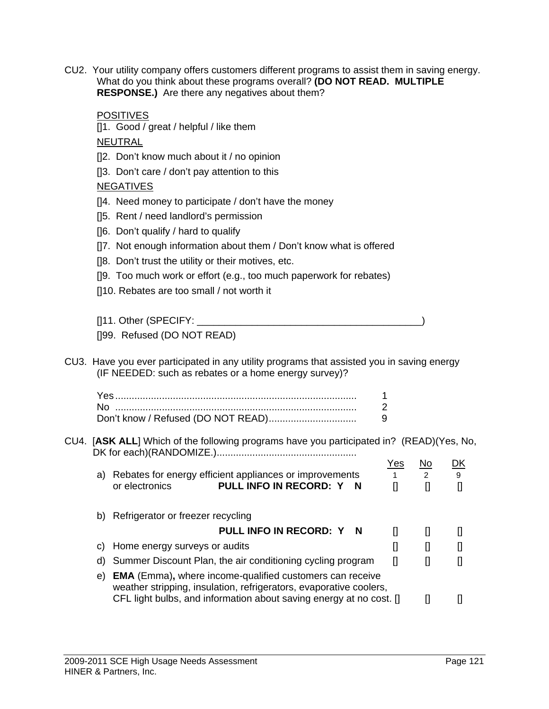CU2. Your utility company offers customers different programs to assist them in saving energy. What do you think about these programs overall? **(DO NOT READ. MULTIPLE RESPONSE.)** Are there any negatives about them?

|    | <b>POSITIVES</b><br>[1. Good / great / helpful / like them                                               |                       |                                                                                                                                                                                          |              |
|----|----------------------------------------------------------------------------------------------------------|-----------------------|------------------------------------------------------------------------------------------------------------------------------------------------------------------------------------------|--------------|
|    | <b>NEUTRAL</b>                                                                                           |                       |                                                                                                                                                                                          |              |
|    | []2. Don't know much about it / no opinion                                                               |                       |                                                                                                                                                                                          |              |
|    | []3. Don't care / don't pay attention to this                                                            |                       |                                                                                                                                                                                          |              |
|    | <b>NEGATIVES</b>                                                                                         |                       |                                                                                                                                                                                          |              |
|    | [14. Need money to participate / don't have the money                                                    |                       |                                                                                                                                                                                          |              |
|    | []5. Rent / need landlord's permission                                                                   |                       |                                                                                                                                                                                          |              |
|    | []6. Don't qualify / hard to qualify                                                                     |                       |                                                                                                                                                                                          |              |
|    | []7. Not enough information about them / Don't know what is offered                                      |                       |                                                                                                                                                                                          |              |
|    | []8. Don't trust the utility or their motives, etc.                                                      |                       |                                                                                                                                                                                          |              |
|    | []9. Too much work or effort (e.g., too much paperwork for rebates)                                      |                       |                                                                                                                                                                                          |              |
|    | []10. Rebates are too small / not worth it                                                               |                       |                                                                                                                                                                                          |              |
|    |                                                                                                          |                       |                                                                                                                                                                                          |              |
|    |                                                                                                          |                       |                                                                                                                                                                                          |              |
|    | []99. Refused (DO NOT READ)                                                                              |                       |                                                                                                                                                                                          |              |
|    |                                                                                                          |                       |                                                                                                                                                                                          |              |
|    | CU3. Have you ever participated in any utility programs that assisted you in saving energy               |                       |                                                                                                                                                                                          |              |
|    | (IF NEEDED: such as rebates or a home energy survey)?                                                    |                       |                                                                                                                                                                                          |              |
|    |                                                                                                          | 1                     |                                                                                                                                                                                          |              |
|    |                                                                                                          | $\overline{2}$<br>9   |                                                                                                                                                                                          |              |
|    | Don't know / Refused (DO NOT READ)                                                                       |                       |                                                                                                                                                                                          |              |
|    | CU4. [ASK ALL] Which of the following programs have you participated in? (READ)(Yes, No,                 |                       |                                                                                                                                                                                          |              |
|    |                                                                                                          | <u>Yes</u>            | <u>No</u>                                                                                                                                                                                | <u>DK</u>    |
|    | a) Rebates for energy efficient appliances or improvements<br>PULL INFO IN RECORD: Y N<br>or electronics | $1 -$<br>$\mathbf{I}$ | $\overline{2}$<br>$\prod$                                                                                                                                                                | 9<br>$\prod$ |
|    |                                                                                                          |                       |                                                                                                                                                                                          |              |
|    | b) Refrigerator or freezer recycling                                                                     |                       |                                                                                                                                                                                          |              |
|    | PULL INFO IN RECORD: Y<br>N                                                                              | $\mathbf{I}$          | $\mathbf{I}$                                                                                                                                                                             | IJ           |
| C) | Home energy surveys or audits                                                                            | $\mathbf{I}$          | $\mathbf{I}$                                                                                                                                                                             | IJ           |
| d) | Summer Discount Plan, the air conditioning cycling program                                               | $\mathbf{I}$          | $\mathbf{I}$                                                                                                                                                                             | []           |
| e) | <b>EMA</b> (Emma), where income-qualified customers can receive                                          |                       |                                                                                                                                                                                          |              |
|    | weather stripping, insulation, refrigerators, evaporative coolers,                                       |                       |                                                                                                                                                                                          |              |
|    | CFL light bulbs, and information about saving energy at no cost. []                                      |                       | $[] \centering \includegraphics[width=0.47\textwidth]{images/TrDiM-Architecture.png} \caption{The 3D (top) and 4D (bottom) are shown in the left and right.} \label{TrDiM-Architecture}$ | IJ           |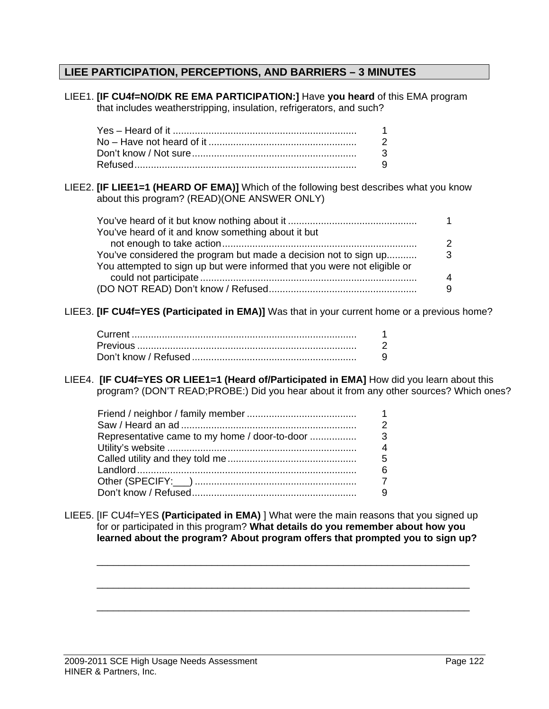## **LIEE PARTICIPATION, PERCEPTIONS, AND BARRIERS – 3 MINUTES**

| LIEE1. <b>[IF CU4f=NO/DK RE EMA PARTICIPATION:]</b> Have you heard of this EMA program<br>that includes weatherstripping, insulation, refrigerators, and such?                                                                                                |                          |             |
|---------------------------------------------------------------------------------------------------------------------------------------------------------------------------------------------------------------------------------------------------------------|--------------------------|-------------|
|                                                                                                                                                                                                                                                               | 1                        |             |
|                                                                                                                                                                                                                                                               | $\overline{2}$           |             |
|                                                                                                                                                                                                                                                               | 3                        |             |
|                                                                                                                                                                                                                                                               | 9                        |             |
| LIEE2. [IF LIEE1=1 (HEARD OF EMA)] Which of the following best describes what you know<br>about this program? (READ)(ONE ANSWER ONLY)                                                                                                                         |                          |             |
|                                                                                                                                                                                                                                                               |                          | 1           |
| You've heard of it and know something about it but                                                                                                                                                                                                            |                          |             |
|                                                                                                                                                                                                                                                               |                          | $\mathbf 2$ |
| You've considered the program but made a decision not to sign up                                                                                                                                                                                              |                          | 3           |
| You attempted to sign up but were informed that you were not eligible or                                                                                                                                                                                      |                          |             |
|                                                                                                                                                                                                                                                               |                          | 4           |
|                                                                                                                                                                                                                                                               |                          | 9           |
| LIEE3. [IF CU4f=YES (Participated in EMA)] Was that in your current home or a previous home?                                                                                                                                                                  | 1<br>$\overline{2}$      |             |
|                                                                                                                                                                                                                                                               | 9                        |             |
|                                                                                                                                                                                                                                                               |                          |             |
| LIEE4. [IF CU4f=YES OR LIEE1=1 (Heard of/Participated in EMA] How did you learn about this<br>program? (DON'T READ;PROBE:) Did you hear about it from any other sources? Which ones?                                                                          |                          |             |
|                                                                                                                                                                                                                                                               | 1                        |             |
|                                                                                                                                                                                                                                                               | 2                        |             |
| Representative came to my home / door-to-door                                                                                                                                                                                                                 | 3                        |             |
|                                                                                                                                                                                                                                                               | $\overline{\mathcal{A}}$ |             |
|                                                                                                                                                                                                                                                               | 5                        |             |
|                                                                                                                                                                                                                                                               | 6                        |             |
|                                                                                                                                                                                                                                                               | $\overline{7}$           |             |
|                                                                                                                                                                                                                                                               | 9                        |             |
| LIEE5. [IF CU4f=YES (Participated in EMA) ] What were the main reasons that you signed up<br>for or participated in this program? What details do you remember about how you<br>learned about the program? About program offers that prompted you to sign up? |                          |             |
|                                                                                                                                                                                                                                                               |                          |             |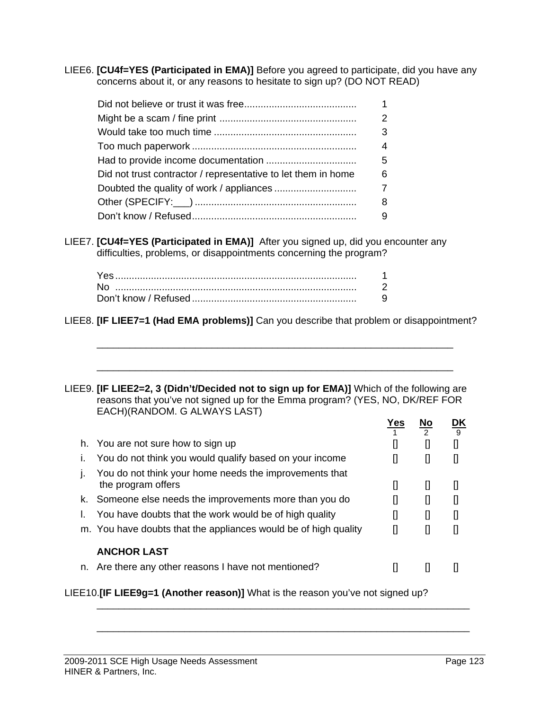LIEE6. **[CU4f=YES (Participated in EMA)]** Before you agreed to participate, did you have any concerns about it, or any reasons to hesitate to sign up? (DO NOT READ)

|                                                               | 2 |
|---------------------------------------------------------------|---|
|                                                               | 3 |
|                                                               | 4 |
|                                                               | 5 |
| Did not trust contractor / representative to let them in home | 6 |
|                                                               | 7 |
|                                                               | 8 |
|                                                               | 9 |

LIEE7. **[CU4f=YES (Participated in EMA)]** After you signed up, did you encounter any difficulties, problems, or disappointments concerning the program?

LIEE8. **[IF LIEE7=1 (Had EMA problems)]** Can you describe that problem or disappointment?

\_\_\_\_\_\_\_\_\_\_\_\_\_\_\_\_\_\_\_\_\_\_\_\_\_\_\_\_\_\_\_\_\_\_\_\_\_\_\_\_\_\_\_\_\_\_\_\_\_\_\_\_\_\_\_\_\_\_\_\_\_\_\_\_\_

\_\_\_\_\_\_\_\_\_\_\_\_\_\_\_\_\_\_\_\_\_\_\_\_\_\_\_\_\_\_\_\_\_\_\_\_\_\_\_\_\_\_\_\_\_\_\_\_\_\_\_\_\_\_\_\_\_\_\_\_\_\_\_\_\_

LIEE9. **[IF LIEE2=2, 3 (Didn't/Decided not to sign up for EMA)]** Which of the following are reasons that you've not signed up for the Emma program? (YES, NO, DK/REF FOR EACH)(RANDOM. G ALWAYS LAST)

|                                                                              | Yes | No | 9 |
|------------------------------------------------------------------------------|-----|----|---|
| h. You are not sure how to sign up                                           |     |    |   |
| You do not think you would qualify based on your income                      |     |    |   |
| You do not think your home needs the improvements that<br>the program offers | IJ  | IJ |   |
| k. Someone else needs the improvements more than you do                      |     |    |   |
| You have doubts that the work would be of high quality                       |     | IJ |   |
| m. You have doubts that the appliances would be of high quality              | IJ  |    |   |
| <b>ANCHOR LAST</b>                                                           |     |    |   |
| n. Are there any other reasons I have not mentioned?                         |     |    |   |
|                                                                              |     |    |   |

\_\_\_\_\_\_\_\_\_\_\_\_\_\_\_\_\_\_\_\_\_\_\_\_\_\_\_\_\_\_\_\_\_\_\_\_\_\_\_\_\_\_\_\_\_\_\_\_\_\_\_\_\_\_\_\_\_\_\_\_\_\_\_\_\_\_\_\_

\_\_\_\_\_\_\_\_\_\_\_\_\_\_\_\_\_\_\_\_\_\_\_\_\_\_\_\_\_\_\_\_\_\_\_\_\_\_\_\_\_\_\_\_\_\_\_\_\_\_\_\_\_\_\_\_\_\_\_\_\_\_\_\_\_\_\_\_

LIEE10.**[IF LIEE9g=1 (Another reason)]** What is the reason you've not signed up?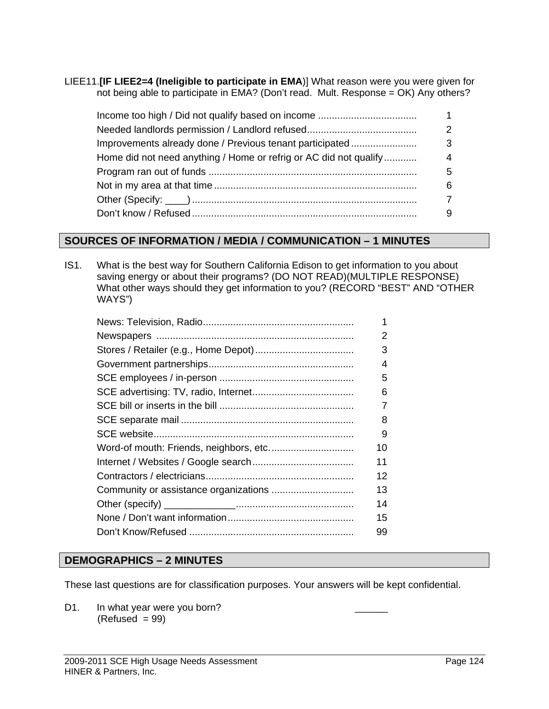LIEE11.**[IF LIEE2=4 (Ineligible to participate in EMA**)] What reason were you were given for not being able to participate in EMA? (Don't read. Mult. Response = OK) Any others?

| Improvements already done / Previous tenant participated          | З |
|-------------------------------------------------------------------|---|
| Home did not need anything / Home or refrig or AC did not qualify |   |
|                                                                   | 5 |
|                                                                   |   |
|                                                                   |   |
|                                                                   |   |

#### **SOURCES OF INFORMATION / MEDIA / COMMUNICATION – 1 MINUTES**

IS1. What is the best way for Southern California Edison to get information to you about saving energy or about their programs? (DO NOT READ)(MULTIPLE RESPONSE) What other ways should they get information to you? (RECORD "BEST" AND "OTHER WAYS")

|  | 1  |
|--|----|
|  | 2  |
|  | 3  |
|  | 4  |
|  | 5  |
|  | 6  |
|  | 7  |
|  | 8  |
|  | 9  |
|  | 10 |
|  | 11 |
|  | 12 |
|  | 13 |
|  | 14 |
|  | 15 |
|  | 99 |
|  |    |

#### **DEMOGRAPHICS – 2 MINUTES**

These last questions are for classification purposes. Your answers will be kept confidential.

D1. In what year were you born?  $(Refused = 99)$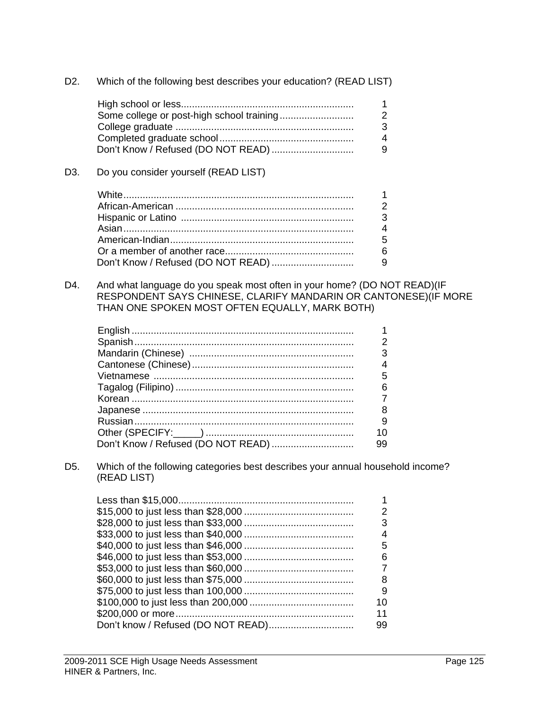| D2. | Which of the following best describes your education? (READ LIST) |  |  |
|-----|-------------------------------------------------------------------|--|--|
|     |                                                                   |  |  |

| 4 |
|---|
|   |

#### D3. Do you consider yourself (READ LIST)

D4. And what language do you speak most often in your home? (DO NOT READ)(IF RESPONDENT SAYS CHINESE, CLARIFY MANDARIN OR CANTONESE)(IF MORE THAN ONE SPOKEN MOST OFTEN EQUALLY, MARK BOTH)

| 3  |
|----|
|    |
| 5  |
| 6  |
|    |
| 8  |
| 9  |
|    |
| 99 |

D5. Which of the following categories best describes your annual household income? (READ LIST)

|  | З  |
|--|----|
|  |    |
|  | 5  |
|  | ิธ |
|  |    |
|  |    |
|  | 9  |
|  | 10 |
|  |    |
|  | 99 |
|  |    |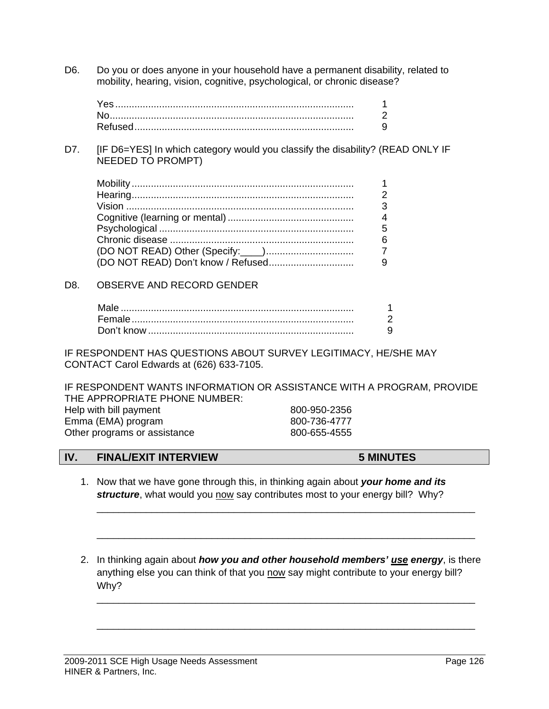D6. Do you or does anyone in your household have a permanent disability, related to mobility, hearing, vision, cognitive, psychological, or chronic disease?

D7. [IF D6=YES] In which category would you classify the disability? (READ ONLY IF NEEDED TO PROMPT)

#### D8. OBSERVE AND RECORD GENDER

IF RESPONDENT HAS QUESTIONS ABOUT SURVEY LEGITIMACY, HE/SHE MAY CONTACT Carol Edwards at (626) 633-7105.

IF RESPONDENT WANTS INFORMATION OR ASSISTANCE WITH A PROGRAM, PROVIDE THE APPROPRIATE PHONE NUMBER: Help with bill payment 800-950-2356 Emma (EMA) program 800-736-4777 Other programs or assistance 800-655-4555

#### **IV. FINAL/EXIT INTERVIEW 5 MINUTES**

1. Now that we have gone through this, in thinking again about *your home and its*  structure, what would you now say contributes most to your energy bill? Why?

\_\_\_\_\_\_\_\_\_\_\_\_\_\_\_\_\_\_\_\_\_\_\_\_\_\_\_\_\_\_\_\_\_\_\_\_\_\_\_\_\_\_\_\_\_\_\_\_\_\_\_\_\_\_\_\_\_\_\_\_\_\_\_\_\_\_\_\_\_

\_\_\_\_\_\_\_\_\_\_\_\_\_\_\_\_\_\_\_\_\_\_\_\_\_\_\_\_\_\_\_\_\_\_\_\_\_\_\_\_\_\_\_\_\_\_\_\_\_\_\_\_\_\_\_\_\_\_\_\_\_\_\_\_\_\_\_\_\_

\_\_\_\_\_\_\_\_\_\_\_\_\_\_\_\_\_\_\_\_\_\_\_\_\_\_\_\_\_\_\_\_\_\_\_\_\_\_\_\_\_\_\_\_\_\_\_\_\_\_\_\_\_\_\_\_\_\_\_\_\_\_\_\_\_\_\_\_\_

\_\_\_\_\_\_\_\_\_\_\_\_\_\_\_\_\_\_\_\_\_\_\_\_\_\_\_\_\_\_\_\_\_\_\_\_\_\_\_\_\_\_\_\_\_\_\_\_\_\_\_\_\_\_\_\_\_\_\_\_\_\_\_\_\_\_\_\_\_

2. In thinking again about *how you and other household members' use energy*, is there anything else you can think of that you now say might contribute to your energy bill? Why?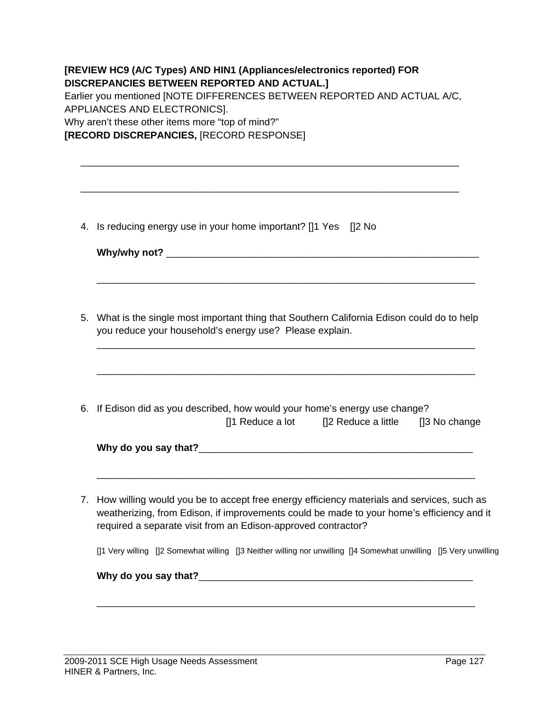|    | Earlier you mentioned [NOTE DIFFERENCES BETWEEN REPORTED AND ACTUAL A/C,<br>APPLIANCES AND ELECTRONICS].<br>Why aren't these other items more "top of mind?"<br>[RECORD DISCREPANCIES, [RECORD RESPONSE]                                                |  |  |  |  |
|----|---------------------------------------------------------------------------------------------------------------------------------------------------------------------------------------------------------------------------------------------------------|--|--|--|--|
|    | 4. Is reducing energy use in your home important? [1] Yes [2] No                                                                                                                                                                                        |  |  |  |  |
|    | 5. What is the single most important thing that Southern California Edison could do to help<br>you reduce your household's energy use? Please explain.                                                                                                  |  |  |  |  |
|    | 6. If Edison did as you described, how would your home's energy use change?<br>[]1 Reduce a lot [2 Reduce a little [3 No change]                                                                                                                        |  |  |  |  |
| 7. | How willing would you be to accept free energy efficiency materials and services, such as<br>weatherizing, from Edison, if improvements could be made to your home's efficiency and it<br>required a separate visit from an Edison-approved contractor? |  |  |  |  |
|    | []1 Very willing []2 Somewhat willing []3 Neither willing nor unwilling []4 Somewhat unwilling []5 Very unwilling                                                                                                                                       |  |  |  |  |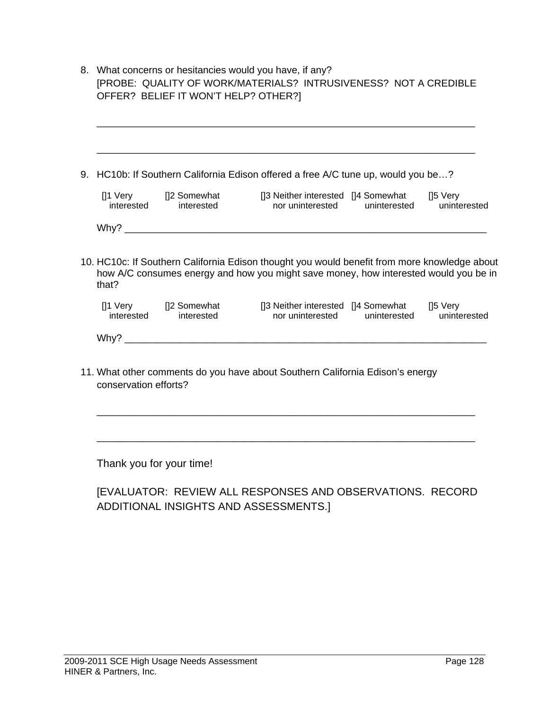|                     |            | 9. HC10b: If Southern California Edison offered a free A/C tune up, would you be?                                                                                                    |              |                                      |
|---------------------|------------|--------------------------------------------------------------------------------------------------------------------------------------------------------------------------------------|--------------|--------------------------------------|
| interested          | interested | []1 Very []2 Somewhat []3 Neither interested []4 Somewhat<br>nor uninterested                                                                                                        | uninterested | $[]5 \, \text{Very}$<br>uninterested |
|                     |            | Why?                                                                                                                                                                                 |              |                                      |
|                     |            | 10. HC10c: If Southern California Edison thought you would benefit from more knowledge about<br>how A/C consumes energy and how you might save money, how interested would you be in |              |                                      |
| that?<br>interested | interested | []1 Very []2 Somewhat []3 Neither interested []4 Somewhat []5 Very interested [14 Somewhat []5 Very<br>nor uninterested                                                              | uninterested | uninterested                         |
|                     |            |                                                                                                                                                                                      |              |                                      |

### [EVALUATOR: REVIEW ALL RESPONSES AND OBSERVATIONS. RECORD ADDITIONAL INSIGHTS AND ASSESSMENTS.]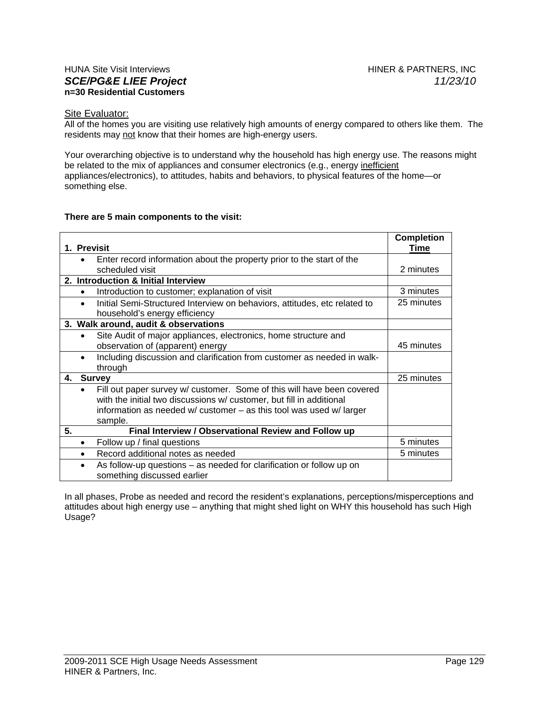#### HUNA Site Visit Interviews **HINER & PARTNERS, INC.** *SCE/PG&E LIEE Project 11/23/10* **n=30 Residential Customers**

#### Site Evaluator:

All of the homes you are visiting use relatively high amounts of energy compared to others like them. The residents may not know that their homes are high-energy users.

Your overarching objective is to understand why the household has high energy use. The reasons might be related to the mix of appliances and consumer electronics (e.g., energy inefficient appliances/electronics), to attitudes, habits and behaviors, to physical features of the home—or something else.

#### **There are 5 main components to the visit:**

|    |                                                      |                                                                           | <b>Completion</b><br>Time |  |
|----|------------------------------------------------------|---------------------------------------------------------------------------|---------------------------|--|
|    | 1. Previsit                                          |                                                                           |                           |  |
|    | $\bullet$                                            | Enter record information about the property prior to the start of the     |                           |  |
|    |                                                      | scheduled visit                                                           | 2 minutes                 |  |
|    | 2. Introduction & Initial Interview                  |                                                                           |                           |  |
|    | $\bullet$                                            | Introduction to customer; explanation of visit                            | 3 minutes                 |  |
|    |                                                      | Initial Semi-Structured Interview on behaviors, attitudes, etc related to | 25 minutes                |  |
|    |                                                      | household's energy efficiency                                             |                           |  |
|    |                                                      | 3. Walk around, audit & observations                                      |                           |  |
|    | $\bullet$                                            | Site Audit of major appliances, electronics, home structure and           |                           |  |
|    |                                                      | observation of (apparent) energy                                          | 45 minutes                |  |
|    |                                                      | Including discussion and clarification from customer as needed in walk-   |                           |  |
|    |                                                      | through                                                                   |                           |  |
| 4. |                                                      | <b>Survey</b>                                                             | 25 minutes                |  |
|    | $\bullet$                                            | Fill out paper survey w/ customer. Some of this will have been covered    |                           |  |
|    |                                                      | with the initial two discussions w/ customer, but fill in additional      |                           |  |
|    |                                                      | information as needed $w$ customer $-$ as this tool was used $w$ larger   |                           |  |
|    |                                                      | sample.                                                                   |                           |  |
| 5. | Final Interview / Observational Review and Follow up |                                                                           |                           |  |
|    | ٠                                                    | Follow up / final questions                                               | 5 minutes                 |  |
|    |                                                      | Record additional notes as needed                                         | 5 minutes                 |  |
|    | $\bullet$                                            | As follow-up questions – as needed for clarification or follow up on      |                           |  |
|    |                                                      | something discussed earlier                                               |                           |  |

In all phases, Probe as needed and record the resident's explanations, perceptions/misperceptions and attitudes about high energy use – anything that might shed light on WHY this household has such High Usage?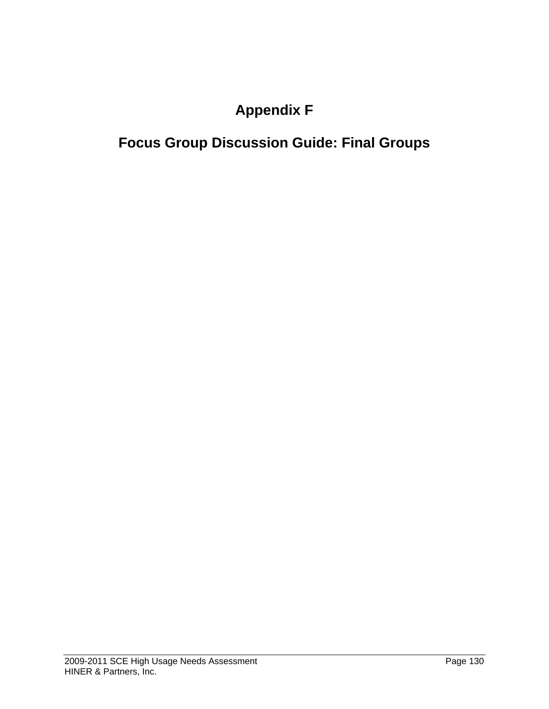# **Appendix F**

# **Focus Group Discussion Guide: Final Groups**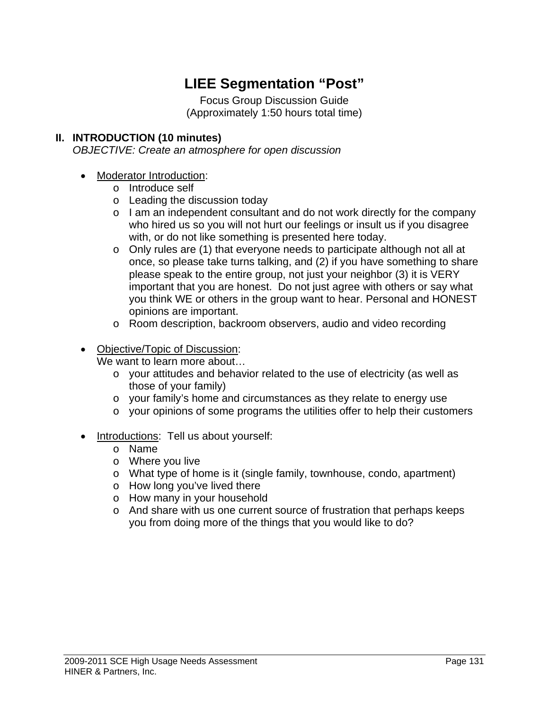# **LIEE Segmentation "Post"**

Focus Group Discussion Guide (Approximately 1:50 hours total time)

#### **II. INTRODUCTION (10 minutes)**

*OBJECTIVE: Create an atmosphere for open discussion* 

- Moderator Introduction:
	- o Introduce self
	- o Leading the discussion today
	- $\circ$  I am an independent consultant and do not work directly for the company who hired us so you will not hurt our feelings or insult us if you disagree with, or do not like something is presented here today.
	- o Only rules are (1) that everyone needs to participate although not all at once, so please take turns talking, and (2) if you have something to share please speak to the entire group, not just your neighbor (3) it is VERY important that you are honest. Do not just agree with others or say what you think WE or others in the group want to hear. Personal and HONEST opinions are important.
	- o Room description, backroom observers, audio and video recording
- Objective/Topic of Discussion:

We want to learn more about...

- o your attitudes and behavior related to the use of electricity (as well as those of your family)
- o your family's home and circumstances as they relate to energy use
- o your opinions of some programs the utilities offer to help their customers
- Introductions: Tell us about yourself:
	- o Name
	- o Where you live
	- o What type of home is it (single family, townhouse, condo, apartment)
	- o How long you've lived there
	- o How many in your household
	- $\circ$  And share with us one current source of frustration that perhaps keeps you from doing more of the things that you would like to do?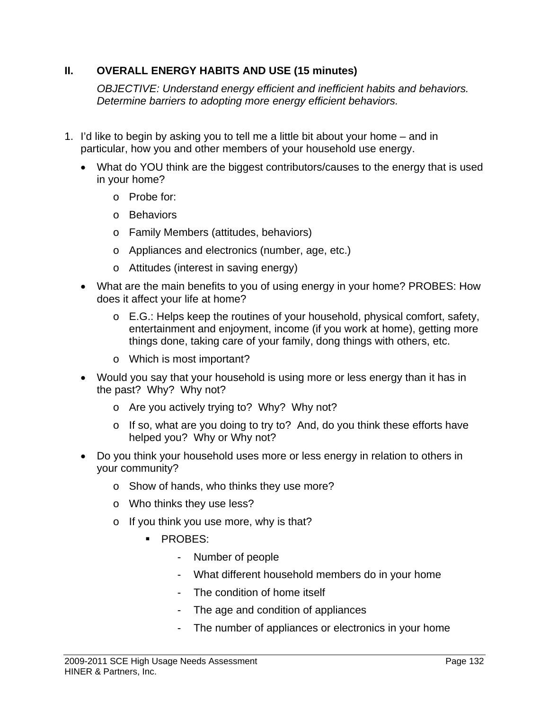#### **II. OVERALL ENERGY HABITS AND USE (15 minutes)**

*OBJECTIVE: Understand energy efficient and inefficient habits and behaviors. Determine barriers to adopting more energy efficient behaviors.* 

- 1. I'd like to begin by asking you to tell me a little bit about your home and in particular, how you and other members of your household use energy.
	- What do YOU think are the biggest contributors/causes to the energy that is used in your home?
		- o Probe for:
		- o Behaviors
		- o Family Members (attitudes, behaviors)
		- o Appliances and electronics (number, age, etc.)
		- o Attitudes (interest in saving energy)
	- What are the main benefits to you of using energy in your home? PROBES: How does it affect your life at home?
		- o E.G.: Helps keep the routines of your household, physical comfort, safety, entertainment and enjoyment, income (if you work at home), getting more things done, taking care of your family, dong things with others, etc.
		- o Which is most important?
	- Would you say that your household is using more or less energy than it has in the past? Why? Why not?
		- o Are you actively trying to? Why? Why not?
		- o If so, what are you doing to try to? And, do you think these efforts have helped you? Why or Why not?
	- Do you think your household uses more or less energy in relation to others in your community?
		- o Show of hands, who thinks they use more?
		- o Who thinks they use less?
		- o If you think you use more, why is that?
			- **PROBES:** 
				- Number of people
				- What different household members do in your home
				- The condition of home itself
				- The age and condition of appliances
				- The number of appliances or electronics in your home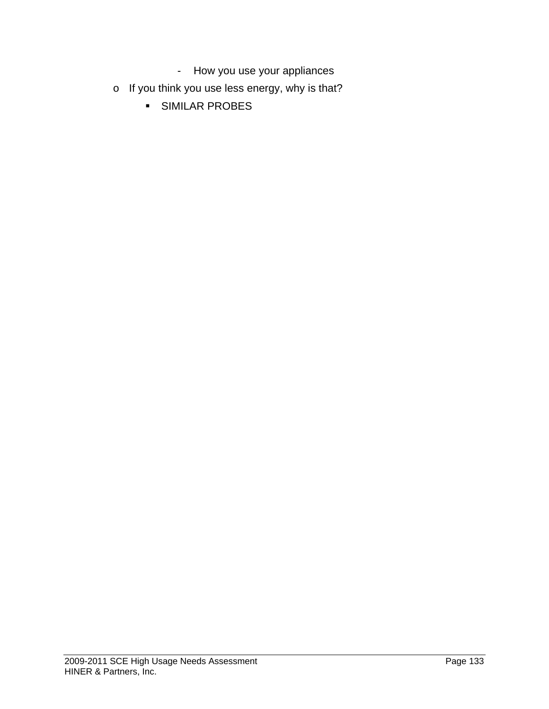- How you use your appliances
- o If you think you use less energy, why is that?
	- **SIMILAR PROBES**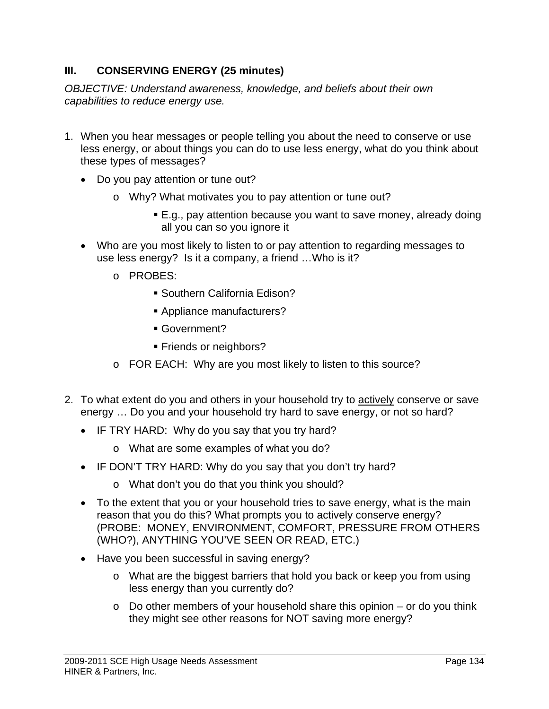#### **III. CONSERVING ENERGY (25 minutes)**

*OBJECTIVE: Understand awareness, knowledge, and beliefs about their own capabilities to reduce energy use.* 

- 1. When you hear messages or people telling you about the need to conserve or use less energy, or about things you can do to use less energy, what do you think about these types of messages?
	- Do you pay attention or tune out?
		- o Why? What motivates you to pay attention or tune out?
			- E.g., pay attention because you want to save money, already doing all you can so you ignore it
	- Who are you most likely to listen to or pay attention to regarding messages to use less energy? Is it a company, a friend …Who is it?
		- o PROBES:
			- Southern California Edison?
			- Appliance manufacturers?
			- Government?
			- **Friends or neighbors?**
		- o FOR EACH: Why are you most likely to listen to this source?
- 2. To what extent do you and others in your household try to actively conserve or save energy … Do you and your household try hard to save energy, or not so hard?
	- IF TRY HARD: Why do you say that you try hard?
		- o What are some examples of what you do?
	- IF DON'T TRY HARD: Why do you say that you don't try hard?
		- o What don't you do that you think you should?
	- To the extent that you or your household tries to save energy, what is the main reason that you do this? What prompts you to actively conserve energy? (PROBE: MONEY, ENVIRONMENT, COMFORT, PRESSURE FROM OTHERS (WHO?), ANYTHING YOU'VE SEEN OR READ, ETC.)
	- Have you been successful in saving energy?
		- o What are the biggest barriers that hold you back or keep you from using less energy than you currently do?
		- $\circ$  Do other members of your household share this opinion or do you think they might see other reasons for NOT saving more energy?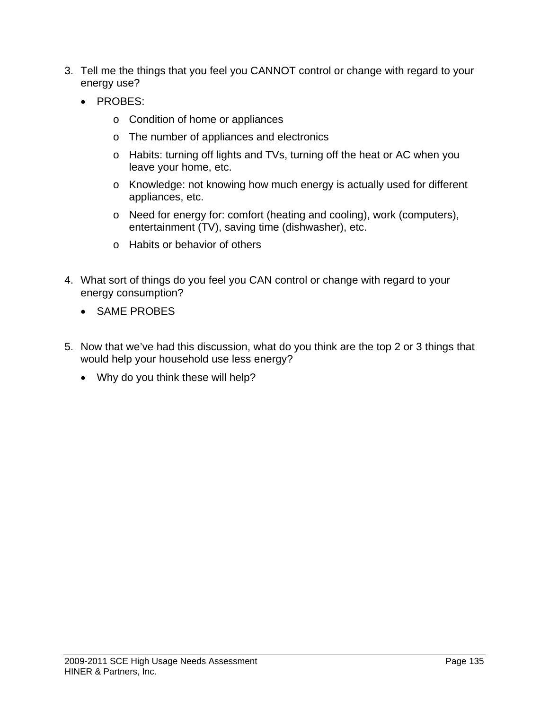- 3. Tell me the things that you feel you CANNOT control or change with regard to your energy use?
	- PROBES:
		- o Condition of home or appliances
		- o The number of appliances and electronics
		- o Habits: turning off lights and TVs, turning off the heat or AC when you leave your home, etc.
		- o Knowledge: not knowing how much energy is actually used for different appliances, etc.
		- o Need for energy for: comfort (heating and cooling), work (computers), entertainment (TV), saving time (dishwasher), etc.
		- o Habits or behavior of others
- 4. What sort of things do you feel you CAN control or change with regard to your energy consumption?
	- SAME PROBES
- 5. Now that we've had this discussion, what do you think are the top 2 or 3 things that would help your household use less energy?
	- Why do you think these will help?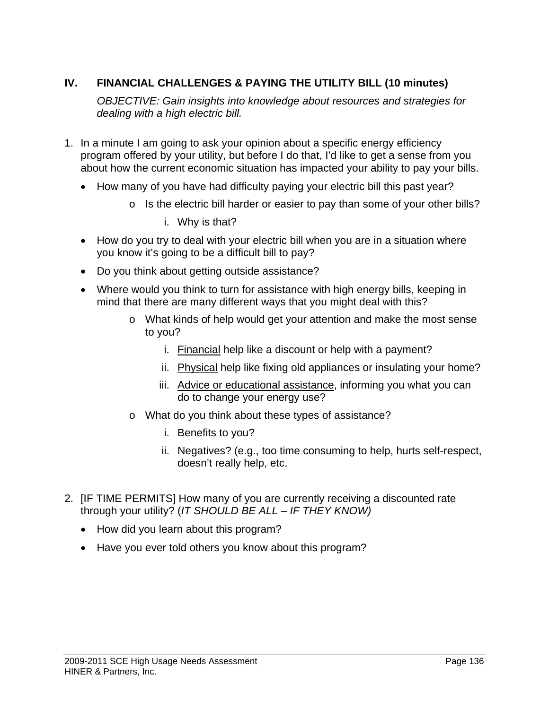#### **IV. FINANCIAL CHALLENGES & PAYING THE UTILITY BILL (10 minutes)**

*OBJECTIVE: Gain insights into knowledge about resources and strategies for dealing with a high electric bill.* 

- 1. In a minute I am going to ask your opinion about a specific energy efficiency program offered by your utility, but before I do that, I'd like to get a sense from you about how the current economic situation has impacted your ability to pay your bills.
	- How many of you have had difficulty paying your electric bill this past year?
		- $\circ$  Is the electric bill harder or easier to pay than some of your other bills?
			- i. Why is that?
	- How do you try to deal with your electric bill when you are in a situation where you know it's going to be a difficult bill to pay?
	- Do you think about getting outside assistance?
	- Where would you think to turn for assistance with high energy bills, keeping in mind that there are many different ways that you might deal with this?
		- o What kinds of help would get your attention and make the most sense to you?
			- i. Financial help like a discount or help with a payment?
			- ii. Physical help like fixing old appliances or insulating your home?
			- iii. Advice or educational assistance, informing you what you can do to change your energy use?
		- o What do you think about these types of assistance?
			- i. Benefits to you?
			- ii. Negatives? (e.g., too time consuming to help, hurts self-respect, doesn't really help, etc.
- 2. [IF TIME PERMITS] How many of you are currently receiving a discounted rate through your utility? (*IT SHOULD BE ALL – IF THEY KNOW)*
	- How did you learn about this program?
	- Have you ever told others you know about this program?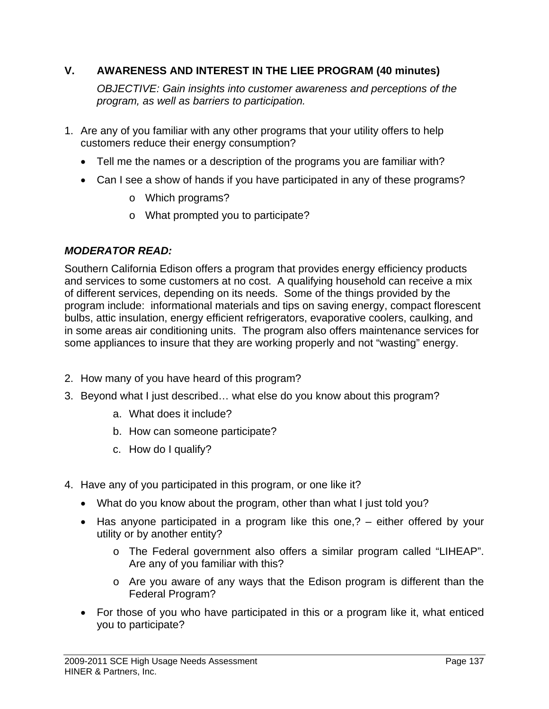#### **V. AWARENESS AND INTEREST IN THE LIEE PROGRAM (40 minutes)**

 *OBJECTIVE: Gain insights into customer awareness and perceptions of the program, as well as barriers to participation.* 

- 1. Are any of you familiar with any other programs that your utility offers to help customers reduce their energy consumption?
	- Tell me the names or a description of the programs you are familiar with?
	- Can I see a show of hands if you have participated in any of these programs?
		- o Which programs?
		- o What prompted you to participate?

#### *MODERATOR READ:*

Southern California Edison offers a program that provides energy efficiency products and services to some customers at no cost. A qualifying household can receive a mix of different services, depending on its needs. Some of the things provided by the program include: informational materials and tips on saving energy, compact florescent bulbs, attic insulation, energy efficient refrigerators, evaporative coolers, caulking, and in some areas air conditioning units. The program also offers maintenance services for some appliances to insure that they are working properly and not "wasting" energy.

- 2. How many of you have heard of this program?
- 3. Beyond what I just described… what else do you know about this program?
	- a. What does it include?
	- b. How can someone participate?
	- c. How do I qualify?
- 4. Have any of you participated in this program, or one like it?
	- What do you know about the program, other than what I just told you?
	- Has anyone participated in a program like this one,? either offered by your utility or by another entity?
		- o The Federal government also offers a similar program called "LIHEAP". Are any of you familiar with this?
		- o Are you aware of any ways that the Edison program is different than the Federal Program?
	- For those of you who have participated in this or a program like it, what enticed you to participate?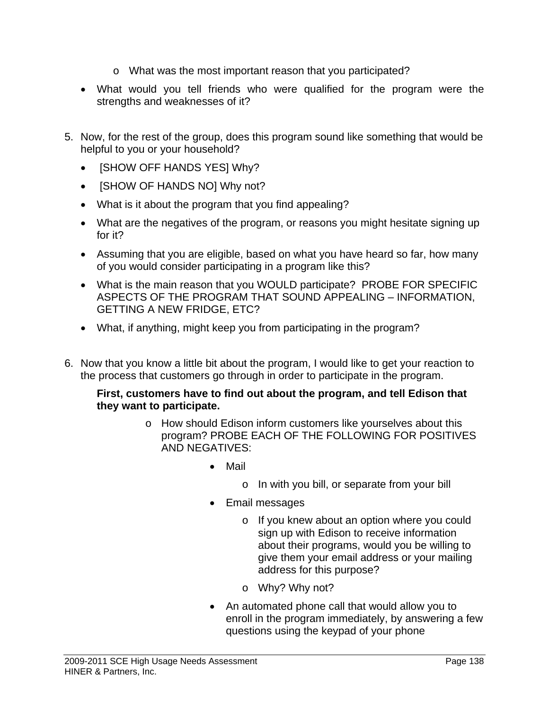- o What was the most important reason that you participated?
- What would you tell friends who were qualified for the program were the strengths and weaknesses of it?
- 5. Now, for the rest of the group, does this program sound like something that would be helpful to you or your household?
	- [SHOW OFF HANDS YES] Why?
	- **[SHOW OF HANDS NO] Why not?**
	- What is it about the program that you find appealing?
	- What are the negatives of the program, or reasons you might hesitate signing up for it?
	- Assuming that you are eligible, based on what you have heard so far, how many of you would consider participating in a program like this?
	- What is the main reason that you WOULD participate? PROBE FOR SPECIFIC ASPECTS OF THE PROGRAM THAT SOUND APPEALING – INFORMATION, GETTING A NEW FRIDGE, ETC?
	- What, if anything, might keep you from participating in the program?
- 6. Now that you know a little bit about the program, I would like to get your reaction to the process that customers go through in order to participate in the program.

#### **First, customers have to find out about the program, and tell Edison that they want to participate.**

- o How should Edison inform customers like yourselves about this program? PROBE EACH OF THE FOLLOWING FOR POSITIVES AND NEGATIVES:
	- Mail
		- o In with you bill, or separate from your bill
	- Email messages
		- o If you knew about an option where you could sign up with Edison to receive information about their programs, would you be willing to give them your email address or your mailing address for this purpose?
		- o Why? Why not?
	- An automated phone call that would allow you to enroll in the program immediately, by answering a few questions using the keypad of your phone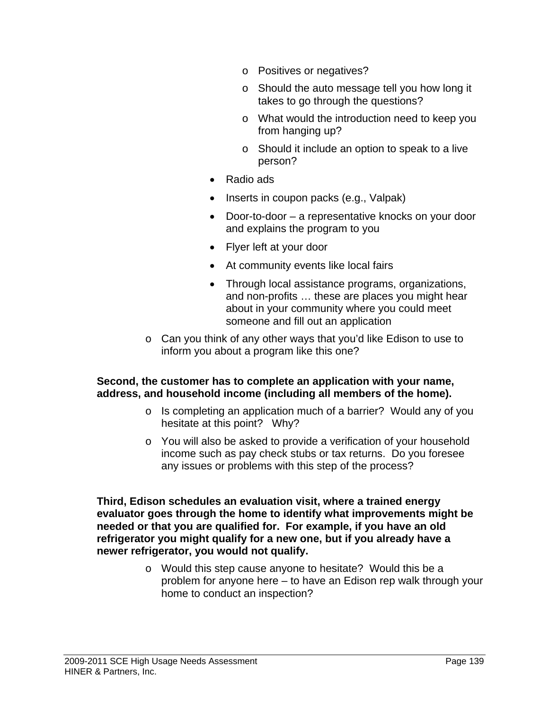- o Positives or negatives?
- o Should the auto message tell you how long it takes to go through the questions?
- o What would the introduction need to keep you from hanging up?
- o Should it include an option to speak to a live person?
- Radio ads
- Inserts in coupon packs (e.g., Valpak)
- Door-to-door a representative knocks on your door and explains the program to you
- Flyer left at your door
- At community events like local fairs
- Through local assistance programs, organizations, and non-profits … these are places you might hear about in your community where you could meet someone and fill out an application
- o Can you think of any other ways that you'd like Edison to use to inform you about a program like this one?

#### **Second, the customer has to complete an application with your name, address, and household income (including all members of the home).**

- o Is completing an application much of a barrier? Would any of you hesitate at this point? Why?
- o You will also be asked to provide a verification of your household income such as pay check stubs or tax returns. Do you foresee any issues or problems with this step of the process?

**Third, Edison schedules an evaluation visit, where a trained energy evaluator goes through the home to identify what improvements might be needed or that you are qualified for. For example, if you have an old refrigerator you might qualify for a new one, but if you already have a newer refrigerator, you would not qualify.** 

> o Would this step cause anyone to hesitate? Would this be a problem for anyone here – to have an Edison rep walk through your home to conduct an inspection?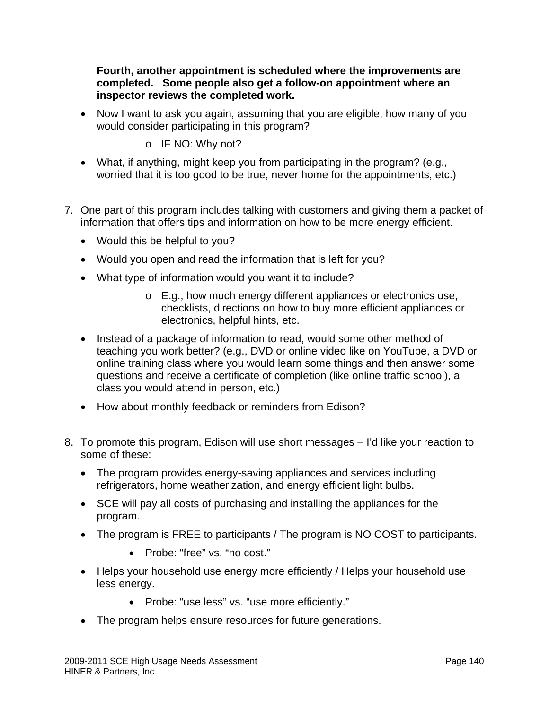**Fourth, another appointment is scheduled where the improvements are completed. Some people also get a follow-on appointment where an inspector reviews the completed work.** 

- Now I want to ask you again, assuming that you are eligible, how many of you would consider participating in this program?
	- o IF NO: Why not?
- What, if anything, might keep you from participating in the program? (e.g., worried that it is too good to be true, never home for the appointments, etc.)
- 7. One part of this program includes talking with customers and giving them a packet of information that offers tips and information on how to be more energy efficient.
	- Would this be helpful to you?
	- Would you open and read the information that is left for you?
	- What type of information would you want it to include?
		- o E.g., how much energy different appliances or electronics use, checklists, directions on how to buy more efficient appliances or electronics, helpful hints, etc.
	- Instead of a package of information to read, would some other method of teaching you work better? (e.g., DVD or online video like on YouTube, a DVD or online training class where you would learn some things and then answer some questions and receive a certificate of completion (like online traffic school), a class you would attend in person, etc.)
	- How about monthly feedback or reminders from Edison?
- 8. To promote this program, Edison will use short messages I'd like your reaction to some of these:
	- The program provides energy-saving appliances and services including refrigerators, home weatherization, and energy efficient light bulbs.
	- SCE will pay all costs of purchasing and installing the appliances for the program.
	- The program is FREE to participants / The program is NO COST to participants.
		- Probe: "free" vs. "no cost."
	- Helps your household use energy more efficiently / Helps your household use less energy.
		- Probe: "use less" vs. "use more efficiently."
	- The program helps ensure resources for future generations.